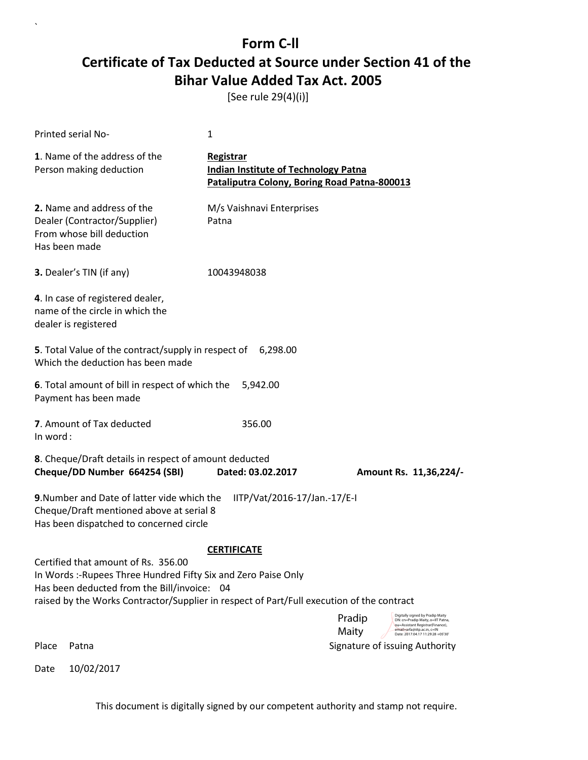[See rule 29(4)(i)]

`

|          | Printed serial No-                                                                                                                                                                                                                                | 1                                                                                                        |                                                                                                                                                                                                  |
|----------|---------------------------------------------------------------------------------------------------------------------------------------------------------------------------------------------------------------------------------------------------|----------------------------------------------------------------------------------------------------------|--------------------------------------------------------------------------------------------------------------------------------------------------------------------------------------------------|
|          | 1. Name of the address of the<br>Person making deduction                                                                                                                                                                                          | Registrar<br><b>Indian Institute of Technology Patna</b><br>Pataliputra Colony, Boring Road Patna-800013 |                                                                                                                                                                                                  |
|          | 2. Name and address of the<br>Dealer (Contractor/Supplier)<br>From whose bill deduction<br>Has been made                                                                                                                                          | M/s Vaishnavi Enterprises<br>Patna                                                                       |                                                                                                                                                                                                  |
|          | 3. Dealer's TIN (if any)                                                                                                                                                                                                                          | 10043948038                                                                                              |                                                                                                                                                                                                  |
|          | 4. In case of registered dealer,<br>name of the circle in which the<br>dealer is registered                                                                                                                                                       |                                                                                                          |                                                                                                                                                                                                  |
|          | 5. Total Value of the contract/supply in respect of 6,298.00<br>Which the deduction has been made                                                                                                                                                 |                                                                                                          |                                                                                                                                                                                                  |
|          | 6. Total amount of bill in respect of which the<br>Payment has been made                                                                                                                                                                          | 5,942.00                                                                                                 |                                                                                                                                                                                                  |
| In word: | 7. Amount of Tax deducted                                                                                                                                                                                                                         | 356.00                                                                                                   |                                                                                                                                                                                                  |
|          | 8. Cheque/Draft details in respect of amount deducted<br>Cheque/DD Number 664254 (SBI)                                                                                                                                                            | Dated: 03.02.2017                                                                                        | Amount Rs. 11,36,224/-                                                                                                                                                                           |
|          | 9. Number and Date of latter vide which the<br>Cheque/Draft mentioned above at serial 8<br>Has been dispatched to concerned circle                                                                                                                | IITP/Vat/2016-17/Jan.-17/E-I                                                                             |                                                                                                                                                                                                  |
|          | Certified that amount of Rs. 356.00<br>In Words :- Rupees Three Hundred Fifty Six and Zero Paise Only<br>Has been deducted from the Bill/invoice: 04<br>raised by the Works Contractor/Supplier in respect of Part/Full execution of the contract | <b>CERTIFICATE</b>                                                                                       |                                                                                                                                                                                                  |
|          |                                                                                                                                                                                                                                                   |                                                                                                          | Digitally signed by Pradip Maity<br>Pradip<br>DN: cn=Pradip Maity, o=IIT Patna,<br>ou=Assistant Registrar(Finance),<br>Maity<br>email=arfa@iitn ac in. c=IN<br>Date: 2017.04.17 11:29:28 +05'30' |
| Place    | Patna                                                                                                                                                                                                                                             |                                                                                                          | Signature of issuing Authority                                                                                                                                                                   |
| Date     | 10/02/2017                                                                                                                                                                                                                                        |                                                                                                          |                                                                                                                                                                                                  |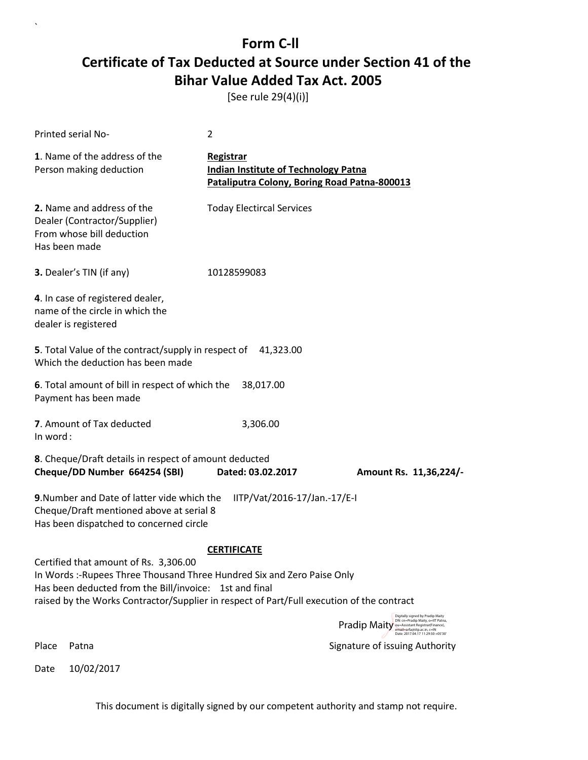[See rule 29(4)(i)]

`

|          | Printed serial No-                                                                                                                                                                                                                                                     | 2                                                                                                        |                                                                                                                                                         |  |
|----------|------------------------------------------------------------------------------------------------------------------------------------------------------------------------------------------------------------------------------------------------------------------------|----------------------------------------------------------------------------------------------------------|---------------------------------------------------------------------------------------------------------------------------------------------------------|--|
|          | 1. Name of the address of the<br>Person making deduction                                                                                                                                                                                                               | Registrar<br><b>Indian Institute of Technology Patna</b><br>Pataliputra Colony, Boring Road Patna-800013 |                                                                                                                                                         |  |
|          | 2. Name and address of the<br>Dealer (Contractor/Supplier)<br>From whose bill deduction<br>Has been made                                                                                                                                                               | <b>Today Electircal Services</b>                                                                         |                                                                                                                                                         |  |
|          | 3. Dealer's TIN (if any)                                                                                                                                                                                                                                               | 10128599083                                                                                              |                                                                                                                                                         |  |
|          | 4. In case of registered dealer,<br>name of the circle in which the<br>dealer is registered                                                                                                                                                                            |                                                                                                          |                                                                                                                                                         |  |
|          | 5. Total Value of the contract/supply in respect of 41,323.00<br>Which the deduction has been made                                                                                                                                                                     |                                                                                                          |                                                                                                                                                         |  |
|          | 6. Total amount of bill in respect of which the<br>Payment has been made                                                                                                                                                                                               | 38,017.00                                                                                                |                                                                                                                                                         |  |
| In word: | 7. Amount of Tax deducted                                                                                                                                                                                                                                              | 3,306.00                                                                                                 |                                                                                                                                                         |  |
|          | 8. Cheque/Draft details in respect of amount deducted<br>Cheque/DD Number 664254 (SBI)                                                                                                                                                                                 | Dated: 03.02.2017                                                                                        | Amount Rs. 11,36,224/-                                                                                                                                  |  |
|          | 9. Number and Date of latter vide which the<br>IITP/Vat/2016-17/Jan.-17/E-I<br>Cheque/Draft mentioned above at serial 8<br>Has been dispatched to concerned circle                                                                                                     |                                                                                                          |                                                                                                                                                         |  |
|          | Certified that amount of Rs. 3,306.00<br>In Words :-Rupees Three Thousand Three Hundred Six and Zero Paise Only<br>Has been deducted from the Bill/invoice: 1st and final<br>raised by the Works Contractor/Supplier in respect of Part/Full execution of the contract | <b>CERTIFICATE</b>                                                                                       | Digitally signed by Pradip Maity                                                                                                                        |  |
|          |                                                                                                                                                                                                                                                                        |                                                                                                          | DN: cn=Pradip Maity, o=IIT Patna,<br>Pradip Maity ou Assistant Registrar (Finance),<br>email=arfa@iitp.ac.in, c=IN<br>Date: 2017.04.17 11:29:50 +05'30' |  |
| Place    | Patna                                                                                                                                                                                                                                                                  |                                                                                                          | Signature of issuing Authority                                                                                                                          |  |
| Date     | 10/02/2017                                                                                                                                                                                                                                                             |                                                                                                          |                                                                                                                                                         |  |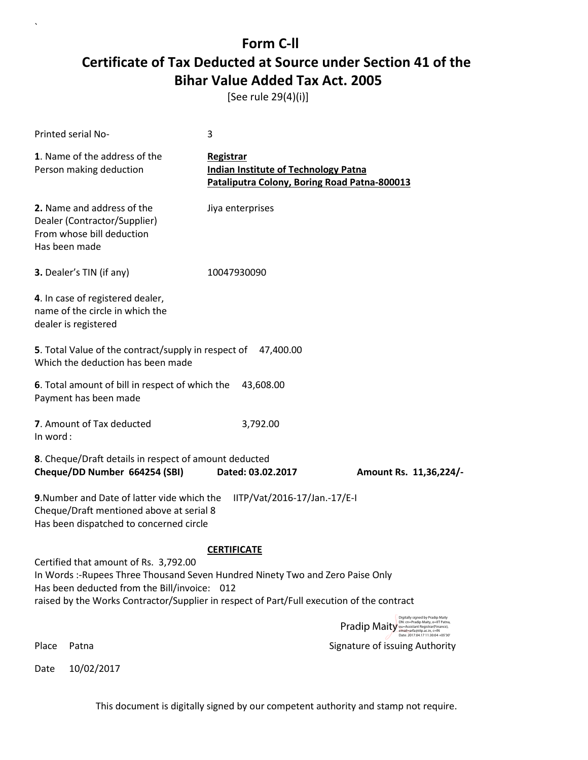[See rule 29(4)(i)]

| Printed serial No-                                                                                                                                                                                                                                                   | 3                                                                                                               |                                                                                                                                                                                            |
|----------------------------------------------------------------------------------------------------------------------------------------------------------------------------------------------------------------------------------------------------------------------|-----------------------------------------------------------------------------------------------------------------|--------------------------------------------------------------------------------------------------------------------------------------------------------------------------------------------|
| 1. Name of the address of the<br>Person making deduction                                                                                                                                                                                                             | <b>Registrar</b><br><b>Indian Institute of Technology Patna</b><br>Pataliputra Colony, Boring Road Patna-800013 |                                                                                                                                                                                            |
| 2. Name and address of the<br>Dealer (Contractor/Supplier)<br>From whose bill deduction<br>Has been made                                                                                                                                                             | Jiya enterprises                                                                                                |                                                                                                                                                                                            |
| 3. Dealer's TIN (if any)                                                                                                                                                                                                                                             | 10047930090                                                                                                     |                                                                                                                                                                                            |
| 4. In case of registered dealer,<br>name of the circle in which the<br>dealer is registered                                                                                                                                                                          |                                                                                                                 |                                                                                                                                                                                            |
| 5. Total Value of the contract/supply in respect of 47,400.00<br>Which the deduction has been made                                                                                                                                                                   |                                                                                                                 |                                                                                                                                                                                            |
| 6. Total amount of bill in respect of which the<br>Payment has been made                                                                                                                                                                                             | 43,608.00                                                                                                       |                                                                                                                                                                                            |
| 7. Amount of Tax deducted<br>In word:                                                                                                                                                                                                                                | 3,792.00                                                                                                        |                                                                                                                                                                                            |
| 8. Cheque/Draft details in respect of amount deducted<br>Cheque/DD Number 664254 (SBI)                                                                                                                                                                               | Dated: 03.02.2017                                                                                               | Amount Rs. 11,36,224/-                                                                                                                                                                     |
| 9. Number and Date of latter vide which the<br>Cheque/Draft mentioned above at serial 8<br>Has been dispatched to concerned circle                                                                                                                                   | IITP/Vat/2016-17/Jan.-17/E-I                                                                                    |                                                                                                                                                                                            |
| Certified that amount of Rs. 3,792.00<br>In Words :- Rupees Three Thousand Seven Hundred Ninety Two and Zero Paise Only<br>Has been deducted from the Bill/invoice: 012<br>raised by the Works Contractor/Supplier in respect of Part/Full execution of the contract | <b>CERTIFICATE</b>                                                                                              |                                                                                                                                                                                            |
|                                                                                                                                                                                                                                                                      |                                                                                                                 | Digitally signed by Pradip Maity<br>DN: cn=Pradip Maity, o=IIT Patna,<br>Pradip Maity ou=Assistant Registrar(Finance),<br>email=arfa@iitp.ac.in, c=IN<br>Date: 2017.04.17 11:30:04 +05'30' |
| Place<br>Patna                                                                                                                                                                                                                                                       |                                                                                                                 | Signature of issuing Authority                                                                                                                                                             |

Date 10/02/2017

`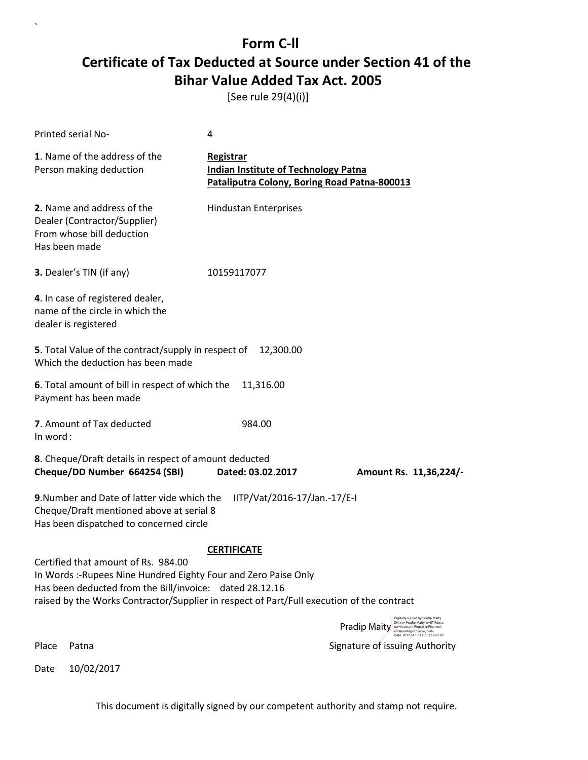[See rule 29(4)(i)]

`

Date 10/02/2017

| <b>Printed serial No-</b>                                                                                                                                                                                                                                      | 4                                                                                                        |                                                                                                                                                       |
|----------------------------------------------------------------------------------------------------------------------------------------------------------------------------------------------------------------------------------------------------------------|----------------------------------------------------------------------------------------------------------|-------------------------------------------------------------------------------------------------------------------------------------------------------|
| 1. Name of the address of the<br>Person making deduction                                                                                                                                                                                                       | Registrar<br><b>Indian Institute of Technology Patna</b><br>Pataliputra Colony, Boring Road Patna-800013 |                                                                                                                                                       |
| 2. Name and address of the<br>Dealer (Contractor/Supplier)<br>From whose bill deduction<br>Has been made                                                                                                                                                       | <b>Hindustan Enterprises</b>                                                                             |                                                                                                                                                       |
| 3. Dealer's TIN (if any)                                                                                                                                                                                                                                       | 10159117077                                                                                              |                                                                                                                                                       |
| 4. In case of registered dealer,<br>name of the circle in which the<br>dealer is registered                                                                                                                                                                    |                                                                                                          |                                                                                                                                                       |
| 5. Total Value of the contract/supply in respect of<br>Which the deduction has been made                                                                                                                                                                       | 12,300.00                                                                                                |                                                                                                                                                       |
| 6. Total amount of bill in respect of which the<br>Payment has been made                                                                                                                                                                                       | 11,316.00                                                                                                |                                                                                                                                                       |
| 7. Amount of Tax deducted<br>In word:                                                                                                                                                                                                                          | 984.00                                                                                                   |                                                                                                                                                       |
| 8. Cheque/Draft details in respect of amount deducted<br>Cheque/DD Number 664254 (SBI)                                                                                                                                                                         | Dated: 03.02.2017                                                                                        | Amount Rs. 11,36,224/-                                                                                                                                |
| 9. Number and Date of latter vide which the<br>Cheque/Draft mentioned above at serial 8<br>Has been dispatched to concerned circle                                                                                                                             | IITP/Vat/2016-17/Jan.-17/E-I                                                                             |                                                                                                                                                       |
|                                                                                                                                                                                                                                                                | <b>CERTIFICATE</b>                                                                                       |                                                                                                                                                       |
| Certified that amount of Rs. 984.00<br>In Words :- Rupees Nine Hundred Eighty Four and Zero Paise Only<br>Has been deducted from the Bill/invoice: dated 28.12.16<br>raised by the Works Contractor/Supplier in respect of Part/Full execution of the contract |                                                                                                          |                                                                                                                                                       |
|                                                                                                                                                                                                                                                                |                                                                                                          | Digitally signed by Pradip Maity<br>DN: cn=Pradip Maity, o=IIT Patna,<br>Pradip Maity ou=Assistant Registrar(Finance),<br>email=arfa@iitp.ac.in, c=IN |
| Place<br>Patna                                                                                                                                                                                                                                                 |                                                                                                          | Date: 2017 04 17 11:30:22 +05'30"<br>Signature of issuing Authority                                                                                   |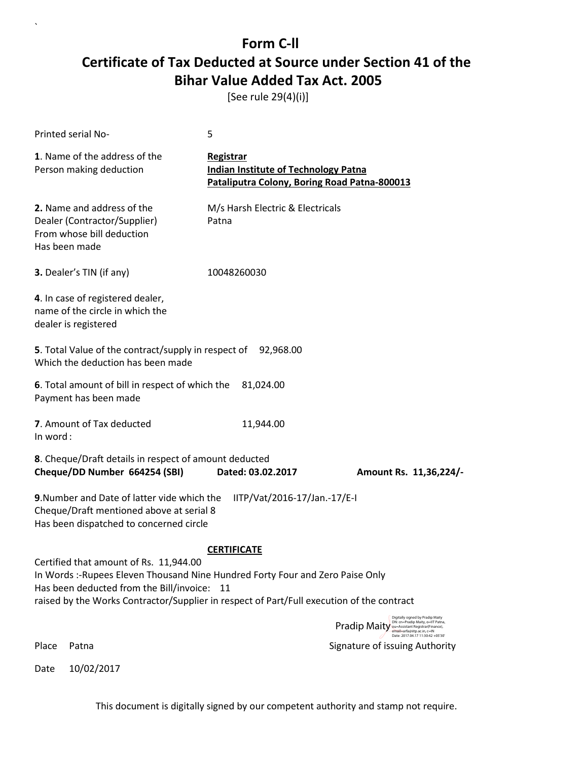[See rule 29(4)(i)]

`

Date 10/02/2017

| <b>Printed serial No-</b>                                                                                                                                                                                                                                            | 5                                                                                                        |                                                                                                                                                       |
|----------------------------------------------------------------------------------------------------------------------------------------------------------------------------------------------------------------------------------------------------------------------|----------------------------------------------------------------------------------------------------------|-------------------------------------------------------------------------------------------------------------------------------------------------------|
| 1. Name of the address of the<br>Person making deduction                                                                                                                                                                                                             | Registrar<br><b>Indian Institute of Technology Patna</b><br>Pataliputra Colony, Boring Road Patna-800013 |                                                                                                                                                       |
| 2. Name and address of the<br>Dealer (Contractor/Supplier)<br>From whose bill deduction<br>Has been made                                                                                                                                                             | M/s Harsh Electric & Electricals<br>Patna                                                                |                                                                                                                                                       |
| 3. Dealer's TIN (if any)                                                                                                                                                                                                                                             | 10048260030                                                                                              |                                                                                                                                                       |
| 4. In case of registered dealer,<br>name of the circle in which the<br>dealer is registered                                                                                                                                                                          |                                                                                                          |                                                                                                                                                       |
| 5. Total Value of the contract/supply in respect of 92,968.00<br>Which the deduction has been made                                                                                                                                                                   |                                                                                                          |                                                                                                                                                       |
| 6. Total amount of bill in respect of which the<br>Payment has been made                                                                                                                                                                                             | 81,024.00                                                                                                |                                                                                                                                                       |
| 7. Amount of Tax deducted<br>In word:                                                                                                                                                                                                                                | 11,944.00                                                                                                |                                                                                                                                                       |
| 8. Cheque/Draft details in respect of amount deducted<br>Cheque/DD Number 664254 (SBI)                                                                                                                                                                               | Dated: 03.02.2017                                                                                        | Amount Rs. 11,36,224/-                                                                                                                                |
| 9. Number and Date of latter vide which the<br>Cheque/Draft mentioned above at serial 8<br>Has been dispatched to concerned circle                                                                                                                                   | IITP/Vat/2016-17/Jan.-17/E-I                                                                             |                                                                                                                                                       |
|                                                                                                                                                                                                                                                                      | <b>CERTIFICATE</b>                                                                                       |                                                                                                                                                       |
| Certified that amount of Rs. 11,944.00<br>In Words :- Rupees Eleven Thousand Nine Hundred Forty Four and Zero Paise Only<br>Has been deducted from the Bill/invoice: 11<br>raised by the Works Contractor/Supplier in respect of Part/Full execution of the contract |                                                                                                          |                                                                                                                                                       |
|                                                                                                                                                                                                                                                                      |                                                                                                          | Digitally signed by Pradip Maity<br>DN: cn=Pradip Maity, o=IIT Patna,<br>Pradip Maity ou=Assistant Registrar(Finance),<br>email=arfa@iitp.ac.in, c=IN |
| Place<br>Patna                                                                                                                                                                                                                                                       |                                                                                                          | Date: 2017.04.17 11:30:42 +05'30'<br>Signature of issuing Authority                                                                                   |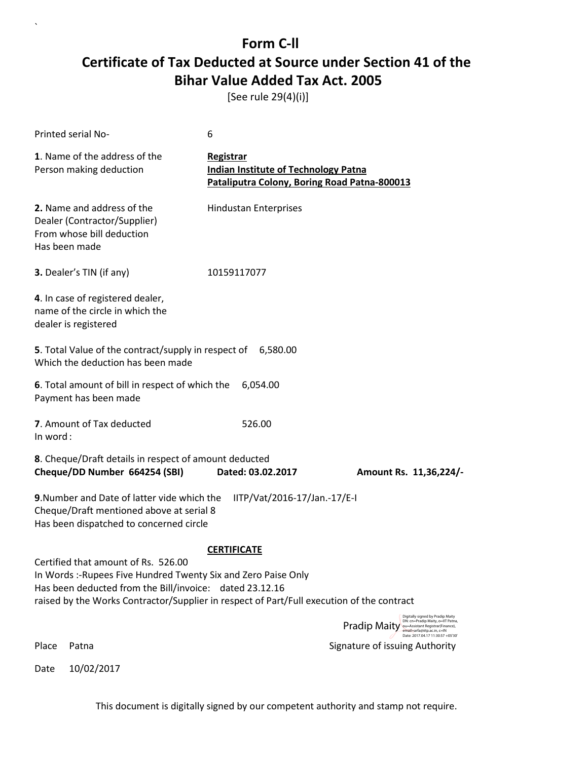[See rule 29(4)(i)]

`

|          | Printed serial No-                                                                                                                                                                                                                                            | 6                                                                                                        |                                                                                                                                                                                                   |
|----------|---------------------------------------------------------------------------------------------------------------------------------------------------------------------------------------------------------------------------------------------------------------|----------------------------------------------------------------------------------------------------------|---------------------------------------------------------------------------------------------------------------------------------------------------------------------------------------------------|
|          | 1. Name of the address of the<br>Person making deduction                                                                                                                                                                                                      | Registrar<br><b>Indian Institute of Technology Patna</b><br>Pataliputra Colony, Boring Road Patna-800013 |                                                                                                                                                                                                   |
|          | 2. Name and address of the<br>Dealer (Contractor/Supplier)<br>From whose bill deduction<br>Has been made                                                                                                                                                      | <b>Hindustan Enterprises</b>                                                                             |                                                                                                                                                                                                   |
|          | 3. Dealer's TIN (if any)                                                                                                                                                                                                                                      | 10159117077                                                                                              |                                                                                                                                                                                                   |
|          | 4. In case of registered dealer,<br>name of the circle in which the<br>dealer is registered                                                                                                                                                                   |                                                                                                          |                                                                                                                                                                                                   |
|          | 5. Total Value of the contract/supply in respect of 6,580.00<br>Which the deduction has been made                                                                                                                                                             |                                                                                                          |                                                                                                                                                                                                   |
|          | 6. Total amount of bill in respect of which the<br>Payment has been made                                                                                                                                                                                      | 6,054.00                                                                                                 |                                                                                                                                                                                                   |
| In word: | 7. Amount of Tax deducted                                                                                                                                                                                                                                     | 526.00                                                                                                   |                                                                                                                                                                                                   |
|          | 8. Cheque/Draft details in respect of amount deducted<br>Cheque/DD Number 664254 (SBI)                                                                                                                                                                        | Dated: 03.02.2017                                                                                        | Amount Rs. 11,36,224/-                                                                                                                                                                            |
|          | 9. Number and Date of latter vide which the<br>Cheque/Draft mentioned above at serial 8<br>Has been dispatched to concerned circle                                                                                                                            | IITP/Vat/2016-17/Jan.-17/E-I                                                                             |                                                                                                                                                                                                   |
|          | Certified that amount of Rs. 526.00<br>In Words :- Rupees Five Hundred Twenty Six and Zero Paise Only<br>Has been deducted from the Bill/invoice: dated 23.12.16<br>raised by the Works Contractor/Supplier in respect of Part/Full execution of the contract | <b>CERTIFICATE</b>                                                                                       |                                                                                                                                                                                                   |
|          |                                                                                                                                                                                                                                                               |                                                                                                          | Digitally signed by Pradip Maity<br>DN: cn=Pradip Maity, o=IIT Patna,<br><b>Pradip Maity</b> ou-Assistant Registrar(Finance),<br>email=arfa@iitp.ac.in, c=IN<br>Date: 2017.04.17 11:30:57 +05'30' |
| Place    | Patna                                                                                                                                                                                                                                                         |                                                                                                          | Signature of issuing Authority                                                                                                                                                                    |
| Date     | 10/02/2017                                                                                                                                                                                                                                                    |                                                                                                          |                                                                                                                                                                                                   |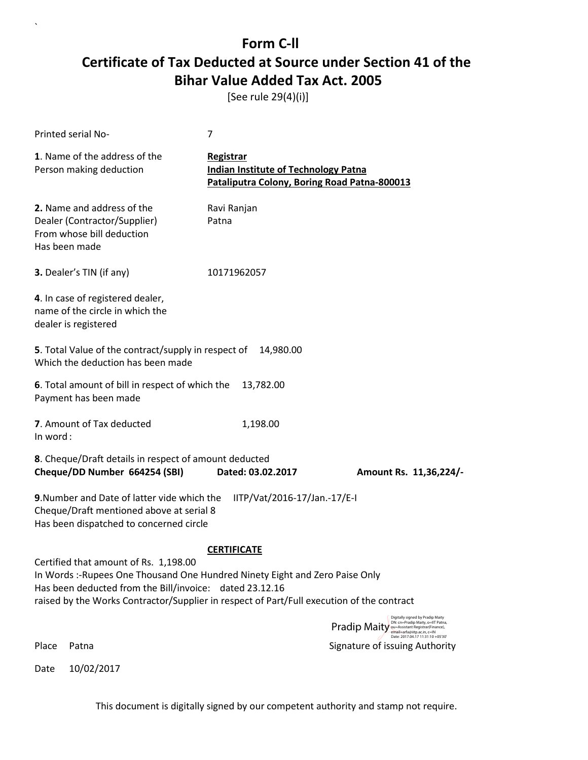[See rule 29(4)(i)]

`

| <b>Printed serial No-</b>                                                                                                          | $\overline{7}$                                                                                                                                                          |                                                                                                                                                              |
|------------------------------------------------------------------------------------------------------------------------------------|-------------------------------------------------------------------------------------------------------------------------------------------------------------------------|--------------------------------------------------------------------------------------------------------------------------------------------------------------|
| 1. Name of the address of the<br>Person making deduction                                                                           | Registrar<br><b>Indian Institute of Technology Patna</b><br>Pataliputra Colony, Boring Road Patna-800013                                                                |                                                                                                                                                              |
| 2. Name and address of the<br>Dealer (Contractor/Supplier)<br>From whose bill deduction<br>Has been made                           | Ravi Ranjan<br>Patna                                                                                                                                                    |                                                                                                                                                              |
| 3. Dealer's TIN (if any)                                                                                                           | 10171962057                                                                                                                                                             |                                                                                                                                                              |
| 4. In case of registered dealer,<br>name of the circle in which the<br>dealer is registered                                        |                                                                                                                                                                         |                                                                                                                                                              |
| 5. Total Value of the contract/supply in respect of<br>Which the deduction has been made                                           | 14,980.00                                                                                                                                                               |                                                                                                                                                              |
| 6. Total amount of bill in respect of which the<br>Payment has been made                                                           | 13,782.00                                                                                                                                                               |                                                                                                                                                              |
| 7. Amount of Tax deducted<br>In word:                                                                                              | 1,198.00                                                                                                                                                                |                                                                                                                                                              |
| 8. Cheque/Draft details in respect of amount deducted                                                                              |                                                                                                                                                                         |                                                                                                                                                              |
| Cheque/DD Number 664254 (SBI)                                                                                                      | Dated: 03.02.2017                                                                                                                                                       | Amount Rs. 11,36,224/-                                                                                                                                       |
| 9. Number and Date of latter vide which the<br>Cheque/Draft mentioned above at serial 8<br>Has been dispatched to concerned circle | IITP/Vat/2016-17/Jan.-17/E-I                                                                                                                                            |                                                                                                                                                              |
|                                                                                                                                    | <b>CERTIFICATE</b>                                                                                                                                                      |                                                                                                                                                              |
| Certified that amount of Rs. 1,198.00<br>Has been deducted from the Bill/invoice: dated 23.12.16                                   | In Words:-Rupees One Thousand One Hundred Ninety Eight and Zero Paise Only<br>raised by the Works Contractor/Supplier in respect of Part/Full execution of the contract |                                                                                                                                                              |
|                                                                                                                                    |                                                                                                                                                                         | Digitally signed by Pradip Maity<br>DN: cn=Pradip Maity, o=IIT Patna,<br><b>Pradip Maity</b> ou=Assistant Registrar(Finance),<br>email=arfa@iitp.ac.in, c=IN |
| Place<br>Patna                                                                                                                     |                                                                                                                                                                         | Date: 2017.04.17 11:31:10 +05'30"<br>Signature of issuing Authority                                                                                          |
| 10/02/2017<br>Date                                                                                                                 |                                                                                                                                                                         |                                                                                                                                                              |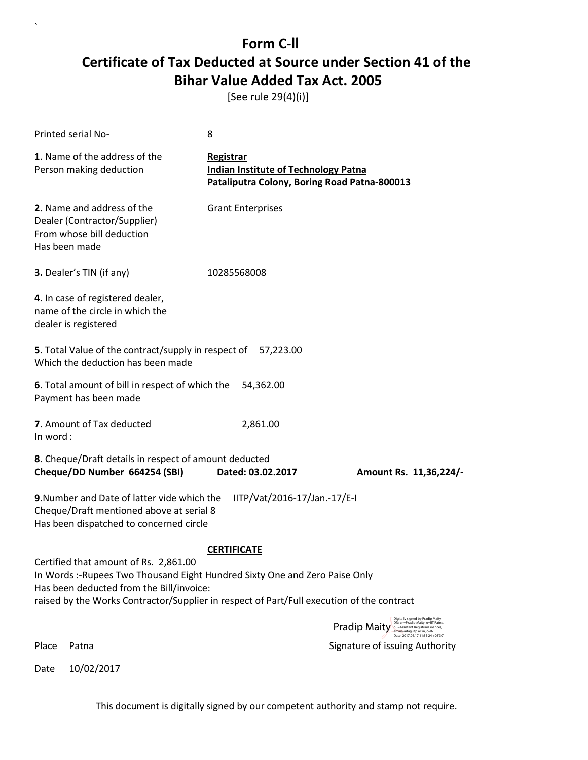[See rule 29(4)(i)]

`

| <b>Printed serial No-</b>                                                                                |                                                                                                                                    | 8                                                                                                               |                                                                                                                                                                                                      |
|----------------------------------------------------------------------------------------------------------|------------------------------------------------------------------------------------------------------------------------------------|-----------------------------------------------------------------------------------------------------------------|------------------------------------------------------------------------------------------------------------------------------------------------------------------------------------------------------|
| 1. Name of the address of the<br>Person making deduction                                                 |                                                                                                                                    | <b>Registrar</b><br><b>Indian Institute of Technology Patna</b><br>Pataliputra Colony, Boring Road Patna-800013 |                                                                                                                                                                                                      |
| 2. Name and address of the<br>Dealer (Contractor/Supplier)<br>From whose bill deduction<br>Has been made |                                                                                                                                    | <b>Grant Enterprises</b>                                                                                        |                                                                                                                                                                                                      |
| 3. Dealer's TIN (if any)                                                                                 |                                                                                                                                    | 10285568008                                                                                                     |                                                                                                                                                                                                      |
| 4. In case of registered dealer,<br>name of the circle in which the<br>dealer is registered              |                                                                                                                                    |                                                                                                                 |                                                                                                                                                                                                      |
|                                                                                                          | 5. Total Value of the contract/supply in respect of 57,223.00<br>Which the deduction has been made                                 |                                                                                                                 |                                                                                                                                                                                                      |
| Payment has been made                                                                                    | 6. Total amount of bill in respect of which the                                                                                    | 54,362.00                                                                                                       |                                                                                                                                                                                                      |
| 7. Amount of Tax deducted<br>In word:                                                                    |                                                                                                                                    | 2,861.00                                                                                                        |                                                                                                                                                                                                      |
|                                                                                                          | 8. Cheque/Draft details in respect of amount deducted                                                                              |                                                                                                                 |                                                                                                                                                                                                      |
|                                                                                                          | Cheque/DD Number 664254 (SBI)                                                                                                      | Dated: 03.02.2017                                                                                               | Amount Rs. 11,36,224/-                                                                                                                                                                               |
|                                                                                                          | 9. Number and Date of latter vide which the<br>Cheque/Draft mentioned above at serial 8<br>Has been dispatched to concerned circle | IITP/Vat/2016-17/Jan.-17/E-I                                                                                    |                                                                                                                                                                                                      |
|                                                                                                          |                                                                                                                                    | <b>CERTIFICATE</b>                                                                                              |                                                                                                                                                                                                      |
|                                                                                                          | Certified that amount of Rs. 2,861.00<br>Has been deducted from the Bill/invoice:                                                  | In Words: -Rupees Two Thousand Eight Hundred Sixty One and Zero Paise Only                                      |                                                                                                                                                                                                      |
|                                                                                                          |                                                                                                                                    | raised by the Works Contractor/Supplier in respect of Part/Full execution of the contract                       |                                                                                                                                                                                                      |
|                                                                                                          |                                                                                                                                    |                                                                                                                 | Digitally signed by Pradip Maity<br>DN: cn=Pradip Maity, o=IIT Patna,<br><b>Pradip Maity</b><br>ou=Assistant Registrar(Finance),<br>email=arfa@iitp.ac.in, c=IN<br>Date: 2017.04.17 11:31:24 +05'30' |
| Place<br>Patna                                                                                           |                                                                                                                                    |                                                                                                                 | Signature of issuing Authority                                                                                                                                                                       |
| 10/02/2017<br>Date                                                                                       |                                                                                                                                    |                                                                                                                 |                                                                                                                                                                                                      |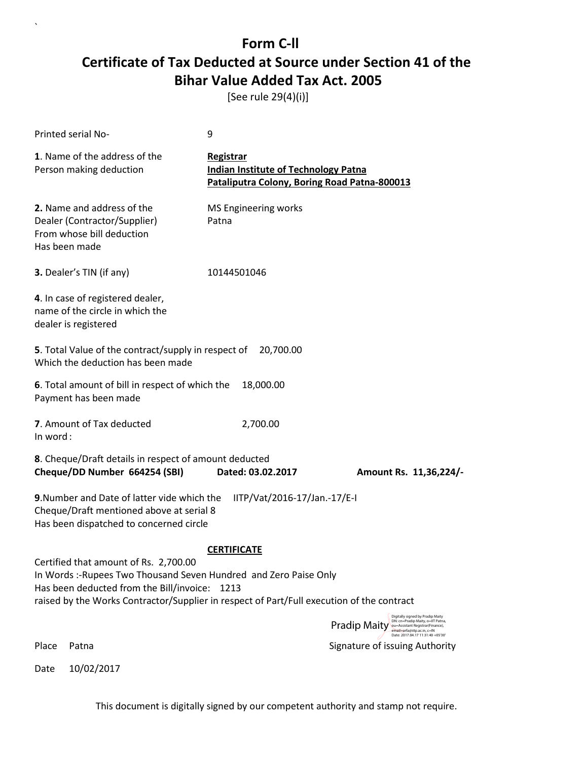[See rule 29(4)(i)]

`

| Printed serial No-                                                                                                                                                                                                                                      | 9                                                                                                        |                                                                                                                                  |
|---------------------------------------------------------------------------------------------------------------------------------------------------------------------------------------------------------------------------------------------------------|----------------------------------------------------------------------------------------------------------|----------------------------------------------------------------------------------------------------------------------------------|
| 1. Name of the address of the<br>Person making deduction                                                                                                                                                                                                | Registrar<br><b>Indian Institute of Technology Patna</b><br>Pataliputra Colony, Boring Road Patna-800013 |                                                                                                                                  |
| 2. Name and address of the<br>Dealer (Contractor/Supplier)<br>From whose bill deduction<br>Has been made                                                                                                                                                | MS Engineering works<br>Patna                                                                            |                                                                                                                                  |
| 3. Dealer's TIN (if any)                                                                                                                                                                                                                                | 10144501046                                                                                              |                                                                                                                                  |
| 4. In case of registered dealer,<br>name of the circle in which the<br>dealer is registered                                                                                                                                                             |                                                                                                          |                                                                                                                                  |
| 5. Total Value of the contract/supply in respect of<br>Which the deduction has been made                                                                                                                                                                | 20,700.00                                                                                                |                                                                                                                                  |
| 6. Total amount of bill in respect of which the<br>Payment has been made                                                                                                                                                                                | 18,000.00                                                                                                |                                                                                                                                  |
| 7. Amount of Tax deducted<br>In word:                                                                                                                                                                                                                   | 2,700.00                                                                                                 |                                                                                                                                  |
| 8. Cheque/Draft details in respect of amount deducted                                                                                                                                                                                                   |                                                                                                          |                                                                                                                                  |
| Cheque/DD Number 664254 (SBI)                                                                                                                                                                                                                           | Dated: 03.02.2017                                                                                        | Amount Rs. 11,36,224/-                                                                                                           |
| 9. Number and Date of latter vide which the<br>Cheque/Draft mentioned above at serial 8<br>Has been dispatched to concerned circle                                                                                                                      | IITP/Vat/2016-17/Jan.-17/E-I                                                                             |                                                                                                                                  |
|                                                                                                                                                                                                                                                         | <b>CERTIFICATE</b>                                                                                       |                                                                                                                                  |
| Certified that amount of Rs. 2,700.00<br>In Words: -Rupees Two Thousand Seven Hundred and Zero Paise Only<br>Has been deducted from the Bill/invoice: 1213<br>raised by the Works Contractor/Supplier in respect of Part/Full execution of the contract |                                                                                                          |                                                                                                                                  |
|                                                                                                                                                                                                                                                         |                                                                                                          | Digitally signed by Pradip Maity<br>DN: cn=Pradip Maity, o=IIT Patna,<br><b>Pradip Maity</b><br>ou=Assistant Registrar(Finance), |
| Place<br>Patna                                                                                                                                                                                                                                          |                                                                                                          | email=arfa@iitp.ac.in, c=IN<br>Date: 2017.04.17.11:31:40 +05'30'<br>Signature of issuing Authority                               |
| 10/02/2017<br>Date                                                                                                                                                                                                                                      |                                                                                                          |                                                                                                                                  |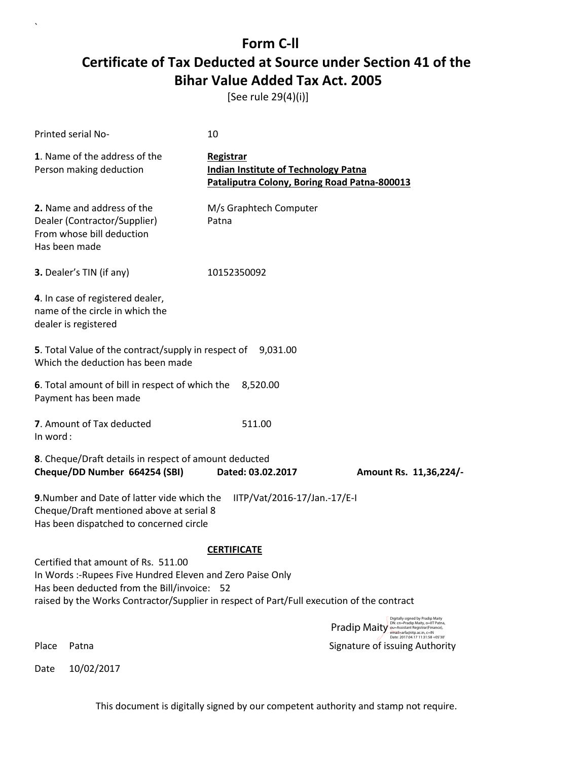[See rule 29(4)(i)]

| Printed serial No-                                                                                                                                                                                                                            | 10                                                                                                       |                                                                                                                                                               |
|-----------------------------------------------------------------------------------------------------------------------------------------------------------------------------------------------------------------------------------------------|----------------------------------------------------------------------------------------------------------|---------------------------------------------------------------------------------------------------------------------------------------------------------------|
| 1. Name of the address of the<br>Person making deduction                                                                                                                                                                                      | Registrar<br><b>Indian Institute of Technology Patna</b><br>Pataliputra Colony, Boring Road Patna-800013 |                                                                                                                                                               |
| 2. Name and address of the<br>Dealer (Contractor/Supplier)<br>From whose bill deduction<br>Has been made                                                                                                                                      | M/s Graphtech Computer<br>Patna                                                                          |                                                                                                                                                               |
| 3. Dealer's TIN (if any)                                                                                                                                                                                                                      | 10152350092                                                                                              |                                                                                                                                                               |
| 4. In case of registered dealer,<br>name of the circle in which the<br>dealer is registered                                                                                                                                                   |                                                                                                          |                                                                                                                                                               |
| 5. Total Value of the contract/supply in respect of 9,031.00<br>Which the deduction has been made                                                                                                                                             |                                                                                                          |                                                                                                                                                               |
| 6. Total amount of bill in respect of which the<br>Payment has been made                                                                                                                                                                      | 8,520.00                                                                                                 |                                                                                                                                                               |
| 7. Amount of Tax deducted<br>In word:                                                                                                                                                                                                         | 511.00                                                                                                   |                                                                                                                                                               |
| 8. Cheque/Draft details in respect of amount deducted<br>Cheque/DD Number 664254 (SBI)                                                                                                                                                        | Dated: 03.02.2017                                                                                        | Amount Rs. 11,36,224/-                                                                                                                                        |
| 9. Number and Date of latter vide which the<br>Cheque/Draft mentioned above at serial 8<br>Has been dispatched to concerned circle                                                                                                            | IITP/Vat/2016-17/Jan.-17/E-I                                                                             |                                                                                                                                                               |
| Certified that amount of Rs. 511.00<br>In Words :- Rupees Five Hundred Eleven and Zero Paise Only<br>Has been deducted from the Bill/invoice: 52<br>raised by the Works Contractor/Supplier in respect of Part/Full execution of the contract | <b>CERTIFICATE</b>                                                                                       |                                                                                                                                                               |
|                                                                                                                                                                                                                                               |                                                                                                          | Digitally signed by Pradip Maity<br>DN: cn=Pradip Maity, o=IIT Patna,<br><b>Pradip Maity</b> our Assistant Registrar(Finance),<br>email=arfa@iitp.ac.in, c=IN |
| Place<br>Patna                                                                                                                                                                                                                                |                                                                                                          | Date: 2017.04.17 11:31:58 +05'30'<br>Signature of issuing Authority                                                                                           |

Date 10/02/2017

`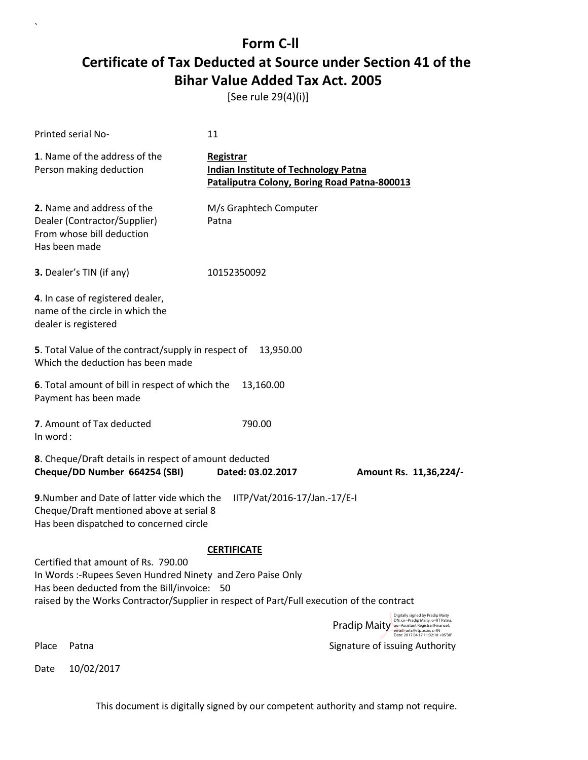[See rule 29(4)(i)]

`

| Printed serial No- |                                                                                                                                                                                                                                                | 11                                                                                                       |                                                                                                                                                        |  |
|--------------------|------------------------------------------------------------------------------------------------------------------------------------------------------------------------------------------------------------------------------------------------|----------------------------------------------------------------------------------------------------------|--------------------------------------------------------------------------------------------------------------------------------------------------------|--|
|                    | 1. Name of the address of the<br>Person making deduction                                                                                                                                                                                       | Registrar<br><b>Indian Institute of Technology Patna</b><br>Pataliputra Colony, Boring Road Patna-800013 |                                                                                                                                                        |  |
| Has been made      | 2. Name and address of the<br>Dealer (Contractor/Supplier)<br>From whose bill deduction                                                                                                                                                        | M/s Graphtech Computer<br>Patna                                                                          |                                                                                                                                                        |  |
|                    | 3. Dealer's TIN (if any)                                                                                                                                                                                                                       | 10152350092                                                                                              |                                                                                                                                                        |  |
|                    | 4. In case of registered dealer,<br>name of the circle in which the<br>dealer is registered                                                                                                                                                    |                                                                                                          |                                                                                                                                                        |  |
|                    | 5. Total Value of the contract/supply in respect of<br>Which the deduction has been made                                                                                                                                                       | 13,950.00                                                                                                |                                                                                                                                                        |  |
|                    | 6. Total amount of bill in respect of which the<br>Payment has been made                                                                                                                                                                       | 13,160.00                                                                                                |                                                                                                                                                        |  |
| In word:           | 7. Amount of Tax deducted                                                                                                                                                                                                                      | 790.00                                                                                                   |                                                                                                                                                        |  |
|                    | 8. Cheque/Draft details in respect of amount deducted<br>Cheque/DD Number 664254 (SBI)                                                                                                                                                         | Dated: 03.02.2017                                                                                        | Amount Rs. 11,36,224/-                                                                                                                                 |  |
|                    | 9. Number and Date of latter vide which the<br>IITP/Vat/2016-17/Jan.-17/E-I<br>Cheque/Draft mentioned above at serial 8<br>Has been dispatched to concerned circle                                                                             |                                                                                                          |                                                                                                                                                        |  |
|                    | Certified that amount of Rs. 790.00<br>In Words :- Rupees Seven Hundred Ninety and Zero Paise Only<br>Has been deducted from the Bill/invoice: 50<br>raised by the Works Contractor/Supplier in respect of Part/Full execution of the contract | <b>CERTIFICATE</b>                                                                                       | Digitally signed by Pradip Maity                                                                                                                       |  |
|                    |                                                                                                                                                                                                                                                |                                                                                                          | DN: cn=Pradip Maity, o=IIT Patna,<br>Pradip Maity ou-Assistant Registrar(Finance),<br>email=arfa@iitp.ac.in, c=IN<br>Date: 2017.04.17 11:32:10 +05'30' |  |
| Place              | Patna                                                                                                                                                                                                                                          |                                                                                                          | Signature of issuing Authority                                                                                                                         |  |
| Date               | 10/02/2017                                                                                                                                                                                                                                     |                                                                                                          |                                                                                                                                                        |  |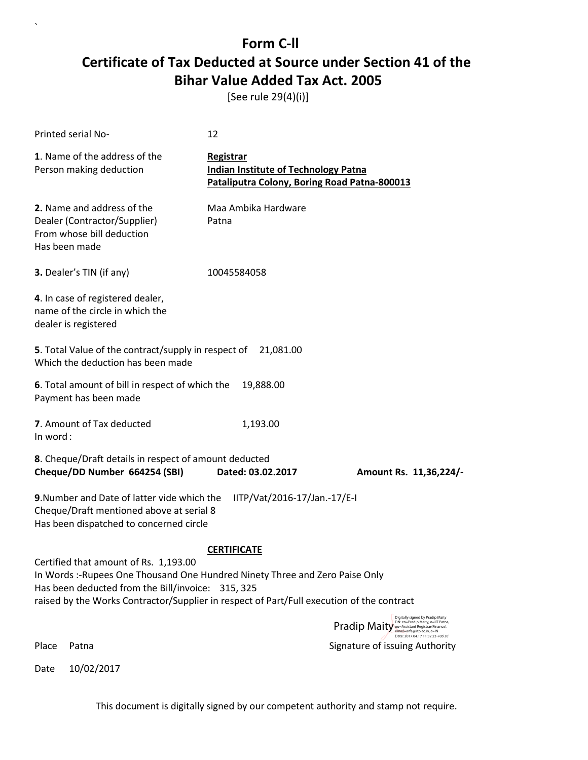[See rule 29(4)(i)]

| <b>Printed serial No-</b>                                                                                                                                                                                                                                               | 12                                                                                                       |                                                                                                                                                            |
|-------------------------------------------------------------------------------------------------------------------------------------------------------------------------------------------------------------------------------------------------------------------------|----------------------------------------------------------------------------------------------------------|------------------------------------------------------------------------------------------------------------------------------------------------------------|
| 1. Name of the address of the<br>Person making deduction                                                                                                                                                                                                                | Registrar<br><b>Indian Institute of Technology Patna</b><br>Pataliputra Colony, Boring Road Patna-800013 |                                                                                                                                                            |
| 2. Name and address of the<br>Dealer (Contractor/Supplier)<br>From whose bill deduction<br>Has been made                                                                                                                                                                | Maa Ambika Hardware<br>Patna                                                                             |                                                                                                                                                            |
| 3. Dealer's TIN (if any)                                                                                                                                                                                                                                                | 10045584058                                                                                              |                                                                                                                                                            |
| 4. In case of registered dealer,<br>name of the circle in which the<br>dealer is registered                                                                                                                                                                             |                                                                                                          |                                                                                                                                                            |
| 5. Total Value of the contract/supply in respect of<br>Which the deduction has been made                                                                                                                                                                                | 21,081.00                                                                                                |                                                                                                                                                            |
| 6. Total amount of bill in respect of which the<br>Payment has been made                                                                                                                                                                                                | 19,888.00                                                                                                |                                                                                                                                                            |
| 7. Amount of Tax deducted<br>In word:                                                                                                                                                                                                                                   | 1,193.00                                                                                                 |                                                                                                                                                            |
| 8. Cheque/Draft details in respect of amount deducted<br>Cheque/DD Number 664254 (SBI)                                                                                                                                                                                  | Dated: 03.02.2017                                                                                        | Amount Rs. 11,36,224/-                                                                                                                                     |
| 9. Number and Date of latter vide which the<br>Cheque/Draft mentioned above at serial 8<br>Has been dispatched to concerned circle                                                                                                                                      | IITP/Vat/2016-17/Jan.-17/E-I                                                                             |                                                                                                                                                            |
|                                                                                                                                                                                                                                                                         | <b>CERTIFICATE</b>                                                                                       |                                                                                                                                                            |
| Certified that amount of Rs. 1,193.00<br>In Words :- Rupees One Thousand One Hundred Ninety Three and Zero Paise Only<br>Has been deducted from the Bill/invoice: 315, 325<br>raised by the Works Contractor/Supplier in respect of Part/Full execution of the contract |                                                                                                          |                                                                                                                                                            |
|                                                                                                                                                                                                                                                                         |                                                                                                          | Digitally signed by Pradip Maity<br>DN: cn=Pradip Maity, o=IIT Patna,<br>Pradip Maity our Assistant Registraries (Finance),<br>email=arfa@iitp.ac.in, c=IN |
| Place<br>Patna                                                                                                                                                                                                                                                          |                                                                                                          | Date: 2017.04.17 11:32:23 +05'30<br>Signature of issuing Authority                                                                                         |

Date 10/02/2017

`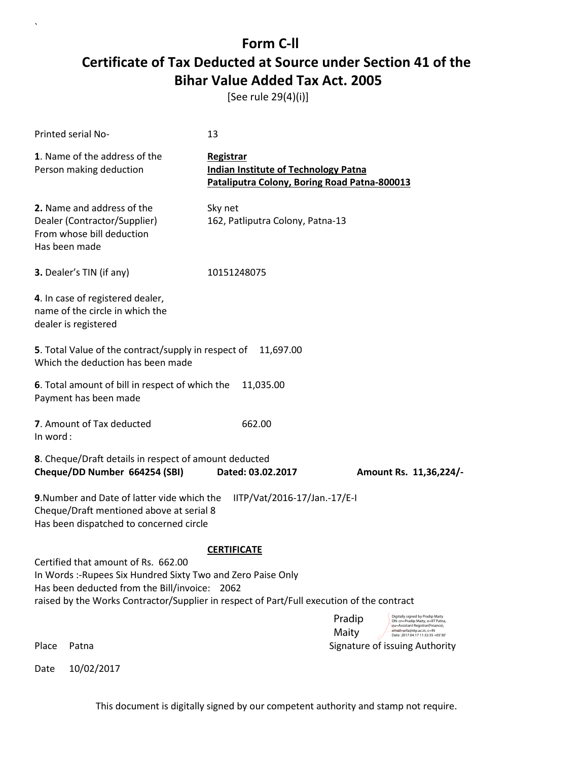[See rule 29(4)(i)]

`

| <b>Printed serial No-</b>                                                                                                                                                                                                                    | 13                                                                                                       |                                                                                                                     |
|----------------------------------------------------------------------------------------------------------------------------------------------------------------------------------------------------------------------------------------------|----------------------------------------------------------------------------------------------------------|---------------------------------------------------------------------------------------------------------------------|
| 1. Name of the address of the<br>Person making deduction                                                                                                                                                                                     | Registrar<br><b>Indian Institute of Technology Patna</b><br>Pataliputra Colony, Boring Road Patna-800013 |                                                                                                                     |
| 2. Name and address of the<br>Dealer (Contractor/Supplier)<br>From whose bill deduction<br>Has been made                                                                                                                                     | Sky net<br>162, Patliputra Colony, Patna-13                                                              |                                                                                                                     |
| 3. Dealer's TIN (if any)                                                                                                                                                                                                                     | 10151248075                                                                                              |                                                                                                                     |
| 4. In case of registered dealer,<br>name of the circle in which the<br>dealer is registered                                                                                                                                                  |                                                                                                          |                                                                                                                     |
| 5. Total Value of the contract/supply in respect of<br>Which the deduction has been made                                                                                                                                                     | 11,697.00                                                                                                |                                                                                                                     |
| 6. Total amount of bill in respect of which the<br>Payment has been made                                                                                                                                                                     | 11,035.00                                                                                                |                                                                                                                     |
| 7. Amount of Tax deducted<br>In word:                                                                                                                                                                                                        | 662.00                                                                                                   |                                                                                                                     |
| 8. Cheque/Draft details in respect of amount deducted                                                                                                                                                                                        |                                                                                                          |                                                                                                                     |
| Cheque/DD Number 664254 (SBI)                                                                                                                                                                                                                | Dated: 03.02.2017                                                                                        | Amount Rs. 11,36,224/-                                                                                              |
| 9. Number and Date of latter vide which the<br>Cheque/Draft mentioned above at serial 8<br>Has been dispatched to concerned circle                                                                                                           | IITP/Vat/2016-17/Jan.-17/E-I                                                                             |                                                                                                                     |
|                                                                                                                                                                                                                                              | <b>CERTIFICATE</b>                                                                                       |                                                                                                                     |
| Certified that amount of Rs. 662.00<br>In Words :- Rupees Six Hundred Sixty Two and Zero Paise Only<br>Has been deducted from the Bill/invoice:<br>raised by the Works Contractor/Supplier in respect of Part/Full execution of the contract | 2062                                                                                                     |                                                                                                                     |
|                                                                                                                                                                                                                                              |                                                                                                          | Digitally signed by Pradip Maity<br>Pradip<br>DN: cn=Pradip Maity, o=IIT Patna,<br>ou=Assistant Registrar(Finance), |
| Place<br>Patna                                                                                                                                                                                                                               |                                                                                                          | Maity<br>email=arfa@iitp.ac.in, c=IN<br>Date: 2017.04.17 11:32:35 +05'30'<br>Signature of issuing Authority         |
| 10/02/2017<br>Date                                                                                                                                                                                                                           |                                                                                                          |                                                                                                                     |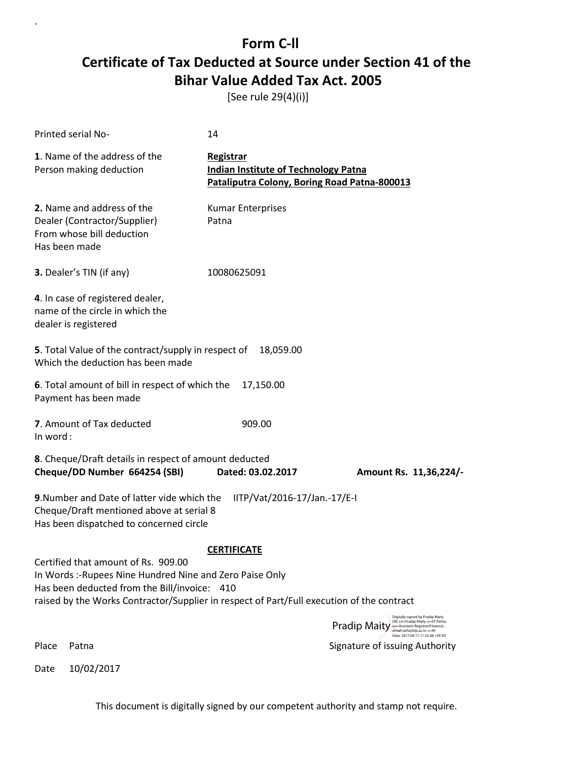[See rule 29(4)(i)]

`

Date 10/02/2017

| Printed serial No-                                                                                                                                                                                                                          | 14                                                                                                       |                                                                                                                                                       |
|---------------------------------------------------------------------------------------------------------------------------------------------------------------------------------------------------------------------------------------------|----------------------------------------------------------------------------------------------------------|-------------------------------------------------------------------------------------------------------------------------------------------------------|
| 1. Name of the address of the<br>Person making deduction                                                                                                                                                                                    | Registrar<br><b>Indian Institute of Technology Patna</b><br>Pataliputra Colony, Boring Road Patna-800013 |                                                                                                                                                       |
| 2. Name and address of the<br>Dealer (Contractor/Supplier)<br>From whose bill deduction<br>Has been made                                                                                                                                    | <b>Kumar Enterprises</b><br>Patna                                                                        |                                                                                                                                                       |
| 3. Dealer's TIN (if any)                                                                                                                                                                                                                    | 10080625091                                                                                              |                                                                                                                                                       |
| 4. In case of registered dealer,<br>name of the circle in which the<br>dealer is registered                                                                                                                                                 |                                                                                                          |                                                                                                                                                       |
| 5. Total Value of the contract/supply in respect of<br>Which the deduction has been made                                                                                                                                                    | 18,059.00                                                                                                |                                                                                                                                                       |
| 6. Total amount of bill in respect of which the<br>Payment has been made                                                                                                                                                                    | 17,150.00                                                                                                |                                                                                                                                                       |
| 7. Amount of Tax deducted<br>In word:                                                                                                                                                                                                       | 909.00                                                                                                   |                                                                                                                                                       |
| 8. Cheque/Draft details in respect of amount deducted<br>Cheque/DD Number 664254 (SBI)                                                                                                                                                      | Dated: 03.02.2017                                                                                        | Amount Rs. 11,36,224/-                                                                                                                                |
| 9. Number and Date of latter vide which the<br>Cheque/Draft mentioned above at serial 8<br>Has been dispatched to concerned circle                                                                                                          | IITP/Vat/2016-17/Jan.-17/E-I                                                                             |                                                                                                                                                       |
|                                                                                                                                                                                                                                             | <b>CERTIFICATE</b>                                                                                       |                                                                                                                                                       |
| Certified that amount of Rs. 909.00<br>In Words: -Rupees Nine Hundred Nine and Zero Paise Only<br>Has been deducted from the Bill/invoice: 410<br>raised by the Works Contractor/Supplier in respect of Part/Full execution of the contract |                                                                                                          |                                                                                                                                                       |
|                                                                                                                                                                                                                                             |                                                                                                          | Digitally signed by Pradip Maity<br>DN: cn=Pradip Maity, o=IIT Patna,<br>Pradip Maity ou-Assistant Registrar(Finance),<br>email=arfa@iitp.ac.in, c=IN |
| Place<br>Patna                                                                                                                                                                                                                              |                                                                                                          | Date: 2017.04.17 11:32:48 +05'30'<br>Signature of issuing Authority                                                                                   |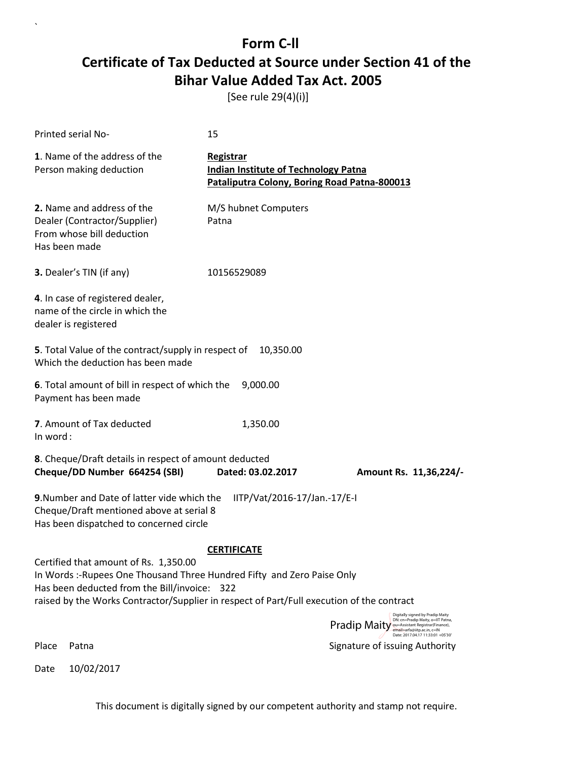[See rule 29(4)(i)]

`

|          | Printed serial No-                                                                                                                                                                                                                                            | 15                                                                                                       |                                                                                                                                                        |
|----------|---------------------------------------------------------------------------------------------------------------------------------------------------------------------------------------------------------------------------------------------------------------|----------------------------------------------------------------------------------------------------------|--------------------------------------------------------------------------------------------------------------------------------------------------------|
|          | 1. Name of the address of the<br>Person making deduction                                                                                                                                                                                                      | Registrar<br><b>Indian Institute of Technology Patna</b><br>Pataliputra Colony, Boring Road Patna-800013 |                                                                                                                                                        |
|          | 2. Name and address of the<br>Dealer (Contractor/Supplier)<br>From whose bill deduction<br>Has been made                                                                                                                                                      | M/S hubnet Computers<br>Patna                                                                            |                                                                                                                                                        |
|          | 3. Dealer's TIN (if any)                                                                                                                                                                                                                                      | 10156529089                                                                                              |                                                                                                                                                        |
|          | 4. In case of registered dealer,<br>name of the circle in which the<br>dealer is registered                                                                                                                                                                   |                                                                                                          |                                                                                                                                                        |
|          | 5. Total Value of the contract/supply in respect of<br>Which the deduction has been made                                                                                                                                                                      | 10,350.00                                                                                                |                                                                                                                                                        |
|          | 6. Total amount of bill in respect of which the<br>Payment has been made                                                                                                                                                                                      | 9,000.00                                                                                                 |                                                                                                                                                        |
| In word: | 7. Amount of Tax deducted                                                                                                                                                                                                                                     | 1,350.00                                                                                                 |                                                                                                                                                        |
|          | 8. Cheque/Draft details in respect of amount deducted<br>Cheque/DD Number 664254 (SBI)                                                                                                                                                                        | Dated: 03.02.2017                                                                                        | Amount Rs. 11,36,224/-                                                                                                                                 |
|          | 9. Number and Date of latter vide which the<br>Cheque/Draft mentioned above at serial 8<br>Has been dispatched to concerned circle                                                                                                                            | IITP/Vat/2016-17/Jan.-17/E-I                                                                             |                                                                                                                                                        |
|          |                                                                                                                                                                                                                                                               | <b>CERTIFICATE</b>                                                                                       |                                                                                                                                                        |
|          | Certified that amount of Rs. 1,350.00<br>In Words :- Rupees One Thousand Three Hundred Fifty and Zero Paise Only<br>Has been deducted from the Bill/invoice: 322<br>raised by the Works Contractor/Supplier in respect of Part/Full execution of the contract |                                                                                                          |                                                                                                                                                        |
|          |                                                                                                                                                                                                                                                               |                                                                                                          | Digitally signed by Pradip Maity<br>DN: cn=Pradip Maity, o=IIT Patna,<br>Pradip Maity ou=Assistant Registrar (Finance),<br>email=arfa@iitp.ac.in, c=IN |
| Place    | Patna                                                                                                                                                                                                                                                         |                                                                                                          | Date: 2017.04.17 11:33:01 +05'30'<br>Signature of issuing Authority                                                                                    |
| Date     | 10/02/2017                                                                                                                                                                                                                                                    |                                                                                                          |                                                                                                                                                        |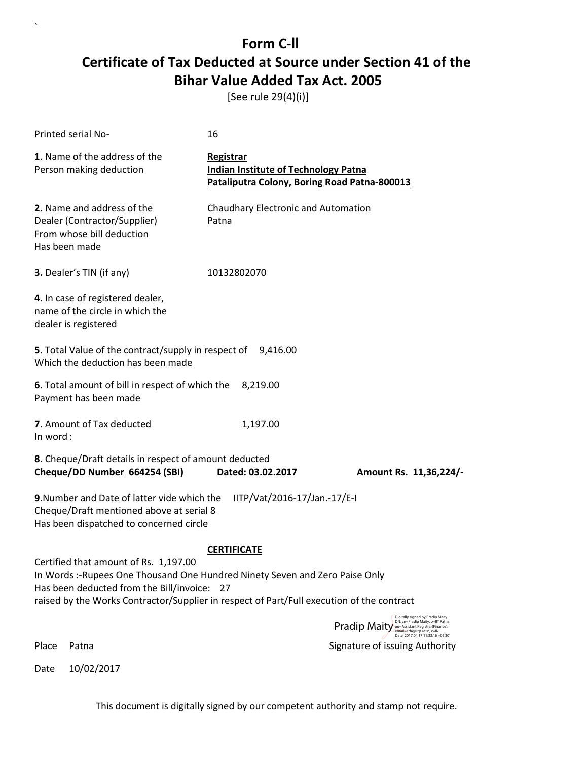[See rule 29(4)(i)]

| Printed serial No-                                                                                                                                                                                                                                                | 16                                                                                                       |                                                                                                                                                              |
|-------------------------------------------------------------------------------------------------------------------------------------------------------------------------------------------------------------------------------------------------------------------|----------------------------------------------------------------------------------------------------------|--------------------------------------------------------------------------------------------------------------------------------------------------------------|
| 1. Name of the address of the<br>Person making deduction                                                                                                                                                                                                          | Registrar<br><b>Indian Institute of Technology Patna</b><br>Pataliputra Colony, Boring Road Patna-800013 |                                                                                                                                                              |
| 2. Name and address of the<br>Dealer (Contractor/Supplier)<br>From whose bill deduction<br>Has been made                                                                                                                                                          | Chaudhary Electronic and Automation<br>Patna                                                             |                                                                                                                                                              |
| 3. Dealer's TIN (if any)                                                                                                                                                                                                                                          | 10132802070                                                                                              |                                                                                                                                                              |
| 4. In case of registered dealer,<br>name of the circle in which the<br>dealer is registered                                                                                                                                                                       |                                                                                                          |                                                                                                                                                              |
| 5. Total Value of the contract/supply in respect of 9,416.00<br>Which the deduction has been made                                                                                                                                                                 |                                                                                                          |                                                                                                                                                              |
| 6. Total amount of bill in respect of which the<br>Payment has been made                                                                                                                                                                                          | 8,219.00                                                                                                 |                                                                                                                                                              |
| 7. Amount of Tax deducted<br>In word:                                                                                                                                                                                                                             | 1,197.00                                                                                                 |                                                                                                                                                              |
| 8. Cheque/Draft details in respect of amount deducted<br>Cheque/DD Number 664254 (SBI)                                                                                                                                                                            | Dated: 03.02.2017                                                                                        | Amount Rs. 11,36,224/-                                                                                                                                       |
| 9. Number and Date of latter vide which the<br>Cheque/Draft mentioned above at serial 8<br>Has been dispatched to concerned circle                                                                                                                                | IITP/Vat/2016-17/Jan.-17/E-I                                                                             |                                                                                                                                                              |
|                                                                                                                                                                                                                                                                   | <b>CERTIFICATE</b>                                                                                       |                                                                                                                                                              |
| Certified that amount of Rs. 1,197.00<br>In Words :- Rupees One Thousand One Hundred Ninety Seven and Zero Paise Only<br>Has been deducted from the Bill/invoice: 27<br>raised by the Works Contractor/Supplier in respect of Part/Full execution of the contract |                                                                                                          |                                                                                                                                                              |
|                                                                                                                                                                                                                                                                   |                                                                                                          | Digitally signed by Pradip Maity<br>DN: cn=Pradip Maity, o=IIT Patna,<br><b>Pradip Maity</b> ou=Assistant Registrar(Finance),<br>email=arfa@iitp.ac.in, c=IN |
| Place<br>Patna                                                                                                                                                                                                                                                    |                                                                                                          | Date: 2017.04.17 11:33:16 +05'30'<br>Signature of issuing Authority                                                                                          |

Date 10/02/2017

`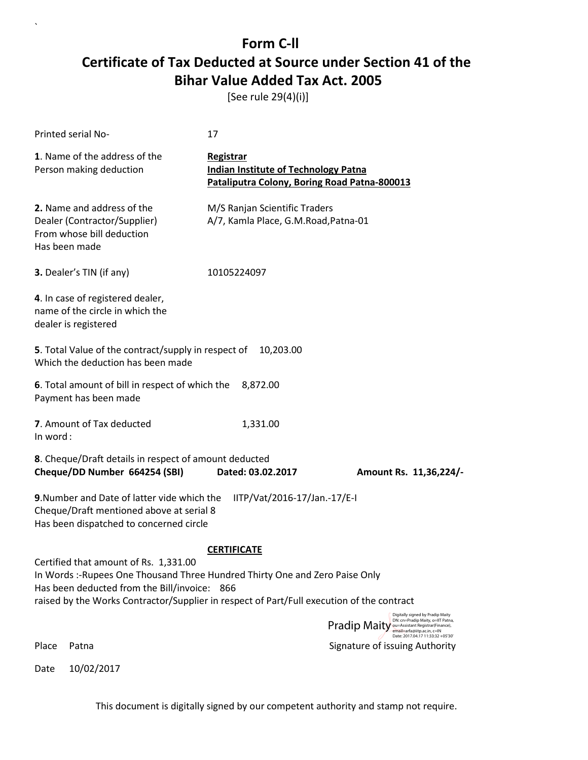[See rule 29(4)(i)]

`

|               | Printed serial No-                                                                                                                                                                                                                                                | 17                                                                                                              |                                                                                                                           |
|---------------|-------------------------------------------------------------------------------------------------------------------------------------------------------------------------------------------------------------------------------------------------------------------|-----------------------------------------------------------------------------------------------------------------|---------------------------------------------------------------------------------------------------------------------------|
|               | 1. Name of the address of the<br>Person making deduction                                                                                                                                                                                                          | <b>Registrar</b><br><b>Indian Institute of Technology Patna</b><br>Pataliputra Colony, Boring Road Patna-800013 |                                                                                                                           |
| Has been made | 2. Name and address of the<br>Dealer (Contractor/Supplier)<br>From whose bill deduction                                                                                                                                                                           | M/S Ranjan Scientific Traders<br>A/7, Kamla Place, G.M.Road, Patna-01                                           |                                                                                                                           |
|               | 3. Dealer's TIN (if any)                                                                                                                                                                                                                                          | 10105224097                                                                                                     |                                                                                                                           |
|               | 4. In case of registered dealer,<br>name of the circle in which the<br>dealer is registered                                                                                                                                                                       |                                                                                                                 |                                                                                                                           |
|               | 5. Total Value of the contract/supply in respect of<br>Which the deduction has been made                                                                                                                                                                          | 10,203.00                                                                                                       |                                                                                                                           |
|               | 6. Total amount of bill in respect of which the<br>Payment has been made                                                                                                                                                                                          | 8,872.00                                                                                                        |                                                                                                                           |
| In word:      | 7. Amount of Tax deducted                                                                                                                                                                                                                                         | 1,331.00                                                                                                        |                                                                                                                           |
|               | 8. Cheque/Draft details in respect of amount deducted<br>Cheque/DD Number 664254 (SBI)                                                                                                                                                                            | Dated: 03.02.2017                                                                                               |                                                                                                                           |
|               |                                                                                                                                                                                                                                                                   |                                                                                                                 | Amount Rs. 11,36,224/-                                                                                                    |
|               | 9. Number and Date of latter vide which the<br>Cheque/Draft mentioned above at serial 8<br>Has been dispatched to concerned circle                                                                                                                                | IITP/Vat/2016-17/Jan.-17/E-I                                                                                    |                                                                                                                           |
|               |                                                                                                                                                                                                                                                                   | <b>CERTIFICATE</b>                                                                                              |                                                                                                                           |
|               | Certified that amount of Rs. 1,331.00<br>In Words: -Rupees One Thousand Three Hundred Thirty One and Zero Paise Only<br>Has been deducted from the Bill/invoice: 866<br>raised by the Works Contractor/Supplier in respect of Part/Full execution of the contract |                                                                                                                 |                                                                                                                           |
|               |                                                                                                                                                                                                                                                                   |                                                                                                                 | Digitally signed by Pradip Maity<br>DN: cn=Pradip Maity, o=IIT Patna,                                                     |
|               |                                                                                                                                                                                                                                                                   |                                                                                                                 | <b>Pradip Maity</b> our Assistant Registrar(Finance),<br>email=arfa@iitp.ac.in, c=IN<br>Date: 2017.04.17 11:33:32 +05'30' |
| Place         | Patna                                                                                                                                                                                                                                                             |                                                                                                                 | Signature of issuing Authority                                                                                            |
| Date          | 10/02/2017                                                                                                                                                                                                                                                        |                                                                                                                 |                                                                                                                           |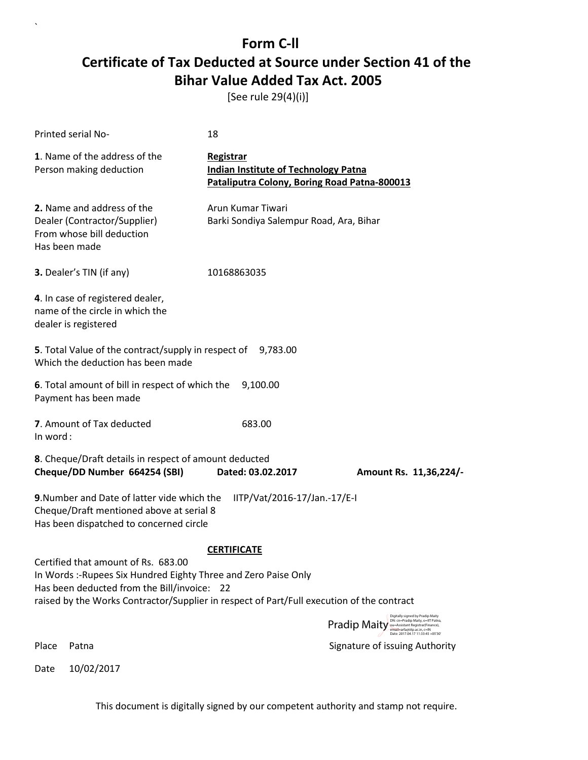[See rule 29(4)(i)]

`

Date 10/02/2017

| <b>Printed serial No-</b>                                                                                                                                                                                                                          | 18                                                                                                       |                                                                                                                              |
|----------------------------------------------------------------------------------------------------------------------------------------------------------------------------------------------------------------------------------------------------|----------------------------------------------------------------------------------------------------------|------------------------------------------------------------------------------------------------------------------------------|
| 1. Name of the address of the<br>Person making deduction                                                                                                                                                                                           | Registrar<br><b>Indian Institute of Technology Patna</b><br>Pataliputra Colony, Boring Road Patna-800013 |                                                                                                                              |
| 2. Name and address of the<br>Dealer (Contractor/Supplier)<br>From whose bill deduction<br>Has been made                                                                                                                                           | Arun Kumar Tiwari<br>Barki Sondiya Salempur Road, Ara, Bihar                                             |                                                                                                                              |
| 3. Dealer's TIN (if any)                                                                                                                                                                                                                           | 10168863035                                                                                              |                                                                                                                              |
| 4. In case of registered dealer,<br>name of the circle in which the<br>dealer is registered                                                                                                                                                        |                                                                                                          |                                                                                                                              |
| 5. Total Value of the contract/supply in respect of 9,783.00<br>Which the deduction has been made                                                                                                                                                  |                                                                                                          |                                                                                                                              |
| 6. Total amount of bill in respect of which the<br>Payment has been made                                                                                                                                                                           | 9,100.00                                                                                                 |                                                                                                                              |
| 7. Amount of Tax deducted<br>In word:                                                                                                                                                                                                              | 683.00                                                                                                   |                                                                                                                              |
| 8. Cheque/Draft details in respect of amount deducted<br>Cheque/DD Number 664254 (SBI)                                                                                                                                                             | Dated: 03.02.2017                                                                                        | Amount Rs. 11,36,224/-                                                                                                       |
| 9. Number and Date of latter vide which the<br>Cheque/Draft mentioned above at serial 8<br>Has been dispatched to concerned circle                                                                                                                 | IITP/Vat/2016-17/Jan.-17/E-I                                                                             |                                                                                                                              |
|                                                                                                                                                                                                                                                    | <b>CERTIFICATE</b>                                                                                       |                                                                                                                              |
| Certified that amount of Rs. 683.00<br>In Words :- Rupees Six Hundred Eighty Three and Zero Paise Only<br>Has been deducted from the Bill/invoice: 22<br>raised by the Works Contractor/Supplier in respect of Part/Full execution of the contract |                                                                                                          |                                                                                                                              |
|                                                                                                                                                                                                                                                    |                                                                                                          | Digitally signed by Pradip Maity<br>DN: cn=Pradip Maity, o=IIT Patna,<br><b>Pradip Maity Construction</b> Facture (Finance), |
| Place<br>Patna                                                                                                                                                                                                                                     |                                                                                                          | email=arfa@iitp.ac.in, c=IN<br>Date: 2017.04.17 11:33:45 +05'30<br>Signature of issuing Authority                            |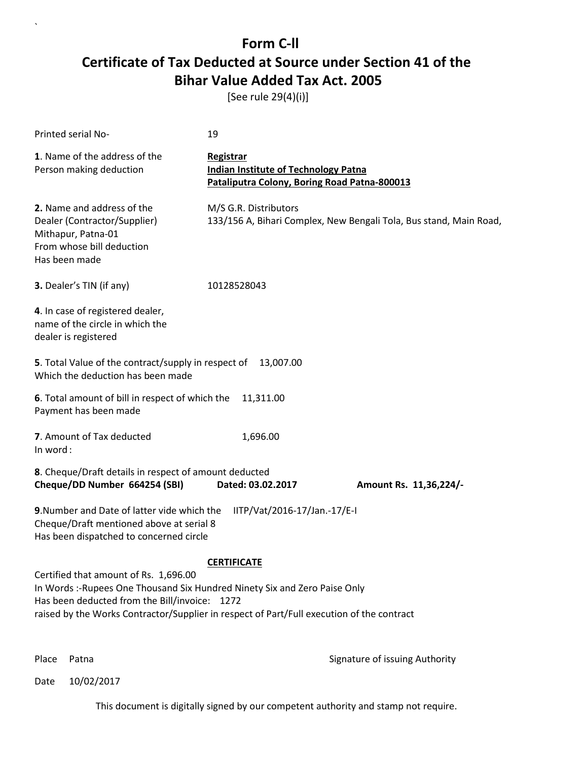[See rule 29(4)(i)]

| Printed serial No-                                                                                                                                                                                                                                               | 19                                                                                                       |                        |
|------------------------------------------------------------------------------------------------------------------------------------------------------------------------------------------------------------------------------------------------------------------|----------------------------------------------------------------------------------------------------------|------------------------|
| 1. Name of the address of the<br>Person making deduction                                                                                                                                                                                                         | Registrar<br><b>Indian Institute of Technology Patna</b><br>Pataliputra Colony, Boring Road Patna-800013 |                        |
| 2. Name and address of the<br>Dealer (Contractor/Supplier)<br>Mithapur, Patna-01<br>From whose bill deduction<br>Has been made                                                                                                                                   | M/S G.R. Distributors<br>133/156 A, Bihari Complex, New Bengali Tola, Bus stand, Main Road,              |                        |
| 3. Dealer's TIN (if any)                                                                                                                                                                                                                                         | 10128528043                                                                                              |                        |
| 4. In case of registered dealer,<br>name of the circle in which the<br>dealer is registered                                                                                                                                                                      |                                                                                                          |                        |
| 5. Total Value of the contract/supply in respect of<br>Which the deduction has been made                                                                                                                                                                         | 13,007.00                                                                                                |                        |
| 6. Total amount of bill in respect of which the<br>Payment has been made                                                                                                                                                                                         | 11,311.00                                                                                                |                        |
| 7. Amount of Tax deducted<br>In word:                                                                                                                                                                                                                            | 1,696.00                                                                                                 |                        |
| 8. Cheque/Draft details in respect of amount deducted<br>Cheque/DD Number 664254 (SBI)                                                                                                                                                                           | Dated: 03.02.2017                                                                                        | Amount Rs. 11,36,224/- |
| 9. Number and Date of latter vide which the<br>Cheque/Draft mentioned above at serial 8<br>Has been dispatched to concerned circle                                                                                                                               | IITP/Vat/2016-17/Jan.-17/E-I                                                                             |                        |
| Certified that amount of Rs. 1,696.00<br>In Words: -Rupees One Thousand Six Hundred Ninety Six and Zero Paise Only<br>Has been deducted from the Bill/invoice: 1272<br>raised by the Works Contractor/Supplier in respect of Part/Full execution of the contract | <b>CERTIFICATE</b>                                                                                       |                        |

Place Patna **Property** Place Patna Signature of issuing Authority

Date 10/02/2017

`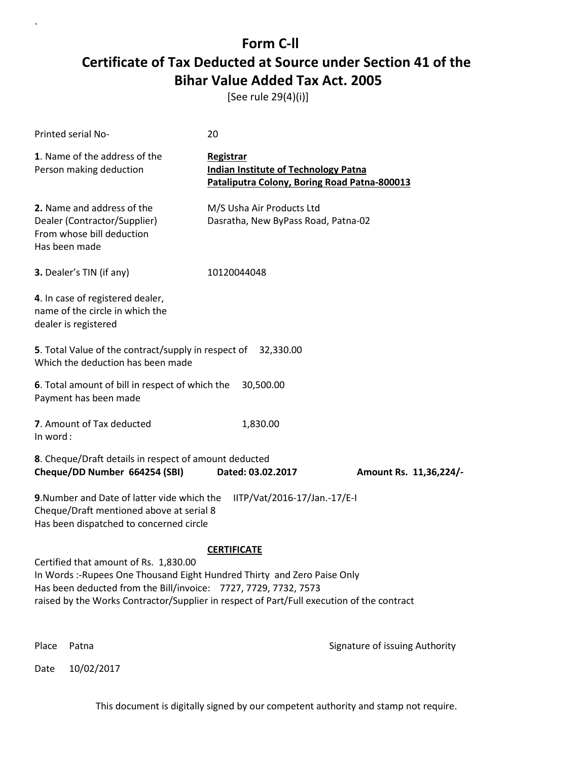[See rule 29(4)(i)]

| <b>Printed serial No-</b>                                                                                                                                                                                                                                                       | 20                                                                                                       |                                |
|---------------------------------------------------------------------------------------------------------------------------------------------------------------------------------------------------------------------------------------------------------------------------------|----------------------------------------------------------------------------------------------------------|--------------------------------|
| 1. Name of the address of the<br>Person making deduction                                                                                                                                                                                                                        | Registrar<br><b>Indian Institute of Technology Patna</b><br>Pataliputra Colony, Boring Road Patna-800013 |                                |
| 2. Name and address of the<br>Dealer (Contractor/Supplier)<br>From whose bill deduction<br>Has been made                                                                                                                                                                        | M/S Usha Air Products Ltd<br>Dasratha, New ByPass Road, Patna-02                                         |                                |
| 3. Dealer's TIN (if any)                                                                                                                                                                                                                                                        | 10120044048                                                                                              |                                |
| 4. In case of registered dealer,<br>name of the circle in which the<br>dealer is registered                                                                                                                                                                                     |                                                                                                          |                                |
| 5. Total Value of the contract/supply in respect of 32,330.00<br>Which the deduction has been made                                                                                                                                                                              |                                                                                                          |                                |
| 6. Total amount of bill in respect of which the<br>Payment has been made                                                                                                                                                                                                        | 30,500.00                                                                                                |                                |
| 7. Amount of Tax deducted<br>In word:                                                                                                                                                                                                                                           | 1,830.00                                                                                                 |                                |
| 8. Cheque/Draft details in respect of amount deducted<br>Cheque/DD Number 664254 (SBI)                                                                                                                                                                                          | Dated: 03.02.2017                                                                                        | Amount Rs. 11,36,224/-         |
| 9. Number and Date of latter vide which the<br>Cheque/Draft mentioned above at serial 8<br>Has been dispatched to concerned circle                                                                                                                                              | IITP/Vat/2016-17/Jan.-17/E-I                                                                             |                                |
|                                                                                                                                                                                                                                                                                 | <b>CERTIFICATE</b>                                                                                       |                                |
| Certified that amount of Rs. 1,830.00<br>In Words:-Rupees One Thousand Eight Hundred Thirty and Zero Paise Only<br>Has been deducted from the Bill/invoice: 7727, 7729, 7732, 7573<br>raised by the Works Contractor/Supplier in respect of Part/Full execution of the contract |                                                                                                          |                                |
| Place<br>Patna                                                                                                                                                                                                                                                                  |                                                                                                          | Signature of issuing Authority |

Date 10/02/2017

`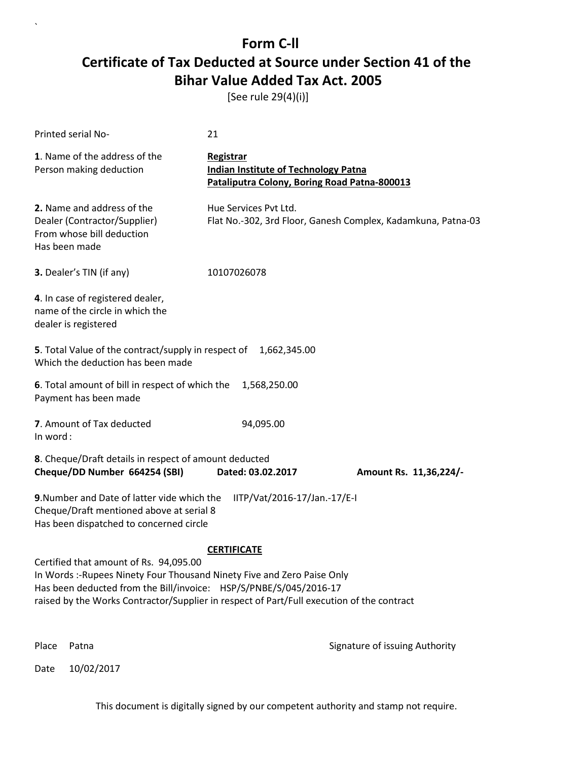[See rule 29(4)(i)]

| Printed serial No-                                                                                                                                                                                                                                                                  | 21                                                                                                              |                                                              |
|-------------------------------------------------------------------------------------------------------------------------------------------------------------------------------------------------------------------------------------------------------------------------------------|-----------------------------------------------------------------------------------------------------------------|--------------------------------------------------------------|
| 1. Name of the address of the<br>Person making deduction                                                                                                                                                                                                                            | <b>Registrar</b><br><b>Indian Institute of Technology Patna</b><br>Pataliputra Colony, Boring Road Patna-800013 |                                                              |
| 2. Name and address of the<br>Dealer (Contractor/Supplier)<br>From whose bill deduction<br>Has been made                                                                                                                                                                            | Hue Services Pvt Ltd.                                                                                           | Flat No.-302, 3rd Floor, Ganesh Complex, Kadamkuna, Patna-03 |
| 3. Dealer's TIN (if any)                                                                                                                                                                                                                                                            | 10107026078                                                                                                     |                                                              |
| 4. In case of registered dealer,<br>name of the circle in which the<br>dealer is registered                                                                                                                                                                                         |                                                                                                                 |                                                              |
| 5. Total Value of the contract/supply in respect of<br>Which the deduction has been made                                                                                                                                                                                            | 1,662,345.00                                                                                                    |                                                              |
| 6. Total amount of bill in respect of which the 1,568,250.00<br>Payment has been made                                                                                                                                                                                               |                                                                                                                 |                                                              |
| 7. Amount of Tax deducted<br>In word:                                                                                                                                                                                                                                               | 94,095.00                                                                                                       |                                                              |
| 8. Cheque/Draft details in respect of amount deducted<br>Cheque/DD Number 664254 (SBI)                                                                                                                                                                                              | Dated: 03.02.2017                                                                                               | Amount Rs. 11,36,224/-                                       |
| 9. Number and Date of latter vide which the<br>Cheque/Draft mentioned above at serial 8<br>Has been dispatched to concerned circle                                                                                                                                                  | IITP/Vat/2016-17/Jan.-17/E-I                                                                                    |                                                              |
|                                                                                                                                                                                                                                                                                     | <b>CERTIFICATE</b>                                                                                              |                                                              |
| Certified that amount of Rs. 94,095.00<br>In Words :- Rupees Ninety Four Thousand Ninety Five and Zero Paise Only<br>Has been deducted from the Bill/invoice: HSP/S/PNBE/S/045/2016-17<br>raised by the Works Contractor/Supplier in respect of Part/Full execution of the contract |                                                                                                                 |                                                              |
| Place<br>Patna                                                                                                                                                                                                                                                                      |                                                                                                                 | Signature of issuing Authority                               |

Date 10/02/2017

`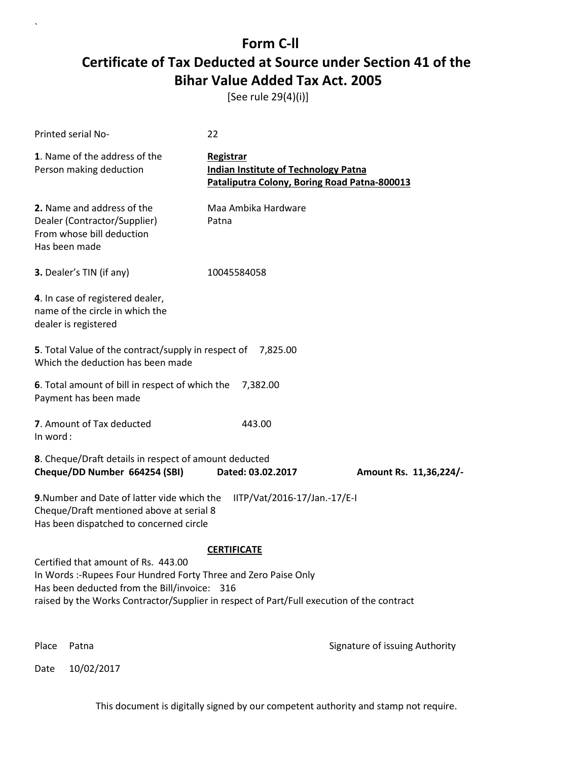[See rule 29(4)(i)]

| Printed serial No-                                                                                                                                                                                                                                  | 22                                                                                                       |                                |
|-----------------------------------------------------------------------------------------------------------------------------------------------------------------------------------------------------------------------------------------------------|----------------------------------------------------------------------------------------------------------|--------------------------------|
| 1. Name of the address of the<br>Person making deduction                                                                                                                                                                                            | Registrar<br><b>Indian Institute of Technology Patna</b><br>Pataliputra Colony, Boring Road Patna-800013 |                                |
| 2. Name and address of the<br>Dealer (Contractor/Supplier)<br>From whose bill deduction<br>Has been made                                                                                                                                            | Maa Ambika Hardware<br>Patna                                                                             |                                |
| 3. Dealer's TIN (if any)                                                                                                                                                                                                                            | 10045584058                                                                                              |                                |
| 4. In case of registered dealer,<br>name of the circle in which the<br>dealer is registered                                                                                                                                                         |                                                                                                          |                                |
| 5. Total Value of the contract/supply in respect of 7,825.00<br>Which the deduction has been made                                                                                                                                                   |                                                                                                          |                                |
| 6. Total amount of bill in respect of which the<br>Payment has been made                                                                                                                                                                            | 7,382.00                                                                                                 |                                |
| 7. Amount of Tax deducted<br>In word:                                                                                                                                                                                                               | 443.00                                                                                                   |                                |
| 8. Cheque/Draft details in respect of amount deducted<br>Cheque/DD Number 664254 (SBI)                                                                                                                                                              | Dated: 03.02.2017                                                                                        | Amount Rs. 11,36,224/-         |
| 9. Number and Date of latter vide which the<br>Cheque/Draft mentioned above at serial 8<br>Has been dispatched to concerned circle                                                                                                                  | IITP/Vat/2016-17/Jan.-17/E-I                                                                             |                                |
|                                                                                                                                                                                                                                                     | <b>CERTIFICATE</b>                                                                                       |                                |
| Certified that amount of Rs. 443.00<br>In Words :- Rupees Four Hundred Forty Three and Zero Paise Only<br>Has been deducted from the Bill/invoice: 316<br>raised by the Works Contractor/Supplier in respect of Part/Full execution of the contract |                                                                                                          |                                |
| Place<br>Patna                                                                                                                                                                                                                                      |                                                                                                          | Signature of issuing Authority |

Date 10/02/2017

`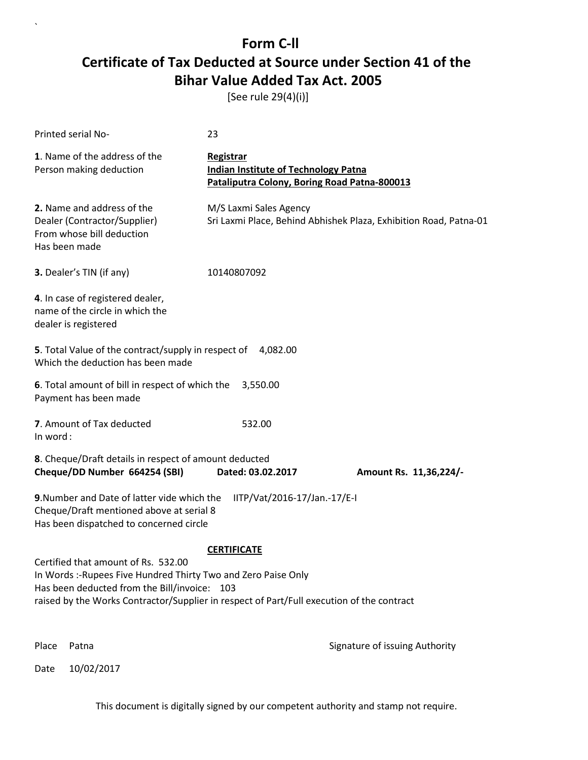[See rule 29(4)(i)]

| Printed serial No-                                                                                                                                                                                                                                 | 23                                                                                                              |                                                                   |
|----------------------------------------------------------------------------------------------------------------------------------------------------------------------------------------------------------------------------------------------------|-----------------------------------------------------------------------------------------------------------------|-------------------------------------------------------------------|
| 1. Name of the address of the<br>Person making deduction                                                                                                                                                                                           | <b>Registrar</b><br><b>Indian Institute of Technology Patna</b><br>Pataliputra Colony, Boring Road Patna-800013 |                                                                   |
| 2. Name and address of the<br>Dealer (Contractor/Supplier)<br>From whose bill deduction<br>Has been made                                                                                                                                           | M/S Laxmi Sales Agency                                                                                          | Sri Laxmi Place, Behind Abhishek Plaza, Exhibition Road, Patna-01 |
| 3. Dealer's TIN (if any)                                                                                                                                                                                                                           | 10140807092                                                                                                     |                                                                   |
| 4. In case of registered dealer,<br>name of the circle in which the<br>dealer is registered                                                                                                                                                        |                                                                                                                 |                                                                   |
| 5. Total Value of the contract/supply in respect of 4,082.00<br>Which the deduction has been made                                                                                                                                                  |                                                                                                                 |                                                                   |
| 6. Total amount of bill in respect of which the<br>Payment has been made                                                                                                                                                                           | 3,550.00                                                                                                        |                                                                   |
| 7. Amount of Tax deducted<br>In word:                                                                                                                                                                                                              | 532.00                                                                                                          |                                                                   |
| 8. Cheque/Draft details in respect of amount deducted<br>Cheque/DD Number 664254 (SBI)                                                                                                                                                             | Dated: 03.02.2017                                                                                               | Amount Rs. 11,36,224/-                                            |
| 9. Number and Date of latter vide which the<br>Cheque/Draft mentioned above at serial 8<br>Has been dispatched to concerned circle                                                                                                                 | IITP/Vat/2016-17/Jan.-17/E-I                                                                                    |                                                                   |
| Certified that amount of Rs. 532.00<br>In Words :- Rupees Five Hundred Thirty Two and Zero Paise Only<br>Has been deducted from the Bill/invoice: 103<br>raised by the Works Contractor/Supplier in respect of Part/Full execution of the contract | <b>CERTIFICATE</b>                                                                                              |                                                                   |
| Place<br>Patna                                                                                                                                                                                                                                     |                                                                                                                 | Signature of issuing Authority                                    |

Date 10/02/2017

`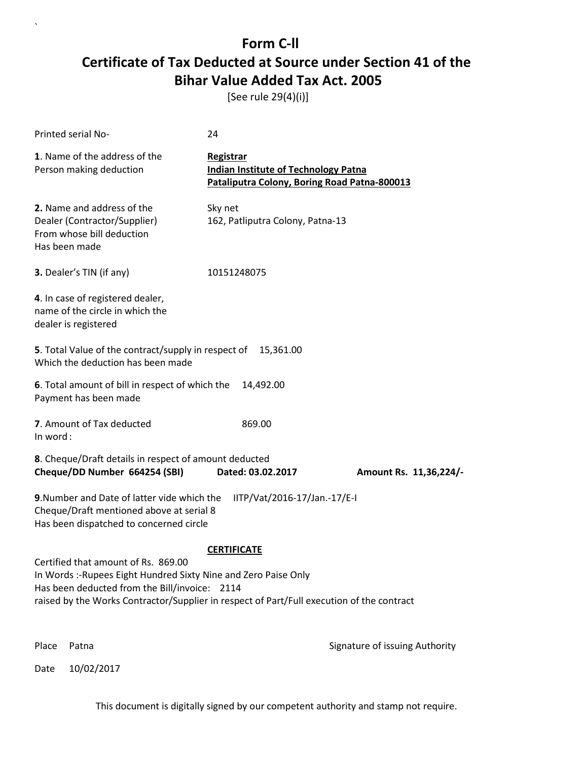[See rule 29(4)(i)]

| <b>Printed serial No-</b>                                                                                                                                                                                                                            | 24                                                                                                       |                                |
|------------------------------------------------------------------------------------------------------------------------------------------------------------------------------------------------------------------------------------------------------|----------------------------------------------------------------------------------------------------------|--------------------------------|
| 1. Name of the address of the<br>Person making deduction                                                                                                                                                                                             | Registrar<br><b>Indian Institute of Technology Patna</b><br>Pataliputra Colony, Boring Road Patna-800013 |                                |
| 2. Name and address of the<br>Dealer (Contractor/Supplier)<br>From whose bill deduction<br>Has been made                                                                                                                                             | Sky net<br>162, Patliputra Colony, Patna-13                                                              |                                |
| 3. Dealer's TIN (if any)                                                                                                                                                                                                                             | 10151248075                                                                                              |                                |
| 4. In case of registered dealer,<br>name of the circle in which the<br>dealer is registered                                                                                                                                                          |                                                                                                          |                                |
| 5. Total Value of the contract/supply in respect of<br>Which the deduction has been made                                                                                                                                                             | 15,361.00                                                                                                |                                |
| 6. Total amount of bill in respect of which the<br>Payment has been made                                                                                                                                                                             | 14,492.00                                                                                                |                                |
| 7. Amount of Tax deducted<br>In word:                                                                                                                                                                                                                | 869.00                                                                                                   |                                |
| 8. Cheque/Draft details in respect of amount deducted<br>Cheque/DD Number 664254 (SBI)                                                                                                                                                               | Dated: 03.02.2017                                                                                        | Amount Rs. 11,36,224/-         |
| 9. Number and Date of latter vide which the<br>Cheque/Draft mentioned above at serial 8<br>Has been dispatched to concerned circle                                                                                                                   | IITP/Vat/2016-17/Jan.-17/E-I                                                                             |                                |
| Certified that amount of Rs. 869.00<br>In Words :- Rupees Eight Hundred Sixty Nine and Zero Paise Only<br>Has been deducted from the Bill/invoice: 2114<br>raised by the Works Contractor/Supplier in respect of Part/Full execution of the contract | <b>CERTIFICATE</b>                                                                                       |                                |
| Place<br>Patna                                                                                                                                                                                                                                       |                                                                                                          | Signature of issuing Authority |

Date 10/02/2017

`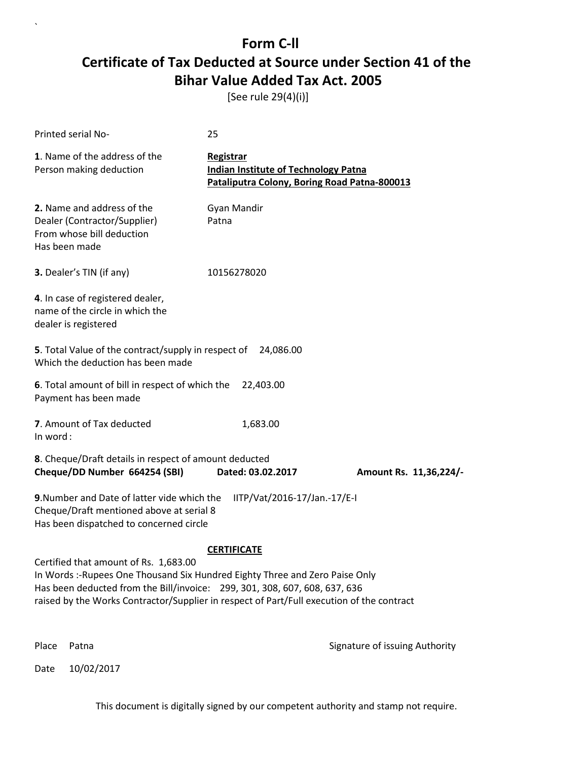[See rule 29(4)(i)]

| Printed serial No-                                                                                                                                                                                                                                                                               | 25                                                                                                       |                                |
|--------------------------------------------------------------------------------------------------------------------------------------------------------------------------------------------------------------------------------------------------------------------------------------------------|----------------------------------------------------------------------------------------------------------|--------------------------------|
| 1. Name of the address of the<br>Person making deduction                                                                                                                                                                                                                                         | Registrar<br><b>Indian Institute of Technology Patna</b><br>Pataliputra Colony, Boring Road Patna-800013 |                                |
| 2. Name and address of the<br>Dealer (Contractor/Supplier)<br>From whose bill deduction<br>Has been made                                                                                                                                                                                         | Gyan Mandir<br>Patna                                                                                     |                                |
| 3. Dealer's TIN (if any)                                                                                                                                                                                                                                                                         | 10156278020                                                                                              |                                |
| 4. In case of registered dealer,<br>name of the circle in which the<br>dealer is registered                                                                                                                                                                                                      |                                                                                                          |                                |
| 5. Total Value of the contract/supply in respect of<br>Which the deduction has been made                                                                                                                                                                                                         | 24,086.00                                                                                                |                                |
| 6. Total amount of bill in respect of which the<br>Payment has been made                                                                                                                                                                                                                         | 22,403.00                                                                                                |                                |
| 7. Amount of Tax deducted<br>In word:                                                                                                                                                                                                                                                            | 1,683.00                                                                                                 |                                |
| 8. Cheque/Draft details in respect of amount deducted<br>Cheque/DD Number 664254 (SBI)                                                                                                                                                                                                           | Dated: 03.02.2017                                                                                        | Amount Rs. 11,36,224/-         |
| 9. Number and Date of latter vide which the<br>Cheque/Draft mentioned above at serial 8<br>Has been dispatched to concerned circle                                                                                                                                                               | IITP/Vat/2016-17/Jan.-17/E-I                                                                             |                                |
|                                                                                                                                                                                                                                                                                                  | <b>CERTIFICATE</b>                                                                                       |                                |
| Certified that amount of Rs. 1,683.00<br>In Words :- Rupees One Thousand Six Hundred Eighty Three and Zero Paise Only<br>Has been deducted from the Bill/invoice: 299, 301, 308, 607, 608, 637, 636<br>raised by the Works Contractor/Supplier in respect of Part/Full execution of the contract |                                                                                                          |                                |
| Place<br>Patna                                                                                                                                                                                                                                                                                   |                                                                                                          | Signature of issuing Authority |

Date 10/02/2017

`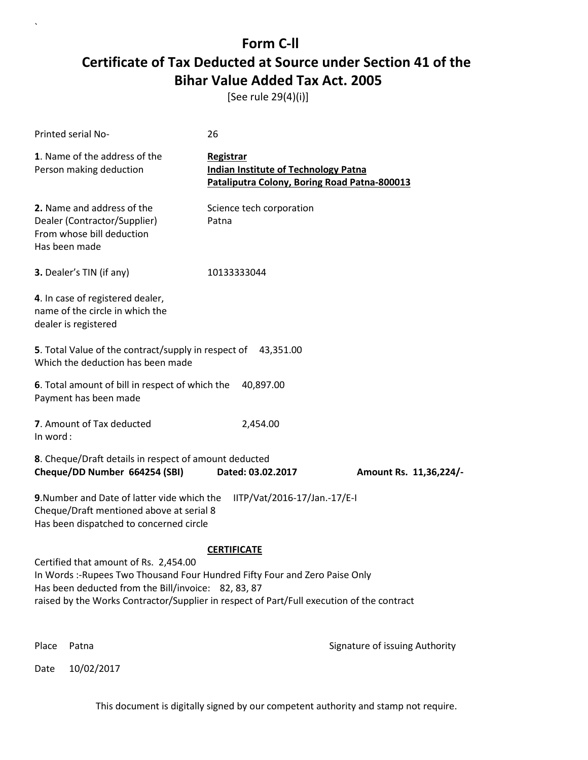[See rule 29(4)(i)]

`

Date 10/02/2017

| Printed serial No-                                                                                                                                                                                                                                                       | 26                                                                                                       |                                |
|--------------------------------------------------------------------------------------------------------------------------------------------------------------------------------------------------------------------------------------------------------------------------|----------------------------------------------------------------------------------------------------------|--------------------------------|
| 1. Name of the address of the<br>Person making deduction                                                                                                                                                                                                                 | Registrar<br><b>Indian Institute of Technology Patna</b><br>Pataliputra Colony, Boring Road Patna-800013 |                                |
| 2. Name and address of the<br>Dealer (Contractor/Supplier)<br>From whose bill deduction<br>Has been made                                                                                                                                                                 | Science tech corporation<br>Patna                                                                        |                                |
| 3. Dealer's TIN (if any)                                                                                                                                                                                                                                                 | 10133333044                                                                                              |                                |
| 4. In case of registered dealer,<br>name of the circle in which the<br>dealer is registered                                                                                                                                                                              |                                                                                                          |                                |
| 5. Total Value of the contract/supply in respect of 43,351.00<br>Which the deduction has been made                                                                                                                                                                       |                                                                                                          |                                |
| 6. Total amount of bill in respect of which the<br>Payment has been made                                                                                                                                                                                                 | 40,897.00                                                                                                |                                |
| 7. Amount of Tax deducted<br>In word:                                                                                                                                                                                                                                    | 2,454.00                                                                                                 |                                |
| 8. Cheque/Draft details in respect of amount deducted<br>Cheque/DD Number 664254 (SBI)                                                                                                                                                                                   | Dated: 03.02.2017                                                                                        | Amount Rs. 11,36,224/-         |
| 9. Number and Date of latter vide which the<br>Cheque/Draft mentioned above at serial 8<br>Has been dispatched to concerned circle                                                                                                                                       | IITP/Vat/2016-17/Jan.-17/E-I                                                                             |                                |
|                                                                                                                                                                                                                                                                          | <b>CERTIFICATE</b>                                                                                       |                                |
| Certified that amount of Rs. 2,454.00<br>In Words :- Rupees Two Thousand Four Hundred Fifty Four and Zero Paise Only<br>Has been deducted from the Bill/invoice: 82, 83, 87<br>raised by the Works Contractor/Supplier in respect of Part/Full execution of the contract |                                                                                                          |                                |
| Place<br>Patna                                                                                                                                                                                                                                                           |                                                                                                          | Signature of issuing Authority |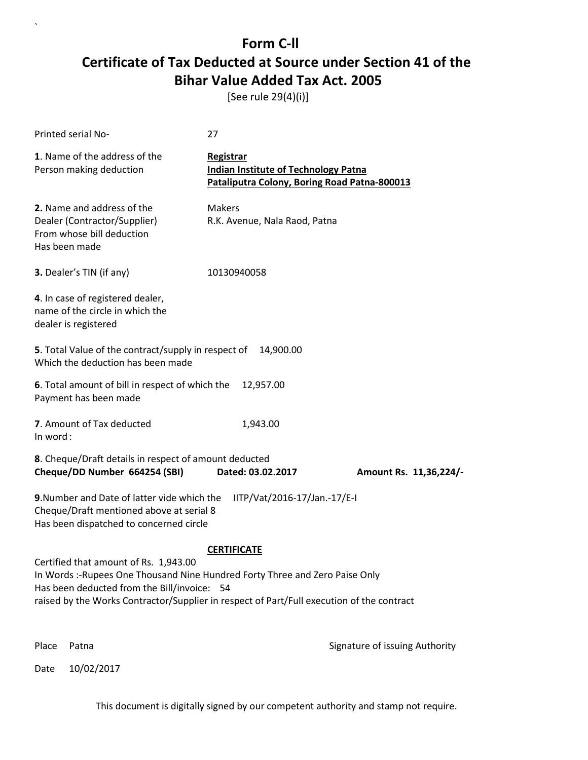[See rule 29(4)(i)]

| Printed serial No-                                                                                                                                                                                                                                               | 27                                                                                                       |                                |  |
|------------------------------------------------------------------------------------------------------------------------------------------------------------------------------------------------------------------------------------------------------------------|----------------------------------------------------------------------------------------------------------|--------------------------------|--|
| 1. Name of the address of the<br>Person making deduction                                                                                                                                                                                                         | Registrar<br><b>Indian Institute of Technology Patna</b><br>Pataliputra Colony, Boring Road Patna-800013 |                                |  |
| 2. Name and address of the<br>Dealer (Contractor/Supplier)<br>From whose bill deduction<br>Has been made                                                                                                                                                         | <b>Makers</b><br>R.K. Avenue, Nala Raod, Patna                                                           |                                |  |
| 3. Dealer's TIN (if any)                                                                                                                                                                                                                                         | 10130940058                                                                                              |                                |  |
| 4. In case of registered dealer,<br>name of the circle in which the<br>dealer is registered                                                                                                                                                                      |                                                                                                          |                                |  |
| 5. Total Value of the contract/supply in respect of<br>Which the deduction has been made                                                                                                                                                                         | 14,900.00                                                                                                |                                |  |
| 6. Total amount of bill in respect of which the<br>Payment has been made                                                                                                                                                                                         | 12,957.00                                                                                                |                                |  |
| 7. Amount of Tax deducted<br>In word:                                                                                                                                                                                                                            | 1,943.00                                                                                                 |                                |  |
| 8. Cheque/Draft details in respect of amount deducted<br>Cheque/DD Number 664254 (SBI)                                                                                                                                                                           | Dated: 03.02.2017                                                                                        | Amount Rs. 11,36,224/-         |  |
| 9. Number and Date of latter vide which the<br>IITP/Vat/2016-17/Jan.-17/E-I<br>Cheque/Draft mentioned above at serial 8<br>Has been dispatched to concerned circle                                                                                               |                                                                                                          |                                |  |
|                                                                                                                                                                                                                                                                  | <b>CERTIFICATE</b>                                                                                       |                                |  |
| Certified that amount of Rs. 1,943.00<br>In Words: -Rupees One Thousand Nine Hundred Forty Three and Zero Paise Only<br>Has been deducted from the Bill/invoice: 54<br>raised by the Works Contractor/Supplier in respect of Part/Full execution of the contract |                                                                                                          |                                |  |
| Place<br>Patna                                                                                                                                                                                                                                                   |                                                                                                          | Signature of issuing Authority |  |

Date 10/02/2017

`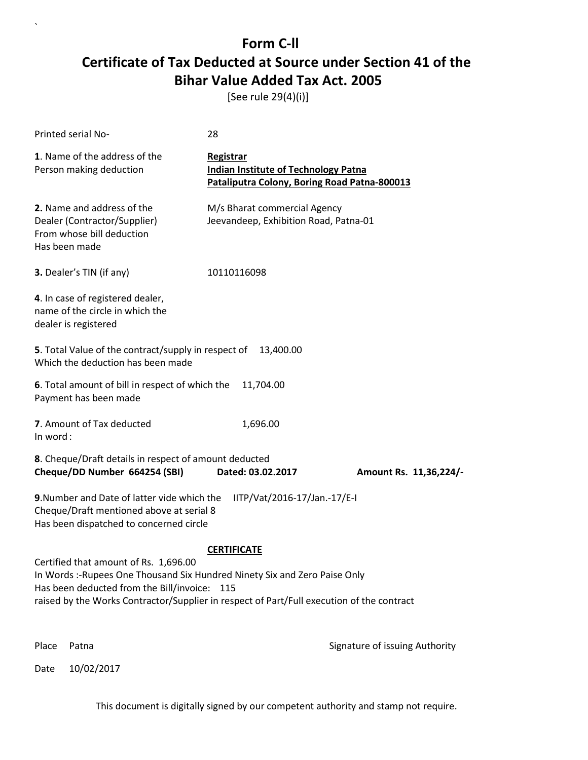[See rule 29(4)(i)]

| Printed serial No-                                                                                                                                                  | 28                                                                                                              |                                |  |
|---------------------------------------------------------------------------------------------------------------------------------------------------------------------|-----------------------------------------------------------------------------------------------------------------|--------------------------------|--|
| 1. Name of the address of the<br>Person making deduction                                                                                                            | <b>Registrar</b><br><b>Indian Institute of Technology Patna</b><br>Pataliputra Colony, Boring Road Patna-800013 |                                |  |
| 2. Name and address of the<br>Dealer (Contractor/Supplier)<br>From whose bill deduction<br>Has been made                                                            | M/s Bharat commercial Agency<br>Jeevandeep, Exhibition Road, Patna-01                                           |                                |  |
| 3. Dealer's TIN (if any)                                                                                                                                            | 10110116098                                                                                                     |                                |  |
| 4. In case of registered dealer,<br>name of the circle in which the<br>dealer is registered                                                                         |                                                                                                                 |                                |  |
| 5. Total Value of the contract/supply in respect of<br>Which the deduction has been made                                                                            | 13,400.00                                                                                                       |                                |  |
| 6. Total amount of bill in respect of which the<br>Payment has been made                                                                                            | 11,704.00                                                                                                       |                                |  |
| 7. Amount of Tax deducted<br>In word:                                                                                                                               | 1,696.00                                                                                                        |                                |  |
| 8. Cheque/Draft details in respect of amount deducted<br>Cheque/DD Number 664254 (SBI)                                                                              | Dated: 03.02.2017                                                                                               | Amount Rs. 11,36,224/-         |  |
| 9. Number and Date of latter vide which the<br>IITP/Vat/2016-17/Jan.-17/E-I<br>Cheque/Draft mentioned above at serial 8<br>Has been dispatched to concerned circle  |                                                                                                                 |                                |  |
|                                                                                                                                                                     | <b>CERTIFICATE</b>                                                                                              |                                |  |
| Certified that amount of Rs. 1,696.00<br>In Words :- Rupees One Thousand Six Hundred Ninety Six and Zero Paise Only<br>Has been deducted from the Bill/invoice: 115 |                                                                                                                 |                                |  |
| raised by the Works Contractor/Supplier in respect of Part/Full execution of the contract                                                                           |                                                                                                                 |                                |  |
| Place<br>Patna                                                                                                                                                      |                                                                                                                 | Signature of issuing Authority |  |

Date 10/02/2017

`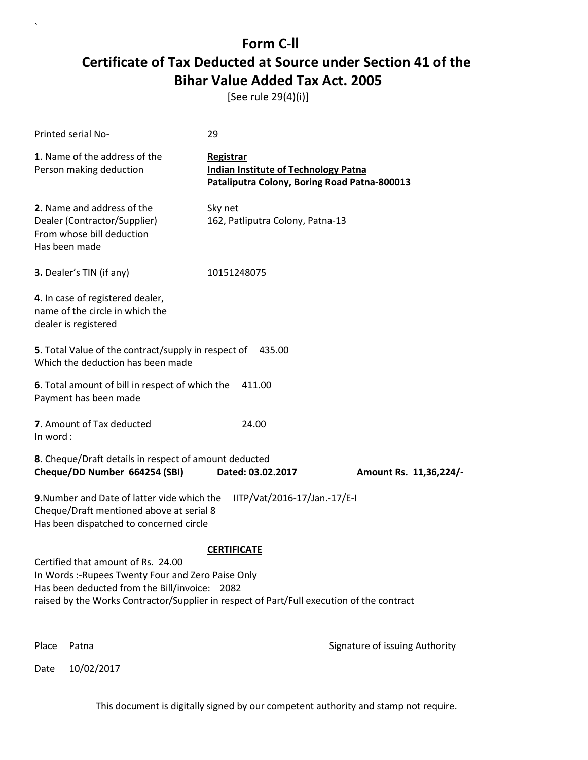[See rule 29(4)(i)]

| Printed serial No-                                                                                                                                                                                                                                           | 29                                                                                                       |                                |
|--------------------------------------------------------------------------------------------------------------------------------------------------------------------------------------------------------------------------------------------------------------|----------------------------------------------------------------------------------------------------------|--------------------------------|
| 1. Name of the address of the<br>Person making deduction                                                                                                                                                                                                     | Registrar<br><b>Indian Institute of Technology Patna</b><br>Pataliputra Colony, Boring Road Patna-800013 |                                |
| 2. Name and address of the<br>Dealer (Contractor/Supplier)<br>From whose bill deduction<br>Has been made                                                                                                                                                     | Sky net<br>162, Patliputra Colony, Patna-13                                                              |                                |
| 3. Dealer's TIN (if any)                                                                                                                                                                                                                                     | 10151248075                                                                                              |                                |
| 4. In case of registered dealer,<br>name of the circle in which the<br>dealer is registered                                                                                                                                                                  |                                                                                                          |                                |
| 5. Total Value of the contract/supply in respect of<br>Which the deduction has been made                                                                                                                                                                     | 435.00                                                                                                   |                                |
| 6. Total amount of bill in respect of which the<br>Payment has been made                                                                                                                                                                                     | 411.00                                                                                                   |                                |
| 7. Amount of Tax deducted<br>In word:                                                                                                                                                                                                                        | 24.00                                                                                                    |                                |
| 8. Cheque/Draft details in respect of amount deducted<br>Cheque/DD Number 664254 (SBI)                                                                                                                                                                       | Dated: 03.02.2017                                                                                        | Amount Rs. 11,36,224/-         |
| 9. Number and Date of latter vide which the<br>IITP/Vat/2016-17/Jan.-17/E-I<br>Cheque/Draft mentioned above at serial 8<br>Has been dispatched to concerned circle                                                                                           |                                                                                                          |                                |
| <b>CERTIFICATE</b><br>Certified that amount of Rs. 24.00<br>In Words :- Rupees Twenty Four and Zero Paise Only<br>Has been deducted from the Bill/invoice: 2082<br>raised by the Works Contractor/Supplier in respect of Part/Full execution of the contract |                                                                                                          |                                |
| Place<br>Patna                                                                                                                                                                                                                                               |                                                                                                          | Signature of issuing Authority |

Date 10/02/2017

`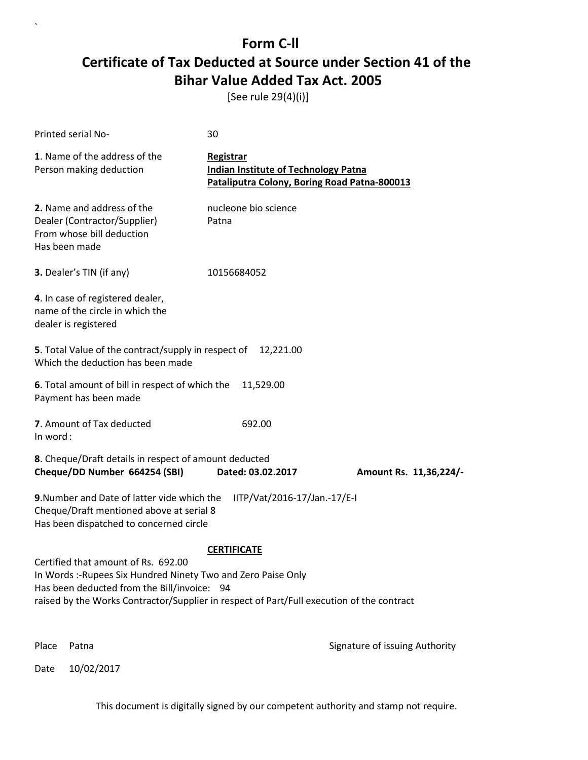[See rule 29(4)(i)]

| Printed serial No-                                                                                                                                                                                                                               | 30                                                                                                       |                                |
|--------------------------------------------------------------------------------------------------------------------------------------------------------------------------------------------------------------------------------------------------|----------------------------------------------------------------------------------------------------------|--------------------------------|
| 1. Name of the address of the<br>Person making deduction                                                                                                                                                                                         | Registrar<br><b>Indian Institute of Technology Patna</b><br>Pataliputra Colony, Boring Road Patna-800013 |                                |
| 2. Name and address of the<br>Dealer (Contractor/Supplier)<br>From whose bill deduction<br>Has been made                                                                                                                                         | nucleone bio science<br>Patna                                                                            |                                |
| 3. Dealer's TIN (if any)                                                                                                                                                                                                                         | 10156684052                                                                                              |                                |
| 4. In case of registered dealer,<br>name of the circle in which the<br>dealer is registered                                                                                                                                                      |                                                                                                          |                                |
| 5. Total Value of the contract/supply in respect of<br>Which the deduction has been made                                                                                                                                                         | 12,221.00                                                                                                |                                |
| 6. Total amount of bill in respect of which the<br>Payment has been made                                                                                                                                                                         | 11,529.00                                                                                                |                                |
| 7. Amount of Tax deducted<br>In word:                                                                                                                                                                                                            | 692.00                                                                                                   |                                |
| 8. Cheque/Draft details in respect of amount deducted<br>Cheque/DD Number 664254 (SBI)                                                                                                                                                           | Dated: 03.02.2017                                                                                        | Amount Rs. 11,36,224/-         |
| 9. Number and Date of latter vide which the<br>Cheque/Draft mentioned above at serial 8<br>Has been dispatched to concerned circle                                                                                                               | IITP/Vat/2016-17/Jan.-17/E-I                                                                             |                                |
|                                                                                                                                                                                                                                                  | <b>CERTIFICATE</b>                                                                                       |                                |
| Certified that amount of Rs. 692.00<br>In Words :- Rupees Six Hundred Ninety Two and Zero Paise Only<br>Has been deducted from the Bill/invoice: 94<br>raised by the Works Contractor/Supplier in respect of Part/Full execution of the contract |                                                                                                          |                                |
| Place<br>Patna                                                                                                                                                                                                                                   |                                                                                                          | Signature of issuing Authority |

Date 10/02/2017

`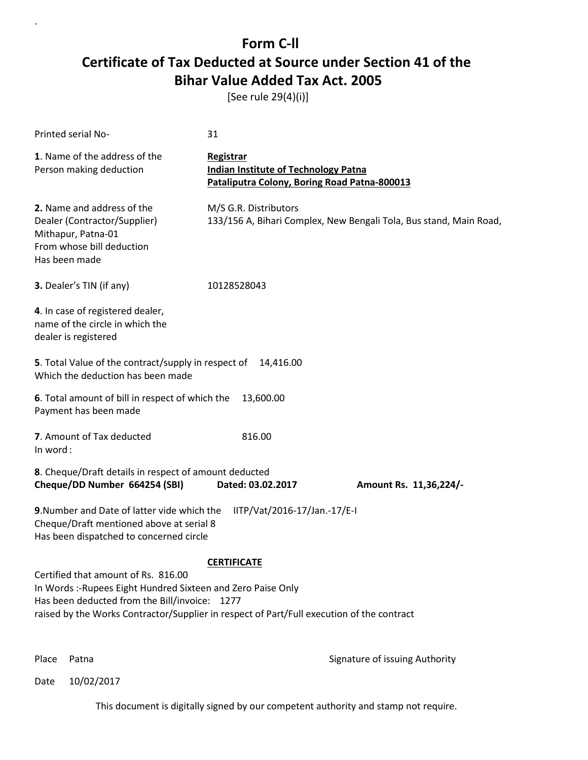[See rule 29(4)(i)]

| Printed serial No-                                                                                                                                                                                                                                                      | 31                                                                                                       |                        |
|-------------------------------------------------------------------------------------------------------------------------------------------------------------------------------------------------------------------------------------------------------------------------|----------------------------------------------------------------------------------------------------------|------------------------|
| 1. Name of the address of the<br>Person making deduction                                                                                                                                                                                                                | Registrar<br><b>Indian Institute of Technology Patna</b><br>Pataliputra Colony, Boring Road Patna-800013 |                        |
| 2. Name and address of the<br>Dealer (Contractor/Supplier)<br>Mithapur, Patna-01<br>From whose bill deduction<br>Has been made                                                                                                                                          | M/S G.R. Distributors<br>133/156 A, Bihari Complex, New Bengali Tola, Bus stand, Main Road,              |                        |
| 3. Dealer's TIN (if any)                                                                                                                                                                                                                                                | 10128528043                                                                                              |                        |
| 4. In case of registered dealer,<br>name of the circle in which the<br>dealer is registered                                                                                                                                                                             |                                                                                                          |                        |
| 5. Total Value of the contract/supply in respect of<br>Which the deduction has been made                                                                                                                                                                                | 14,416.00                                                                                                |                        |
| 6. Total amount of bill in respect of which the<br>Payment has been made                                                                                                                                                                                                | 13,600.00                                                                                                |                        |
| 7. Amount of Tax deducted<br>In word:                                                                                                                                                                                                                                   | 816.00                                                                                                   |                        |
| 8. Cheque/Draft details in respect of amount deducted<br>Cheque/DD Number 664254 (SBI)                                                                                                                                                                                  | Dated: 03.02.2017                                                                                        | Amount Rs. 11,36,224/- |
| 9. Number and Date of latter vide which the<br>Cheque/Draft mentioned above at serial 8<br>Has been dispatched to concerned circle                                                                                                                                      | IITP/Vat/2016-17/Jan.-17/E-I                                                                             |                        |
| <b>CERTIFICATE</b><br>Certified that amount of Rs. 816.00<br>In Words :- Rupees Eight Hundred Sixteen and Zero Paise Only<br>Has been deducted from the Bill/invoice: 1277<br>raised by the Works Contractor/Supplier in respect of Part/Full execution of the contract |                                                                                                          |                        |

`

Place Patna **Property** Place Patna Signature of issuing Authority

Date 10/02/2017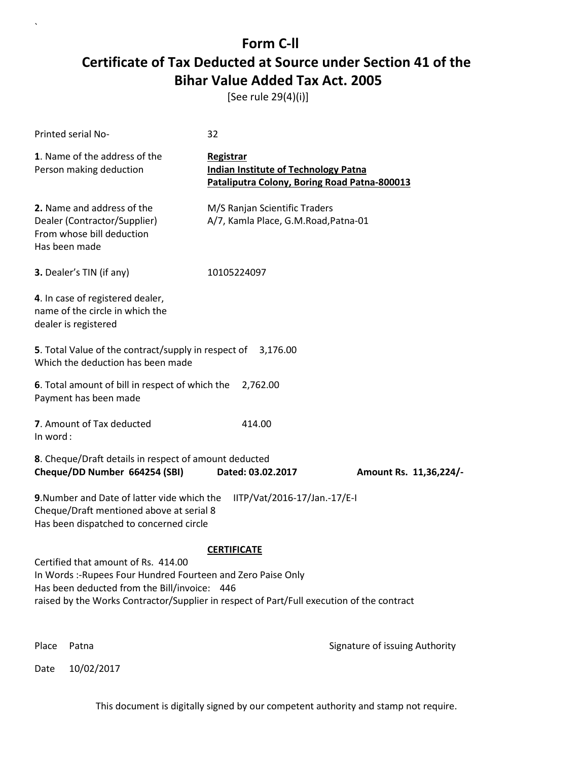[See rule 29(4)(i)]

| Printed serial No-                                                                                                                                                                                                                                                     | 32                                                                                                       |                                |
|------------------------------------------------------------------------------------------------------------------------------------------------------------------------------------------------------------------------------------------------------------------------|----------------------------------------------------------------------------------------------------------|--------------------------------|
| 1. Name of the address of the<br>Person making deduction                                                                                                                                                                                                               | Registrar<br><b>Indian Institute of Technology Patna</b><br>Pataliputra Colony, Boring Road Patna-800013 |                                |
| 2. Name and address of the<br>Dealer (Contractor/Supplier)<br>From whose bill deduction<br>Has been made                                                                                                                                                               | M/S Ranjan Scientific Traders<br>A/7, Kamla Place, G.M.Road, Patna-01                                    |                                |
| 3. Dealer's TIN (if any)                                                                                                                                                                                                                                               | 10105224097                                                                                              |                                |
| 4. In case of registered dealer,<br>name of the circle in which the<br>dealer is registered                                                                                                                                                                            |                                                                                                          |                                |
| <b>5</b> . Total Value of the contract/supply in respect of<br>Which the deduction has been made                                                                                                                                                                       | 3,176.00                                                                                                 |                                |
| 6. Total amount of bill in respect of which the<br>Payment has been made                                                                                                                                                                                               | 2,762.00                                                                                                 |                                |
| 7. Amount of Tax deducted<br>In word:                                                                                                                                                                                                                                  | 414.00                                                                                                   |                                |
| 8. Cheque/Draft details in respect of amount deducted<br>Cheque/DD Number 664254 (SBI)                                                                                                                                                                                 | Dated: 03.02.2017                                                                                        | Amount Rs. 11,36,224/-         |
| 9. Number and Date of latter vide which the<br>IITP/Vat/2016-17/Jan.-17/E-I<br>Cheque/Draft mentioned above at serial 8<br>Has been dispatched to concerned circle                                                                                                     |                                                                                                          |                                |
| <b>CERTIFICATE</b><br>Certified that amount of Rs. 414.00<br>In Words :- Rupees Four Hundred Fourteen and Zero Paise Only<br>Has been deducted from the Bill/invoice: 446<br>raised by the Works Contractor/Supplier in respect of Part/Full execution of the contract |                                                                                                          |                                |
| Place<br>Patna                                                                                                                                                                                                                                                         |                                                                                                          | Signature of issuing Authority |

Date 10/02/2017

`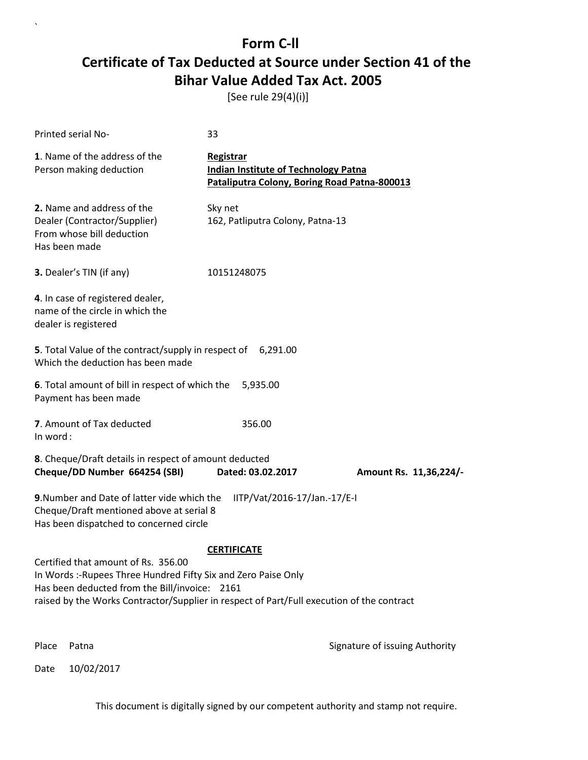[See rule 29(4)(i)]

| <b>Printed serial No-</b>                                                                                                                                                                                                                          | 33                                                                                                       |                                |
|----------------------------------------------------------------------------------------------------------------------------------------------------------------------------------------------------------------------------------------------------|----------------------------------------------------------------------------------------------------------|--------------------------------|
| 1. Name of the address of the<br>Person making deduction                                                                                                                                                                                           | Registrar<br><b>Indian Institute of Technology Patna</b><br>Pataliputra Colony, Boring Road Patna-800013 |                                |
| 2. Name and address of the<br>Dealer (Contractor/Supplier)<br>From whose bill deduction<br>Has been made                                                                                                                                           | Sky net<br>162, Patliputra Colony, Patna-13                                                              |                                |
| 3. Dealer's TIN (if any)                                                                                                                                                                                                                           | 10151248075                                                                                              |                                |
| 4. In case of registered dealer,<br>name of the circle in which the<br>dealer is registered                                                                                                                                                        |                                                                                                          |                                |
| 5. Total Value of the contract/supply in respect of 6,291.00<br>Which the deduction has been made                                                                                                                                                  |                                                                                                          |                                |
| 6. Total amount of bill in respect of which the<br>Payment has been made                                                                                                                                                                           | 5,935.00                                                                                                 |                                |
| 7. Amount of Tax deducted<br>In word:                                                                                                                                                                                                              | 356.00                                                                                                   |                                |
| 8. Cheque/Draft details in respect of amount deducted<br>Cheque/DD Number 664254 (SBI)                                                                                                                                                             | Dated: 03.02.2017                                                                                        | Amount Rs. 11,36,224/-         |
| 9. Number and Date of latter vide which the<br>Cheque/Draft mentioned above at serial 8<br>Has been dispatched to concerned circle                                                                                                                 | IITP/Vat/2016-17/Jan.-17/E-I                                                                             |                                |
|                                                                                                                                                                                                                                                    | <b>CERTIFICATE</b>                                                                                       |                                |
| Certified that amount of Rs. 356.00<br>In Words :-Rupees Three Hundred Fifty Six and Zero Paise Only<br>Has been deducted from the Bill/invoice: 2161<br>raised by the Works Contractor/Supplier in respect of Part/Full execution of the contract |                                                                                                          |                                |
| Place<br>Patna                                                                                                                                                                                                                                     |                                                                                                          | Signature of issuing Authority |

Date 10/02/2017

`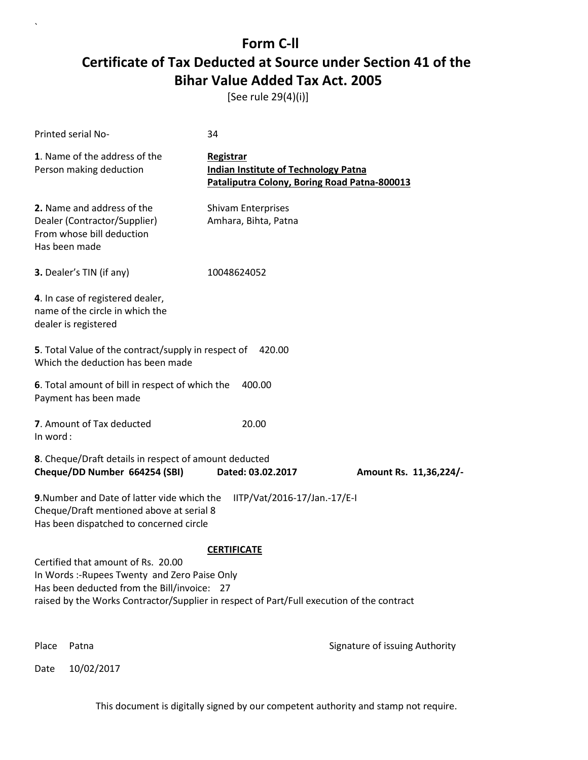[See rule 29(4)(i)]

| Printed serial No-                                                                                                                                                                                                              | 34                                                                                                       |                                |
|---------------------------------------------------------------------------------------------------------------------------------------------------------------------------------------------------------------------------------|----------------------------------------------------------------------------------------------------------|--------------------------------|
| 1. Name of the address of the<br>Person making deduction                                                                                                                                                                        | Registrar<br><b>Indian Institute of Technology Patna</b><br>Pataliputra Colony, Boring Road Patna-800013 |                                |
| 2. Name and address of the<br>Dealer (Contractor/Supplier)<br>From whose bill deduction<br>Has been made                                                                                                                        | <b>Shivam Enterprises</b><br>Amhara, Bihta, Patna                                                        |                                |
| 3. Dealer's TIN (if any)                                                                                                                                                                                                        | 10048624052                                                                                              |                                |
| 4. In case of registered dealer,<br>name of the circle in which the<br>dealer is registered                                                                                                                                     |                                                                                                          |                                |
| 5. Total Value of the contract/supply in respect of<br>Which the deduction has been made                                                                                                                                        | 420.00                                                                                                   |                                |
| 6. Total amount of bill in respect of which the<br>Payment has been made                                                                                                                                                        | 400.00                                                                                                   |                                |
| 7. Amount of Tax deducted<br>In word:                                                                                                                                                                                           | 20.00                                                                                                    |                                |
| 8. Cheque/Draft details in respect of amount deducted<br>Cheque/DD Number 664254 (SBI)                                                                                                                                          | Dated: 03.02.2017                                                                                        | Amount Rs. 11,36,224/-         |
| 9. Number and Date of latter vide which the<br>Cheque/Draft mentioned above at serial 8<br>Has been dispatched to concerned circle                                                                                              | IITP/Vat/2016-17/Jan.-17/E-I                                                                             |                                |
|                                                                                                                                                                                                                                 | <b>CERTIFICATE</b>                                                                                       |                                |
| Certified that amount of Rs. 20.00<br>In Words :- Rupees Twenty and Zero Paise Only<br>Has been deducted from the Bill/invoice: 27<br>raised by the Works Contractor/Supplier in respect of Part/Full execution of the contract |                                                                                                          |                                |
| Place<br>Patna                                                                                                                                                                                                                  |                                                                                                          | Signature of issuing Authority |

Date 10/02/2017

`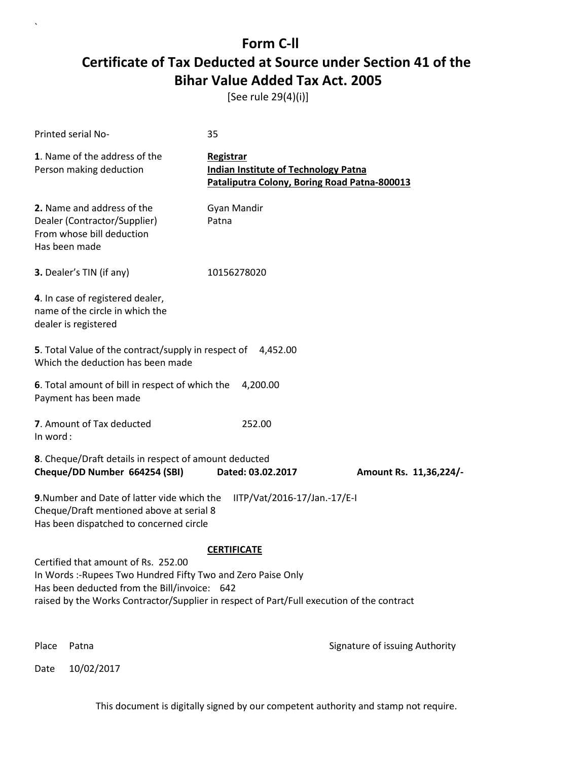[See rule 29(4)(i)]

| <b>Printed serial No-</b>                                                                                                                                                                                                                       | 35                                                                                                       |                                |
|-------------------------------------------------------------------------------------------------------------------------------------------------------------------------------------------------------------------------------------------------|----------------------------------------------------------------------------------------------------------|--------------------------------|
| 1. Name of the address of the<br>Person making deduction                                                                                                                                                                                        | Registrar<br><b>Indian Institute of Technology Patna</b><br>Pataliputra Colony, Boring Road Patna-800013 |                                |
| 2. Name and address of the<br>Dealer (Contractor/Supplier)<br>From whose bill deduction<br>Has been made                                                                                                                                        | Gyan Mandir<br>Patna                                                                                     |                                |
| 3. Dealer's TIN (if any)                                                                                                                                                                                                                        | 10156278020                                                                                              |                                |
| 4. In case of registered dealer,<br>name of the circle in which the<br>dealer is registered                                                                                                                                                     |                                                                                                          |                                |
| 5. Total Value of the contract/supply in respect of 4,452.00<br>Which the deduction has been made                                                                                                                                               |                                                                                                          |                                |
| 6. Total amount of bill in respect of which the<br>Payment has been made                                                                                                                                                                        | 4,200.00                                                                                                 |                                |
| 7. Amount of Tax deducted<br>In word:                                                                                                                                                                                                           | 252.00                                                                                                   |                                |
| 8. Cheque/Draft details in respect of amount deducted<br>Cheque/DD Number 664254 (SBI)                                                                                                                                                          | Dated: 03.02.2017                                                                                        | Amount Rs. 11,36,224/-         |
| 9. Number and Date of latter vide which the<br>Cheque/Draft mentioned above at serial 8<br>Has been dispatched to concerned circle                                                                                                              | IITP/Vat/2016-17/Jan.-17/E-I                                                                             |                                |
|                                                                                                                                                                                                                                                 | <b>CERTIFICATE</b>                                                                                       |                                |
| Certified that amount of Rs. 252.00<br>In Words :-Rupees Two Hundred Fifty Two and Zero Paise Only<br>Has been deducted from the Bill/invoice: 642<br>raised by the Works Contractor/Supplier in respect of Part/Full execution of the contract |                                                                                                          |                                |
| Place<br>Patna                                                                                                                                                                                                                                  |                                                                                                          | Signature of issuing Authority |

Date 10/02/2017

`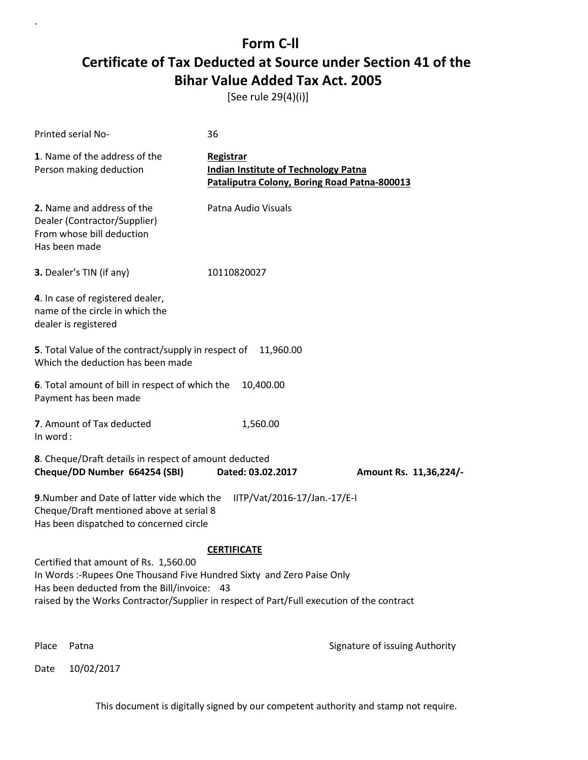[See rule 29(4)(i)]

| Printed serial No-                                                                                                                                                                                                                                          | 36                                                                                                       |                                |
|-------------------------------------------------------------------------------------------------------------------------------------------------------------------------------------------------------------------------------------------------------------|----------------------------------------------------------------------------------------------------------|--------------------------------|
| 1. Name of the address of the<br>Person making deduction                                                                                                                                                                                                    | Registrar<br><b>Indian Institute of Technology Patna</b><br>Pataliputra Colony, Boring Road Patna-800013 |                                |
| 2. Name and address of the<br>Dealer (Contractor/Supplier)<br>From whose bill deduction<br>Has been made                                                                                                                                                    | Patna Audio Visuals                                                                                      |                                |
| 3. Dealer's TIN (if any)                                                                                                                                                                                                                                    | 10110820027                                                                                              |                                |
| 4. In case of registered dealer,<br>name of the circle in which the<br>dealer is registered                                                                                                                                                                 |                                                                                                          |                                |
| 5. Total Value of the contract/supply in respect of<br>Which the deduction has been made                                                                                                                                                                    | 11,960.00                                                                                                |                                |
| 6. Total amount of bill in respect of which the<br>Payment has been made                                                                                                                                                                                    | 10,400.00                                                                                                |                                |
| 7. Amount of Tax deducted<br>In word:                                                                                                                                                                                                                       | 1,560.00                                                                                                 |                                |
| 8. Cheque/Draft details in respect of amount deducted<br>Cheque/DD Number 664254 (SBI)                                                                                                                                                                      | Dated: 03.02.2017                                                                                        | Amount Rs. 11,36,224/-         |
| 9. Number and Date of latter vide which the<br>Cheque/Draft mentioned above at serial 8<br>Has been dispatched to concerned circle                                                                                                                          | IITP/Vat/2016-17/Jan.-17/E-I                                                                             |                                |
|                                                                                                                                                                                                                                                             | <b>CERTIFICATE</b>                                                                                       |                                |
| Certified that amount of Rs. 1,560.00<br>In Words :- Rupees One Thousand Five Hundred Sixty and Zero Paise Only<br>Has been deducted from the Bill/invoice: 43<br>raised by the Works Contractor/Supplier in respect of Part/Full execution of the contract |                                                                                                          |                                |
| Place<br>Patna                                                                                                                                                                                                                                              |                                                                                                          | Signature of issuing Authority |

Date 10/02/2017

`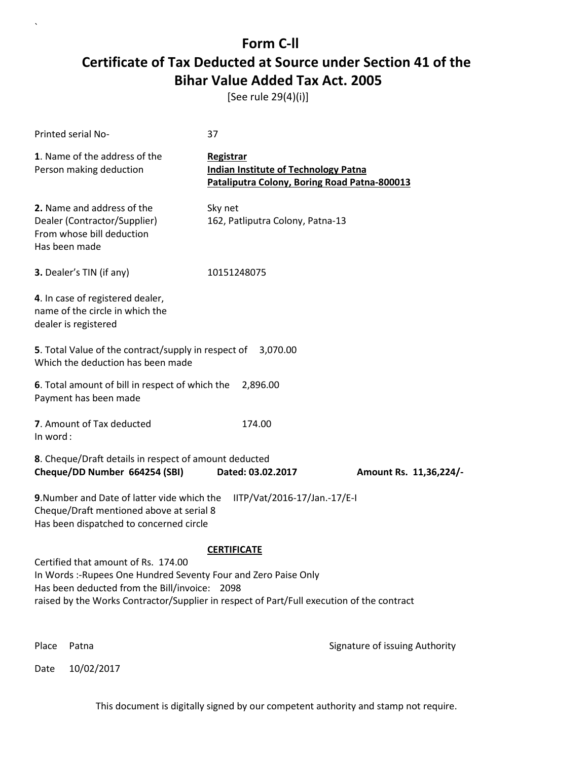[See rule 29(4)(i)]

| Printed serial No-                                                                                                                                                                                                                                   | 37                                                                                                       |                                |
|------------------------------------------------------------------------------------------------------------------------------------------------------------------------------------------------------------------------------------------------------|----------------------------------------------------------------------------------------------------------|--------------------------------|
| 1. Name of the address of the<br>Person making deduction                                                                                                                                                                                             | Registrar<br><b>Indian Institute of Technology Patna</b><br>Pataliputra Colony, Boring Road Patna-800013 |                                |
| 2. Name and address of the<br>Dealer (Contractor/Supplier)<br>From whose bill deduction<br>Has been made                                                                                                                                             | Sky net<br>162, Patliputra Colony, Patna-13                                                              |                                |
| 3. Dealer's TIN (if any)                                                                                                                                                                                                                             | 10151248075                                                                                              |                                |
| 4. In case of registered dealer,<br>name of the circle in which the<br>dealer is registered                                                                                                                                                          |                                                                                                          |                                |
| <b>5</b> . Total Value of the contract/supply in respect of<br>Which the deduction has been made                                                                                                                                                     | 3,070.00                                                                                                 |                                |
| 6. Total amount of bill in respect of which the<br>Payment has been made                                                                                                                                                                             | 2,896.00                                                                                                 |                                |
| 7. Amount of Tax deducted<br>In word:                                                                                                                                                                                                                | 174.00                                                                                                   |                                |
| 8. Cheque/Draft details in respect of amount deducted<br>Cheque/DD Number 664254 (SBI)                                                                                                                                                               | Dated: 03.02.2017                                                                                        | Amount Rs. 11,36,224/-         |
| 9. Number and Date of latter vide which the<br>Cheque/Draft mentioned above at serial 8<br>Has been dispatched to concerned circle                                                                                                                   | IITP/Vat/2016-17/Jan.-17/E-I                                                                             |                                |
|                                                                                                                                                                                                                                                      | <b>CERTIFICATE</b>                                                                                       |                                |
| Certified that amount of Rs. 174.00<br>In Words :- Rupees One Hundred Seventy Four and Zero Paise Only<br>Has been deducted from the Bill/invoice: 2098<br>raised by the Works Contractor/Supplier in respect of Part/Full execution of the contract |                                                                                                          |                                |
| Place<br>Patna                                                                                                                                                                                                                                       |                                                                                                          | Signature of issuing Authority |

Date 10/02/2017

`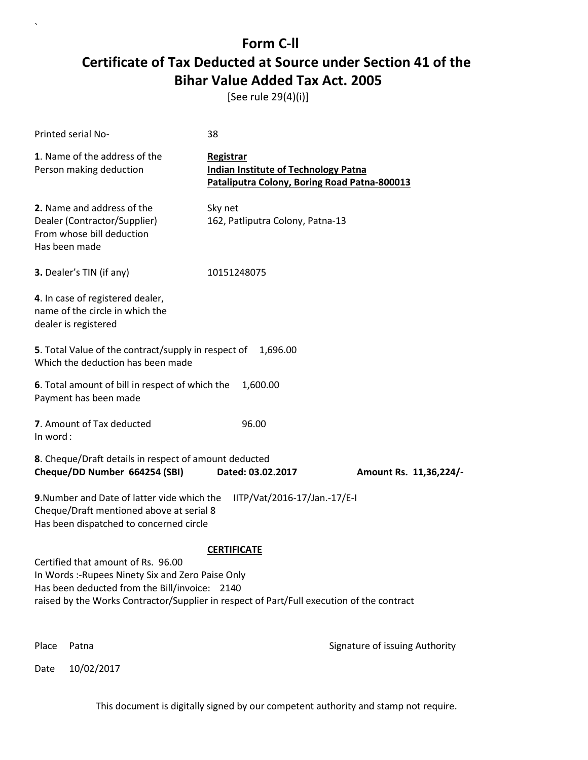[See rule 29(4)(i)]

| Printed serial No-                                                                                                                                                                                                                                          | 38                                                                                                       |                                |
|-------------------------------------------------------------------------------------------------------------------------------------------------------------------------------------------------------------------------------------------------------------|----------------------------------------------------------------------------------------------------------|--------------------------------|
| 1. Name of the address of the<br>Person making deduction                                                                                                                                                                                                    | Registrar<br><b>Indian Institute of Technology Patna</b><br>Pataliputra Colony, Boring Road Patna-800013 |                                |
| 2. Name and address of the<br>Dealer (Contractor/Supplier)<br>From whose bill deduction<br>Has been made                                                                                                                                                    | Sky net<br>162, Patliputra Colony, Patna-13                                                              |                                |
| <b>3.</b> Dealer's TIN (if any)                                                                                                                                                                                                                             | 10151248075                                                                                              |                                |
| 4. In case of registered dealer,<br>name of the circle in which the<br>dealer is registered                                                                                                                                                                 |                                                                                                          |                                |
| 5. Total Value of the contract/supply in respect of<br>Which the deduction has been made                                                                                                                                                                    | 1,696.00                                                                                                 |                                |
| 6. Total amount of bill in respect of which the<br>Payment has been made                                                                                                                                                                                    | 1,600.00                                                                                                 |                                |
| 7. Amount of Tax deducted<br>In word:                                                                                                                                                                                                                       | 96.00                                                                                                    |                                |
| 8. Cheque/Draft details in respect of amount deducted<br>Cheque/DD Number 664254 (SBI)                                                                                                                                                                      | Dated: 03.02.2017                                                                                        | Amount Rs. 11,36,224/-         |
| 9. Number and Date of latter vide which the<br>Cheque/Draft mentioned above at serial 8<br>Has been dispatched to concerned circle                                                                                                                          | IITP/Vat/2016-17/Jan.-17/E-I                                                                             |                                |
| <b>CERTIFICATE</b><br>Certified that amount of Rs. 96.00<br>In Words :- Rupees Ninety Six and Zero Paise Only<br>Has been deducted from the Bill/invoice: 2140<br>raised by the Works Contractor/Supplier in respect of Part/Full execution of the contract |                                                                                                          |                                |
| Place<br>Patna                                                                                                                                                                                                                                              |                                                                                                          | Signature of issuing Authority |

Date 10/02/2017

`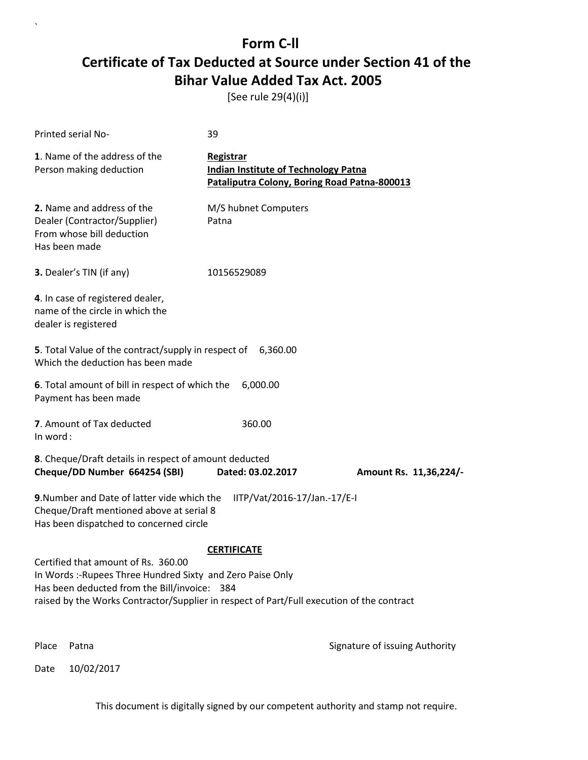[See rule 29(4)(i)]

| Printed serial No-                                                                                                                                                                                                                             | 39                                                                                                       |                                |
|------------------------------------------------------------------------------------------------------------------------------------------------------------------------------------------------------------------------------------------------|----------------------------------------------------------------------------------------------------------|--------------------------------|
| 1. Name of the address of the<br>Person making deduction                                                                                                                                                                                       | Registrar<br><b>Indian Institute of Technology Patna</b><br>Pataliputra Colony, Boring Road Patna-800013 |                                |
| 2. Name and address of the<br>Dealer (Contractor/Supplier)<br>From whose bill deduction<br>Has been made                                                                                                                                       | M/S hubnet Computers<br>Patna                                                                            |                                |
| 3. Dealer's TIN (if any)                                                                                                                                                                                                                       | 10156529089                                                                                              |                                |
| 4. In case of registered dealer,<br>name of the circle in which the<br>dealer is registered                                                                                                                                                    |                                                                                                          |                                |
| 5. Total Value of the contract/supply in respect of 6,360.00<br>Which the deduction has been made                                                                                                                                              |                                                                                                          |                                |
| 6. Total amount of bill in respect of which the<br>Payment has been made                                                                                                                                                                       | 6,000.00                                                                                                 |                                |
| 7. Amount of Tax deducted<br>In word:                                                                                                                                                                                                          | 360.00                                                                                                   |                                |
| 8. Cheque/Draft details in respect of amount deducted<br>Cheque/DD Number 664254 (SBI)                                                                                                                                                         | Dated: 03.02.2017                                                                                        | Amount Rs. 11,36,224/-         |
| 9. Number and Date of latter vide which the<br>Cheque/Draft mentioned above at serial 8<br>Has been dispatched to concerned circle                                                                                                             | IITP/Vat/2016-17/Jan.-17/E-I                                                                             |                                |
| Certified that amount of Rs. 360.00<br>In Words :- Rupees Three Hundred Sixty and Zero Paise Only<br>Has been deducted from the Bill/invoice: 384<br>raised by the Works Contractor/Supplier in respect of Part/Full execution of the contract | <b>CERTIFICATE</b>                                                                                       |                                |
| Place<br>Patna                                                                                                                                                                                                                                 |                                                                                                          | Signature of issuing Authority |

Date 10/02/2017

`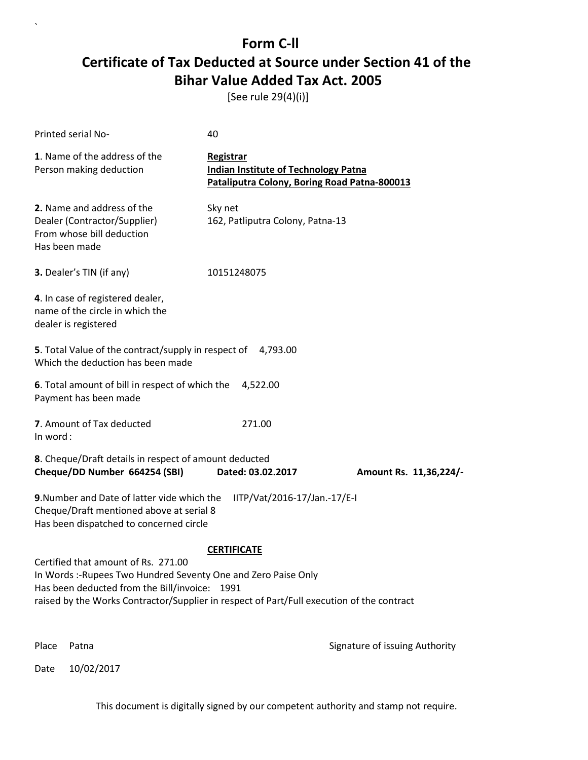[See rule 29(4)(i)]

| Printed serial No-                                                                                                                                                                                                                                  | 40                                                                                                       |                                |
|-----------------------------------------------------------------------------------------------------------------------------------------------------------------------------------------------------------------------------------------------------|----------------------------------------------------------------------------------------------------------|--------------------------------|
| 1. Name of the address of the<br>Person making deduction                                                                                                                                                                                            | Registrar<br><b>Indian Institute of Technology Patna</b><br>Pataliputra Colony, Boring Road Patna-800013 |                                |
| 2. Name and address of the<br>Dealer (Contractor/Supplier)<br>From whose bill deduction<br>Has been made                                                                                                                                            | Sky net<br>162, Patliputra Colony, Patna-13                                                              |                                |
| 3. Dealer's TIN (if any)                                                                                                                                                                                                                            | 10151248075                                                                                              |                                |
| 4. In case of registered dealer,<br>name of the circle in which the<br>dealer is registered                                                                                                                                                         |                                                                                                          |                                |
| 5. Total Value of the contract/supply in respect of 4,793.00<br>Which the deduction has been made                                                                                                                                                   |                                                                                                          |                                |
| 6. Total amount of bill in respect of which the<br>Payment has been made                                                                                                                                                                            | 4,522.00                                                                                                 |                                |
| 7. Amount of Tax deducted<br>In word:                                                                                                                                                                                                               | 271.00                                                                                                   |                                |
| 8. Cheque/Draft details in respect of amount deducted<br>Cheque/DD Number 664254 (SBI)                                                                                                                                                              | Dated: 03.02.2017                                                                                        | Amount Rs. 11,36,224/-         |
| 9. Number and Date of latter vide which the<br>Cheque/Draft mentioned above at serial 8<br>Has been dispatched to concerned circle                                                                                                                  | IITP/Vat/2016-17/Jan.-17/E-I                                                                             |                                |
|                                                                                                                                                                                                                                                     | <b>CERTIFICATE</b>                                                                                       |                                |
| Certified that amount of Rs. 271.00<br>In Words :- Rupees Two Hundred Seventy One and Zero Paise Only<br>Has been deducted from the Bill/invoice: 1991<br>raised by the Works Contractor/Supplier in respect of Part/Full execution of the contract |                                                                                                          |                                |
| Place<br>Patna                                                                                                                                                                                                                                      |                                                                                                          | Signature of issuing Authority |

Date 10/02/2017

`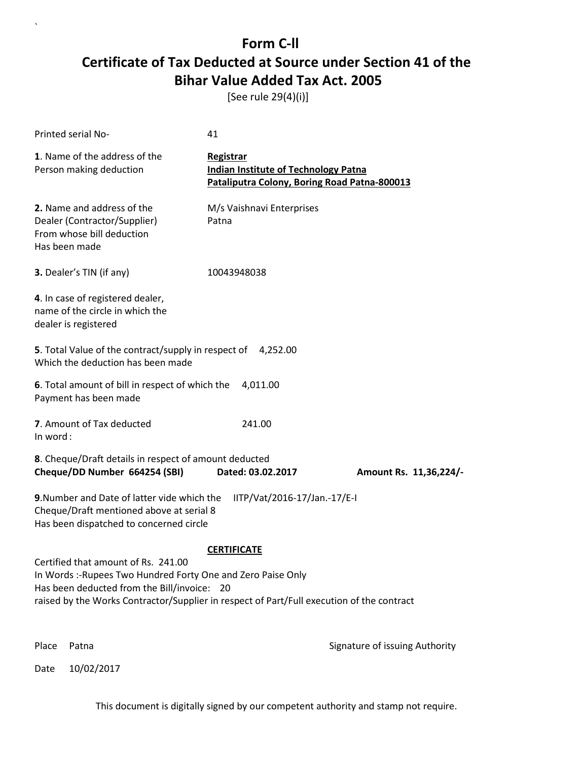[See rule 29(4)(i)]

| <b>Printed serial No-</b>                                                                                                                                                                                                                       | 41                                                                                                       |                                |
|-------------------------------------------------------------------------------------------------------------------------------------------------------------------------------------------------------------------------------------------------|----------------------------------------------------------------------------------------------------------|--------------------------------|
| 1. Name of the address of the<br>Person making deduction                                                                                                                                                                                        | Registrar<br><b>Indian Institute of Technology Patna</b><br>Pataliputra Colony, Boring Road Patna-800013 |                                |
| 2. Name and address of the<br>Dealer (Contractor/Supplier)<br>From whose bill deduction<br>Has been made                                                                                                                                        | M/s Vaishnavi Enterprises<br>Patna                                                                       |                                |
| 3. Dealer's TIN (if any)                                                                                                                                                                                                                        | 10043948038                                                                                              |                                |
| 4. In case of registered dealer,<br>name of the circle in which the<br>dealer is registered                                                                                                                                                     |                                                                                                          |                                |
| 5. Total Value of the contract/supply in respect of 4,252.00<br>Which the deduction has been made                                                                                                                                               |                                                                                                          |                                |
| 6. Total amount of bill in respect of which the<br>Payment has been made                                                                                                                                                                        | 4,011.00                                                                                                 |                                |
| 7. Amount of Tax deducted<br>In word:                                                                                                                                                                                                           | 241.00                                                                                                   |                                |
| 8. Cheque/Draft details in respect of amount deducted<br>Cheque/DD Number 664254 (SBI)                                                                                                                                                          | Dated: 03.02.2017                                                                                        | Amount Rs. 11,36,224/-         |
| 9. Number and Date of latter vide which the<br>Cheque/Draft mentioned above at serial 8<br>Has been dispatched to concerned circle                                                                                                              | IITP/Vat/2016-17/Jan.-17/E-I                                                                             |                                |
|                                                                                                                                                                                                                                                 | <b>CERTIFICATE</b>                                                                                       |                                |
| Certified that amount of Rs. 241.00<br>In Words :- Rupees Two Hundred Forty One and Zero Paise Only<br>Has been deducted from the Bill/invoice: 20<br>raised by the Works Contractor/Supplier in respect of Part/Full execution of the contract |                                                                                                          |                                |
| Place<br>Patna                                                                                                                                                                                                                                  |                                                                                                          | Signature of issuing Authority |

Date 10/02/2017

`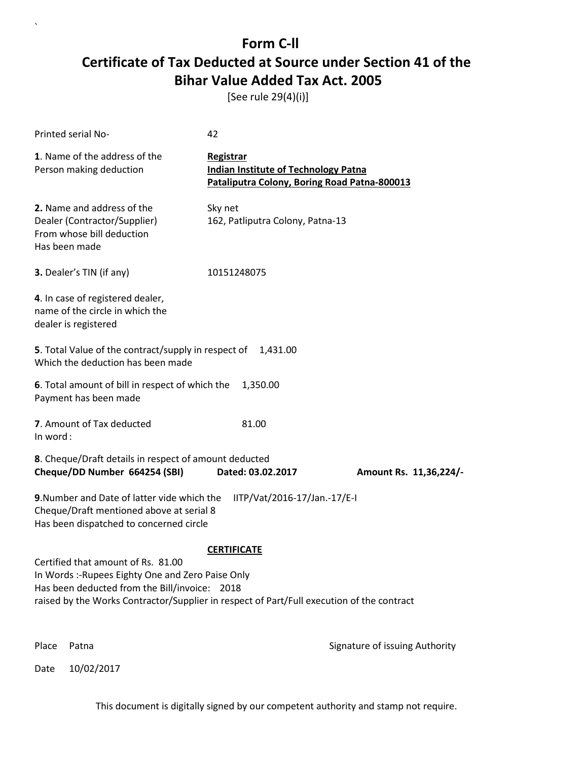[See rule 29(4)(i)]

`

Date 10/02/2017

| <b>Printed serial No-</b>                                                                                                                                                                                                                                   | 42                                                                                                       |                                |
|-------------------------------------------------------------------------------------------------------------------------------------------------------------------------------------------------------------------------------------------------------------|----------------------------------------------------------------------------------------------------------|--------------------------------|
| 1. Name of the address of the<br>Person making deduction                                                                                                                                                                                                    | Registrar<br><b>Indian Institute of Technology Patna</b><br>Pataliputra Colony, Boring Road Patna-800013 |                                |
| 2. Name and address of the<br>Dealer (Contractor/Supplier)<br>From whose bill deduction<br>Has been made                                                                                                                                                    | Sky net<br>162, Patliputra Colony, Patna-13                                                              |                                |
| 3. Dealer's TIN (if any)                                                                                                                                                                                                                                    | 10151248075                                                                                              |                                |
| 4. In case of registered dealer,<br>name of the circle in which the<br>dealer is registered                                                                                                                                                                 |                                                                                                          |                                |
| 5. Total Value of the contract/supply in respect of 1,431.00<br>Which the deduction has been made                                                                                                                                                           |                                                                                                          |                                |
| 6. Total amount of bill in respect of which the<br>Payment has been made                                                                                                                                                                                    | 1,350.00                                                                                                 |                                |
| 7. Amount of Tax deducted<br>In word:                                                                                                                                                                                                                       | 81.00                                                                                                    |                                |
| 8. Cheque/Draft details in respect of amount deducted<br>Cheque/DD Number 664254 (SBI)                                                                                                                                                                      | Dated: 03.02.2017                                                                                        | Amount Rs. 11,36,224/-         |
| 9. Number and Date of latter vide which the<br>Cheque/Draft mentioned above at serial 8<br>Has been dispatched to concerned circle                                                                                                                          | IITP/Vat/2016-17/Jan.-17/E-I                                                                             |                                |
| <b>CERTIFICATE</b><br>Certified that amount of Rs. 81.00<br>In Words :- Rupees Eighty One and Zero Paise Only<br>Has been deducted from the Bill/invoice: 2018<br>raised by the Works Contractor/Supplier in respect of Part/Full execution of the contract |                                                                                                          |                                |
| Place<br>Patna                                                                                                                                                                                                                                              |                                                                                                          | Signature of issuing Authority |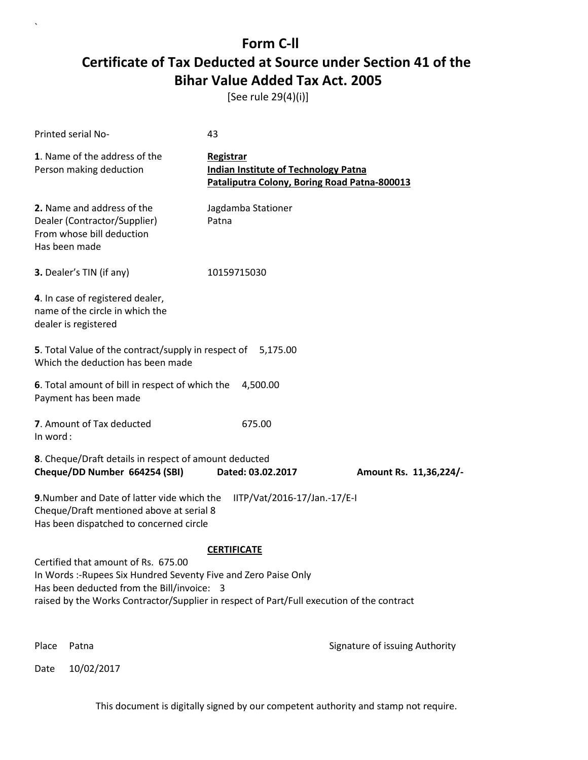[See rule 29(4)(i)]

| <b>Printed serial No-</b>                                                                                                                                                                                                                         | 43                                                                                                       |                                |
|---------------------------------------------------------------------------------------------------------------------------------------------------------------------------------------------------------------------------------------------------|----------------------------------------------------------------------------------------------------------|--------------------------------|
| 1. Name of the address of the<br>Person making deduction                                                                                                                                                                                          | Registrar<br><b>Indian Institute of Technology Patna</b><br>Pataliputra Colony, Boring Road Patna-800013 |                                |
| 2. Name and address of the<br>Dealer (Contractor/Supplier)<br>From whose bill deduction<br>Has been made                                                                                                                                          | Jagdamba Stationer<br>Patna                                                                              |                                |
| 3. Dealer's TIN (if any)                                                                                                                                                                                                                          | 10159715030                                                                                              |                                |
| 4. In case of registered dealer,<br>name of the circle in which the<br>dealer is registered                                                                                                                                                       |                                                                                                          |                                |
| 5. Total Value of the contract/supply in respect of 5,175.00<br>Which the deduction has been made                                                                                                                                                 |                                                                                                          |                                |
| 6. Total amount of bill in respect of which the<br>Payment has been made                                                                                                                                                                          | 4,500.00                                                                                                 |                                |
| 7. Amount of Tax deducted<br>In word:                                                                                                                                                                                                             | 675.00                                                                                                   |                                |
| 8. Cheque/Draft details in respect of amount deducted<br>Cheque/DD Number 664254 (SBI)                                                                                                                                                            | Dated: 03.02.2017                                                                                        | Amount Rs. 11,36,224/-         |
| 9. Number and Date of latter vide which the<br>Cheque/Draft mentioned above at serial 8<br>Has been dispatched to concerned circle                                                                                                                | IITP/Vat/2016-17/Jan.-17/E-I                                                                             |                                |
| Certified that amount of Rs. 675.00<br>In Words :- Rupees Six Hundred Seventy Five and Zero Paise Only<br>Has been deducted from the Bill/invoice: 3<br>raised by the Works Contractor/Supplier in respect of Part/Full execution of the contract | <b>CERTIFICATE</b>                                                                                       |                                |
| Place<br>Patna                                                                                                                                                                                                                                    |                                                                                                          | Signature of issuing Authority |

Date 10/02/2017

`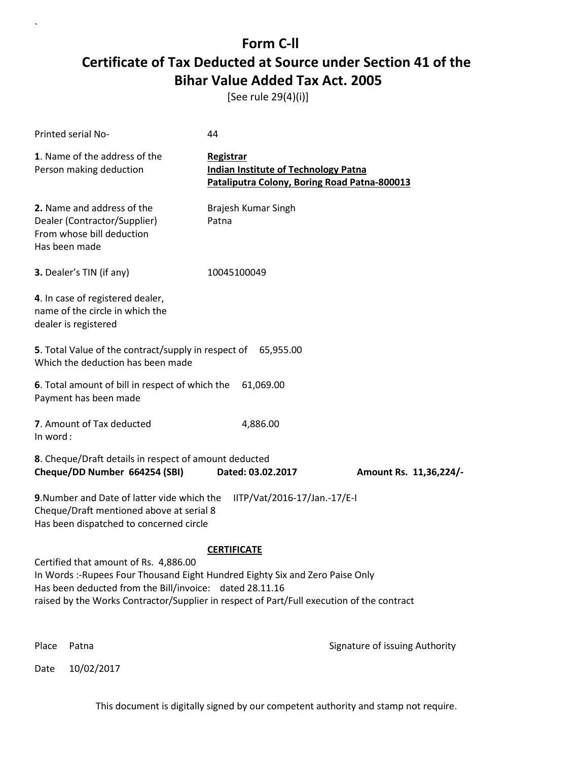[See rule 29(4)(i)]

| <b>Printed serial No-</b>                                                                                                                                                                                                                                                                           | 44                                                                                                       |                                |
|-----------------------------------------------------------------------------------------------------------------------------------------------------------------------------------------------------------------------------------------------------------------------------------------------------|----------------------------------------------------------------------------------------------------------|--------------------------------|
| 1. Name of the address of the<br>Person making deduction                                                                                                                                                                                                                                            | Registrar<br><b>Indian Institute of Technology Patna</b><br>Pataliputra Colony, Boring Road Patna-800013 |                                |
| 2. Name and address of the<br>Dealer (Contractor/Supplier)<br>From whose bill deduction<br>Has been made                                                                                                                                                                                            | Brajesh Kumar Singh<br>Patna                                                                             |                                |
| 3. Dealer's TIN (if any)                                                                                                                                                                                                                                                                            | 10045100049                                                                                              |                                |
| 4. In case of registered dealer,<br>name of the circle in which the<br>dealer is registered                                                                                                                                                                                                         |                                                                                                          |                                |
| 5. Total Value of the contract/supply in respect of 65,955.00<br>Which the deduction has been made                                                                                                                                                                                                  |                                                                                                          |                                |
| 6. Total amount of bill in respect of which the<br>Payment has been made                                                                                                                                                                                                                            | 61,069.00                                                                                                |                                |
| 7. Amount of Tax deducted<br>In word:                                                                                                                                                                                                                                                               | 4,886.00                                                                                                 |                                |
| 8. Cheque/Draft details in respect of amount deducted<br>Cheque/DD Number 664254 (SBI)                                                                                                                                                                                                              | Dated: 03.02.2017                                                                                        | Amount Rs. 11,36,224/-         |
| 9. Number and Date of latter vide which the<br>Cheque/Draft mentioned above at serial 8<br>Has been dispatched to concerned circle                                                                                                                                                                  | IITP/Vat/2016-17/Jan.-17/E-I                                                                             |                                |
| <b>CERTIFICATE</b><br>Certified that amount of Rs. 4,886.00<br>In Words: -Rupees Four Thousand Eight Hundred Eighty Six and Zero Paise Only<br>Has been deducted from the Bill/invoice: dated 28.11.16<br>raised by the Works Contractor/Supplier in respect of Part/Full execution of the contract |                                                                                                          |                                |
| Place<br>Patna                                                                                                                                                                                                                                                                                      |                                                                                                          | Signature of issuing Authority |

Date 10/02/2017

`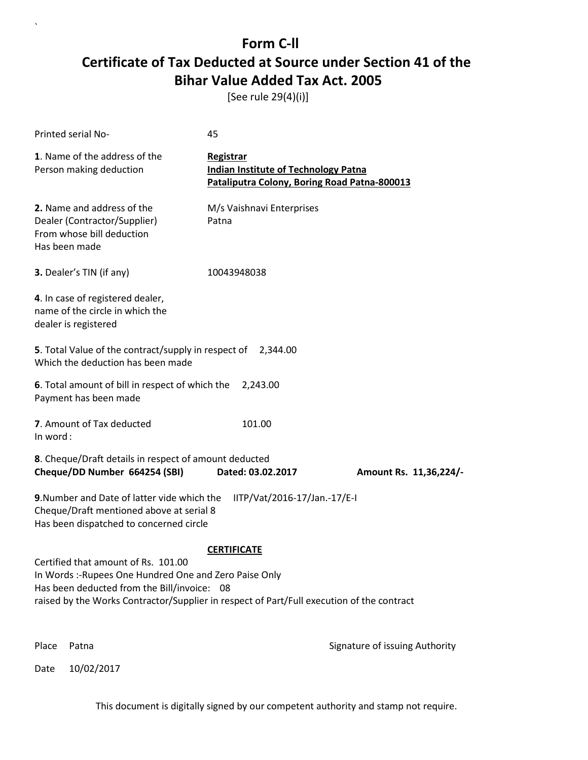[See rule 29(4)(i)]

| Printed serial No-                                                                                                                                                                                                                        | 45                                                                                                              |                                |
|-------------------------------------------------------------------------------------------------------------------------------------------------------------------------------------------------------------------------------------------|-----------------------------------------------------------------------------------------------------------------|--------------------------------|
| 1. Name of the address of the<br>Person making deduction                                                                                                                                                                                  | <b>Registrar</b><br><b>Indian Institute of Technology Patna</b><br>Pataliputra Colony, Boring Road Patna-800013 |                                |
| 2. Name and address of the<br>Dealer (Contractor/Supplier)<br>From whose bill deduction<br>Has been made                                                                                                                                  | M/s Vaishnavi Enterprises<br>Patna                                                                              |                                |
| 3. Dealer's TIN (if any)                                                                                                                                                                                                                  | 10043948038                                                                                                     |                                |
| 4. In case of registered dealer,<br>name of the circle in which the<br>dealer is registered                                                                                                                                               |                                                                                                                 |                                |
| 5. Total Value of the contract/supply in respect of 2,344.00<br>Which the deduction has been made                                                                                                                                         |                                                                                                                 |                                |
| 6. Total amount of bill in respect of which the<br>Payment has been made                                                                                                                                                                  | 2,243.00                                                                                                        |                                |
| 7. Amount of Tax deducted<br>In word:                                                                                                                                                                                                     | 101.00                                                                                                          |                                |
| 8. Cheque/Draft details in respect of amount deducted<br>Cheque/DD Number 664254 (SBI)                                                                                                                                                    | Dated: 03.02.2017                                                                                               | Amount Rs. 11,36,224/-         |
| 9. Number and Date of latter vide which the<br>Cheque/Draft mentioned above at serial 8<br>Has been dispatched to concerned circle                                                                                                        | IITP/Vat/2016-17/Jan.-17/E-I                                                                                    |                                |
|                                                                                                                                                                                                                                           | <b>CERTIFICATE</b>                                                                                              |                                |
| Certified that amount of Rs. 101.00<br>In Words: - Rupees One Hundred One and Zero Paise Only<br>Has been deducted from the Bill/invoice: 08<br>raised by the Works Contractor/Supplier in respect of Part/Full execution of the contract |                                                                                                                 |                                |
| Place<br>Patna                                                                                                                                                                                                                            |                                                                                                                 | Signature of issuing Authority |

Date 10/02/2017

`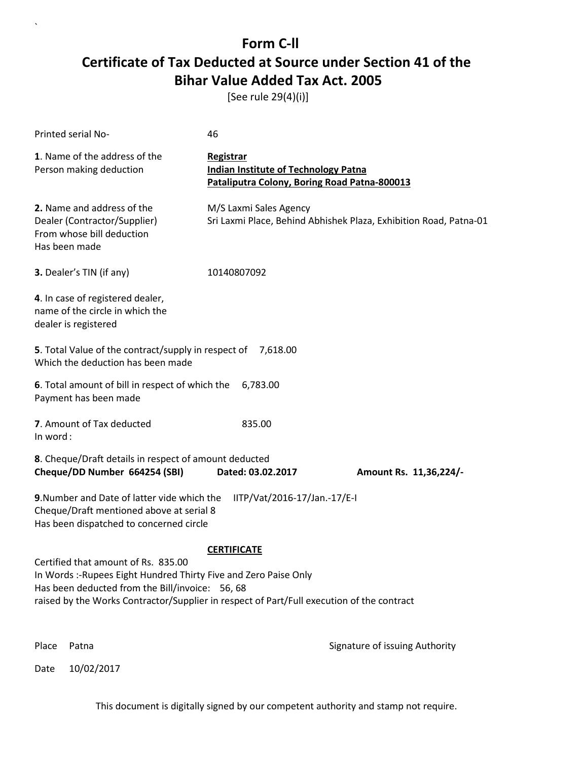[See rule 29(4)(i)]

`

Date 10/02/2017

| Printed serial No-                                                                                                                                                                                                                                                            | 46                                                                                                       |                                                                   |
|-------------------------------------------------------------------------------------------------------------------------------------------------------------------------------------------------------------------------------------------------------------------------------|----------------------------------------------------------------------------------------------------------|-------------------------------------------------------------------|
| 1. Name of the address of the<br>Person making deduction                                                                                                                                                                                                                      | Registrar<br><b>Indian Institute of Technology Patna</b><br>Pataliputra Colony, Boring Road Patna-800013 |                                                                   |
| 2. Name and address of the<br>Dealer (Contractor/Supplier)<br>From whose bill deduction<br>Has been made                                                                                                                                                                      | M/S Laxmi Sales Agency                                                                                   | Sri Laxmi Place, Behind Abhishek Plaza, Exhibition Road, Patna-01 |
| 3. Dealer's TIN (if any)                                                                                                                                                                                                                                                      | 10140807092                                                                                              |                                                                   |
| 4. In case of registered dealer,<br>name of the circle in which the<br>dealer is registered                                                                                                                                                                                   |                                                                                                          |                                                                   |
| 5. Total Value of the contract/supply in respect of 7,618.00<br>Which the deduction has been made                                                                                                                                                                             |                                                                                                          |                                                                   |
| 6. Total amount of bill in respect of which the<br>Payment has been made                                                                                                                                                                                                      | 6,783.00                                                                                                 |                                                                   |
| 7. Amount of Tax deducted<br>In word:                                                                                                                                                                                                                                         | 835.00                                                                                                   |                                                                   |
| 8. Cheque/Draft details in respect of amount deducted<br>Cheque/DD Number 664254 (SBI)                                                                                                                                                                                        | Dated: 03.02.2017                                                                                        | Amount Rs. 11,36,224/-                                            |
| 9. Number and Date of latter vide which the<br>Cheque/Draft mentioned above at serial 8<br>Has been dispatched to concerned circle                                                                                                                                            | IITP/Vat/2016-17/Jan.-17/E-I                                                                             |                                                                   |
| <b>CERTIFICATE</b><br>Certified that amount of Rs. 835.00<br>In Words :- Rupees Eight Hundred Thirty Five and Zero Paise Only<br>Has been deducted from the Bill/invoice: 56, 68<br>raised by the Works Contractor/Supplier in respect of Part/Full execution of the contract |                                                                                                          |                                                                   |
| Place<br>Patna                                                                                                                                                                                                                                                                |                                                                                                          | Signature of issuing Authority                                    |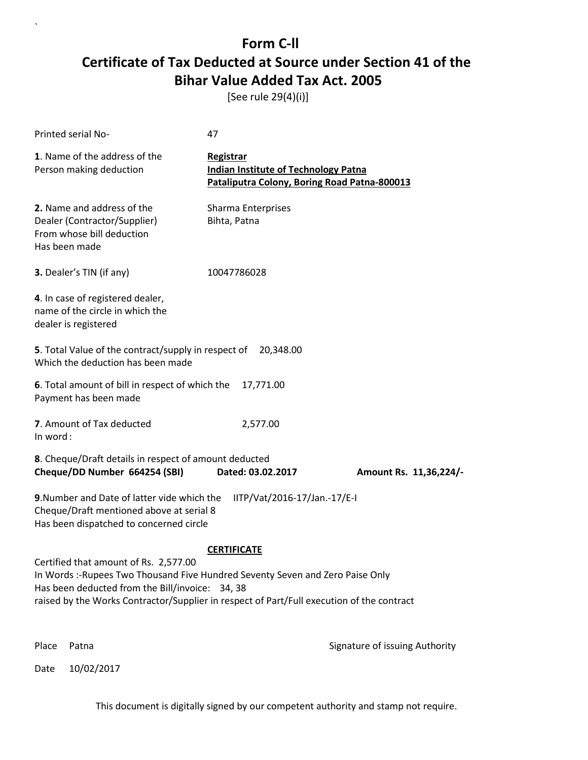[See rule 29(4)(i)]

| Printed serial No-                                                                                                                                                                                                                                                     | 47                                                                                                              |                                |
|------------------------------------------------------------------------------------------------------------------------------------------------------------------------------------------------------------------------------------------------------------------------|-----------------------------------------------------------------------------------------------------------------|--------------------------------|
| 1. Name of the address of the<br>Person making deduction                                                                                                                                                                                                               | <b>Registrar</b><br><b>Indian Institute of Technology Patna</b><br>Pataliputra Colony, Boring Road Patna-800013 |                                |
| 2. Name and address of the<br>Dealer (Contractor/Supplier)<br>From whose bill deduction<br>Has been made                                                                                                                                                               | Sharma Enterprises<br>Bihta, Patna                                                                              |                                |
| 3. Dealer's TIN (if any)                                                                                                                                                                                                                                               | 10047786028                                                                                                     |                                |
| 4. In case of registered dealer,<br>name of the circle in which the<br>dealer is registered                                                                                                                                                                            |                                                                                                                 |                                |
| 5. Total Value of the contract/supply in respect of<br>Which the deduction has been made                                                                                                                                                                               | 20,348.00                                                                                                       |                                |
| 6. Total amount of bill in respect of which the<br>Payment has been made                                                                                                                                                                                               | 17,771.00                                                                                                       |                                |
| 7. Amount of Tax deducted<br>In word:                                                                                                                                                                                                                                  | 2,577.00                                                                                                        |                                |
| 8. Cheque/Draft details in respect of amount deducted<br>Cheque/DD Number 664254 (SBI)                                                                                                                                                                                 | Dated: 03.02.2017                                                                                               | Amount Rs. 11,36,224/-         |
| 9. Number and Date of latter vide which the<br>Cheque/Draft mentioned above at serial 8<br>Has been dispatched to concerned circle                                                                                                                                     | IITP/Vat/2016-17/Jan.-17/E-I                                                                                    |                                |
|                                                                                                                                                                                                                                                                        | <b>CERTIFICATE</b>                                                                                              |                                |
| Certified that amount of Rs. 2,577.00<br>In Words :-Rupees Two Thousand Five Hundred Seventy Seven and Zero Paise Only<br>Has been deducted from the Bill/invoice: 34, 38<br>raised by the Works Contractor/Supplier in respect of Part/Full execution of the contract |                                                                                                                 |                                |
| Place<br>Patna                                                                                                                                                                                                                                                         |                                                                                                                 | Signature of issuing Authority |

Date 10/02/2017

`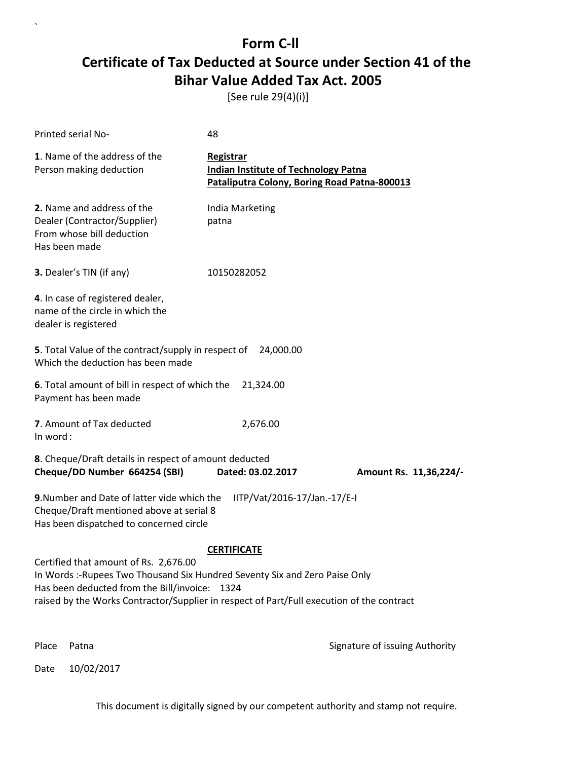[See rule 29(4)(i)]

| Printed serial No-                                                                                                                                                                                                                                               | 48                                                                                                              |                                |
|------------------------------------------------------------------------------------------------------------------------------------------------------------------------------------------------------------------------------------------------------------------|-----------------------------------------------------------------------------------------------------------------|--------------------------------|
| 1. Name of the address of the<br>Person making deduction                                                                                                                                                                                                         | <b>Registrar</b><br><b>Indian Institute of Technology Patna</b><br>Pataliputra Colony, Boring Road Patna-800013 |                                |
| 2. Name and address of the<br>Dealer (Contractor/Supplier)<br>From whose bill deduction<br>Has been made                                                                                                                                                         | India Marketing<br>patna                                                                                        |                                |
| 3. Dealer's TIN (if any)                                                                                                                                                                                                                                         | 10150282052                                                                                                     |                                |
| 4. In case of registered dealer,<br>name of the circle in which the<br>dealer is registered                                                                                                                                                                      |                                                                                                                 |                                |
| <b>5</b> . Total Value of the contract/supply in respect of<br>Which the deduction has been made                                                                                                                                                                 | 24,000.00                                                                                                       |                                |
| 6. Total amount of bill in respect of which the<br>Payment has been made                                                                                                                                                                                         | 21,324.00                                                                                                       |                                |
| 7. Amount of Tax deducted<br>In word:                                                                                                                                                                                                                            | 2,676.00                                                                                                        |                                |
| 8. Cheque/Draft details in respect of amount deducted<br>Cheque/DD Number 664254 (SBI)                                                                                                                                                                           | Dated: 03.02.2017                                                                                               | Amount Rs. 11,36,224/-         |
| 9. Number and Date of latter vide which the<br>Cheque/Draft mentioned above at serial 8<br>Has been dispatched to concerned circle                                                                                                                               | IITP/Vat/2016-17/Jan.-17/E-I                                                                                    |                                |
|                                                                                                                                                                                                                                                                  | <b>CERTIFICATE</b>                                                                                              |                                |
| Certified that amount of Rs. 2,676.00<br>In Words:-Rupees Two Thousand Six Hundred Seventy Six and Zero Paise Only<br>Has been deducted from the Bill/invoice: 1324<br>raised by the Works Contractor/Supplier in respect of Part/Full execution of the contract |                                                                                                                 |                                |
| Place<br>Patna                                                                                                                                                                                                                                                   |                                                                                                                 | Signature of issuing Authority |

Date 10/02/2017

`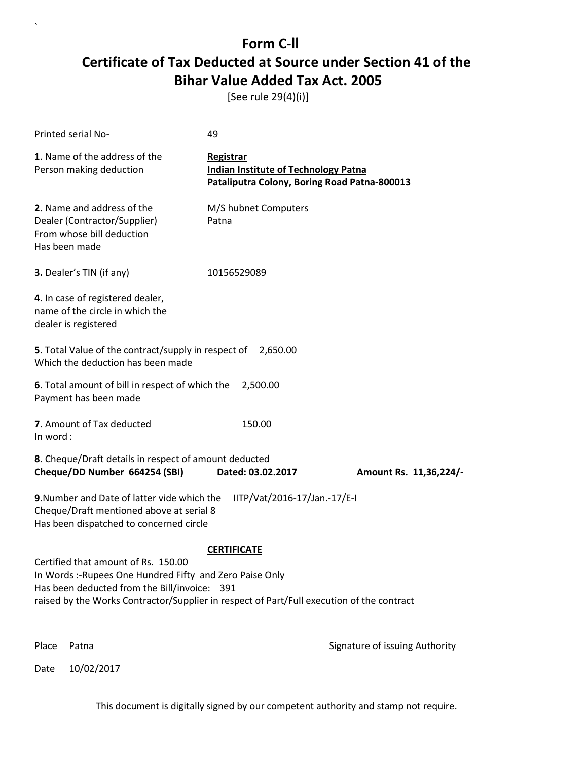[See rule 29(4)(i)]

| Printed serial No-                                                                                                                                                                                                                           | 49                                                                                                       |                                |
|----------------------------------------------------------------------------------------------------------------------------------------------------------------------------------------------------------------------------------------------|----------------------------------------------------------------------------------------------------------|--------------------------------|
| 1. Name of the address of the<br>Person making deduction                                                                                                                                                                                     | Registrar<br><b>Indian Institute of Technology Patna</b><br>Pataliputra Colony, Boring Road Patna-800013 |                                |
| 2. Name and address of the<br>Dealer (Contractor/Supplier)<br>From whose bill deduction<br>Has been made                                                                                                                                     | M/S hubnet Computers<br>Patna                                                                            |                                |
| 3. Dealer's TIN (if any)                                                                                                                                                                                                                     | 10156529089                                                                                              |                                |
| 4. In case of registered dealer,<br>name of the circle in which the<br>dealer is registered                                                                                                                                                  |                                                                                                          |                                |
| 5. Total Value of the contract/supply in respect of<br>Which the deduction has been made                                                                                                                                                     | 2,650.00                                                                                                 |                                |
| 6. Total amount of bill in respect of which the<br>Payment has been made                                                                                                                                                                     | 2,500.00                                                                                                 |                                |
| 7. Amount of Tax deducted<br>In word:                                                                                                                                                                                                        | 150.00                                                                                                   |                                |
| 8. Cheque/Draft details in respect of amount deducted<br>Cheque/DD Number 664254 (SBI)                                                                                                                                                       | Dated: 03.02.2017                                                                                        | Amount Rs. 11,36,224/-         |
| 9. Number and Date of latter vide which the<br>Cheque/Draft mentioned above at serial 8<br>Has been dispatched to concerned circle                                                                                                           | IITP/Vat/2016-17/Jan.-17/E-I                                                                             |                                |
|                                                                                                                                                                                                                                              | <b>CERTIFICATE</b>                                                                                       |                                |
| Certified that amount of Rs. 150.00<br>In Words :- Rupees One Hundred Fifty and Zero Paise Only<br>Has been deducted from the Bill/invoice: 391<br>raised by the Works Contractor/Supplier in respect of Part/Full execution of the contract |                                                                                                          |                                |
| Place<br>Patna                                                                                                                                                                                                                               |                                                                                                          | Signature of issuing Authority |

Date 10/02/2017

`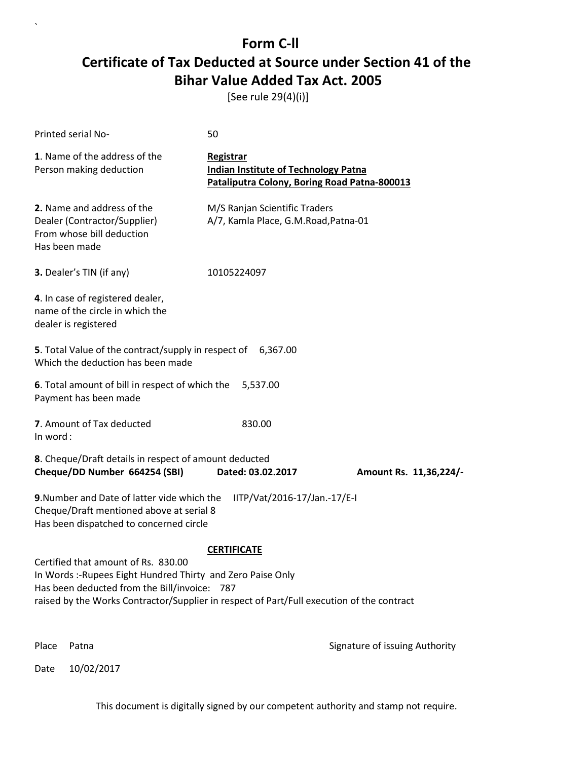[See rule 29(4)(i)]

| Printed serial No-                                                                                                                                                                                                                              | 50                                                                                                       |                                |
|-------------------------------------------------------------------------------------------------------------------------------------------------------------------------------------------------------------------------------------------------|----------------------------------------------------------------------------------------------------------|--------------------------------|
| 1. Name of the address of the<br>Person making deduction                                                                                                                                                                                        | Registrar<br><b>Indian Institute of Technology Patna</b><br>Pataliputra Colony, Boring Road Patna-800013 |                                |
| 2. Name and address of the<br>Dealer (Contractor/Supplier)<br>From whose bill deduction<br>Has been made                                                                                                                                        | M/S Ranjan Scientific Traders<br>A/7, Kamla Place, G.M.Road, Patna-01                                    |                                |
| 3. Dealer's TIN (if any)                                                                                                                                                                                                                        | 10105224097                                                                                              |                                |
| 4. In case of registered dealer,<br>name of the circle in which the<br>dealer is registered                                                                                                                                                     |                                                                                                          |                                |
| 5. Total Value of the contract/supply in respect of 6,367.00<br>Which the deduction has been made                                                                                                                                               |                                                                                                          |                                |
| 6. Total amount of bill in respect of which the<br>Payment has been made                                                                                                                                                                        | 5,537.00                                                                                                 |                                |
| 7. Amount of Tax deducted<br>In word:                                                                                                                                                                                                           | 830.00                                                                                                   |                                |
| 8. Cheque/Draft details in respect of amount deducted<br>Cheque/DD Number 664254 (SBI)                                                                                                                                                          | Dated: 03.02.2017                                                                                        | Amount Rs. 11,36,224/-         |
| 9. Number and Date of latter vide which the<br>Cheque/Draft mentioned above at serial 8<br>Has been dispatched to concerned circle                                                                                                              | IITP/Vat/2016-17/Jan.-17/E-I                                                                             |                                |
| Certified that amount of Rs. 830.00<br>In Words :- Rupees Eight Hundred Thirty and Zero Paise Only<br>Has been deducted from the Bill/invoice: 787<br>raised by the Works Contractor/Supplier in respect of Part/Full execution of the contract | <b>CERTIFICATE</b>                                                                                       |                                |
| Place<br>Patna                                                                                                                                                                                                                                  |                                                                                                          | Signature of issuing Authority |

Date 10/02/2017

`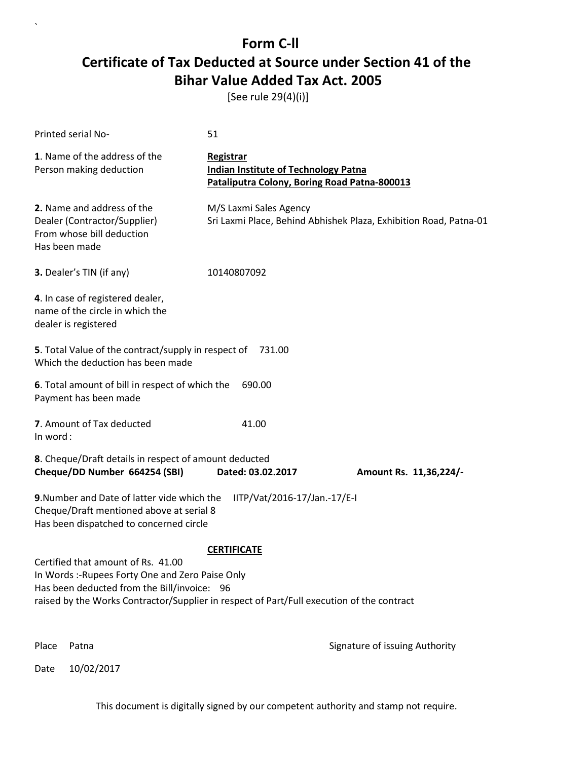[See rule 29(4)(i)]

| Printed serial No-                                                                                                                                                                                                                                       | 51                                                                                                              |                                                                   |
|----------------------------------------------------------------------------------------------------------------------------------------------------------------------------------------------------------------------------------------------------------|-----------------------------------------------------------------------------------------------------------------|-------------------------------------------------------------------|
| 1. Name of the address of the<br>Person making deduction                                                                                                                                                                                                 | <b>Registrar</b><br><b>Indian Institute of Technology Patna</b><br>Pataliputra Colony, Boring Road Patna-800013 |                                                                   |
| 2. Name and address of the<br>Dealer (Contractor/Supplier)<br>From whose bill deduction<br>Has been made                                                                                                                                                 | M/S Laxmi Sales Agency                                                                                          | Sri Laxmi Place, Behind Abhishek Plaza, Exhibition Road, Patna-01 |
| 3. Dealer's TIN (if any)                                                                                                                                                                                                                                 | 10140807092                                                                                                     |                                                                   |
| 4. In case of registered dealer,<br>name of the circle in which the<br>dealer is registered                                                                                                                                                              |                                                                                                                 |                                                                   |
| 5. Total Value of the contract/supply in respect of<br>Which the deduction has been made                                                                                                                                                                 | 731.00                                                                                                          |                                                                   |
| 6. Total amount of bill in respect of which the<br>Payment has been made                                                                                                                                                                                 | 690.00                                                                                                          |                                                                   |
| 7. Amount of Tax deducted<br>In word:                                                                                                                                                                                                                    | 41.00                                                                                                           |                                                                   |
| 8. Cheque/Draft details in respect of amount deducted<br>Cheque/DD Number 664254 (SBI)                                                                                                                                                                   | Dated: 03.02.2017                                                                                               | Amount Rs. 11,36,224/-                                            |
| 9. Number and Date of latter vide which the<br>Cheque/Draft mentioned above at serial 8<br>Has been dispatched to concerned circle                                                                                                                       | IITP/Vat/2016-17/Jan.-17/E-I                                                                                    |                                                                   |
| <b>CERTIFICATE</b><br>Certified that amount of Rs. 41.00<br>In Words :- Rupees Forty One and Zero Paise Only<br>Has been deducted from the Bill/invoice: 96<br>raised by the Works Contractor/Supplier in respect of Part/Full execution of the contract |                                                                                                                 |                                                                   |
| Place<br>Patna                                                                                                                                                                                                                                           |                                                                                                                 | Signature of issuing Authority                                    |

Date 10/02/2017

`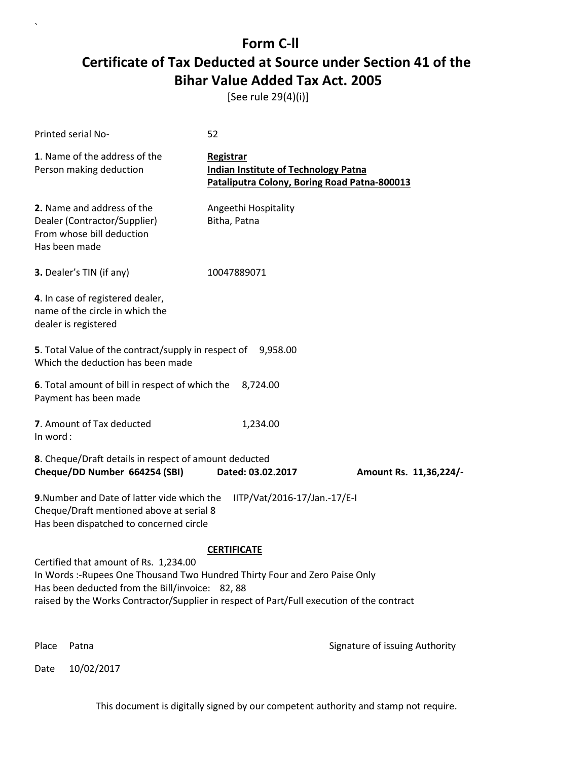[See rule 29(4)(i)]

| <b>Printed serial No-</b>                                                                                                                                                                                                                                           | 52                                                                                                       |                                |
|---------------------------------------------------------------------------------------------------------------------------------------------------------------------------------------------------------------------------------------------------------------------|----------------------------------------------------------------------------------------------------------|--------------------------------|
| 1. Name of the address of the<br>Person making deduction                                                                                                                                                                                                            | Registrar<br><b>Indian Institute of Technology Patna</b><br>Pataliputra Colony, Boring Road Patna-800013 |                                |
| 2. Name and address of the<br>Dealer (Contractor/Supplier)<br>From whose bill deduction<br>Has been made                                                                                                                                                            | Angeethi Hospitality<br>Bitha, Patna                                                                     |                                |
| 3. Dealer's TIN (if any)                                                                                                                                                                                                                                            | 10047889071                                                                                              |                                |
| 4. In case of registered dealer,<br>name of the circle in which the<br>dealer is registered                                                                                                                                                                         |                                                                                                          |                                |
| 5. Total Value of the contract/supply in respect of 9,958.00<br>Which the deduction has been made                                                                                                                                                                   |                                                                                                          |                                |
| 6. Total amount of bill in respect of which the<br>Payment has been made                                                                                                                                                                                            | 8,724.00                                                                                                 |                                |
| 7. Amount of Tax deducted<br>In word:                                                                                                                                                                                                                               | 1,234.00                                                                                                 |                                |
| 8. Cheque/Draft details in respect of amount deducted<br>Cheque/DD Number 664254 (SBI)                                                                                                                                                                              | Dated: 03.02.2017                                                                                        | Amount Rs. 11,36,224/-         |
| 9. Number and Date of latter vide which the<br>Cheque/Draft mentioned above at serial 8<br>Has been dispatched to concerned circle                                                                                                                                  | IITP/Vat/2016-17/Jan.-17/E-I                                                                             |                                |
|                                                                                                                                                                                                                                                                     | <b>CERTIFICATE</b>                                                                                       |                                |
| Certified that amount of Rs. 1,234.00<br>In Words: -Rupees One Thousand Two Hundred Thirty Four and Zero Paise Only<br>Has been deducted from the Bill/invoice: 82, 88<br>raised by the Works Contractor/Supplier in respect of Part/Full execution of the contract |                                                                                                          |                                |
| Place<br>Patna                                                                                                                                                                                                                                                      |                                                                                                          | Signature of issuing Authority |

Date 10/02/2017

`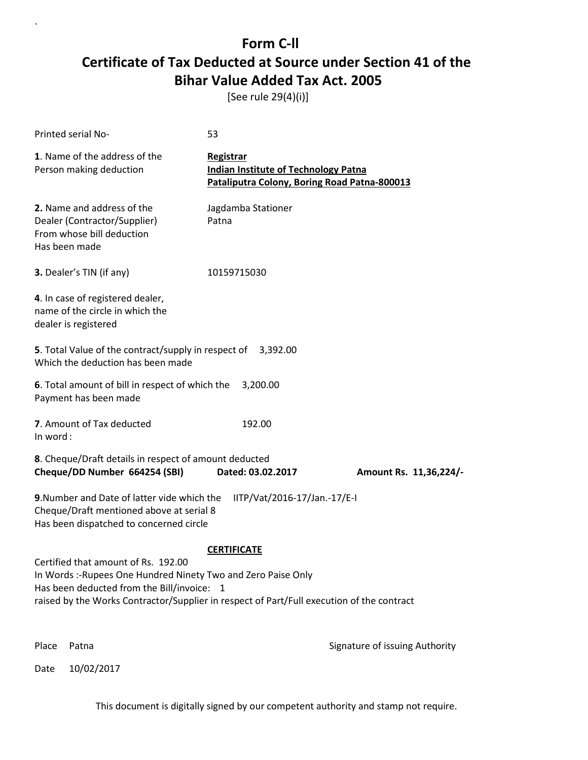[See rule 29(4)(i)]

| Printed serial No-                                                                                                                                                                                                                              | 53                                                                                                       |                                |
|-------------------------------------------------------------------------------------------------------------------------------------------------------------------------------------------------------------------------------------------------|----------------------------------------------------------------------------------------------------------|--------------------------------|
| 1. Name of the address of the<br>Person making deduction                                                                                                                                                                                        | Registrar<br><b>Indian Institute of Technology Patna</b><br>Pataliputra Colony, Boring Road Patna-800013 |                                |
| 2. Name and address of the<br>Dealer (Contractor/Supplier)<br>From whose bill deduction<br>Has been made                                                                                                                                        | Jagdamba Stationer<br>Patna                                                                              |                                |
| 3. Dealer's TIN (if any)                                                                                                                                                                                                                        | 10159715030                                                                                              |                                |
| 4. In case of registered dealer,<br>name of the circle in which the<br>dealer is registered                                                                                                                                                     |                                                                                                          |                                |
| <b>5</b> . Total Value of the contract/supply in respect of<br>Which the deduction has been made                                                                                                                                                | 3,392.00                                                                                                 |                                |
| 6. Total amount of bill in respect of which the<br>Payment has been made                                                                                                                                                                        | 3,200.00                                                                                                 |                                |
| 7. Amount of Tax deducted<br>In word:                                                                                                                                                                                                           | 192.00                                                                                                   |                                |
| 8. Cheque/Draft details in respect of amount deducted<br>Cheque/DD Number 664254 (SBI)                                                                                                                                                          | Dated: 03.02.2017                                                                                        | Amount Rs. 11,36,224/-         |
| 9. Number and Date of latter vide which the<br>Cheque/Draft mentioned above at serial 8<br>Has been dispatched to concerned circle                                                                                                              | IITP/Vat/2016-17/Jan.-17/E-I                                                                             |                                |
| Certified that amount of Rs. 192.00<br>In Words :- Rupees One Hundred Ninety Two and Zero Paise Only<br>Has been deducted from the Bill/invoice: 1<br>raised by the Works Contractor/Supplier in respect of Part/Full execution of the contract | <b>CERTIFICATE</b>                                                                                       |                                |
| Place<br>Patna                                                                                                                                                                                                                                  |                                                                                                          | Signature of issuing Authority |

Date 10/02/2017

`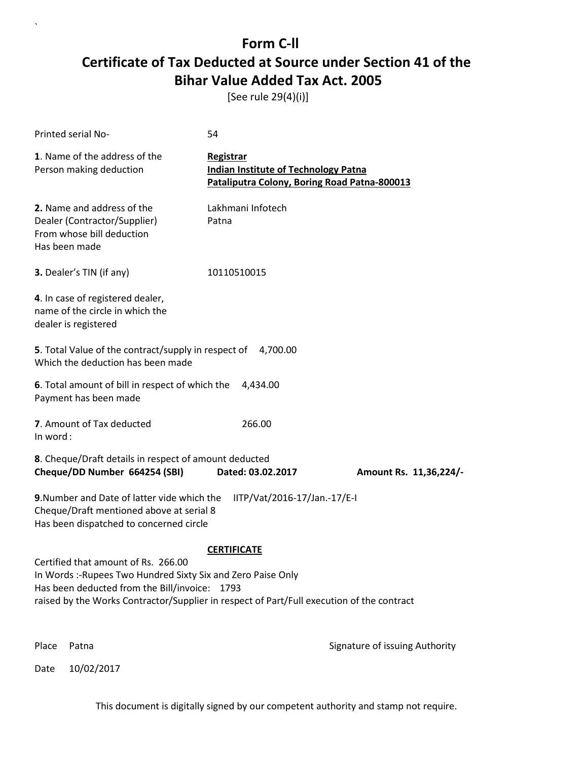[See rule 29(4)(i)]

| <b>Printed serial No-</b>                                                                                                                                                                                                                         | 54                                                                                                       |                                |
|---------------------------------------------------------------------------------------------------------------------------------------------------------------------------------------------------------------------------------------------------|----------------------------------------------------------------------------------------------------------|--------------------------------|
| 1. Name of the address of the<br>Person making deduction                                                                                                                                                                                          | Registrar<br><b>Indian Institute of Technology Patna</b><br>Pataliputra Colony, Boring Road Patna-800013 |                                |
| 2. Name and address of the<br>Dealer (Contractor/Supplier)<br>From whose bill deduction<br>Has been made                                                                                                                                          | Lakhmani Infotech<br>Patna                                                                               |                                |
| 3. Dealer's TIN (if any)                                                                                                                                                                                                                          | 10110510015                                                                                              |                                |
| 4. In case of registered dealer,<br>name of the circle in which the<br>dealer is registered                                                                                                                                                       |                                                                                                          |                                |
| 5. Total Value of the contract/supply in respect of 4,700.00<br>Which the deduction has been made                                                                                                                                                 |                                                                                                          |                                |
| 6. Total amount of bill in respect of which the<br>Payment has been made                                                                                                                                                                          | 4,434.00                                                                                                 |                                |
| 7. Amount of Tax deducted<br>In word:                                                                                                                                                                                                             | 266.00                                                                                                   |                                |
| 8. Cheque/Draft details in respect of amount deducted<br>Cheque/DD Number 664254 (SBI)                                                                                                                                                            | Dated: 03.02.2017                                                                                        | Amount Rs. 11,36,224/-         |
| 9. Number and Date of latter vide which the<br>Cheque/Draft mentioned above at serial 8<br>Has been dispatched to concerned circle                                                                                                                | IITP/Vat/2016-17/Jan.-17/E-I                                                                             |                                |
| Certified that amount of Rs. 266.00<br>In Words :- Rupees Two Hundred Sixty Six and Zero Paise Only<br>Has been deducted from the Bill/invoice: 1793<br>raised by the Works Contractor/Supplier in respect of Part/Full execution of the contract | <b>CERTIFICATE</b>                                                                                       |                                |
| Place<br>Patna                                                                                                                                                                                                                                    |                                                                                                          | Signature of issuing Authority |

Date 10/02/2017

`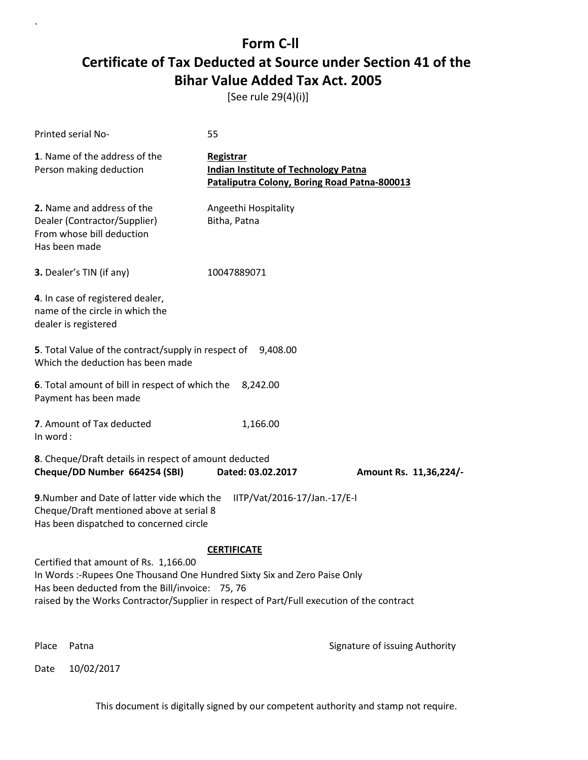[See rule 29(4)(i)]

| <b>Printed serial No-</b>                                                                                                                                                                                                                                          | 55                                                                                                       |                                |
|--------------------------------------------------------------------------------------------------------------------------------------------------------------------------------------------------------------------------------------------------------------------|----------------------------------------------------------------------------------------------------------|--------------------------------|
| 1. Name of the address of the<br>Person making deduction                                                                                                                                                                                                           | Registrar<br><b>Indian Institute of Technology Patna</b><br>Pataliputra Colony, Boring Road Patna-800013 |                                |
| 2. Name and address of the<br>Dealer (Contractor/Supplier)<br>From whose bill deduction<br>Has been made                                                                                                                                                           | Angeethi Hospitality<br>Bitha, Patna                                                                     |                                |
| 3. Dealer's TIN (if any)                                                                                                                                                                                                                                           | 10047889071                                                                                              |                                |
| 4. In case of registered dealer,<br>name of the circle in which the<br>dealer is registered                                                                                                                                                                        |                                                                                                          |                                |
| 5. Total Value of the contract/supply in respect of 9,408.00<br>Which the deduction has been made                                                                                                                                                                  |                                                                                                          |                                |
| 6. Total amount of bill in respect of which the<br>Payment has been made                                                                                                                                                                                           | 8,242.00                                                                                                 |                                |
| 7. Amount of Tax deducted<br>In word:                                                                                                                                                                                                                              | 1,166.00                                                                                                 |                                |
| 8. Cheque/Draft details in respect of amount deducted<br>Cheque/DD Number 664254 (SBI)                                                                                                                                                                             | Dated: 03.02.2017                                                                                        | Amount Rs. 11,36,224/-         |
| 9. Number and Date of latter vide which the<br>Cheque/Draft mentioned above at serial 8<br>Has been dispatched to concerned circle                                                                                                                                 | IITP/Vat/2016-17/Jan.-17/E-I                                                                             |                                |
|                                                                                                                                                                                                                                                                    | <b>CERTIFICATE</b>                                                                                       |                                |
| Certified that amount of Rs. 1,166.00<br>In Words :- Rupees One Thousand One Hundred Sixty Six and Zero Paise Only<br>Has been deducted from the Bill/invoice: 75, 76<br>raised by the Works Contractor/Supplier in respect of Part/Full execution of the contract |                                                                                                          |                                |
| Place<br>Patna                                                                                                                                                                                                                                                     |                                                                                                          | Signature of issuing Authority |

Date 10/02/2017

`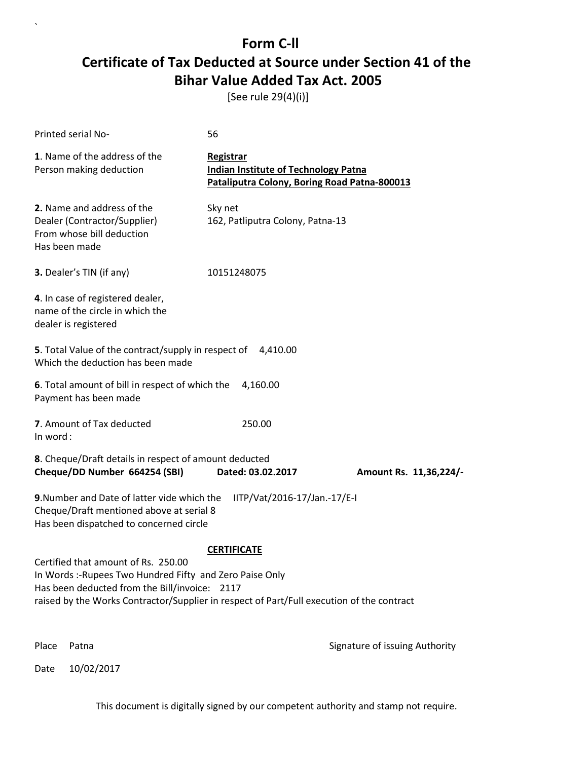[See rule 29(4)(i)]

| Printed serial No-                                                                                                                                                                                                                           | 56                                                                                                       |                                |
|----------------------------------------------------------------------------------------------------------------------------------------------------------------------------------------------------------------------------------------------|----------------------------------------------------------------------------------------------------------|--------------------------------|
| 1. Name of the address of the<br>Person making deduction                                                                                                                                                                                     | Registrar<br><b>Indian Institute of Technology Patna</b><br>Pataliputra Colony, Boring Road Patna-800013 |                                |
| 2. Name and address of the<br>Dealer (Contractor/Supplier)<br>From whose bill deduction<br>Has been made                                                                                                                                     | Sky net<br>162, Patliputra Colony, Patna-13                                                              |                                |
| 3. Dealer's TIN (if any)                                                                                                                                                                                                                     | 10151248075                                                                                              |                                |
| 4. In case of registered dealer,<br>name of the circle in which the<br>dealer is registered                                                                                                                                                  |                                                                                                          |                                |
| 5. Total Value of the contract/supply in respect of 4,410.00<br>Which the deduction has been made                                                                                                                                            |                                                                                                          |                                |
| 6. Total amount of bill in respect of which the<br>Payment has been made                                                                                                                                                                     | 4,160.00                                                                                                 |                                |
| 7. Amount of Tax deducted<br>In word:                                                                                                                                                                                                        | 250.00                                                                                                   |                                |
| 8. Cheque/Draft details in respect of amount deducted<br>Cheque/DD Number 664254 (SBI)                                                                                                                                                       | Dated: 03.02.2017                                                                                        | Amount Rs. 11,36,224/-         |
| 9. Number and Date of latter vide which the<br>Cheque/Draft mentioned above at serial 8<br>Has been dispatched to concerned circle                                                                                                           | IITP/Vat/2016-17/Jan.-17/E-I                                                                             |                                |
| Certified that amount of Rs. 250.00<br>In Words :-Rupees Two Hundred Fifty and Zero Paise Only<br>Has been deducted from the Bill/invoice: 2117<br>raised by the Works Contractor/Supplier in respect of Part/Full execution of the contract | <b>CERTIFICATE</b>                                                                                       |                                |
| Place<br>Patna                                                                                                                                                                                                                               |                                                                                                          | Signature of issuing Authority |

Date 10/02/2017

`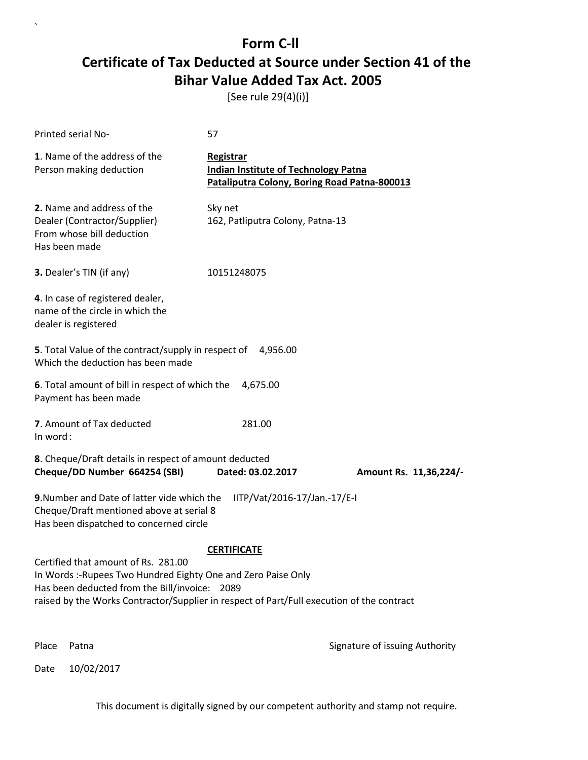[See rule 29(4)(i)]

| Printed serial No-                                                                                                                                                                                                                                 | 57                                                                                                       |                                |
|----------------------------------------------------------------------------------------------------------------------------------------------------------------------------------------------------------------------------------------------------|----------------------------------------------------------------------------------------------------------|--------------------------------|
| 1. Name of the address of the<br>Person making deduction                                                                                                                                                                                           | Registrar<br><b>Indian Institute of Technology Patna</b><br>Pataliputra Colony, Boring Road Patna-800013 |                                |
| 2. Name and address of the<br>Dealer (Contractor/Supplier)<br>From whose bill deduction<br>Has been made                                                                                                                                           | Sky net<br>162, Patliputra Colony, Patna-13                                                              |                                |
| 3. Dealer's TIN (if any)                                                                                                                                                                                                                           | 10151248075                                                                                              |                                |
| 4. In case of registered dealer,<br>name of the circle in which the<br>dealer is registered                                                                                                                                                        |                                                                                                          |                                |
| 5. Total Value of the contract/supply in respect of 4,956.00<br>Which the deduction has been made                                                                                                                                                  |                                                                                                          |                                |
| 6. Total amount of bill in respect of which the<br>Payment has been made                                                                                                                                                                           | 4,675.00                                                                                                 |                                |
| 7. Amount of Tax deducted<br>In word:                                                                                                                                                                                                              | 281.00                                                                                                   |                                |
| 8. Cheque/Draft details in respect of amount deducted<br>Cheque/DD Number 664254 (SBI)                                                                                                                                                             | Dated: 03.02.2017                                                                                        | Amount Rs. 11,36,224/-         |
| 9. Number and Date of latter vide which the<br>Cheque/Draft mentioned above at serial 8<br>Has been dispatched to concerned circle                                                                                                                 | IITP/Vat/2016-17/Jan.-17/E-I                                                                             |                                |
|                                                                                                                                                                                                                                                    | <b>CERTIFICATE</b>                                                                                       |                                |
| Certified that amount of Rs. 281.00<br>In Words :- Rupees Two Hundred Eighty One and Zero Paise Only<br>Has been deducted from the Bill/invoice: 2089<br>raised by the Works Contractor/Supplier in respect of Part/Full execution of the contract |                                                                                                          |                                |
| Place<br>Patna                                                                                                                                                                                                                                     |                                                                                                          | Signature of issuing Authority |

Date 10/02/2017

`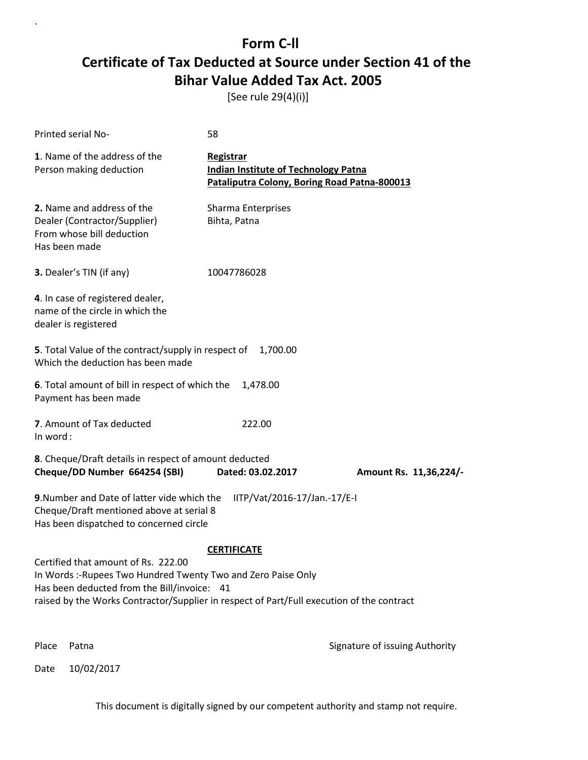[See rule 29(4)(i)]

| Printed serial No-                                                                                                                                                                                                                               | 58                                                                                                       |                                |
|--------------------------------------------------------------------------------------------------------------------------------------------------------------------------------------------------------------------------------------------------|----------------------------------------------------------------------------------------------------------|--------------------------------|
| 1. Name of the address of the<br>Person making deduction                                                                                                                                                                                         | Registrar<br><b>Indian Institute of Technology Patna</b><br>Pataliputra Colony, Boring Road Patna-800013 |                                |
| 2. Name and address of the<br>Dealer (Contractor/Supplier)<br>From whose bill deduction<br>Has been made                                                                                                                                         | Sharma Enterprises<br>Bihta, Patna                                                                       |                                |
| 3. Dealer's TIN (if any)                                                                                                                                                                                                                         | 10047786028                                                                                              |                                |
| 4. In case of registered dealer,<br>name of the circle in which the<br>dealer is registered                                                                                                                                                      |                                                                                                          |                                |
| <b>5</b> . Total Value of the contract/supply in respect of<br>Which the deduction has been made                                                                                                                                                 | 1,700.00                                                                                                 |                                |
| 6. Total amount of bill in respect of which the<br>Payment has been made                                                                                                                                                                         | 1,478.00                                                                                                 |                                |
| 7. Amount of Tax deducted<br>In word:                                                                                                                                                                                                            | 222.00                                                                                                   |                                |
| 8. Cheque/Draft details in respect of amount deducted<br>Cheque/DD Number 664254 (SBI)                                                                                                                                                           | Dated: 03.02.2017                                                                                        | Amount Rs. 11,36,224/-         |
| 9. Number and Date of latter vide which the<br>Cheque/Draft mentioned above at serial 8<br>Has been dispatched to concerned circle                                                                                                               | IITP/Vat/2016-17/Jan.-17/E-I                                                                             |                                |
|                                                                                                                                                                                                                                                  | <b>CERTIFICATE</b>                                                                                       |                                |
| Certified that amount of Rs. 222.00<br>In Words :- Rupees Two Hundred Twenty Two and Zero Paise Only<br>Has been deducted from the Bill/invoice: 41<br>raised by the Works Contractor/Supplier in respect of Part/Full execution of the contract |                                                                                                          |                                |
| Place<br>Patna                                                                                                                                                                                                                                   |                                                                                                          | Signature of issuing Authority |

Date 10/02/2017

`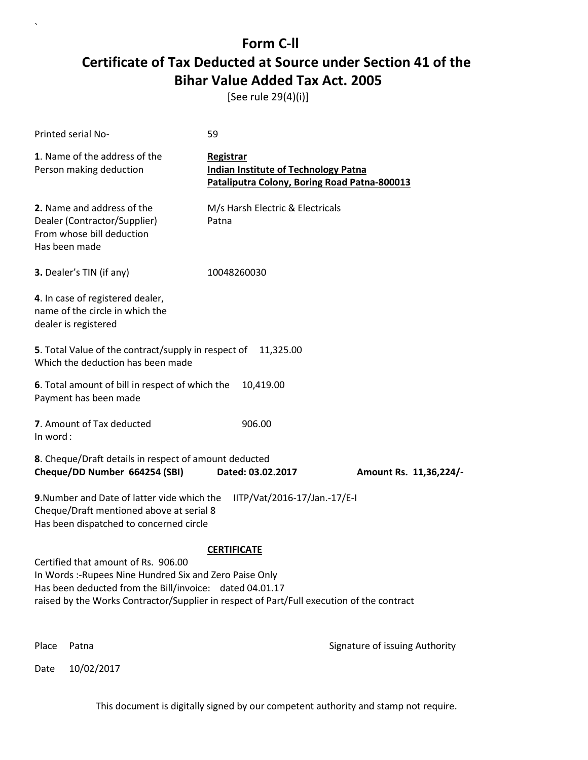[See rule 29(4)(i)]

| Printed serial No-                                                                                                                                                                                                                                                           | 59                                                                                                       |                                |
|------------------------------------------------------------------------------------------------------------------------------------------------------------------------------------------------------------------------------------------------------------------------------|----------------------------------------------------------------------------------------------------------|--------------------------------|
| 1. Name of the address of the<br>Person making deduction                                                                                                                                                                                                                     | Registrar<br><b>Indian Institute of Technology Patna</b><br>Pataliputra Colony, Boring Road Patna-800013 |                                |
| 2. Name and address of the<br>Dealer (Contractor/Supplier)<br>From whose bill deduction<br>Has been made                                                                                                                                                                     | M/s Harsh Electric & Electricals<br>Patna                                                                |                                |
| 3. Dealer's TIN (if any)                                                                                                                                                                                                                                                     | 10048260030                                                                                              |                                |
| 4. In case of registered dealer,<br>name of the circle in which the<br>dealer is registered                                                                                                                                                                                  |                                                                                                          |                                |
| <b>5</b> . Total Value of the contract/supply in respect of<br>Which the deduction has been made                                                                                                                                                                             | 11,325.00                                                                                                |                                |
| 6. Total amount of bill in respect of which the<br>Payment has been made                                                                                                                                                                                                     | 10,419.00                                                                                                |                                |
| 7. Amount of Tax deducted<br>In word:                                                                                                                                                                                                                                        | 906.00                                                                                                   |                                |
| 8. Cheque/Draft details in respect of amount deducted<br>Cheque/DD Number 664254 (SBI)                                                                                                                                                                                       | Dated: 03.02.2017                                                                                        | Amount Rs. 11,36,224/-         |
| 9. Number and Date of latter vide which the<br>Cheque/Draft mentioned above at serial 8<br>Has been dispatched to concerned circle                                                                                                                                           | IITP/Vat/2016-17/Jan.-17/E-I                                                                             |                                |
| <b>CERTIFICATE</b><br>Certified that amount of Rs. 906.00<br>In Words: - Rupees Nine Hundred Six and Zero Paise Only<br>Has been deducted from the Bill/invoice: dated 04.01.17<br>raised by the Works Contractor/Supplier in respect of Part/Full execution of the contract |                                                                                                          |                                |
| Place<br>Patna                                                                                                                                                                                                                                                               |                                                                                                          | Signature of issuing Authority |

Date 10/02/2017

`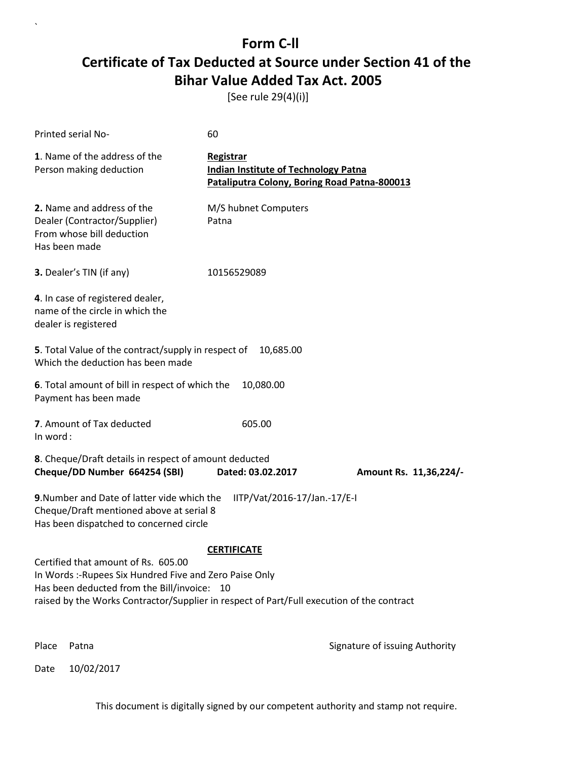[See rule 29(4)(i)]

| Printed serial No-                                                                                                                                                                                                                         | 60                                                                                                              |                                |
|--------------------------------------------------------------------------------------------------------------------------------------------------------------------------------------------------------------------------------------------|-----------------------------------------------------------------------------------------------------------------|--------------------------------|
| 1. Name of the address of the<br>Person making deduction                                                                                                                                                                                   | <b>Registrar</b><br><b>Indian Institute of Technology Patna</b><br>Pataliputra Colony, Boring Road Patna-800013 |                                |
| 2. Name and address of the<br>Dealer (Contractor/Supplier)<br>From whose bill deduction<br>Has been made                                                                                                                                   | M/S hubnet Computers<br>Patna                                                                                   |                                |
| 3. Dealer's TIN (if any)                                                                                                                                                                                                                   | 10156529089                                                                                                     |                                |
| 4. In case of registered dealer,<br>name of the circle in which the<br>dealer is registered                                                                                                                                                |                                                                                                                 |                                |
| 5. Total Value of the contract/supply in respect of<br>Which the deduction has been made                                                                                                                                                   | 10,685.00                                                                                                       |                                |
| 6. Total amount of bill in respect of which the<br>Payment has been made                                                                                                                                                                   | 10,080.00                                                                                                       |                                |
| 7. Amount of Tax deducted<br>In word:                                                                                                                                                                                                      | 605.00                                                                                                          |                                |
| 8. Cheque/Draft details in respect of amount deducted<br>Cheque/DD Number 664254 (SBI)                                                                                                                                                     | Dated: 03.02.2017                                                                                               | Amount Rs. 11,36,224/-         |
| 9. Number and Date of latter vide which the<br>Cheque/Draft mentioned above at serial 8<br>Has been dispatched to concerned circle                                                                                                         | IITP/Vat/2016-17/Jan.-17/E-I                                                                                    |                                |
| Certified that amount of Rs. 605.00<br>In Words :- Rupees Six Hundred Five and Zero Paise Only<br>Has been deducted from the Bill/invoice: 10<br>raised by the Works Contractor/Supplier in respect of Part/Full execution of the contract | <b>CERTIFICATE</b>                                                                                              |                                |
| Place<br>Patna                                                                                                                                                                                                                             |                                                                                                                 | Signature of issuing Authority |

Date 10/02/2017

`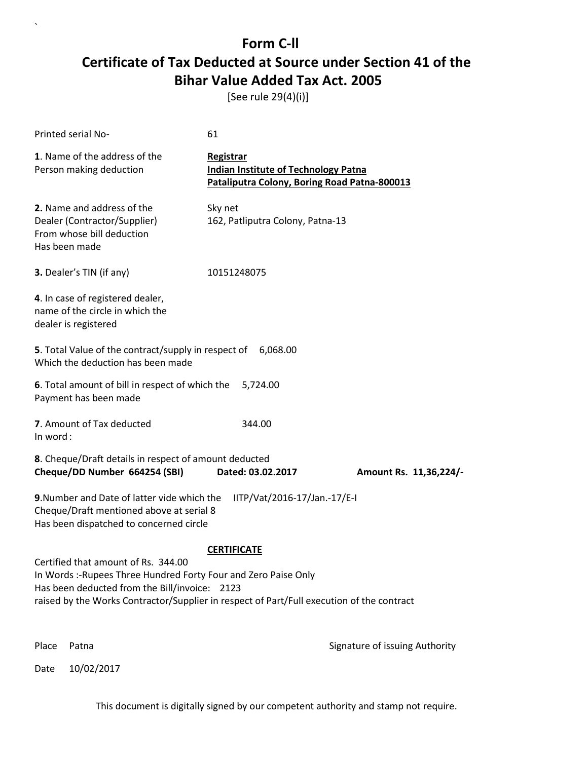[See rule 29(4)(i)]

| Printed serial No-                                                                                                                                                                                                                                   | 61                                                                                                       |                                |
|------------------------------------------------------------------------------------------------------------------------------------------------------------------------------------------------------------------------------------------------------|----------------------------------------------------------------------------------------------------------|--------------------------------|
| 1. Name of the address of the<br>Person making deduction                                                                                                                                                                                             | Registrar<br><b>Indian Institute of Technology Patna</b><br>Pataliputra Colony, Boring Road Patna-800013 |                                |
| 2. Name and address of the<br>Dealer (Contractor/Supplier)<br>From whose bill deduction<br>Has been made                                                                                                                                             | Sky net<br>162, Patliputra Colony, Patna-13                                                              |                                |
| 3. Dealer's TIN (if any)                                                                                                                                                                                                                             | 10151248075                                                                                              |                                |
| 4. In case of registered dealer,<br>name of the circle in which the<br>dealer is registered                                                                                                                                                          |                                                                                                          |                                |
| 5. Total Value of the contract/supply in respect of<br>Which the deduction has been made                                                                                                                                                             | 6,068.00                                                                                                 |                                |
| 6. Total amount of bill in respect of which the<br>Payment has been made                                                                                                                                                                             | 5,724.00                                                                                                 |                                |
| 7. Amount of Tax deducted<br>In word:                                                                                                                                                                                                                | 344.00                                                                                                   |                                |
| 8. Cheque/Draft details in respect of amount deducted<br>Cheque/DD Number 664254 (SBI)                                                                                                                                                               | Dated: 03.02.2017                                                                                        | Amount Rs. 11,36,224/-         |
| 9. Number and Date of latter vide which the<br>Cheque/Draft mentioned above at serial 8<br>Has been dispatched to concerned circle                                                                                                                   | IITP/Vat/2016-17/Jan.-17/E-I                                                                             |                                |
| Certified that amount of Rs. 344.00<br>In Words :- Rupees Three Hundred Forty Four and Zero Paise Only<br>Has been deducted from the Bill/invoice: 2123<br>raised by the Works Contractor/Supplier in respect of Part/Full execution of the contract | <b>CERTIFICATE</b>                                                                                       |                                |
| Place<br>Patna                                                                                                                                                                                                                                       |                                                                                                          | Signature of issuing Authority |

Date 10/02/2017

`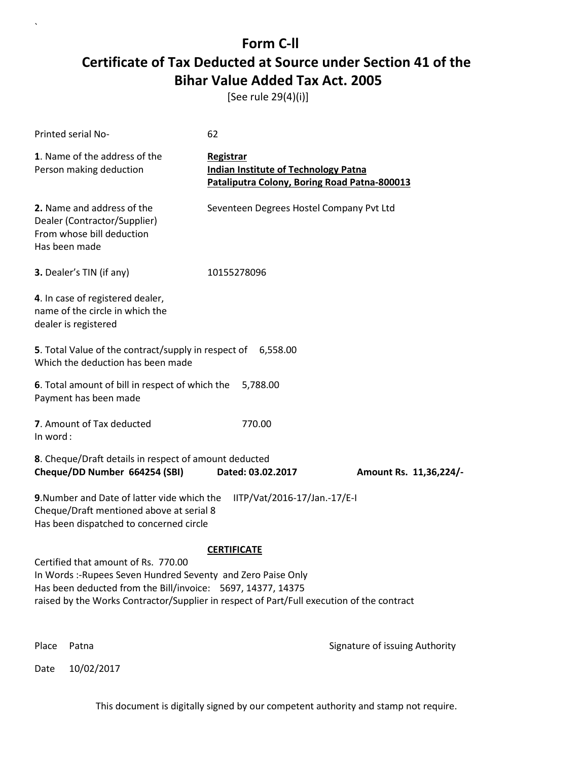[See rule 29(4)(i)]

| <b>Printed serial No-</b>                                                                                                                                                                                                                                                             | 62                                                                                                       |                                |  |
|---------------------------------------------------------------------------------------------------------------------------------------------------------------------------------------------------------------------------------------------------------------------------------------|----------------------------------------------------------------------------------------------------------|--------------------------------|--|
| 1. Name of the address of the<br>Person making deduction                                                                                                                                                                                                                              | Registrar<br><b>Indian Institute of Technology Patna</b><br>Pataliputra Colony, Boring Road Patna-800013 |                                |  |
| 2. Name and address of the<br>Dealer (Contractor/Supplier)<br>From whose bill deduction<br>Has been made                                                                                                                                                                              | Seventeen Degrees Hostel Company Pvt Ltd                                                                 |                                |  |
| 3. Dealer's TIN (if any)                                                                                                                                                                                                                                                              | 10155278096                                                                                              |                                |  |
| 4. In case of registered dealer,<br>name of the circle in which the<br>dealer is registered                                                                                                                                                                                           |                                                                                                          |                                |  |
| 5. Total Value of the contract/supply in respect of 6,558.00<br>Which the deduction has been made                                                                                                                                                                                     |                                                                                                          |                                |  |
| 6. Total amount of bill in respect of which the<br>Payment has been made                                                                                                                                                                                                              | 5,788.00                                                                                                 |                                |  |
| 7. Amount of Tax deducted<br>In word:                                                                                                                                                                                                                                                 | 770.00                                                                                                   |                                |  |
| 8. Cheque/Draft details in respect of amount deducted<br>Cheque/DD Number 664254 (SBI)                                                                                                                                                                                                | Dated: 03.02.2017                                                                                        | Amount Rs. 11,36,224/-         |  |
| 9. Number and Date of latter vide which the<br>IITP/Vat/2016-17/Jan.-17/E-I<br>Cheque/Draft mentioned above at serial 8<br>Has been dispatched to concerned circle                                                                                                                    |                                                                                                          |                                |  |
| <b>CERTIFICATE</b><br>Certified that amount of Rs. 770.00<br>In Words :- Rupees Seven Hundred Seventy and Zero Paise Only<br>Has been deducted from the Bill/invoice: 5697, 14377, 14375<br>raised by the Works Contractor/Supplier in respect of Part/Full execution of the contract |                                                                                                          |                                |  |
| Place<br>Patna                                                                                                                                                                                                                                                                        |                                                                                                          | Signature of issuing Authority |  |

Date 10/02/2017

`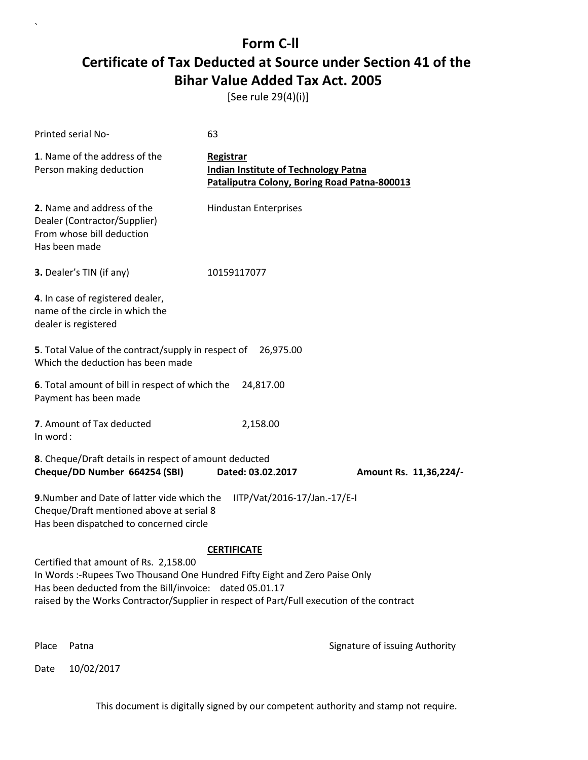[See rule 29(4)(i)]

| Printed serial No-                                                                                                                                                                                                                                                           | 63                                                                                                       |                                |
|------------------------------------------------------------------------------------------------------------------------------------------------------------------------------------------------------------------------------------------------------------------------------|----------------------------------------------------------------------------------------------------------|--------------------------------|
| 1. Name of the address of the<br>Person making deduction                                                                                                                                                                                                                     | Registrar<br><b>Indian Institute of Technology Patna</b><br>Pataliputra Colony, Boring Road Patna-800013 |                                |
| 2. Name and address of the<br>Dealer (Contractor/Supplier)<br>From whose bill deduction<br>Has been made                                                                                                                                                                     | <b>Hindustan Enterprises</b>                                                                             |                                |
| 3. Dealer's TIN (if any)                                                                                                                                                                                                                                                     | 10159117077                                                                                              |                                |
| 4. In case of registered dealer,<br>name of the circle in which the<br>dealer is registered                                                                                                                                                                                  |                                                                                                          |                                |
| 5. Total Value of the contract/supply in respect of<br>Which the deduction has been made                                                                                                                                                                                     | 26,975.00                                                                                                |                                |
| 6. Total amount of bill in respect of which the<br>Payment has been made                                                                                                                                                                                                     | 24,817.00                                                                                                |                                |
| 7. Amount of Tax deducted<br>In word:                                                                                                                                                                                                                                        | 2,158.00                                                                                                 |                                |
| 8. Cheque/Draft details in respect of amount deducted<br>Cheque/DD Number 664254 (SBI)                                                                                                                                                                                       | Dated: 03.02.2017                                                                                        | Amount Rs. 11,36,224/-         |
| 9. Number and Date of latter vide which the<br>Cheque/Draft mentioned above at serial 8<br>Has been dispatched to concerned circle                                                                                                                                           | IITP/Vat/2016-17/Jan.-17/E-I                                                                             |                                |
|                                                                                                                                                                                                                                                                              | <b>CERTIFICATE</b>                                                                                       |                                |
| Certified that amount of Rs. 2,158.00<br>In Words :- Rupees Two Thousand One Hundred Fifty Eight and Zero Paise Only<br>Has been deducted from the Bill/invoice: dated 05.01.17<br>raised by the Works Contractor/Supplier in respect of Part/Full execution of the contract |                                                                                                          |                                |
|                                                                                                                                                                                                                                                                              |                                                                                                          |                                |
| Place<br>Patna                                                                                                                                                                                                                                                               |                                                                                                          | Signature of issuing Authority |

Date 10/02/2017

`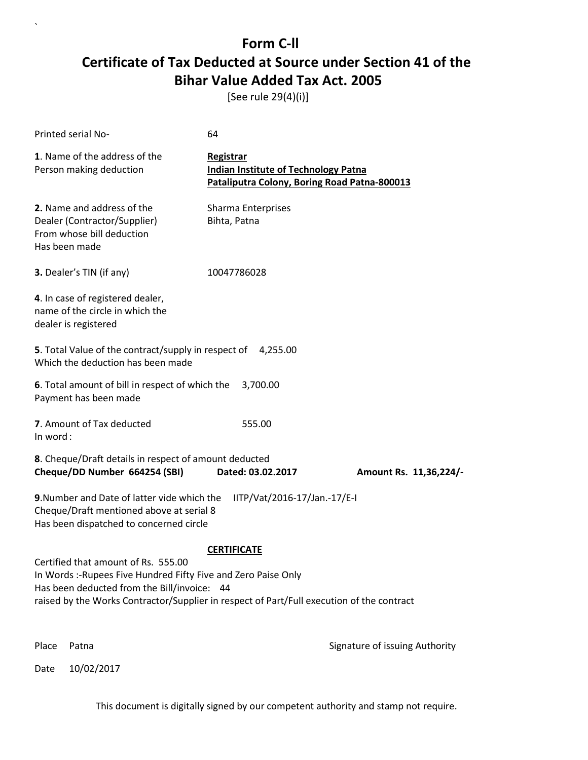[See rule 29(4)(i)]

| Printed serial No-                                                                                                                                                                                                                                | 64                                                                                                       |                                |
|---------------------------------------------------------------------------------------------------------------------------------------------------------------------------------------------------------------------------------------------------|----------------------------------------------------------------------------------------------------------|--------------------------------|
| 1. Name of the address of the<br>Person making deduction                                                                                                                                                                                          | Registrar<br><b>Indian Institute of Technology Patna</b><br>Pataliputra Colony, Boring Road Patna-800013 |                                |
| 2. Name and address of the<br>Dealer (Contractor/Supplier)<br>From whose bill deduction<br>Has been made                                                                                                                                          | Sharma Enterprises<br>Bihta, Patna                                                                       |                                |
| 3. Dealer's TIN (if any)                                                                                                                                                                                                                          | 10047786028                                                                                              |                                |
| 4. In case of registered dealer,<br>name of the circle in which the<br>dealer is registered                                                                                                                                                       |                                                                                                          |                                |
| 5. Total Value of the contract/supply in respect of 4,255.00<br>Which the deduction has been made                                                                                                                                                 |                                                                                                          |                                |
| 6. Total amount of bill in respect of which the<br>Payment has been made                                                                                                                                                                          | 3,700.00                                                                                                 |                                |
| 7. Amount of Tax deducted<br>In word:                                                                                                                                                                                                             | 555.00                                                                                                   |                                |
| 8. Cheque/Draft details in respect of amount deducted<br>Cheque/DD Number 664254 (SBI)                                                                                                                                                            | Dated: 03.02.2017                                                                                        | Amount Rs. 11,36,224/-         |
| 9. Number and Date of latter vide which the<br>Cheque/Draft mentioned above at serial 8<br>Has been dispatched to concerned circle                                                                                                                | IITP/Vat/2016-17/Jan.-17/E-I                                                                             |                                |
|                                                                                                                                                                                                                                                   | <b>CERTIFICATE</b>                                                                                       |                                |
| Certified that amount of Rs. 555.00<br>In Words :- Rupees Five Hundred Fifty Five and Zero Paise Only<br>Has been deducted from the Bill/invoice: 44<br>raised by the Works Contractor/Supplier in respect of Part/Full execution of the contract |                                                                                                          |                                |
| Place<br>Patna                                                                                                                                                                                                                                    |                                                                                                          | Signature of issuing Authority |

Date 10/02/2017

`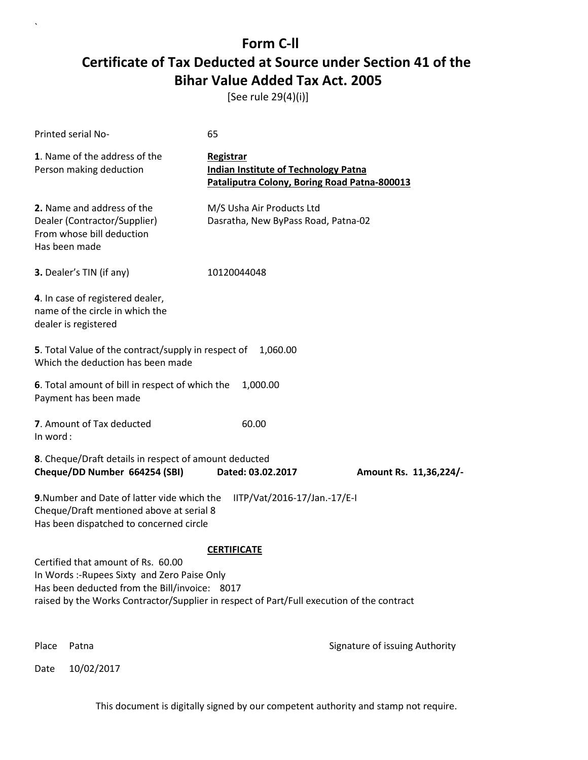[See rule 29(4)(i)]

| Printed serial No-                                                                                                                                                                                                                                     | 65                                                                                                       |                                |  |
|--------------------------------------------------------------------------------------------------------------------------------------------------------------------------------------------------------------------------------------------------------|----------------------------------------------------------------------------------------------------------|--------------------------------|--|
| 1. Name of the address of the<br>Person making deduction                                                                                                                                                                                               | Registrar<br><b>Indian Institute of Technology Patna</b><br>Pataliputra Colony, Boring Road Patna-800013 |                                |  |
| 2. Name and address of the<br>Dealer (Contractor/Supplier)<br>From whose bill deduction<br>Has been made                                                                                                                                               | M/S Usha Air Products Ltd<br>Dasratha, New ByPass Road, Patna-02                                         |                                |  |
| 3. Dealer's TIN (if any)                                                                                                                                                                                                                               | 10120044048                                                                                              |                                |  |
| 4. In case of registered dealer,<br>name of the circle in which the<br>dealer is registered                                                                                                                                                            |                                                                                                          |                                |  |
| 5. Total Value of the contract/supply in respect of<br>1,060.00<br>Which the deduction has been made                                                                                                                                                   |                                                                                                          |                                |  |
| 6. Total amount of bill in respect of which the<br>Payment has been made                                                                                                                                                                               | 1,000.00                                                                                                 |                                |  |
| 7. Amount of Tax deducted<br>In word:                                                                                                                                                                                                                  | 60.00                                                                                                    |                                |  |
| 8. Cheque/Draft details in respect of amount deducted<br>Cheque/DD Number 664254 (SBI)                                                                                                                                                                 | Dated: 03.02.2017                                                                                        | Amount Rs. 11,36,224/-         |  |
| 9. Number and Date of latter vide which the<br>IITP/Vat/2016-17/Jan.-17/E-I<br>Cheque/Draft mentioned above at serial 8<br>Has been dispatched to concerned circle                                                                                     |                                                                                                          |                                |  |
| <b>CERTIFICATE</b><br>Certified that amount of Rs. 60.00<br>In Words :- Rupees Sixty and Zero Paise Only<br>Has been deducted from the Bill/invoice: 8017<br>raised by the Works Contractor/Supplier in respect of Part/Full execution of the contract |                                                                                                          |                                |  |
| Place<br>Patna                                                                                                                                                                                                                                         |                                                                                                          | Signature of issuing Authority |  |

Date 10/02/2017

`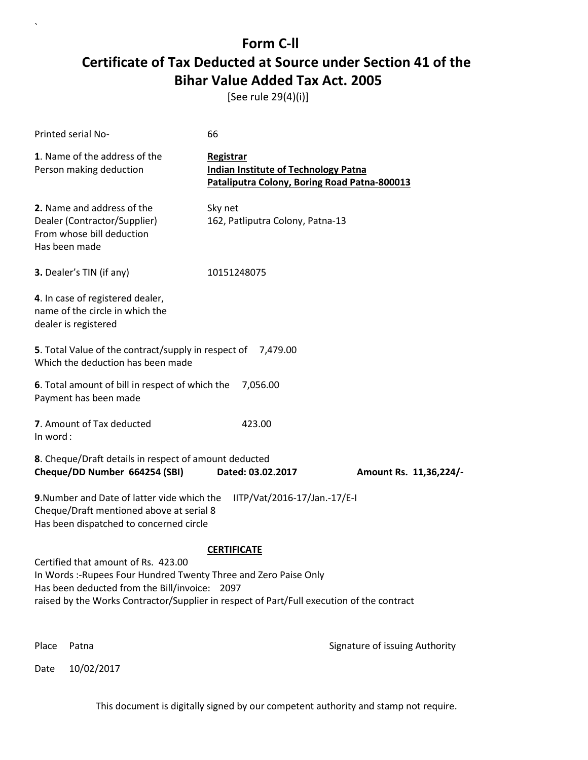[See rule 29(4)(i)]

| Printed serial No-                                                                                                                                                                                                                                    | 66                                                                                                       |                                |
|-------------------------------------------------------------------------------------------------------------------------------------------------------------------------------------------------------------------------------------------------------|----------------------------------------------------------------------------------------------------------|--------------------------------|
| 1. Name of the address of the<br>Person making deduction                                                                                                                                                                                              | Registrar<br><b>Indian Institute of Technology Patna</b><br>Pataliputra Colony, Boring Road Patna-800013 |                                |
| 2. Name and address of the<br>Dealer (Contractor/Supplier)<br>From whose bill deduction<br>Has been made                                                                                                                                              | Sky net<br>162, Patliputra Colony, Patna-13                                                              |                                |
| 3. Dealer's TIN (if any)                                                                                                                                                                                                                              | 10151248075                                                                                              |                                |
| 4. In case of registered dealer,<br>name of the circle in which the<br>dealer is registered                                                                                                                                                           |                                                                                                          |                                |
| 5. Total Value of the contract/supply in respect of 7,479.00<br>Which the deduction has been made                                                                                                                                                     |                                                                                                          |                                |
| 6. Total amount of bill in respect of which the<br>Payment has been made                                                                                                                                                                              | 7,056.00                                                                                                 |                                |
| 7. Amount of Tax deducted<br>In word:                                                                                                                                                                                                                 | 423.00                                                                                                   |                                |
| 8. Cheque/Draft details in respect of amount deducted<br>Cheque/DD Number 664254 (SBI)                                                                                                                                                                | Dated: 03.02.2017                                                                                        | Amount Rs. 11,36,224/-         |
| 9. Number and Date of latter vide which the<br>Cheque/Draft mentioned above at serial 8<br>Has been dispatched to concerned circle                                                                                                                    | IITP/Vat/2016-17/Jan.-17/E-I                                                                             |                                |
|                                                                                                                                                                                                                                                       | <b>CERTIFICATE</b>                                                                                       |                                |
| Certified that amount of Rs. 423.00<br>In Words :- Rupees Four Hundred Twenty Three and Zero Paise Only<br>Has been deducted from the Bill/invoice: 2097<br>raised by the Works Contractor/Supplier in respect of Part/Full execution of the contract |                                                                                                          |                                |
| Place<br>Patna                                                                                                                                                                                                                                        |                                                                                                          | Signature of issuing Authority |

Date 10/02/2017

`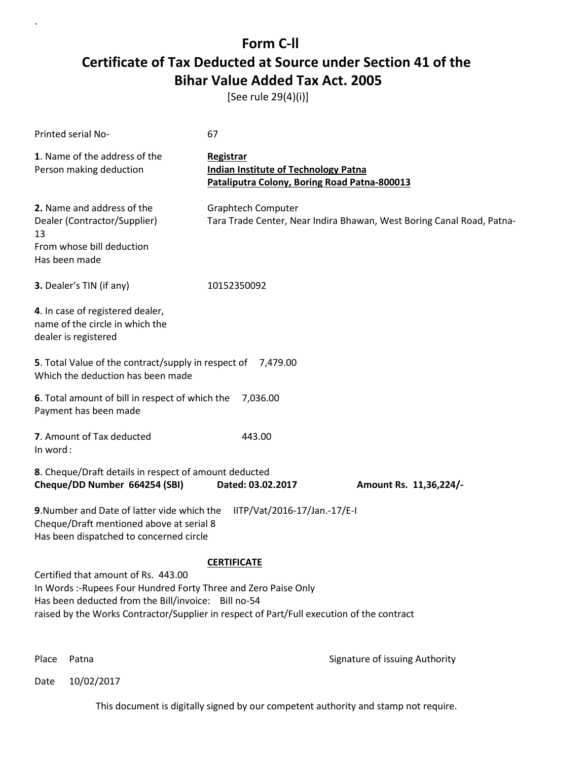[See rule 29(4)(i)]

| Printed serial No-                                                                                                                                                                                                                                         | 67                                                                                                       |                                                                       |
|------------------------------------------------------------------------------------------------------------------------------------------------------------------------------------------------------------------------------------------------------------|----------------------------------------------------------------------------------------------------------|-----------------------------------------------------------------------|
| 1. Name of the address of the<br>Person making deduction                                                                                                                                                                                                   | Registrar<br><b>Indian Institute of Technology Patna</b><br>Pataliputra Colony, Boring Road Patna-800013 |                                                                       |
| 2. Name and address of the<br>Dealer (Contractor/Supplier)<br>13<br>From whose bill deduction<br>Has been made                                                                                                                                             | <b>Graphtech Computer</b>                                                                                | Tara Trade Center, Near Indira Bhawan, West Boring Canal Road, Patna- |
| 3. Dealer's TIN (if any)                                                                                                                                                                                                                                   | 10152350092                                                                                              |                                                                       |
| 4. In case of registered dealer,<br>name of the circle in which the<br>dealer is registered                                                                                                                                                                |                                                                                                          |                                                                       |
| 5. Total Value of the contract/supply in respect of<br>Which the deduction has been made                                                                                                                                                                   | 7,479.00                                                                                                 |                                                                       |
| 6. Total amount of bill in respect of which the<br>Payment has been made                                                                                                                                                                                   | 7,036.00                                                                                                 |                                                                       |
| 7. Amount of Tax deducted<br>In word:                                                                                                                                                                                                                      | 443.00                                                                                                   |                                                                       |
| 8. Cheque/Draft details in respect of amount deducted<br>Cheque/DD Number 664254 (SBI)                                                                                                                                                                     | Dated: 03.02.2017                                                                                        | Amount Rs. 11,36,224/-                                                |
| 9. Number and Date of latter vide which the<br>Cheque/Draft mentioned above at serial 8<br>Has been dispatched to concerned circle                                                                                                                         | IITP/Vat/2016-17/Jan.-17/E-I                                                                             |                                                                       |
| Certified that amount of Rs. 443.00<br>In Words :- Rupees Four Hundred Forty Three and Zero Paise Only<br>Has been deducted from the Bill/invoice: Bill no-54<br>raised by the Works Contractor/Supplier in respect of Part/Full execution of the contract | <b>CERTIFICATE</b>                                                                                       |                                                                       |

`

Place Patna **Property** Place Patna Signature of issuing Authority

Date 10/02/2017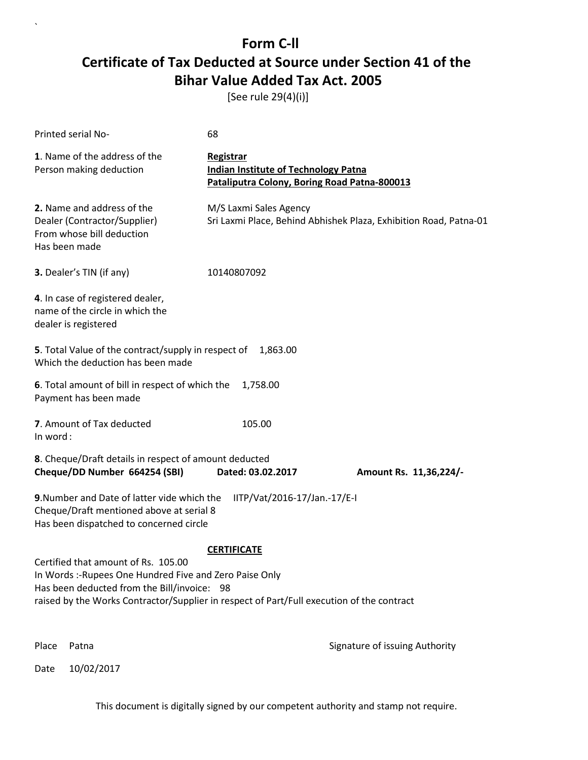[See rule 29(4)(i)]

| Printed serial No-                                                                                                                                                                                                                                               | 68                                                                                                       |                                                                   |
|------------------------------------------------------------------------------------------------------------------------------------------------------------------------------------------------------------------------------------------------------------------|----------------------------------------------------------------------------------------------------------|-------------------------------------------------------------------|
| 1. Name of the address of the<br>Person making deduction                                                                                                                                                                                                         | Registrar<br><b>Indian Institute of Technology Patna</b><br>Pataliputra Colony, Boring Road Patna-800013 |                                                                   |
| 2. Name and address of the<br>Dealer (Contractor/Supplier)<br>From whose bill deduction<br>Has been made                                                                                                                                                         | M/S Laxmi Sales Agency                                                                                   | Sri Laxmi Place, Behind Abhishek Plaza, Exhibition Road, Patna-01 |
| 3. Dealer's TIN (if any)                                                                                                                                                                                                                                         | 10140807092                                                                                              |                                                                   |
| 4. In case of registered dealer,<br>name of the circle in which the<br>dealer is registered                                                                                                                                                                      |                                                                                                          |                                                                   |
| 5. Total Value of the contract/supply in respect of<br>Which the deduction has been made                                                                                                                                                                         | 1,863.00                                                                                                 |                                                                   |
| 6. Total amount of bill in respect of which the<br>Payment has been made                                                                                                                                                                                         | 1,758.00                                                                                                 |                                                                   |
| 7. Amount of Tax deducted<br>In word:                                                                                                                                                                                                                            | 105.00                                                                                                   |                                                                   |
| 8. Cheque/Draft details in respect of amount deducted<br>Cheque/DD Number 664254 (SBI)                                                                                                                                                                           | Dated: 03.02.2017                                                                                        | Amount Rs. 11,36,224/-                                            |
| 9. Number and Date of latter vide which the<br>IITP/Vat/2016-17/Jan.-17/E-I<br>Cheque/Draft mentioned above at serial 8<br>Has been dispatched to concerned circle                                                                                               |                                                                                                          |                                                                   |
| <b>CERTIFICATE</b><br>Certified that amount of Rs. 105.00<br>In Words :- Rupees One Hundred Five and Zero Paise Only<br>Has been deducted from the Bill/invoice: 98<br>raised by the Works Contractor/Supplier in respect of Part/Full execution of the contract |                                                                                                          |                                                                   |
| Place<br>Patna                                                                                                                                                                                                                                                   |                                                                                                          | Signature of issuing Authority                                    |

Date 10/02/2017

`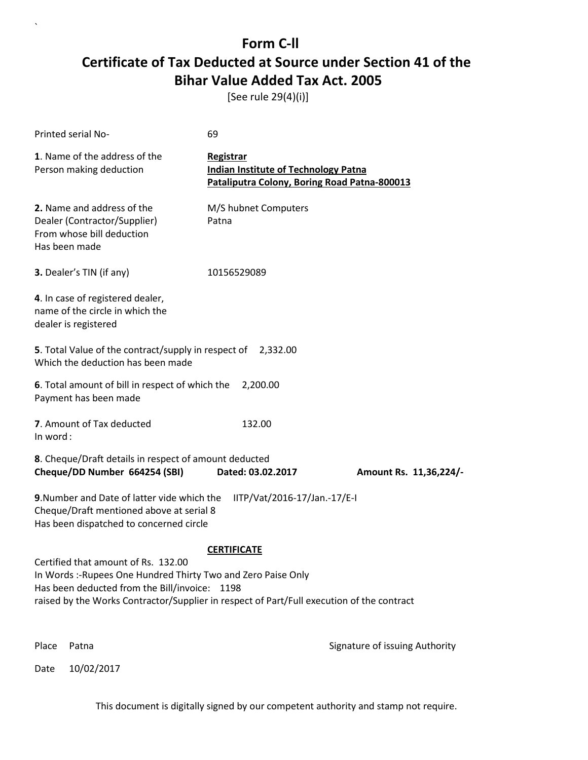[See rule 29(4)(i)]

| Printed serial No-                                                                                                                                                                                                                                 | 69                                                                                                       |                                |
|----------------------------------------------------------------------------------------------------------------------------------------------------------------------------------------------------------------------------------------------------|----------------------------------------------------------------------------------------------------------|--------------------------------|
| 1. Name of the address of the<br>Person making deduction                                                                                                                                                                                           | Registrar<br><b>Indian Institute of Technology Patna</b><br>Pataliputra Colony, Boring Road Patna-800013 |                                |
| 2. Name and address of the<br>Dealer (Contractor/Supplier)<br>From whose bill deduction<br>Has been made                                                                                                                                           | M/S hubnet Computers<br>Patna                                                                            |                                |
| 3. Dealer's TIN (if any)                                                                                                                                                                                                                           | 10156529089                                                                                              |                                |
| 4. In case of registered dealer,<br>name of the circle in which the<br>dealer is registered                                                                                                                                                        |                                                                                                          |                                |
| 5. Total Value of the contract/supply in respect of 2,332.00<br>Which the deduction has been made                                                                                                                                                  |                                                                                                          |                                |
| 6. Total amount of bill in respect of which the<br>Payment has been made                                                                                                                                                                           | 2,200.00                                                                                                 |                                |
| 7. Amount of Tax deducted<br>In word:                                                                                                                                                                                                              | 132.00                                                                                                   |                                |
| 8. Cheque/Draft details in respect of amount deducted<br>Cheque/DD Number 664254 (SBI)                                                                                                                                                             | Dated: 03.02.2017                                                                                        | Amount Rs. 11,36,224/-         |
| 9. Number and Date of latter vide which the<br>Cheque/Draft mentioned above at serial 8<br>Has been dispatched to concerned circle                                                                                                                 | IITP/Vat/2016-17/Jan.-17/E-I                                                                             |                                |
|                                                                                                                                                                                                                                                    | <b>CERTIFICATE</b>                                                                                       |                                |
| Certified that amount of Rs. 132.00<br>In Words :- Rupees One Hundred Thirty Two and Zero Paise Only<br>Has been deducted from the Bill/invoice: 1198<br>raised by the Works Contractor/Supplier in respect of Part/Full execution of the contract |                                                                                                          |                                |
| Place<br>Patna                                                                                                                                                                                                                                     |                                                                                                          | Signature of issuing Authority |

Date 10/02/2017

`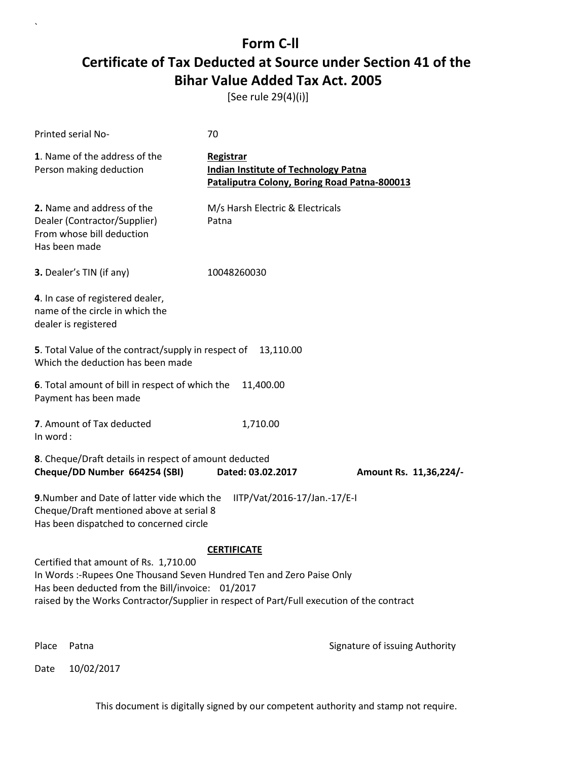[See rule 29(4)(i)]

| Printed serial No-                                                                                                                                                                                                                                             | 70                                                                                                       |                                |  |
|----------------------------------------------------------------------------------------------------------------------------------------------------------------------------------------------------------------------------------------------------------------|----------------------------------------------------------------------------------------------------------|--------------------------------|--|
| 1. Name of the address of the<br>Person making deduction                                                                                                                                                                                                       | Registrar<br><b>Indian Institute of Technology Patna</b><br>Pataliputra Colony, Boring Road Patna-800013 |                                |  |
| 2. Name and address of the<br>Dealer (Contractor/Supplier)<br>From whose bill deduction<br>Has been made                                                                                                                                                       | M/s Harsh Electric & Electricals<br>Patna                                                                |                                |  |
| 3. Dealer's TIN (if any)                                                                                                                                                                                                                                       | 10048260030                                                                                              |                                |  |
| 4. In case of registered dealer,<br>name of the circle in which the<br>dealer is registered                                                                                                                                                                    |                                                                                                          |                                |  |
| 5. Total Value of the contract/supply in respect of<br>Which the deduction has been made                                                                                                                                                                       | 13,110.00                                                                                                |                                |  |
| 6. Total amount of bill in respect of which the<br>Payment has been made                                                                                                                                                                                       | 11,400.00                                                                                                |                                |  |
| 7. Amount of Tax deducted<br>In word:                                                                                                                                                                                                                          | 1,710.00                                                                                                 |                                |  |
| 8. Cheque/Draft details in respect of amount deducted<br>Cheque/DD Number 664254 (SBI)                                                                                                                                                                         | Dated: 03.02.2017                                                                                        | Amount Rs. 11,36,224/-         |  |
| 9. Number and Date of latter vide which the<br>IITP/Vat/2016-17/Jan.-17/E-I<br>Cheque/Draft mentioned above at serial 8<br>Has been dispatched to concerned circle                                                                                             |                                                                                                          |                                |  |
|                                                                                                                                                                                                                                                                | <b>CERTIFICATE</b>                                                                                       |                                |  |
| Certified that amount of Rs. 1,710.00<br>In Words: -Rupees One Thousand Seven Hundred Ten and Zero Paise Only<br>Has been deducted from the Bill/invoice: 01/2017<br>raised by the Works Contractor/Supplier in respect of Part/Full execution of the contract |                                                                                                          |                                |  |
| Place<br>Patna                                                                                                                                                                                                                                                 |                                                                                                          | Signature of issuing Authority |  |

Date 10/02/2017

`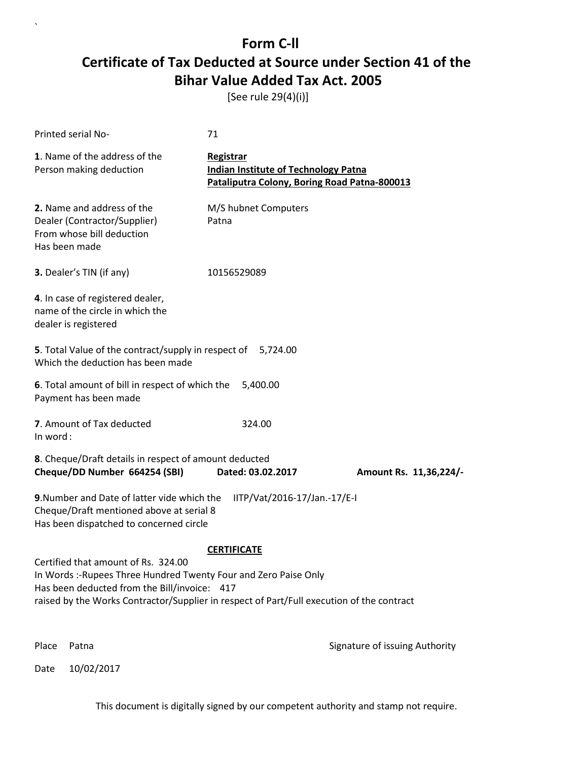[See rule 29(4)(i)]

| Printed serial No-                                                                                                                                                                                                                                   | 71                                                                                                       |                                |
|------------------------------------------------------------------------------------------------------------------------------------------------------------------------------------------------------------------------------------------------------|----------------------------------------------------------------------------------------------------------|--------------------------------|
| 1. Name of the address of the<br>Person making deduction                                                                                                                                                                                             | Registrar<br><b>Indian Institute of Technology Patna</b><br>Pataliputra Colony, Boring Road Patna-800013 |                                |
| 2. Name and address of the<br>Dealer (Contractor/Supplier)<br>From whose bill deduction<br>Has been made                                                                                                                                             | M/S hubnet Computers<br>Patna                                                                            |                                |
| 3. Dealer's TIN (if any)                                                                                                                                                                                                                             | 10156529089                                                                                              |                                |
| 4. In case of registered dealer,<br>name of the circle in which the<br>dealer is registered                                                                                                                                                          |                                                                                                          |                                |
| 5. Total Value of the contract/supply in respect of<br>Which the deduction has been made                                                                                                                                                             | 5,724.00                                                                                                 |                                |
| 6. Total amount of bill in respect of which the<br>Payment has been made                                                                                                                                                                             | 5,400.00                                                                                                 |                                |
| 7. Amount of Tax deducted<br>In word:                                                                                                                                                                                                                | 324.00                                                                                                   |                                |
| 8. Cheque/Draft details in respect of amount deducted<br>Cheque/DD Number 664254 (SBI)                                                                                                                                                               | Dated: 03.02.2017                                                                                        | Amount Rs. 11,36,224/-         |
| 9. Number and Date of latter vide which the<br>Cheque/Draft mentioned above at serial 8<br>Has been dispatched to concerned circle                                                                                                                   | IITP/Vat/2016-17/Jan.-17/E-I                                                                             |                                |
| Certified that amount of Rs. 324.00<br>In Words: - Rupees Three Hundred Twenty Four and Zero Paise Only<br>Has been deducted from the Bill/invoice: 417<br>raised by the Works Contractor/Supplier in respect of Part/Full execution of the contract | <b>CERTIFICATE</b>                                                                                       |                                |
| Place<br>Patna                                                                                                                                                                                                                                       |                                                                                                          | Signature of issuing Authority |

Date 10/02/2017

`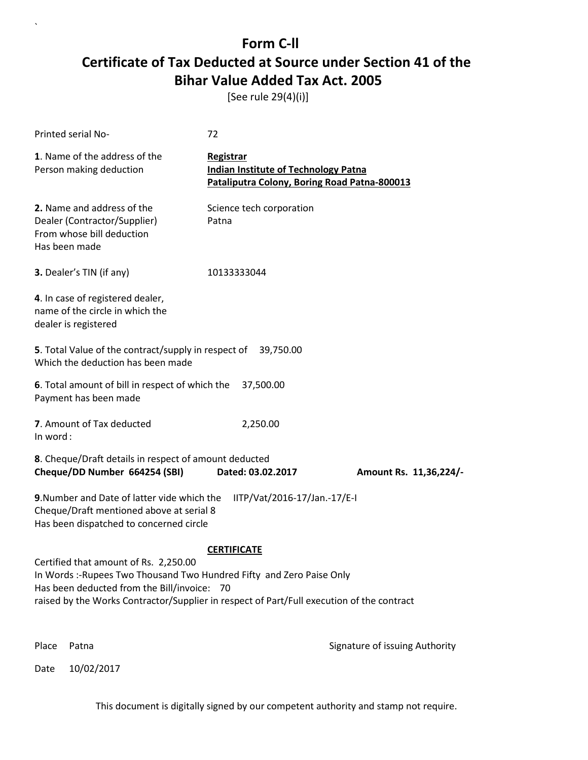[See rule 29(4)(i)]

| Printed serial No-                                                                                                                                                                                                                                        | 72                                                                                                       |                                |
|-----------------------------------------------------------------------------------------------------------------------------------------------------------------------------------------------------------------------------------------------------------|----------------------------------------------------------------------------------------------------------|--------------------------------|
| 1. Name of the address of the<br>Person making deduction                                                                                                                                                                                                  | Registrar<br><b>Indian Institute of Technology Patna</b><br>Pataliputra Colony, Boring Road Patna-800013 |                                |
| 2. Name and address of the<br>Dealer (Contractor/Supplier)<br>From whose bill deduction<br>Has been made                                                                                                                                                  | Science tech corporation<br>Patna                                                                        |                                |
| 3. Dealer's TIN (if any)                                                                                                                                                                                                                                  | 10133333044                                                                                              |                                |
| 4. In case of registered dealer,<br>name of the circle in which the<br>dealer is registered                                                                                                                                                               |                                                                                                          |                                |
| 5. Total Value of the contract/supply in respect of 39,750.00<br>Which the deduction has been made                                                                                                                                                        |                                                                                                          |                                |
| 6. Total amount of bill in respect of which the<br>Payment has been made                                                                                                                                                                                  | 37,500.00                                                                                                |                                |
| 7. Amount of Tax deducted<br>In word:                                                                                                                                                                                                                     | 2,250.00                                                                                                 |                                |
| 8. Cheque/Draft details in respect of amount deducted<br>Cheque/DD Number 664254 (SBI)                                                                                                                                                                    | Dated: 03.02.2017                                                                                        | Amount Rs. 11,36,224/-         |
| 9. Number and Date of latter vide which the<br>Cheque/Draft mentioned above at serial 8<br>Has been dispatched to concerned circle                                                                                                                        | IITP/Vat/2016-17/Jan.-17/E-I                                                                             |                                |
|                                                                                                                                                                                                                                                           | <b>CERTIFICATE</b>                                                                                       |                                |
| Certified that amount of Rs. 2,250.00<br>In Words: -Rupees Two Thousand Two Hundred Fifty and Zero Paise Only<br>Has been deducted from the Bill/invoice: 70<br>raised by the Works Contractor/Supplier in respect of Part/Full execution of the contract |                                                                                                          |                                |
| Place<br>Patna                                                                                                                                                                                                                                            |                                                                                                          | Signature of issuing Authority |

Date 10/02/2017

`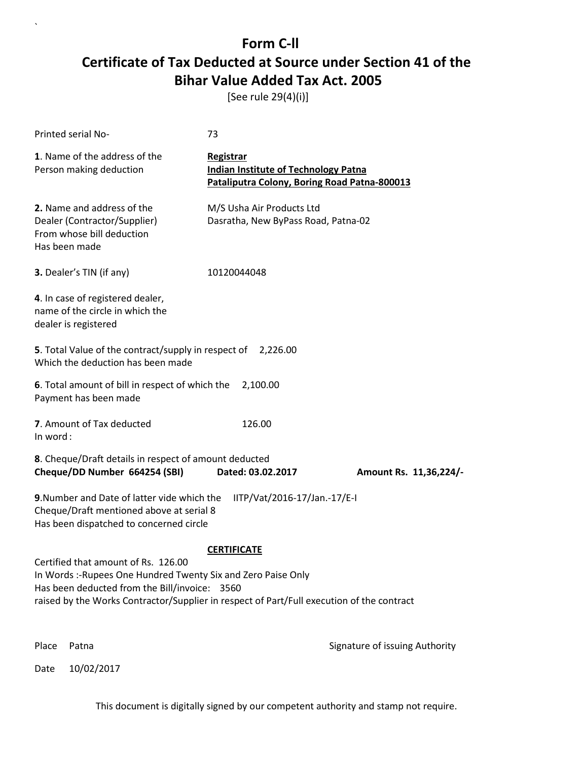[See rule 29(4)(i)]

| Printed serial No-                                                                                                                                                                                                                                                       | 73                                                                                                       |                                |
|--------------------------------------------------------------------------------------------------------------------------------------------------------------------------------------------------------------------------------------------------------------------------|----------------------------------------------------------------------------------------------------------|--------------------------------|
| 1. Name of the address of the<br>Person making deduction                                                                                                                                                                                                                 | Registrar<br><b>Indian Institute of Technology Patna</b><br>Pataliputra Colony, Boring Road Patna-800013 |                                |
| 2. Name and address of the<br>Dealer (Contractor/Supplier)<br>From whose bill deduction<br>Has been made                                                                                                                                                                 | M/S Usha Air Products Ltd<br>Dasratha, New ByPass Road, Patna-02                                         |                                |
| 3. Dealer's TIN (if any)                                                                                                                                                                                                                                                 | 10120044048                                                                                              |                                |
| 4. In case of registered dealer,<br>name of the circle in which the<br>dealer is registered                                                                                                                                                                              |                                                                                                          |                                |
| 5. Total Value of the contract/supply in respect of<br>Which the deduction has been made                                                                                                                                                                                 | 2,226.00                                                                                                 |                                |
| 6. Total amount of bill in respect of which the<br>Payment has been made                                                                                                                                                                                                 | 2,100.00                                                                                                 |                                |
| 7. Amount of Tax deducted<br>In word:                                                                                                                                                                                                                                    | 126.00                                                                                                   |                                |
| 8. Cheque/Draft details in respect of amount deducted<br>Cheque/DD Number 664254 (SBI)                                                                                                                                                                                   | Dated: 03.02.2017                                                                                        | Amount Rs. 11,36,224/-         |
| 9. Number and Date of latter vide which the<br>IITP/Vat/2016-17/Jan.-17/E-I<br>Cheque/Draft mentioned above at serial 8<br>Has been dispatched to concerned circle                                                                                                       |                                                                                                          |                                |
| <b>CERTIFICATE</b><br>Certified that amount of Rs. 126.00<br>In Words :- Rupees One Hundred Twenty Six and Zero Paise Only<br>Has been deducted from the Bill/invoice: 3560<br>raised by the Works Contractor/Supplier in respect of Part/Full execution of the contract |                                                                                                          |                                |
| Place<br>Patna                                                                                                                                                                                                                                                           |                                                                                                          | Signature of issuing Authority |

Date 10/02/2017

`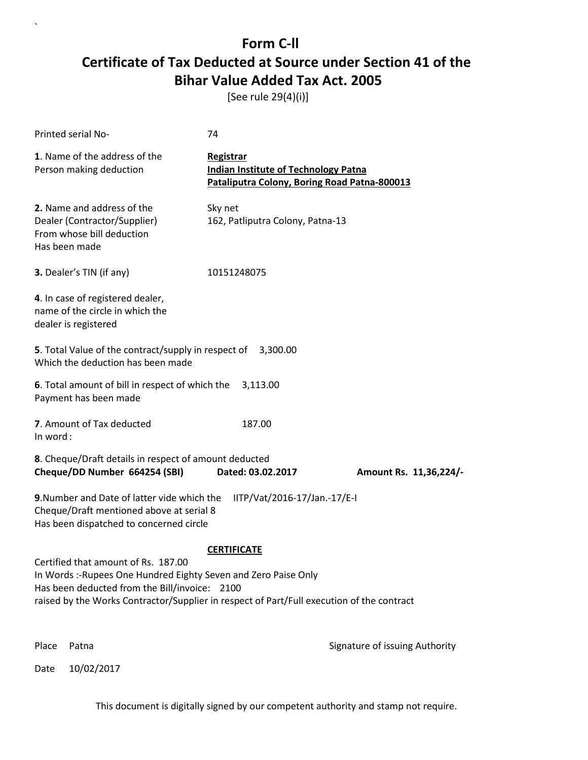[See rule 29(4)(i)]

| <b>Printed serial No-</b>                                                                                                                                                                                                                            | 74                                                                                                       |                                |
|------------------------------------------------------------------------------------------------------------------------------------------------------------------------------------------------------------------------------------------------------|----------------------------------------------------------------------------------------------------------|--------------------------------|
| 1. Name of the address of the<br>Person making deduction                                                                                                                                                                                             | Registrar<br><b>Indian Institute of Technology Patna</b><br>Pataliputra Colony, Boring Road Patna-800013 |                                |
| 2. Name and address of the<br>Dealer (Contractor/Supplier)<br>From whose bill deduction<br>Has been made                                                                                                                                             | Sky net<br>162, Patliputra Colony, Patna-13                                                              |                                |
| 3. Dealer's TIN (if any)                                                                                                                                                                                                                             | 10151248075                                                                                              |                                |
| 4. In case of registered dealer,<br>name of the circle in which the<br>dealer is registered                                                                                                                                                          |                                                                                                          |                                |
| 5. Total Value of the contract/supply in respect of 3,300.00<br>Which the deduction has been made                                                                                                                                                    |                                                                                                          |                                |
| 6. Total amount of bill in respect of which the<br>Payment has been made                                                                                                                                                                             | 3,113.00                                                                                                 |                                |
| 7. Amount of Tax deducted<br>In word:                                                                                                                                                                                                                | 187.00                                                                                                   |                                |
| 8. Cheque/Draft details in respect of amount deducted<br>Cheque/DD Number 664254 (SBI)                                                                                                                                                               | Dated: 03.02.2017                                                                                        | Amount Rs. 11,36,224/-         |
| 9. Number and Date of latter vide which the<br>Cheque/Draft mentioned above at serial 8<br>Has been dispatched to concerned circle                                                                                                                   | IITP/Vat/2016-17/Jan.-17/E-I                                                                             |                                |
|                                                                                                                                                                                                                                                      | <b>CERTIFICATE</b>                                                                                       |                                |
| Certified that amount of Rs. 187.00<br>In Words :- Rupees One Hundred Eighty Seven and Zero Paise Only<br>Has been deducted from the Bill/invoice: 2100<br>raised by the Works Contractor/Supplier in respect of Part/Full execution of the contract |                                                                                                          |                                |
| Place<br>Patna                                                                                                                                                                                                                                       |                                                                                                          | Signature of issuing Authority |

Date 10/02/2017

`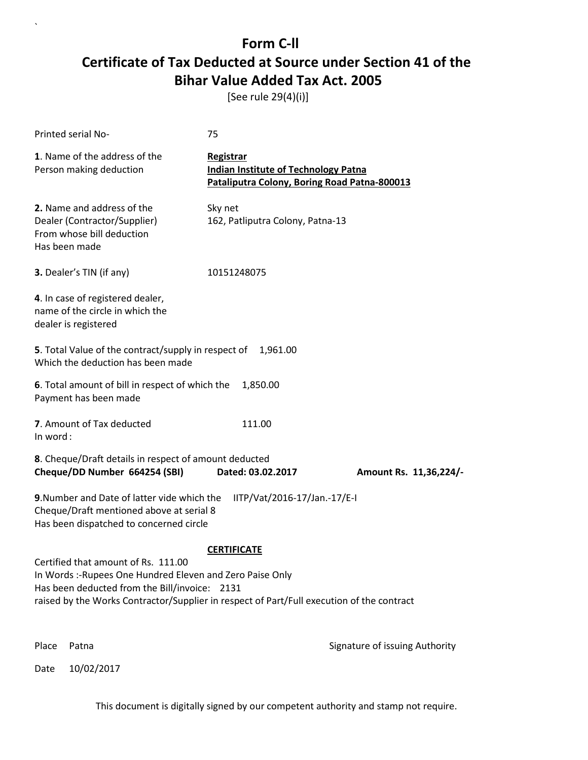[See rule 29(4)(i)]

| Printed serial No-                                                                                                                                                                                                                             | 75                                                                                                       |                                |
|------------------------------------------------------------------------------------------------------------------------------------------------------------------------------------------------------------------------------------------------|----------------------------------------------------------------------------------------------------------|--------------------------------|
| 1. Name of the address of the<br>Person making deduction                                                                                                                                                                                       | Registrar<br><b>Indian Institute of Technology Patna</b><br>Pataliputra Colony, Boring Road Patna-800013 |                                |
| 2. Name and address of the<br>Dealer (Contractor/Supplier)<br>From whose bill deduction<br>Has been made                                                                                                                                       | Sky net<br>162, Patliputra Colony, Patna-13                                                              |                                |
| 3. Dealer's TIN (if any)                                                                                                                                                                                                                       | 10151248075                                                                                              |                                |
| 4. In case of registered dealer,<br>name of the circle in which the<br>dealer is registered                                                                                                                                                    |                                                                                                          |                                |
| 5. Total Value of the contract/supply in respect of<br>Which the deduction has been made                                                                                                                                                       | 1,961.00                                                                                                 |                                |
| 6. Total amount of bill in respect of which the<br>Payment has been made                                                                                                                                                                       | 1,850.00                                                                                                 |                                |
| 7. Amount of Tax deducted<br>In word:                                                                                                                                                                                                          | 111.00                                                                                                   |                                |
| 8. Cheque/Draft details in respect of amount deducted<br>Cheque/DD Number 664254 (SBI)                                                                                                                                                         | Dated: 03.02.2017                                                                                        | Amount Rs. 11,36,224/-         |
| 9. Number and Date of latter vide which the<br>IITP/Vat/2016-17/Jan.-17/E-I<br>Cheque/Draft mentioned above at serial 8<br>Has been dispatched to concerned circle                                                                             |                                                                                                          |                                |
| Certified that amount of Rs. 111.00<br>In Words :- Rupees One Hundred Eleven and Zero Paise Only<br>Has been deducted from the Bill/invoice: 2131<br>raised by the Works Contractor/Supplier in respect of Part/Full execution of the contract | <b>CERTIFICATE</b>                                                                                       |                                |
| Place<br>Patna                                                                                                                                                                                                                                 |                                                                                                          | Signature of issuing Authority |

Date 10/02/2017

`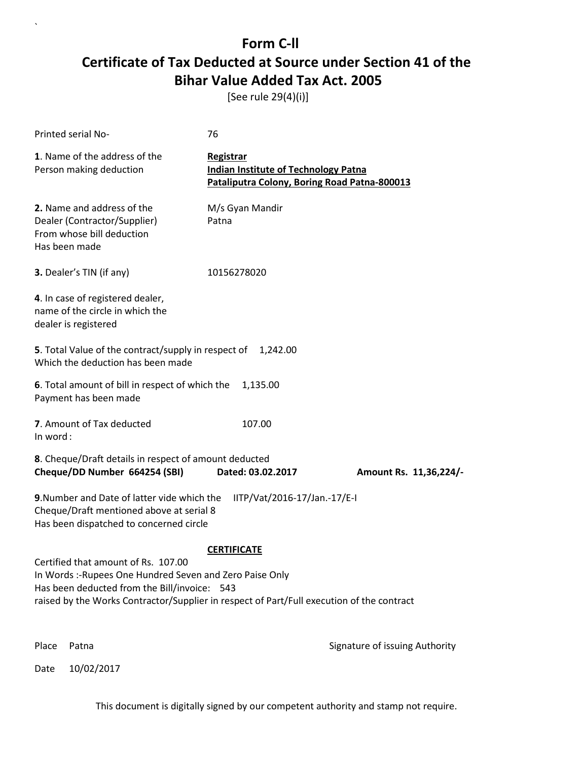[See rule 29(4)(i)]

| Printed serial No-                                                                                                                                                                                                                          | 76                                                                                                       |                                |
|---------------------------------------------------------------------------------------------------------------------------------------------------------------------------------------------------------------------------------------------|----------------------------------------------------------------------------------------------------------|--------------------------------|
| 1. Name of the address of the<br>Person making deduction                                                                                                                                                                                    | Registrar<br><b>Indian Institute of Technology Patna</b><br>Pataliputra Colony, Boring Road Patna-800013 |                                |
| 2. Name and address of the<br>Dealer (Contractor/Supplier)<br>From whose bill deduction<br>Has been made                                                                                                                                    | M/s Gyan Mandir<br>Patna                                                                                 |                                |
| 3. Dealer's TIN (if any)                                                                                                                                                                                                                    | 10156278020                                                                                              |                                |
| 4. In case of registered dealer,<br>name of the circle in which the<br>dealer is registered                                                                                                                                                 |                                                                                                          |                                |
| 5. Total Value of the contract/supply in respect of<br>Which the deduction has been made                                                                                                                                                    | 1,242.00                                                                                                 |                                |
| 6. Total amount of bill in respect of which the<br>Payment has been made                                                                                                                                                                    | 1,135.00                                                                                                 |                                |
| 7. Amount of Tax deducted<br>In word:                                                                                                                                                                                                       | 107.00                                                                                                   |                                |
| 8. Cheque/Draft details in respect of amount deducted<br>Cheque/DD Number 664254 (SBI)                                                                                                                                                      | Dated: 03.02.2017                                                                                        | Amount Rs. 11,36,224/-         |
| 9. Number and Date of latter vide which the<br>Cheque/Draft mentioned above at serial 8<br>Has been dispatched to concerned circle                                                                                                          | IITP/Vat/2016-17/Jan.-17/E-I                                                                             |                                |
|                                                                                                                                                                                                                                             | <b>CERTIFICATE</b>                                                                                       |                                |
| Certified that amount of Rs. 107.00<br>In Words: -Rupees One Hundred Seven and Zero Paise Only<br>Has been deducted from the Bill/invoice: 543<br>raised by the Works Contractor/Supplier in respect of Part/Full execution of the contract |                                                                                                          |                                |
| Place<br>Patna                                                                                                                                                                                                                              |                                                                                                          | Signature of issuing Authority |

Date 10/02/2017

`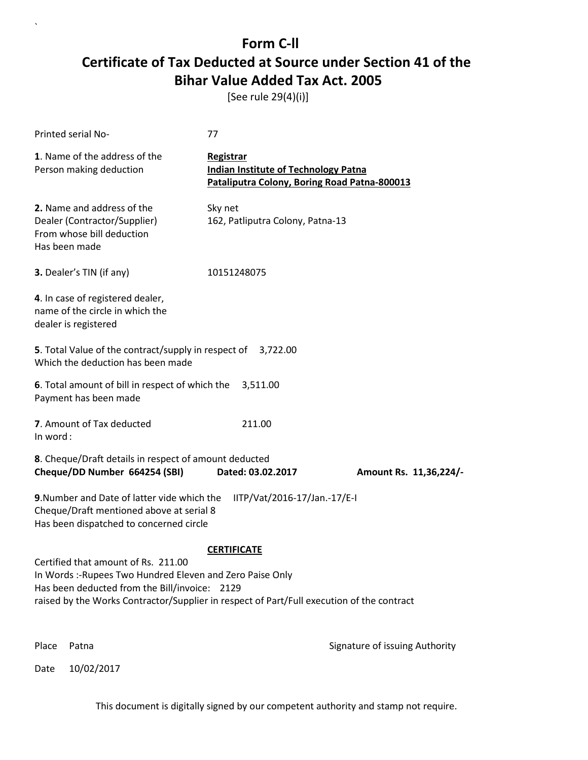[See rule 29(4)(i)]

| Printed serial No-                                                                                                                                                                                                                             | 77                                                                                                       |                                |
|------------------------------------------------------------------------------------------------------------------------------------------------------------------------------------------------------------------------------------------------|----------------------------------------------------------------------------------------------------------|--------------------------------|
| 1. Name of the address of the<br>Person making deduction                                                                                                                                                                                       | Registrar<br><b>Indian Institute of Technology Patna</b><br>Pataliputra Colony, Boring Road Patna-800013 |                                |
| 2. Name and address of the<br>Dealer (Contractor/Supplier)<br>From whose bill deduction<br>Has been made                                                                                                                                       | Sky net<br>162, Patliputra Colony, Patna-13                                                              |                                |
| 3. Dealer's TIN (if any)                                                                                                                                                                                                                       | 10151248075                                                                                              |                                |
| 4. In case of registered dealer,<br>name of the circle in which the<br>dealer is registered                                                                                                                                                    |                                                                                                          |                                |
| 5. Total Value of the contract/supply in respect of<br>Which the deduction has been made                                                                                                                                                       | 3,722.00                                                                                                 |                                |
| 6. Total amount of bill in respect of which the<br>Payment has been made                                                                                                                                                                       | 3,511.00                                                                                                 |                                |
| 7. Amount of Tax deducted<br>In word:                                                                                                                                                                                                          | 211.00                                                                                                   |                                |
| 8. Cheque/Draft details in respect of amount deducted<br>Cheque/DD Number 664254 (SBI)                                                                                                                                                         | Dated: 03.02.2017                                                                                        | Amount Rs. 11,36,224/-         |
| 9. Number and Date of latter vide which the<br>IITP/Vat/2016-17/Jan.-17/E-I<br>Cheque/Draft mentioned above at serial 8<br>Has been dispatched to concerned circle                                                                             |                                                                                                          |                                |
|                                                                                                                                                                                                                                                | <b>CERTIFICATE</b>                                                                                       |                                |
| Certified that amount of Rs. 211.00<br>In Words :- Rupees Two Hundred Eleven and Zero Paise Only<br>Has been deducted from the Bill/invoice: 2129<br>raised by the Works Contractor/Supplier in respect of Part/Full execution of the contract |                                                                                                          |                                |
| Place<br>Patna                                                                                                                                                                                                                                 |                                                                                                          | Signature of issuing Authority |

Date 10/02/2017

`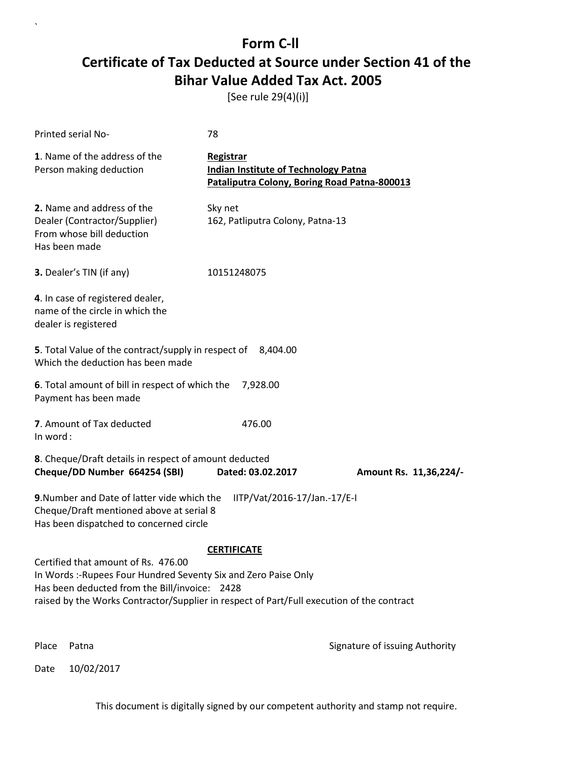[See rule 29(4)(i)]

| Printed serial No-                                                                                                                                                                                            | 78                                                                                                       |                                |
|---------------------------------------------------------------------------------------------------------------------------------------------------------------------------------------------------------------|----------------------------------------------------------------------------------------------------------|--------------------------------|
| 1. Name of the address of the<br>Person making deduction                                                                                                                                                      | Registrar<br><b>Indian Institute of Technology Patna</b><br>Pataliputra Colony, Boring Road Patna-800013 |                                |
| 2. Name and address of the<br>Dealer (Contractor/Supplier)<br>From whose bill deduction<br>Has been made                                                                                                      | Sky net<br>162, Patliputra Colony, Patna-13                                                              |                                |
| 3. Dealer's TIN (if any)                                                                                                                                                                                      | 10151248075                                                                                              |                                |
| 4. In case of registered dealer,<br>name of the circle in which the<br>dealer is registered                                                                                                                   |                                                                                                          |                                |
| 5. Total Value of the contract/supply in respect of<br>Which the deduction has been made                                                                                                                      | 8,404.00                                                                                                 |                                |
| 6. Total amount of bill in respect of which the<br>Payment has been made                                                                                                                                      | 7,928.00                                                                                                 |                                |
| 7. Amount of Tax deducted<br>In word:                                                                                                                                                                         | 476.00                                                                                                   |                                |
| 8. Cheque/Draft details in respect of amount deducted<br>Cheque/DD Number 664254 (SBI)                                                                                                                        | Dated: 03.02.2017                                                                                        | Amount Rs. 11,36,224/-         |
| 9. Number and Date of latter vide which the<br>Cheque/Draft mentioned above at serial 8<br>Has been dispatched to concerned circle                                                                            | IITP/Vat/2016-17/Jan.-17/E-I                                                                             |                                |
| Certified that amount of Rs. 476.00                                                                                                                                                                           | <b>CERTIFICATE</b>                                                                                       |                                |
| In Words :- Rupees Four Hundred Seventy Six and Zero Paise Only<br>Has been deducted from the Bill/invoice: 2428<br>raised by the Works Contractor/Supplier in respect of Part/Full execution of the contract |                                                                                                          |                                |
|                                                                                                                                                                                                               |                                                                                                          |                                |
| Place<br>Patna                                                                                                                                                                                                |                                                                                                          | Signature of issuing Authority |

Date 10/02/2017

`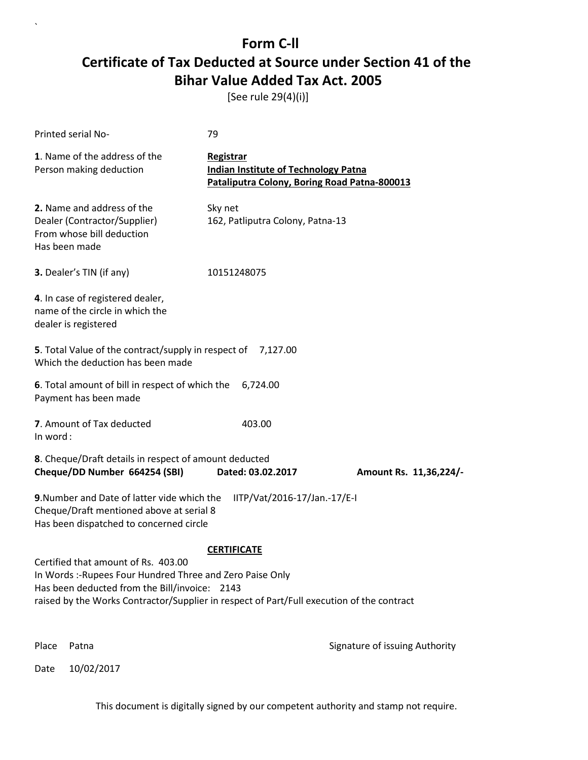[See rule 29(4)(i)]

| <b>Printed serial No-</b>                                                                                                                                                                                                                      | 79                                                                                                       |                                |
|------------------------------------------------------------------------------------------------------------------------------------------------------------------------------------------------------------------------------------------------|----------------------------------------------------------------------------------------------------------|--------------------------------|
| 1. Name of the address of the<br>Person making deduction                                                                                                                                                                                       | Registrar<br><b>Indian Institute of Technology Patna</b><br>Pataliputra Colony, Boring Road Patna-800013 |                                |
| 2. Name and address of the<br>Dealer (Contractor/Supplier)<br>From whose bill deduction<br>Has been made                                                                                                                                       | Sky net<br>162, Patliputra Colony, Patna-13                                                              |                                |
| 3. Dealer's TIN (if any)                                                                                                                                                                                                                       | 10151248075                                                                                              |                                |
| 4. In case of registered dealer,<br>name of the circle in which the<br>dealer is registered                                                                                                                                                    |                                                                                                          |                                |
| 5. Total Value of the contract/supply in respect of 7,127.00<br>Which the deduction has been made                                                                                                                                              |                                                                                                          |                                |
| 6. Total amount of bill in respect of which the<br>Payment has been made                                                                                                                                                                       | 6,724.00                                                                                                 |                                |
| 7. Amount of Tax deducted<br>In word:                                                                                                                                                                                                          | 403.00                                                                                                   |                                |
| 8. Cheque/Draft details in respect of amount deducted<br>Cheque/DD Number 664254 (SBI)                                                                                                                                                         | Dated: 03.02.2017                                                                                        | Amount Rs. 11,36,224/-         |
| 9. Number and Date of latter vide which the<br>IITP/Vat/2016-17/Jan.-17/E-I<br>Cheque/Draft mentioned above at serial 8<br>Has been dispatched to concerned circle                                                                             |                                                                                                          |                                |
|                                                                                                                                                                                                                                                | <b>CERTIFICATE</b>                                                                                       |                                |
| Certified that amount of Rs. 403.00<br>In Words :- Rupees Four Hundred Three and Zero Paise Only<br>Has been deducted from the Bill/invoice: 2143<br>raised by the Works Contractor/Supplier in respect of Part/Full execution of the contract |                                                                                                          |                                |
| Place<br>Patna                                                                                                                                                                                                                                 |                                                                                                          | Signature of issuing Authority |

Date 10/02/2017

 $\overline{\phantom{a}}$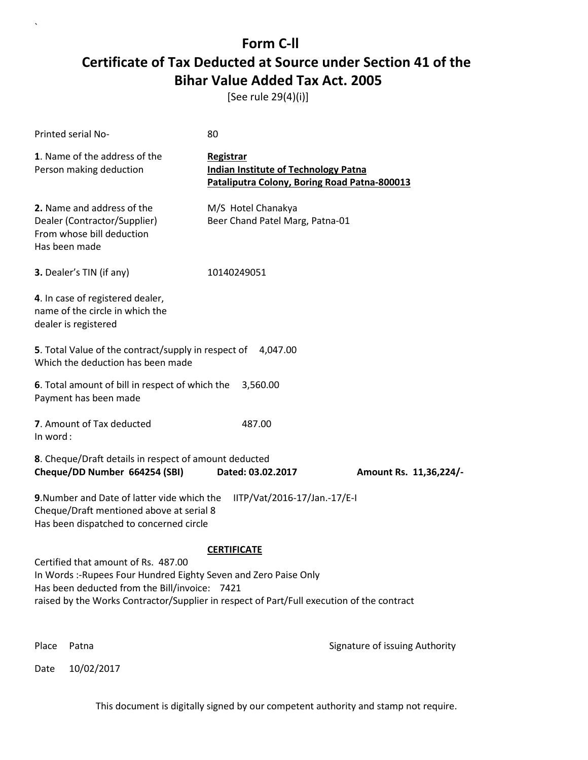[See rule 29(4)(i)]

| Printed serial No-                                                                                                                                                                                                                                                          | 80                                                                                                       |                                |
|-----------------------------------------------------------------------------------------------------------------------------------------------------------------------------------------------------------------------------------------------------------------------------|----------------------------------------------------------------------------------------------------------|--------------------------------|
| 1. Name of the address of the<br>Person making deduction                                                                                                                                                                                                                    | Registrar<br><b>Indian Institute of Technology Patna</b><br>Pataliputra Colony, Boring Road Patna-800013 |                                |
| 2. Name and address of the<br>Dealer (Contractor/Supplier)<br>From whose bill deduction<br>Has been made                                                                                                                                                                    | M/S Hotel Chanakya<br>Beer Chand Patel Marg, Patna-01                                                    |                                |
| 3. Dealer's TIN (if any)                                                                                                                                                                                                                                                    | 10140249051                                                                                              |                                |
| 4. In case of registered dealer,<br>name of the circle in which the<br>dealer is registered                                                                                                                                                                                 |                                                                                                          |                                |
| 5. Total Value of the contract/supply in respect of<br>Which the deduction has been made                                                                                                                                                                                    | 4,047.00                                                                                                 |                                |
| 6. Total amount of bill in respect of which the<br>Payment has been made                                                                                                                                                                                                    | 3,560.00                                                                                                 |                                |
| 7. Amount of Tax deducted<br>In word:                                                                                                                                                                                                                                       | 487.00                                                                                                   |                                |
| 8. Cheque/Draft details in respect of amount deducted<br>Cheque/DD Number 664254 (SBI)                                                                                                                                                                                      | Dated: 03.02.2017                                                                                        | Amount Rs. 11,36,224/-         |
| 9. Number and Date of latter vide which the<br>IITP/Vat/2016-17/Jan.-17/E-I<br>Cheque/Draft mentioned above at serial 8<br>Has been dispatched to concerned circle                                                                                                          |                                                                                                          |                                |
| <b>CERTIFICATE</b><br>Certified that amount of Rs. 487.00<br>In Words :- Rupees Four Hundred Eighty Seven and Zero Paise Only<br>Has been deducted from the Bill/invoice: 7421<br>raised by the Works Contractor/Supplier in respect of Part/Full execution of the contract |                                                                                                          |                                |
| Place<br>Patna                                                                                                                                                                                                                                                              |                                                                                                          | Signature of issuing Authority |

Date 10/02/2017

`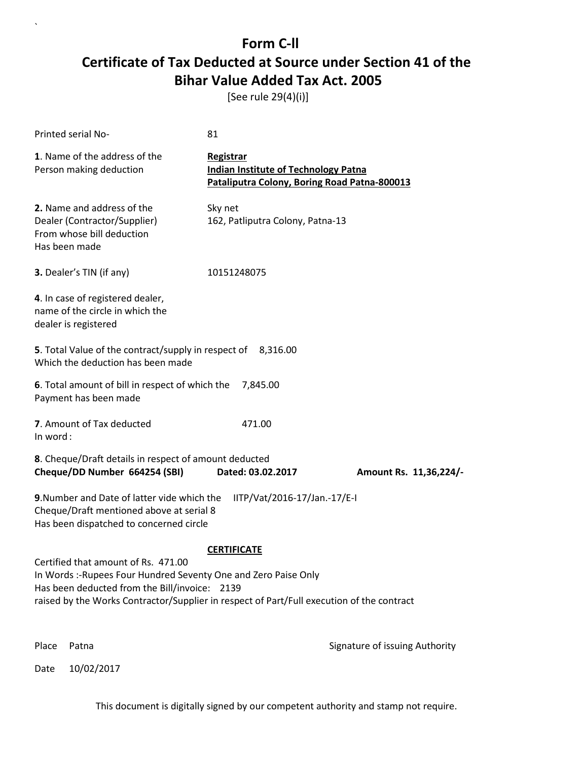[See rule 29(4)(i)]

| Printed serial No-                                                                                                                                                                                                                                   | 81                                                                                                       |                                |
|------------------------------------------------------------------------------------------------------------------------------------------------------------------------------------------------------------------------------------------------------|----------------------------------------------------------------------------------------------------------|--------------------------------|
| 1. Name of the address of the<br>Person making deduction                                                                                                                                                                                             | Registrar<br><b>Indian Institute of Technology Patna</b><br>Pataliputra Colony, Boring Road Patna-800013 |                                |
| 2. Name and address of the<br>Dealer (Contractor/Supplier)<br>From whose bill deduction<br>Has been made                                                                                                                                             | Sky net<br>162, Patliputra Colony, Patna-13                                                              |                                |
| 3. Dealer's TIN (if any)                                                                                                                                                                                                                             | 10151248075                                                                                              |                                |
| 4. In case of registered dealer,<br>name of the circle in which the<br>dealer is registered                                                                                                                                                          |                                                                                                          |                                |
| 5. Total Value of the contract/supply in respect of 8,316.00<br>Which the deduction has been made                                                                                                                                                    |                                                                                                          |                                |
| 6. Total amount of bill in respect of which the<br>Payment has been made                                                                                                                                                                             | 7,845.00                                                                                                 |                                |
| 7. Amount of Tax deducted<br>In word:                                                                                                                                                                                                                | 471.00                                                                                                   |                                |
| 8. Cheque/Draft details in respect of amount deducted<br>Cheque/DD Number 664254 (SBI)                                                                                                                                                               | Dated: 03.02.2017                                                                                        | Amount Rs. 11,36,224/-         |
| 9. Number and Date of latter vide which the<br>Cheque/Draft mentioned above at serial 8<br>Has been dispatched to concerned circle                                                                                                                   | IITP/Vat/2016-17/Jan.-17/E-I                                                                             |                                |
|                                                                                                                                                                                                                                                      | <b>CERTIFICATE</b>                                                                                       |                                |
| Certified that amount of Rs. 471.00<br>In Words :- Rupees Four Hundred Seventy One and Zero Paise Only<br>Has been deducted from the Bill/invoice: 2139<br>raised by the Works Contractor/Supplier in respect of Part/Full execution of the contract |                                                                                                          |                                |
| Place<br>Patna                                                                                                                                                                                                                                       |                                                                                                          | Signature of issuing Authority |

Date 10/02/2017

`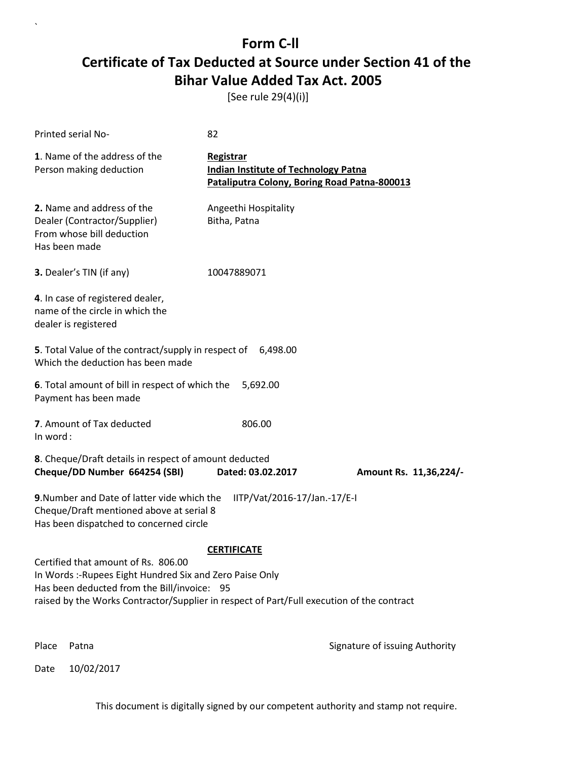[See rule 29(4)(i)]

| <b>Printed serial No-</b>                                                                                                          | 82                                                                                                       |                                |
|------------------------------------------------------------------------------------------------------------------------------------|----------------------------------------------------------------------------------------------------------|--------------------------------|
| 1. Name of the address of the<br>Person making deduction                                                                           | Registrar<br><b>Indian Institute of Technology Patna</b><br>Pataliputra Colony, Boring Road Patna-800013 |                                |
| 2. Name and address of the<br>Dealer (Contractor/Supplier)<br>From whose bill deduction<br>Has been made                           | Angeethi Hospitality<br>Bitha, Patna                                                                     |                                |
| 3. Dealer's TIN (if any)                                                                                                           | 10047889071                                                                                              |                                |
| 4. In case of registered dealer,<br>name of the circle in which the<br>dealer is registered                                        |                                                                                                          |                                |
| 5. Total Value of the contract/supply in respect of 6,498.00<br>Which the deduction has been made                                  |                                                                                                          |                                |
| 6. Total amount of bill in respect of which the<br>Payment has been made                                                           | 5,692.00                                                                                                 |                                |
| 7. Amount of Tax deducted<br>In word:                                                                                              | 806.00                                                                                                   |                                |
| 8. Cheque/Draft details in respect of amount deducted<br>Cheque/DD Number 664254 (SBI)                                             | Dated: 03.02.2017                                                                                        | Amount Rs. 11,36,224/-         |
| 9. Number and Date of latter vide which the<br>Cheque/Draft mentioned above at serial 8<br>Has been dispatched to concerned circle | IITP/Vat/2016-17/Jan.-17/E-I                                                                             |                                |
|                                                                                                                                    | <b>CERTIFICATE</b>                                                                                       |                                |
| Certified that amount of Rs. 806.00<br>In Words: - Rupees Eight Hundred Six and Zero Paise Only                                    |                                                                                                          |                                |
| Has been deducted from the Bill/invoice: 95                                                                                        |                                                                                                          |                                |
| raised by the Works Contractor/Supplier in respect of Part/Full execution of the contract                                          |                                                                                                          |                                |
| Place<br>Patna                                                                                                                     |                                                                                                          | Signature of issuing Authority |

Date 10/02/2017

`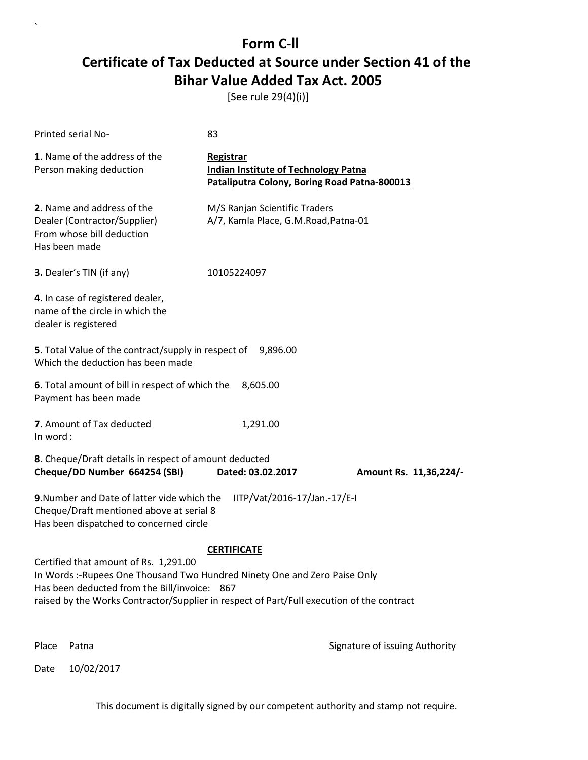[See rule 29(4)(i)]

| Printed serial No-                                                                                                                                                                                                                                               | 83                                                                                                       |                                |
|------------------------------------------------------------------------------------------------------------------------------------------------------------------------------------------------------------------------------------------------------------------|----------------------------------------------------------------------------------------------------------|--------------------------------|
| 1. Name of the address of the<br>Person making deduction                                                                                                                                                                                                         | Registrar<br><b>Indian Institute of Technology Patna</b><br>Pataliputra Colony, Boring Road Patna-800013 |                                |
| 2. Name and address of the<br>Dealer (Contractor/Supplier)<br>From whose bill deduction<br>Has been made                                                                                                                                                         | M/S Ranjan Scientific Traders<br>A/7, Kamla Place, G.M.Road, Patna-01                                    |                                |
| 3. Dealer's TIN (if any)                                                                                                                                                                                                                                         | 10105224097                                                                                              |                                |
| 4. In case of registered dealer,<br>name of the circle in which the<br>dealer is registered                                                                                                                                                                      |                                                                                                          |                                |
| 5. Total Value of the contract/supply in respect of 9,896.00<br>Which the deduction has been made                                                                                                                                                                |                                                                                                          |                                |
| 6. Total amount of bill in respect of which the<br>Payment has been made                                                                                                                                                                                         | 8,605.00                                                                                                 |                                |
| 7. Amount of Tax deducted<br>In word:                                                                                                                                                                                                                            | 1,291.00                                                                                                 |                                |
| 8. Cheque/Draft details in respect of amount deducted<br>Cheque/DD Number 664254 (SBI)                                                                                                                                                                           | Dated: 03.02.2017                                                                                        | Amount Rs. 11,36,224/-         |
| 9. Number and Date of latter vide which the<br>Cheque/Draft mentioned above at serial 8<br>Has been dispatched to concerned circle                                                                                                                               | IITP/Vat/2016-17/Jan.-17/E-I                                                                             |                                |
|                                                                                                                                                                                                                                                                  | <b>CERTIFICATE</b>                                                                                       |                                |
| Certified that amount of Rs. 1,291.00<br>In Words :- Rupees One Thousand Two Hundred Ninety One and Zero Paise Only<br>Has been deducted from the Bill/invoice: 867<br>raised by the Works Contractor/Supplier in respect of Part/Full execution of the contract |                                                                                                          |                                |
| Place<br>Patna                                                                                                                                                                                                                                                   |                                                                                                          | Signature of issuing Authority |

Date 10/02/2017

`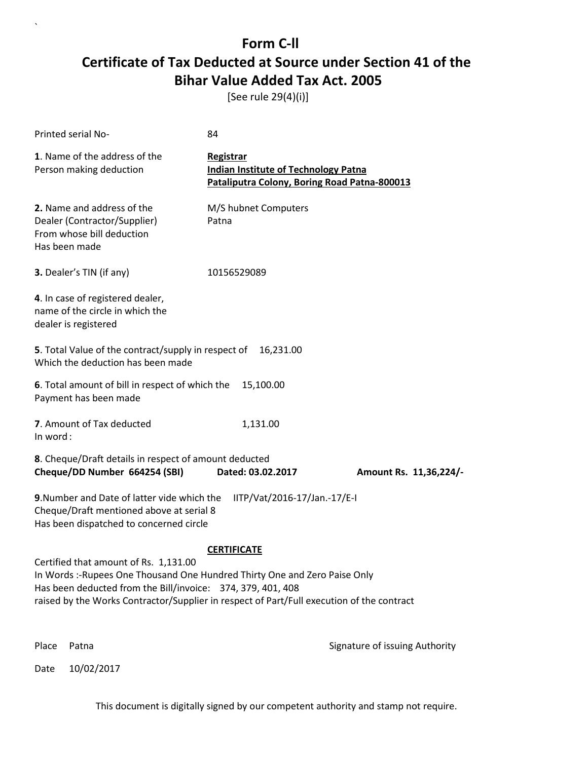[See rule 29(4)(i)]

| Printed serial No-                                                                                                                                                                                                                                                             | 84                                                                                                       |                                |
|--------------------------------------------------------------------------------------------------------------------------------------------------------------------------------------------------------------------------------------------------------------------------------|----------------------------------------------------------------------------------------------------------|--------------------------------|
| 1. Name of the address of the<br>Person making deduction                                                                                                                                                                                                                       | Registrar<br><b>Indian Institute of Technology Patna</b><br>Pataliputra Colony, Boring Road Patna-800013 |                                |
| 2. Name and address of the<br>Dealer (Contractor/Supplier)<br>From whose bill deduction<br>Has been made                                                                                                                                                                       | M/S hubnet Computers<br>Patna                                                                            |                                |
| 3. Dealer's TIN (if any)                                                                                                                                                                                                                                                       | 10156529089                                                                                              |                                |
| 4. In case of registered dealer,<br>name of the circle in which the<br>dealer is registered                                                                                                                                                                                    |                                                                                                          |                                |
| 5. Total Value of the contract/supply in respect of<br>Which the deduction has been made                                                                                                                                                                                       | 16,231.00                                                                                                |                                |
| 6. Total amount of bill in respect of which the<br>Payment has been made                                                                                                                                                                                                       | 15,100.00                                                                                                |                                |
| 7. Amount of Tax deducted<br>In word:                                                                                                                                                                                                                                          | 1,131.00                                                                                                 |                                |
| 8. Cheque/Draft details in respect of amount deducted<br>Cheque/DD Number 664254 (SBI)                                                                                                                                                                                         | Dated: 03.02.2017                                                                                        | Amount Rs. 11,36,224/-         |
| 9. Number and Date of latter vide which the<br>Cheque/Draft mentioned above at serial 8<br>Has been dispatched to concerned circle                                                                                                                                             | IITP/Vat/2016-17/Jan.-17/E-I                                                                             |                                |
|                                                                                                                                                                                                                                                                                | <b>CERTIFICATE</b>                                                                                       |                                |
| Certified that amount of Rs. 1,131.00<br>In Words: -Rupees One Thousand One Hundred Thirty One and Zero Paise Only<br>Has been deducted from the Bill/invoice: 374, 379, 401, 408<br>raised by the Works Contractor/Supplier in respect of Part/Full execution of the contract |                                                                                                          |                                |
| Patna<br>Place                                                                                                                                                                                                                                                                 |                                                                                                          | Signature of issuing Authority |

Date 10/02/2017

`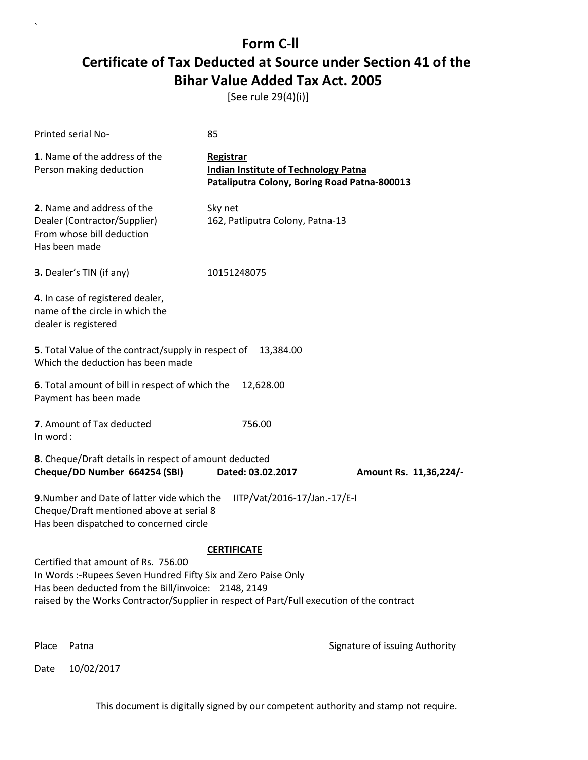[See rule 29(4)(i)]

| Printed serial No-                                                                                                                                                                                                                                                             | 85                                                                                                       |                                |  |
|--------------------------------------------------------------------------------------------------------------------------------------------------------------------------------------------------------------------------------------------------------------------------------|----------------------------------------------------------------------------------------------------------|--------------------------------|--|
| 1. Name of the address of the<br>Person making deduction                                                                                                                                                                                                                       | Registrar<br><b>Indian Institute of Technology Patna</b><br>Pataliputra Colony, Boring Road Patna-800013 |                                |  |
| 2. Name and address of the<br>Dealer (Contractor/Supplier)<br>From whose bill deduction<br>Has been made                                                                                                                                                                       | Sky net<br>162, Patliputra Colony, Patna-13                                                              |                                |  |
| 3. Dealer's TIN (if any)                                                                                                                                                                                                                                                       | 10151248075                                                                                              |                                |  |
| 4. In case of registered dealer,<br>name of the circle in which the<br>dealer is registered                                                                                                                                                                                    |                                                                                                          |                                |  |
| <b>5</b> . Total Value of the contract/supply in respect of<br>Which the deduction has been made                                                                                                                                                                               | 13,384.00                                                                                                |                                |  |
| 6. Total amount of bill in respect of which the<br>Payment has been made                                                                                                                                                                                                       | 12,628.00                                                                                                |                                |  |
| 7. Amount of Tax deducted<br>In word:                                                                                                                                                                                                                                          | 756.00                                                                                                   |                                |  |
| 8. Cheque/Draft details in respect of amount deducted<br>Cheque/DD Number 664254 (SBI)                                                                                                                                                                                         | Dated: 03.02.2017                                                                                        | Amount Rs. 11,36,224/-         |  |
| 9. Number and Date of latter vide which the<br>Cheque/Draft mentioned above at serial 8<br>Has been dispatched to concerned circle                                                                                                                                             | IITP/Vat/2016-17/Jan.-17/E-I                                                                             |                                |  |
| <b>CERTIFICATE</b><br>Certified that amount of Rs. 756.00<br>In Words :-Rupees Seven Hundred Fifty Six and Zero Paise Only<br>Has been deducted from the Bill/invoice: 2148, 2149<br>raised by the Works Contractor/Supplier in respect of Part/Full execution of the contract |                                                                                                          |                                |  |
| Place<br>Patna                                                                                                                                                                                                                                                                 |                                                                                                          | Signature of issuing Authority |  |

Date 10/02/2017

`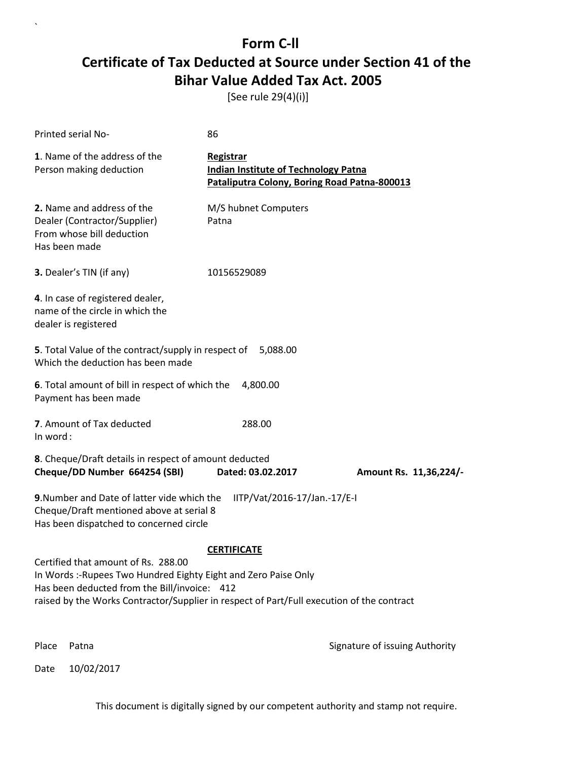[See rule 29(4)(i)]

| Printed serial No-                                                                                                                                                                                                                                  | 86                                                                                                       |                                |  |
|-----------------------------------------------------------------------------------------------------------------------------------------------------------------------------------------------------------------------------------------------------|----------------------------------------------------------------------------------------------------------|--------------------------------|--|
| 1. Name of the address of the<br>Person making deduction                                                                                                                                                                                            | Registrar<br><b>Indian Institute of Technology Patna</b><br>Pataliputra Colony, Boring Road Patna-800013 |                                |  |
| 2. Name and address of the<br>Dealer (Contractor/Supplier)<br>From whose bill deduction<br>Has been made                                                                                                                                            | M/S hubnet Computers<br>Patna                                                                            |                                |  |
| 3. Dealer's TIN (if any)                                                                                                                                                                                                                            | 10156529089                                                                                              |                                |  |
| 4. In case of registered dealer,<br>name of the circle in which the<br>dealer is registered                                                                                                                                                         |                                                                                                          |                                |  |
| 5. Total Value of the contract/supply in respect of 5,088.00<br>Which the deduction has been made                                                                                                                                                   |                                                                                                          |                                |  |
| 6. Total amount of bill in respect of which the<br>Payment has been made                                                                                                                                                                            | 4,800.00                                                                                                 |                                |  |
| 7. Amount of Tax deducted<br>In word:                                                                                                                                                                                                               | 288.00                                                                                                   |                                |  |
| 8. Cheque/Draft details in respect of amount deducted<br>Cheque/DD Number 664254 (SBI)                                                                                                                                                              | Dated: 03.02.2017                                                                                        | Amount Rs. 11,36,224/-         |  |
| 9. Number and Date of latter vide which the<br>IITP/Vat/2016-17/Jan.-17/E-I<br>Cheque/Draft mentioned above at serial 8<br>Has been dispatched to concerned circle                                                                                  |                                                                                                          |                                |  |
| Certified that amount of Rs. 288.00<br>In Words :- Rupees Two Hundred Eighty Eight and Zero Paise Only<br>Has been deducted from the Bill/invoice: 412<br>raised by the Works Contractor/Supplier in respect of Part/Full execution of the contract | <b>CERTIFICATE</b>                                                                                       |                                |  |
| Place<br>Patna                                                                                                                                                                                                                                      |                                                                                                          | Signature of issuing Authority |  |

Date 10/02/2017

`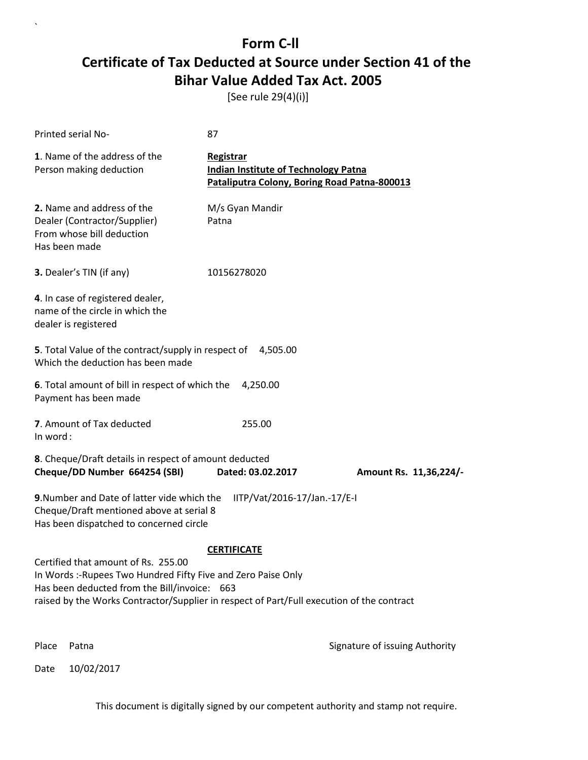[See rule 29(4)(i)]

| Printed serial No-                                                                                                                                                                                                                               | 87                                                                                                              |                                |
|--------------------------------------------------------------------------------------------------------------------------------------------------------------------------------------------------------------------------------------------------|-----------------------------------------------------------------------------------------------------------------|--------------------------------|
| 1. Name of the address of the<br>Person making deduction                                                                                                                                                                                         | <b>Registrar</b><br><b>Indian Institute of Technology Patna</b><br>Pataliputra Colony, Boring Road Patna-800013 |                                |
| 2. Name and address of the<br>Dealer (Contractor/Supplier)<br>From whose bill deduction<br>Has been made                                                                                                                                         | M/s Gyan Mandir<br>Patna                                                                                        |                                |
| 3. Dealer's TIN (if any)                                                                                                                                                                                                                         | 10156278020                                                                                                     |                                |
| 4. In case of registered dealer,<br>name of the circle in which the<br>dealer is registered                                                                                                                                                      |                                                                                                                 |                                |
| 5. Total Value of the contract/supply in respect of 4,505.00<br>Which the deduction has been made                                                                                                                                                |                                                                                                                 |                                |
| 6. Total amount of bill in respect of which the<br>Payment has been made                                                                                                                                                                         | 4,250.00                                                                                                        |                                |
| 7. Amount of Tax deducted<br>In word:                                                                                                                                                                                                            | 255.00                                                                                                          |                                |
| 8. Cheque/Draft details in respect of amount deducted<br>Cheque/DD Number 664254 (SBI)                                                                                                                                                           | Dated: 03.02.2017                                                                                               | Amount Rs. 11,36,224/-         |
| 9. Number and Date of latter vide which the<br>Cheque/Draft mentioned above at serial 8<br>Has been dispatched to concerned circle                                                                                                               | IITP/Vat/2016-17/Jan.-17/E-I                                                                                    |                                |
|                                                                                                                                                                                                                                                  | <b>CERTIFICATE</b>                                                                                              |                                |
| Certified that amount of Rs. 255.00<br>In Words :-Rupees Two Hundred Fifty Five and Zero Paise Only<br>Has been deducted from the Bill/invoice: 663<br>raised by the Works Contractor/Supplier in respect of Part/Full execution of the contract |                                                                                                                 |                                |
| Place<br>Patna                                                                                                                                                                                                                                   |                                                                                                                 | Signature of issuing Authority |

Date 10/02/2017

`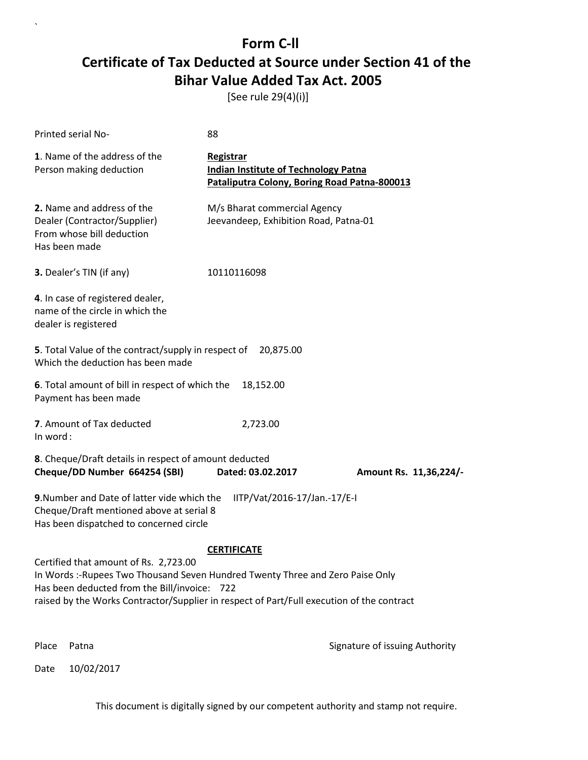[See rule 29(4)(i)]

| Printed serial No-                                                                                                                                                                                                                                                  | 88                                                                                                              |                                |  |
|---------------------------------------------------------------------------------------------------------------------------------------------------------------------------------------------------------------------------------------------------------------------|-----------------------------------------------------------------------------------------------------------------|--------------------------------|--|
| 1. Name of the address of the<br>Person making deduction                                                                                                                                                                                                            | <b>Registrar</b><br><b>Indian Institute of Technology Patna</b><br>Pataliputra Colony, Boring Road Patna-800013 |                                |  |
| 2. Name and address of the<br>Dealer (Contractor/Supplier)<br>From whose bill deduction<br>Has been made                                                                                                                                                            | M/s Bharat commercial Agency<br>Jeevandeep, Exhibition Road, Patna-01                                           |                                |  |
| 3. Dealer's TIN (if any)                                                                                                                                                                                                                                            | 10110116098                                                                                                     |                                |  |
| 4. In case of registered dealer,<br>name of the circle in which the<br>dealer is registered                                                                                                                                                                         |                                                                                                                 |                                |  |
| 5. Total Value of the contract/supply in respect of<br>Which the deduction has been made                                                                                                                                                                            | 20,875.00                                                                                                       |                                |  |
| 6. Total amount of bill in respect of which the<br>Payment has been made                                                                                                                                                                                            | 18,152.00                                                                                                       |                                |  |
| 7. Amount of Tax deducted<br>In word:                                                                                                                                                                                                                               | 2,723.00                                                                                                        |                                |  |
| 8. Cheque/Draft details in respect of amount deducted<br>Cheque/DD Number 664254 (SBI)                                                                                                                                                                              | Dated: 03.02.2017                                                                                               | Amount Rs. 11,36,224/-         |  |
| 9. Number and Date of latter vide which the<br>IITP/Vat/2016-17/Jan.-17/E-I<br>Cheque/Draft mentioned above at serial 8<br>Has been dispatched to concerned circle                                                                                                  |                                                                                                                 |                                |  |
|                                                                                                                                                                                                                                                                     | <b>CERTIFICATE</b>                                                                                              |                                |  |
| Certified that amount of Rs. 2,723.00<br>In Words :-Rupees Two Thousand Seven Hundred Twenty Three and Zero Paise Only<br>Has been deducted from the Bill/invoice: 722<br>raised by the Works Contractor/Supplier in respect of Part/Full execution of the contract |                                                                                                                 |                                |  |
| Place<br>Patna                                                                                                                                                                                                                                                      |                                                                                                                 | Signature of issuing Authority |  |

Date 10/02/2017

`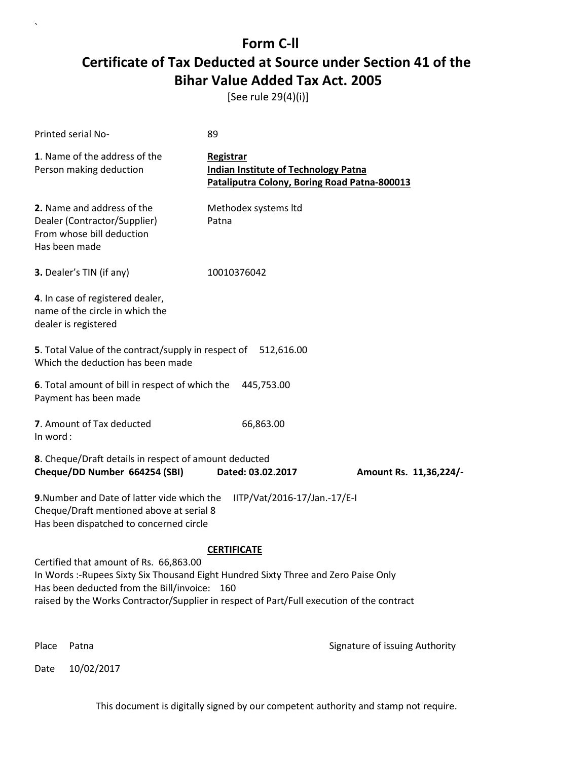[See rule 29(4)(i)]

| Printed serial No-                                                                                                                                                                                                                                                         | 89                                                                                                       |                                |
|----------------------------------------------------------------------------------------------------------------------------------------------------------------------------------------------------------------------------------------------------------------------------|----------------------------------------------------------------------------------------------------------|--------------------------------|
| 1. Name of the address of the<br>Person making deduction                                                                                                                                                                                                                   | Registrar<br><b>Indian Institute of Technology Patna</b><br>Pataliputra Colony, Boring Road Patna-800013 |                                |
| 2. Name and address of the<br>Dealer (Contractor/Supplier)<br>From whose bill deduction<br>Has been made                                                                                                                                                                   | Methodex systems Itd<br>Patna                                                                            |                                |
| 3. Dealer's TIN (if any)                                                                                                                                                                                                                                                   | 10010376042                                                                                              |                                |
| 4. In case of registered dealer,<br>name of the circle in which the<br>dealer is registered                                                                                                                                                                                |                                                                                                          |                                |
| 5. Total Value of the contract/supply in respect of 512,616.00<br>Which the deduction has been made                                                                                                                                                                        |                                                                                                          |                                |
| 6. Total amount of bill in respect of which the<br>Payment has been made                                                                                                                                                                                                   | 445,753.00                                                                                               |                                |
| 7. Amount of Tax deducted<br>In word:                                                                                                                                                                                                                                      | 66,863.00                                                                                                |                                |
| 8. Cheque/Draft details in respect of amount deducted<br>Cheque/DD Number 664254 (SBI)                                                                                                                                                                                     | Dated: 03.02.2017                                                                                        | Amount Rs. 11,36,224/-         |
| 9. Number and Date of latter vide which the<br>Cheque/Draft mentioned above at serial 8<br>Has been dispatched to concerned circle                                                                                                                                         | IITP/Vat/2016-17/Jan.-17/E-I                                                                             |                                |
|                                                                                                                                                                                                                                                                            | <b>CERTIFICATE</b>                                                                                       |                                |
| Certified that amount of Rs. 66,863.00<br>In Words :- Rupees Sixty Six Thousand Eight Hundred Sixty Three and Zero Paise Only<br>Has been deducted from the Bill/invoice: 160<br>raised by the Works Contractor/Supplier in respect of Part/Full execution of the contract |                                                                                                          |                                |
| Place<br>Patna                                                                                                                                                                                                                                                             |                                                                                                          | Signature of issuing Authority |

Date 10/02/2017

`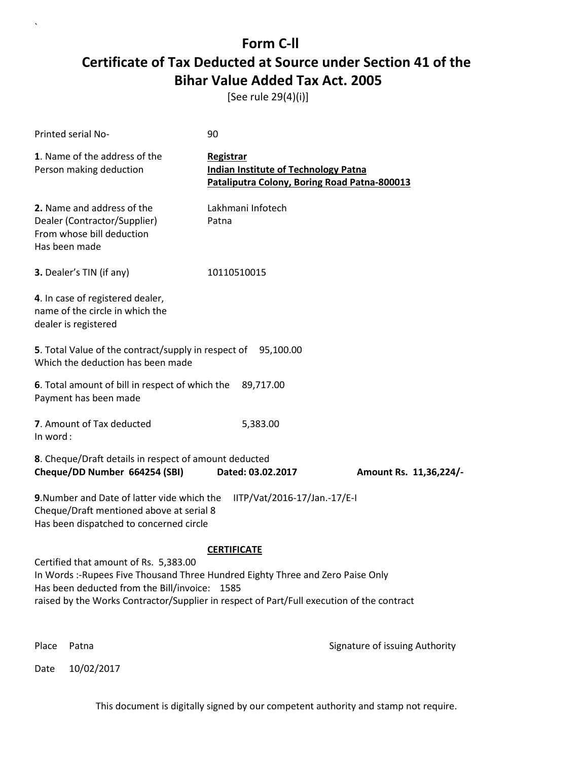[See rule 29(4)(i)]

| <b>Printed serial No-</b>                                                                                                                                                                                                                                              | 90                                                                                                       |                                |
|------------------------------------------------------------------------------------------------------------------------------------------------------------------------------------------------------------------------------------------------------------------------|----------------------------------------------------------------------------------------------------------|--------------------------------|
| 1. Name of the address of the<br>Person making deduction                                                                                                                                                                                                               | Registrar<br><b>Indian Institute of Technology Patna</b><br>Pataliputra Colony, Boring Road Patna-800013 |                                |
| 2. Name and address of the<br>Dealer (Contractor/Supplier)<br>From whose bill deduction<br>Has been made                                                                                                                                                               | Lakhmani Infotech<br>Patna                                                                               |                                |
| 3. Dealer's TIN (if any)                                                                                                                                                                                                                                               | 10110510015                                                                                              |                                |
| 4. In case of registered dealer,<br>name of the circle in which the<br>dealer is registered                                                                                                                                                                            |                                                                                                          |                                |
| 5. Total Value of the contract/supply in respect of 95,100.00<br>Which the deduction has been made                                                                                                                                                                     |                                                                                                          |                                |
| 6. Total amount of bill in respect of which the<br>Payment has been made                                                                                                                                                                                               | 89,717.00                                                                                                |                                |
| 7. Amount of Tax deducted<br>In word:                                                                                                                                                                                                                                  | 5,383.00                                                                                                 |                                |
| 8. Cheque/Draft details in respect of amount deducted<br>Cheque/DD Number 664254 (SBI)                                                                                                                                                                                 | Dated: 03.02.2017                                                                                        | Amount Rs. 11,36,224/-         |
| 9. Number and Date of latter vide which the<br>Cheque/Draft mentioned above at serial 8<br>Has been dispatched to concerned circle                                                                                                                                     | IITP/Vat/2016-17/Jan.-17/E-I                                                                             |                                |
|                                                                                                                                                                                                                                                                        | <b>CERTIFICATE</b>                                                                                       |                                |
| Certified that amount of Rs. 5,383.00<br>In Words :- Rupees Five Thousand Three Hundred Eighty Three and Zero Paise Only<br>Has been deducted from the Bill/invoice: 1585<br>raised by the Works Contractor/Supplier in respect of Part/Full execution of the contract |                                                                                                          |                                |
| Patna<br>Place                                                                                                                                                                                                                                                         |                                                                                                          | Signature of issuing Authority |

Date 10/02/2017

`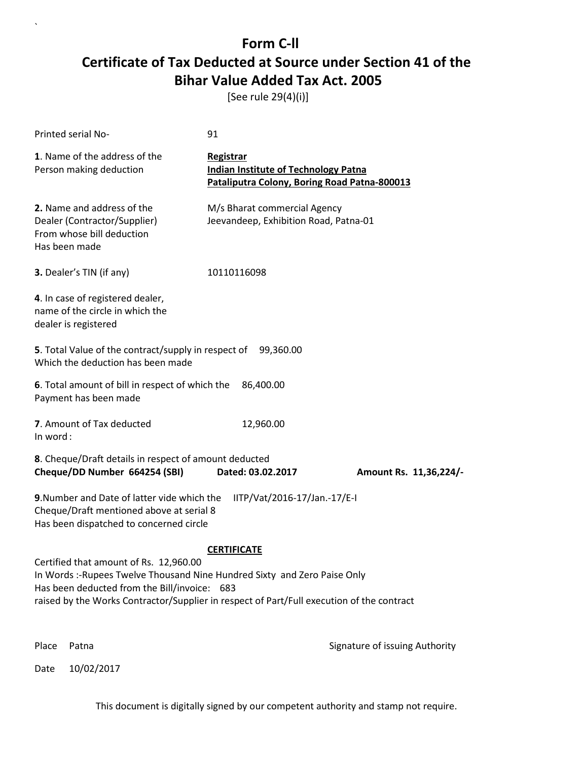[See rule 29(4)(i)]

| Printed serial No-                                                                                                                                                                                                                                               | 91                                                                                                              |                                |
|------------------------------------------------------------------------------------------------------------------------------------------------------------------------------------------------------------------------------------------------------------------|-----------------------------------------------------------------------------------------------------------------|--------------------------------|
| 1. Name of the address of the<br>Person making deduction                                                                                                                                                                                                         | <b>Registrar</b><br><b>Indian Institute of Technology Patna</b><br>Pataliputra Colony, Boring Road Patna-800013 |                                |
| 2. Name and address of the<br>Dealer (Contractor/Supplier)<br>From whose bill deduction<br>Has been made                                                                                                                                                         | M/s Bharat commercial Agency<br>Jeevandeep, Exhibition Road, Patna-01                                           |                                |
| 3. Dealer's TIN (if any)                                                                                                                                                                                                                                         | 10110116098                                                                                                     |                                |
| 4. In case of registered dealer,<br>name of the circle in which the<br>dealer is registered                                                                                                                                                                      |                                                                                                                 |                                |
| 5. Total Value of the contract/supply in respect of<br>Which the deduction has been made                                                                                                                                                                         | 99,360.00                                                                                                       |                                |
| 6. Total amount of bill in respect of which the<br>Payment has been made                                                                                                                                                                                         | 86,400.00                                                                                                       |                                |
| 7. Amount of Tax deducted<br>In word:                                                                                                                                                                                                                            | 12,960.00                                                                                                       |                                |
| 8. Cheque/Draft details in respect of amount deducted<br>Cheque/DD Number 664254 (SBI)                                                                                                                                                                           | Dated: 03.02.2017                                                                                               | Amount Rs. 11,36,224/-         |
| 9. Number and Date of latter vide which the<br>Cheque/Draft mentioned above at serial 8<br>Has been dispatched to concerned circle                                                                                                                               | IITP/Vat/2016-17/Jan.-17/E-I                                                                                    |                                |
|                                                                                                                                                                                                                                                                  | <b>CERTIFICATE</b>                                                                                              |                                |
| Certified that amount of Rs. 12,960.00<br>In Words :- Rupees Twelve Thousand Nine Hundred Sixty and Zero Paise Only<br>Has been deducted from the Bill/invoice: 683<br>raised by the Works Contractor/Supplier in respect of Part/Full execution of the contract |                                                                                                                 |                                |
| Place<br>Patna                                                                                                                                                                                                                                                   |                                                                                                                 | Signature of issuing Authority |

Date 10/02/2017

`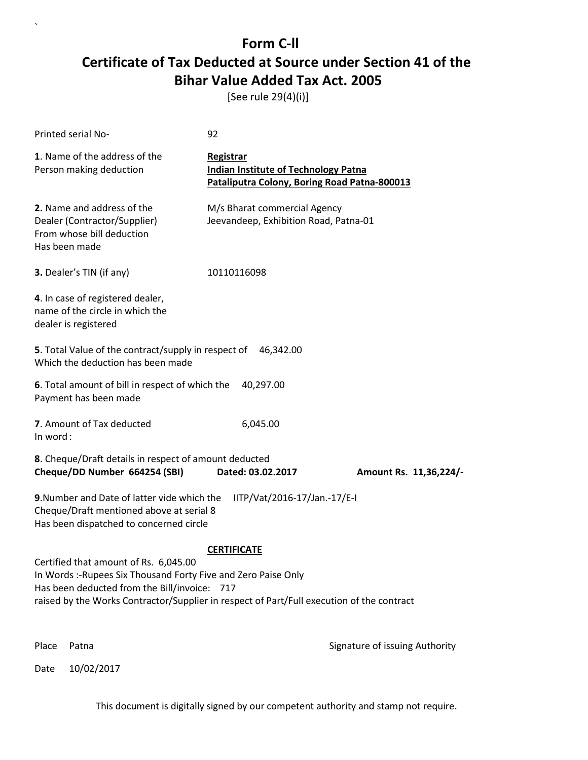[See rule 29(4)(i)]

| Printed serial No-                                                                                                                                                                                                                                                         | 92                                                                                                       |                                |  |
|----------------------------------------------------------------------------------------------------------------------------------------------------------------------------------------------------------------------------------------------------------------------------|----------------------------------------------------------------------------------------------------------|--------------------------------|--|
| 1. Name of the address of the<br>Person making deduction                                                                                                                                                                                                                   | Registrar<br><b>Indian Institute of Technology Patna</b><br>Pataliputra Colony, Boring Road Patna-800013 |                                |  |
| 2. Name and address of the<br>Dealer (Contractor/Supplier)<br>From whose bill deduction<br>Has been made                                                                                                                                                                   | M/s Bharat commercial Agency<br>Jeevandeep, Exhibition Road, Patna-01                                    |                                |  |
| 3. Dealer's TIN (if any)                                                                                                                                                                                                                                                   | 10110116098                                                                                              |                                |  |
| 4. In case of registered dealer,<br>name of the circle in which the<br>dealer is registered                                                                                                                                                                                |                                                                                                          |                                |  |
| 5. Total Value of the contract/supply in respect of<br>Which the deduction has been made                                                                                                                                                                                   | 46,342.00                                                                                                |                                |  |
| 6. Total amount of bill in respect of which the<br>Payment has been made                                                                                                                                                                                                   | 40,297.00                                                                                                |                                |  |
| 7. Amount of Tax deducted<br>In word:                                                                                                                                                                                                                                      | 6,045.00                                                                                                 |                                |  |
| 8. Cheque/Draft details in respect of amount deducted<br>Cheque/DD Number 664254 (SBI)                                                                                                                                                                                     | Dated: 03.02.2017                                                                                        | Amount Rs. 11,36,224/-         |  |
| 9. Number and Date of latter vide which the<br>IITP/Vat/2016-17/Jan.-17/E-I<br>Cheque/Draft mentioned above at serial 8<br>Has been dispatched to concerned circle                                                                                                         |                                                                                                          |                                |  |
| <b>CERTIFICATE</b><br>Certified that amount of Rs. 6,045.00<br>In Words :- Rupees Six Thousand Forty Five and Zero Paise Only<br>Has been deducted from the Bill/invoice: 717<br>raised by the Works Contractor/Supplier in respect of Part/Full execution of the contract |                                                                                                          |                                |  |
| Place<br>Patna                                                                                                                                                                                                                                                             |                                                                                                          | Signature of issuing Authority |  |

Date 10/02/2017

`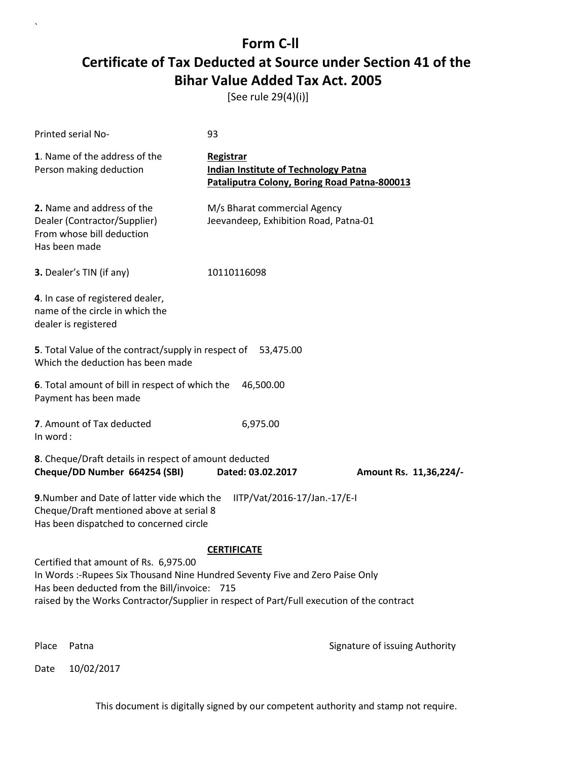[See rule 29(4)(i)]

| <b>Printed serial No-</b>                                                                                                                                                                                                                                           | 93                                                                                                       |                                |  |
|---------------------------------------------------------------------------------------------------------------------------------------------------------------------------------------------------------------------------------------------------------------------|----------------------------------------------------------------------------------------------------------|--------------------------------|--|
| 1. Name of the address of the<br>Person making deduction                                                                                                                                                                                                            | Registrar<br><b>Indian Institute of Technology Patna</b><br>Pataliputra Colony, Boring Road Patna-800013 |                                |  |
| 2. Name and address of the<br>Dealer (Contractor/Supplier)<br>From whose bill deduction<br>Has been made                                                                                                                                                            | M/s Bharat commercial Agency<br>Jeevandeep, Exhibition Road, Patna-01                                    |                                |  |
| 3. Dealer's TIN (if any)                                                                                                                                                                                                                                            | 10110116098                                                                                              |                                |  |
| 4. In case of registered dealer,<br>name of the circle in which the<br>dealer is registered                                                                                                                                                                         |                                                                                                          |                                |  |
| 5. Total Value of the contract/supply in respect of<br>Which the deduction has been made                                                                                                                                                                            | 53,475.00                                                                                                |                                |  |
| 6. Total amount of bill in respect of which the<br>Payment has been made                                                                                                                                                                                            | 46,500.00                                                                                                |                                |  |
| 7. Amount of Tax deducted<br>In word:                                                                                                                                                                                                                               | 6,975.00                                                                                                 |                                |  |
| 8. Cheque/Draft details in respect of amount deducted<br>Cheque/DD Number 664254 (SBI)                                                                                                                                                                              | Dated: 03.02.2017                                                                                        | Amount Rs. 11,36,224/-         |  |
| 9. Number and Date of latter vide which the<br>IITP/Vat/2016-17/Jan.-17/E-I<br>Cheque/Draft mentioned above at serial 8<br>Has been dispatched to concerned circle                                                                                                  |                                                                                                          |                                |  |
|                                                                                                                                                                                                                                                                     | <b>CERTIFICATE</b>                                                                                       |                                |  |
| Certified that amount of Rs. 6,975.00<br>In Words :- Rupees Six Thousand Nine Hundred Seventy Five and Zero Paise Only<br>Has been deducted from the Bill/invoice: 715<br>raised by the Works Contractor/Supplier in respect of Part/Full execution of the contract |                                                                                                          |                                |  |
| Place<br>Patna                                                                                                                                                                                                                                                      |                                                                                                          | Signature of issuing Authority |  |

Date 10/02/2017

`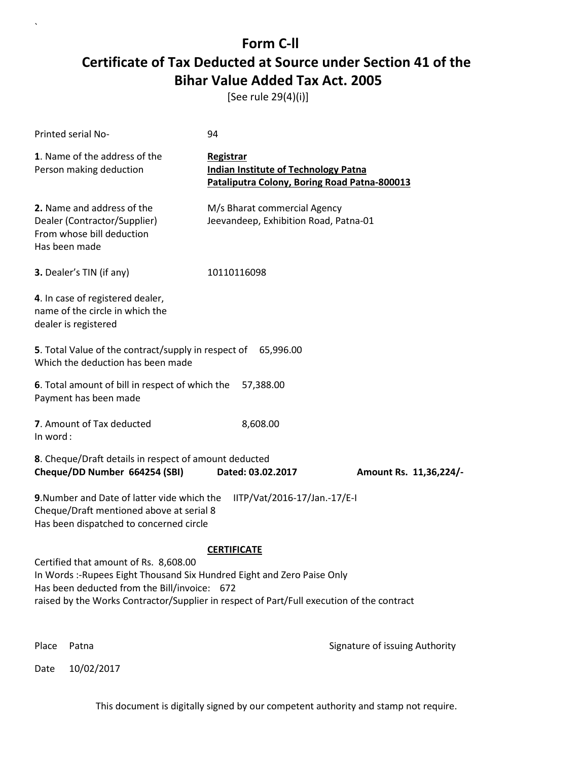[See rule 29(4)(i)]

| Printed serial No-                                                                                                                                                                                                                                                                  | 94                                                                                                              |                                |  |
|-------------------------------------------------------------------------------------------------------------------------------------------------------------------------------------------------------------------------------------------------------------------------------------|-----------------------------------------------------------------------------------------------------------------|--------------------------------|--|
| 1. Name of the address of the<br>Person making deduction                                                                                                                                                                                                                            | <b>Registrar</b><br><b>Indian Institute of Technology Patna</b><br>Pataliputra Colony, Boring Road Patna-800013 |                                |  |
| 2. Name and address of the<br>Dealer (Contractor/Supplier)<br>From whose bill deduction<br>Has been made                                                                                                                                                                            | M/s Bharat commercial Agency<br>Jeevandeep, Exhibition Road, Patna-01                                           |                                |  |
| 3. Dealer's TIN (if any)                                                                                                                                                                                                                                                            | 10110116098                                                                                                     |                                |  |
| 4. In case of registered dealer,<br>name of the circle in which the<br>dealer is registered                                                                                                                                                                                         |                                                                                                                 |                                |  |
| 5. Total Value of the contract/supply in respect of<br>Which the deduction has been made                                                                                                                                                                                            | 65,996.00                                                                                                       |                                |  |
| 6. Total amount of bill in respect of which the<br>Payment has been made                                                                                                                                                                                                            | 57,388.00                                                                                                       |                                |  |
| 7. Amount of Tax deducted<br>In word:                                                                                                                                                                                                                                               | 8,608.00                                                                                                        |                                |  |
| 8. Cheque/Draft details in respect of amount deducted<br>Cheque/DD Number 664254 (SBI)                                                                                                                                                                                              | Dated: 03.02.2017                                                                                               | Amount Rs. 11,36,224/-         |  |
| 9. Number and Date of latter vide which the<br>IITP/Vat/2016-17/Jan.-17/E-I<br>Cheque/Draft mentioned above at serial 8<br>Has been dispatched to concerned circle                                                                                                                  |                                                                                                                 |                                |  |
| <b>CERTIFICATE</b><br>Certified that amount of Rs. 8,608.00<br>In Words :- Rupees Eight Thousand Six Hundred Eight and Zero Paise Only<br>Has been deducted from the Bill/invoice: 672<br>raised by the Works Contractor/Supplier in respect of Part/Full execution of the contract |                                                                                                                 |                                |  |
| Place<br>Patna                                                                                                                                                                                                                                                                      |                                                                                                                 | Signature of issuing Authority |  |

Date 10/02/2017

`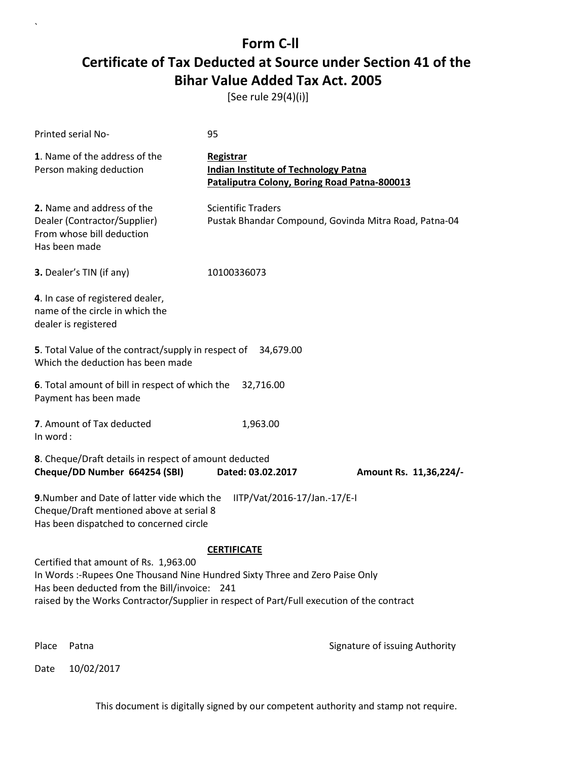[See rule 29(4)(i)]

| <b>Printed serial No-</b>                                                                                                                                                                                                                                                                | 95                                                                                                       |                                                       |  |
|------------------------------------------------------------------------------------------------------------------------------------------------------------------------------------------------------------------------------------------------------------------------------------------|----------------------------------------------------------------------------------------------------------|-------------------------------------------------------|--|
| 1. Name of the address of the<br>Person making deduction                                                                                                                                                                                                                                 | Registrar<br><b>Indian Institute of Technology Patna</b><br>Pataliputra Colony, Boring Road Patna-800013 |                                                       |  |
| 2. Name and address of the<br>Dealer (Contractor/Supplier)<br>From whose bill deduction<br>Has been made                                                                                                                                                                                 | <b>Scientific Traders</b>                                                                                | Pustak Bhandar Compound, Govinda Mitra Road, Patna-04 |  |
| 3. Dealer's TIN (if any)                                                                                                                                                                                                                                                                 | 10100336073                                                                                              |                                                       |  |
| 4. In case of registered dealer,<br>name of the circle in which the<br>dealer is registered                                                                                                                                                                                              |                                                                                                          |                                                       |  |
| 5. Total Value of the contract/supply in respect of<br>Which the deduction has been made                                                                                                                                                                                                 | 34,679.00                                                                                                |                                                       |  |
| 6. Total amount of bill in respect of which the<br>Payment has been made                                                                                                                                                                                                                 | 32,716.00                                                                                                |                                                       |  |
| 7. Amount of Tax deducted<br>In word:                                                                                                                                                                                                                                                    | 1,963.00                                                                                                 |                                                       |  |
| 8. Cheque/Draft details in respect of amount deducted<br>Cheque/DD Number 664254 (SBI)                                                                                                                                                                                                   | Dated: 03.02.2017                                                                                        | Amount Rs. 11,36,224/-                                |  |
| 9. Number and Date of latter vide which the<br>IITP/Vat/2016-17/Jan.-17/E-I<br>Cheque/Draft mentioned above at serial 8<br>Has been dispatched to concerned circle                                                                                                                       |                                                                                                          |                                                       |  |
| <b>CERTIFICATE</b><br>Certified that amount of Rs. 1,963.00<br>In Words :- Rupees One Thousand Nine Hundred Sixty Three and Zero Paise Only<br>Has been deducted from the Bill/invoice: 241<br>raised by the Works Contractor/Supplier in respect of Part/Full execution of the contract |                                                                                                          |                                                       |  |
| Place<br>Patna                                                                                                                                                                                                                                                                           |                                                                                                          | Signature of issuing Authority                        |  |

Date 10/02/2017

`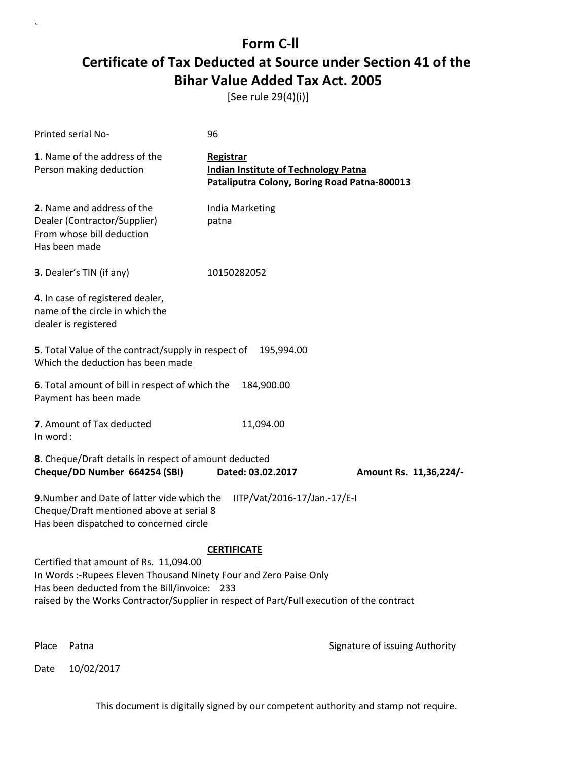[See rule 29(4)(i)]

| Printed serial No-                                                                                                                                                                                                                                        | 96                                                                                                       |                                |
|-----------------------------------------------------------------------------------------------------------------------------------------------------------------------------------------------------------------------------------------------------------|----------------------------------------------------------------------------------------------------------|--------------------------------|
| 1. Name of the address of the<br>Person making deduction                                                                                                                                                                                                  | Registrar<br><b>Indian Institute of Technology Patna</b><br>Pataliputra Colony, Boring Road Patna-800013 |                                |
| 2. Name and address of the<br>Dealer (Contractor/Supplier)<br>From whose bill deduction<br>Has been made                                                                                                                                                  | India Marketing<br>patna                                                                                 |                                |
| 3. Dealer's TIN (if any)                                                                                                                                                                                                                                  | 10150282052                                                                                              |                                |
| 4. In case of registered dealer,<br>name of the circle in which the<br>dealer is registered                                                                                                                                                               |                                                                                                          |                                |
| 5. Total Value of the contract/supply in respect of<br>Which the deduction has been made                                                                                                                                                                  | 195,994.00                                                                                               |                                |
| 6. Total amount of bill in respect of which the<br>Payment has been made                                                                                                                                                                                  | 184,900.00                                                                                               |                                |
| 7. Amount of Tax deducted<br>In word:                                                                                                                                                                                                                     | 11,094.00                                                                                                |                                |
| 8. Cheque/Draft details in respect of amount deducted<br>Cheque/DD Number 664254 (SBI)                                                                                                                                                                    | Dated: 03.02.2017                                                                                        | Amount Rs. 11,36,224/-         |
| 9. Number and Date of latter vide which the<br>Cheque/Draft mentioned above at serial 8<br>Has been dispatched to concerned circle                                                                                                                        | IITP/Vat/2016-17/Jan.-17/E-I                                                                             |                                |
|                                                                                                                                                                                                                                                           | <b>CERTIFICATE</b>                                                                                       |                                |
| Certified that amount of Rs. 11,094.00<br>In Words :- Rupees Eleven Thousand Ninety Four and Zero Paise Only<br>Has been deducted from the Bill/invoice: 233<br>raised by the Works Contractor/Supplier in respect of Part/Full execution of the contract |                                                                                                          |                                |
| Place<br>Patna                                                                                                                                                                                                                                            |                                                                                                          | Signature of issuing Authority |

Date 10/02/2017

`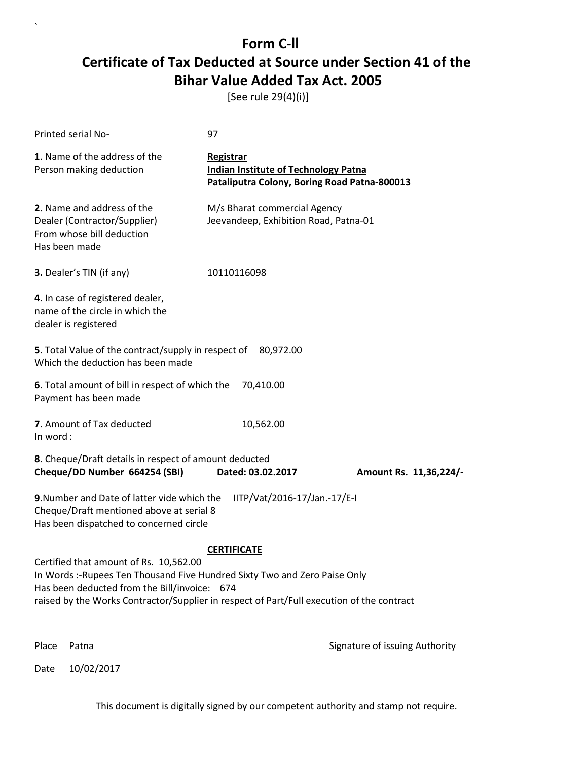[See rule 29(4)(i)]

| Printed serial No-                                                                                                                                                                                                                                                | 97                                                                                                       |                                |
|-------------------------------------------------------------------------------------------------------------------------------------------------------------------------------------------------------------------------------------------------------------------|----------------------------------------------------------------------------------------------------------|--------------------------------|
| 1. Name of the address of the<br>Person making deduction                                                                                                                                                                                                          | Registrar<br><b>Indian Institute of Technology Patna</b><br>Pataliputra Colony, Boring Road Patna-800013 |                                |
| 2. Name and address of the<br>Dealer (Contractor/Supplier)<br>From whose bill deduction<br>Has been made                                                                                                                                                          | M/s Bharat commercial Agency<br>Jeevandeep, Exhibition Road, Patna-01                                    |                                |
| 3. Dealer's TIN (if any)                                                                                                                                                                                                                                          | 10110116098                                                                                              |                                |
| 4. In case of registered dealer,<br>name of the circle in which the<br>dealer is registered                                                                                                                                                                       |                                                                                                          |                                |
| 5. Total Value of the contract/supply in respect of<br>Which the deduction has been made                                                                                                                                                                          | 80,972.00                                                                                                |                                |
| 6. Total amount of bill in respect of which the<br>Payment has been made                                                                                                                                                                                          | 70,410.00                                                                                                |                                |
| 7. Amount of Tax deducted<br>In word:                                                                                                                                                                                                                             | 10,562.00                                                                                                |                                |
| 8. Cheque/Draft details in respect of amount deducted<br>Cheque/DD Number 664254 (SBI)                                                                                                                                                                            | Dated: 03.02.2017                                                                                        | Amount Rs. 11,36,224/-         |
| 9. Number and Date of latter vide which the<br>Cheque/Draft mentioned above at serial 8<br>Has been dispatched to concerned circle                                                                                                                                | IITP/Vat/2016-17/Jan.-17/E-I                                                                             |                                |
|                                                                                                                                                                                                                                                                   | <b>CERTIFICATE</b>                                                                                       |                                |
| Certified that amount of Rs. 10,562.00<br>In Words :- Rupees Ten Thousand Five Hundred Sixty Two and Zero Paise Only<br>Has been deducted from the Bill/invoice: 674<br>raised by the Works Contractor/Supplier in respect of Part/Full execution of the contract |                                                                                                          |                                |
| Place<br>Patna                                                                                                                                                                                                                                                    |                                                                                                          | Signature of issuing Authority |

Date 10/02/2017

`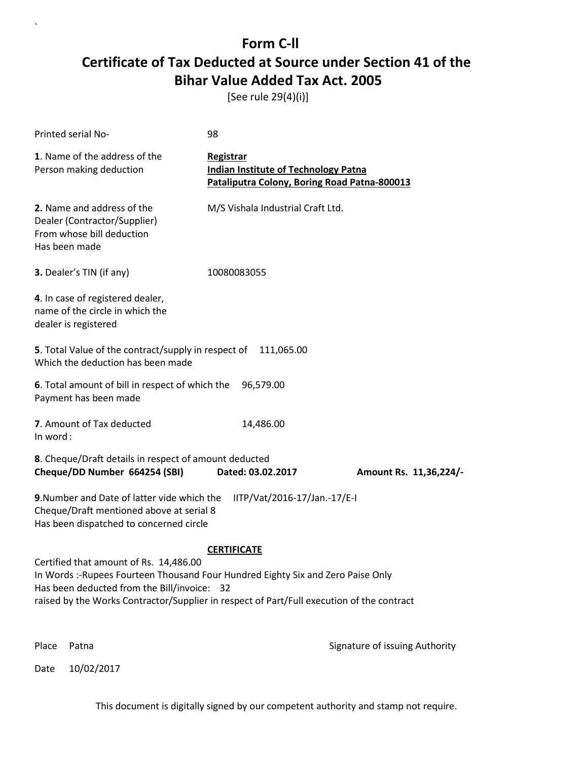[See rule 29(4)(i)]

| Printed serial No-                                                                                                                                                                                                                                                     | 98                                                                                                       |                                |
|------------------------------------------------------------------------------------------------------------------------------------------------------------------------------------------------------------------------------------------------------------------------|----------------------------------------------------------------------------------------------------------|--------------------------------|
| 1. Name of the address of the<br>Person making deduction                                                                                                                                                                                                               | Registrar<br><b>Indian Institute of Technology Patna</b><br>Pataliputra Colony, Boring Road Patna-800013 |                                |
| 2. Name and address of the<br>Dealer (Contractor/Supplier)<br>From whose bill deduction<br>Has been made                                                                                                                                                               | M/S Vishala Industrial Craft Ltd.                                                                        |                                |
| 3. Dealer's TIN (if any)                                                                                                                                                                                                                                               | 10080083055                                                                                              |                                |
| 4. In case of registered dealer,<br>name of the circle in which the<br>dealer is registered                                                                                                                                                                            |                                                                                                          |                                |
| 5. Total Value of the contract/supply in respect of<br>Which the deduction has been made                                                                                                                                                                               | 111,065.00                                                                                               |                                |
| 6. Total amount of bill in respect of which the<br>Payment has been made                                                                                                                                                                                               | 96,579.00                                                                                                |                                |
| 7. Amount of Tax deducted<br>In word:                                                                                                                                                                                                                                  | 14,486.00                                                                                                |                                |
| 8. Cheque/Draft details in respect of amount deducted<br>Cheque/DD Number 664254 (SBI)                                                                                                                                                                                 | Dated: 03.02.2017                                                                                        | Amount Rs. 11,36,224/-         |
| 9. Number and Date of latter vide which the<br>Cheque/Draft mentioned above at serial 8<br>Has been dispatched to concerned circle                                                                                                                                     | IITP/Vat/2016-17/Jan.-17/E-I                                                                             |                                |
|                                                                                                                                                                                                                                                                        | <b>CERTIFICATE</b>                                                                                       |                                |
| Certified that amount of Rs. 14,486.00<br>In Words :- Rupees Fourteen Thousand Four Hundred Eighty Six and Zero Paise Only<br>Has been deducted from the Bill/invoice: 32<br>raised by the Works Contractor/Supplier in respect of Part/Full execution of the contract |                                                                                                          |                                |
| Place<br>Patna                                                                                                                                                                                                                                                         |                                                                                                          | Signature of issuing Authority |

Date 10/02/2017

`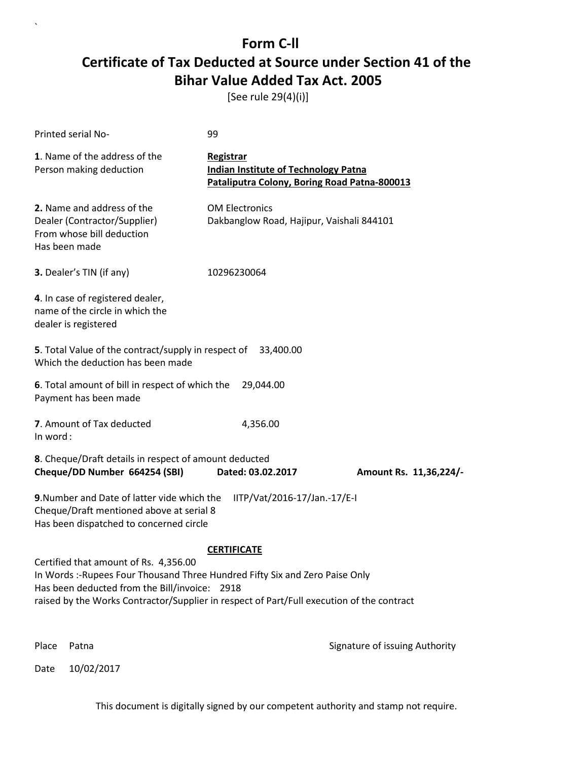[See rule 29(4)(i)]

| Printed serial No-                                                                                                                                                     | 99                                                                                                       |                                |
|------------------------------------------------------------------------------------------------------------------------------------------------------------------------|----------------------------------------------------------------------------------------------------------|--------------------------------|
| 1. Name of the address of the<br>Person making deduction                                                                                                               | Registrar<br><b>Indian Institute of Technology Patna</b><br>Pataliputra Colony, Boring Road Patna-800013 |                                |
| 2. Name and address of the<br>Dealer (Contractor/Supplier)<br>From whose bill deduction<br>Has been made                                                               | <b>OM Electronics</b><br>Dakbanglow Road, Hajipur, Vaishali 844101                                       |                                |
| 3. Dealer's TIN (if any)                                                                                                                                               | 10296230064                                                                                              |                                |
| 4. In case of registered dealer,<br>name of the circle in which the<br>dealer is registered                                                                            |                                                                                                          |                                |
| 5. Total Value of the contract/supply in respect of 33,400.00<br>Which the deduction has been made                                                                     |                                                                                                          |                                |
| 6. Total amount of bill in respect of which the<br>Payment has been made                                                                                               | 29,044.00                                                                                                |                                |
| 7. Amount of Tax deducted<br>In word:                                                                                                                                  | 4,356.00                                                                                                 |                                |
| 8. Cheque/Draft details in respect of amount deducted<br>Cheque/DD Number 664254 (SBI)                                                                                 | Dated: 03.02.2017                                                                                        | Amount Rs. 11,36,224/-         |
| 9. Number and Date of latter vide which the<br>Cheque/Draft mentioned above at serial 8<br>Has been dispatched to concerned circle                                     | IITP/Vat/2016-17/Jan.-17/E-I                                                                             |                                |
|                                                                                                                                                                        | <b>CERTIFICATE</b>                                                                                       |                                |
| Certified that amount of Rs. 4,356.00<br>In Words :- Rupees Four Thousand Three Hundred Fifty Six and Zero Paise Only<br>Has been deducted from the Bill/invoice: 2918 |                                                                                                          |                                |
| raised by the Works Contractor/Supplier in respect of Part/Full execution of the contract                                                                              |                                                                                                          |                                |
| Place<br>Patna                                                                                                                                                         |                                                                                                          | Signature of issuing Authority |

Date 10/02/2017

`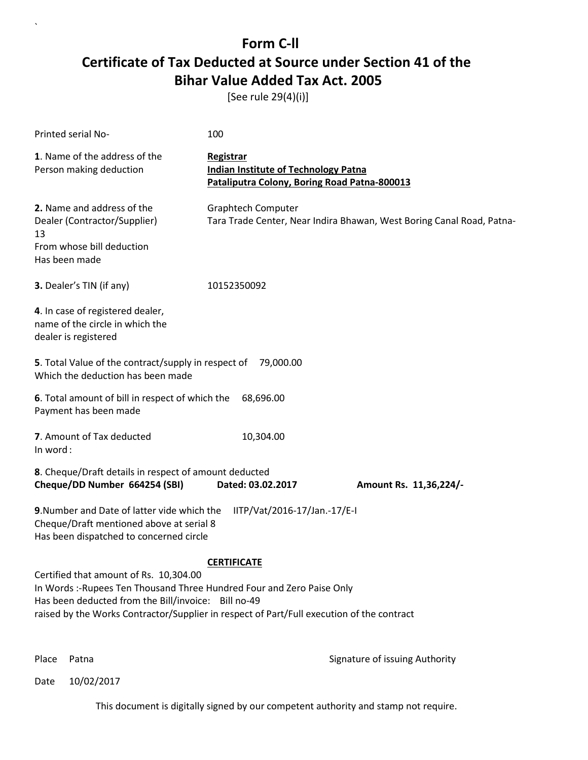[See rule 29(4)(i)]

| Printed serial No-                                                                                                                                                                                                                                                                         | 100                                                                                                      |  |  |
|--------------------------------------------------------------------------------------------------------------------------------------------------------------------------------------------------------------------------------------------------------------------------------------------|----------------------------------------------------------------------------------------------------------|--|--|
| 1. Name of the address of the<br>Person making deduction                                                                                                                                                                                                                                   | Registrar<br><b>Indian Institute of Technology Patna</b><br>Pataliputra Colony, Boring Road Patna-800013 |  |  |
| 2. Name and address of the<br>Dealer (Contractor/Supplier)<br>13<br>From whose bill deduction<br>Has been made                                                                                                                                                                             | <b>Graphtech Computer</b><br>Tara Trade Center, Near Indira Bhawan, West Boring Canal Road, Patna-       |  |  |
| 3. Dealer's TIN (if any)                                                                                                                                                                                                                                                                   | 10152350092                                                                                              |  |  |
| 4. In case of registered dealer,<br>name of the circle in which the<br>dealer is registered                                                                                                                                                                                                |                                                                                                          |  |  |
| 5. Total Value of the contract/supply in respect of 79,000.00<br>Which the deduction has been made                                                                                                                                                                                         |                                                                                                          |  |  |
| 6. Total amount of bill in respect of which the<br>Payment has been made                                                                                                                                                                                                                   | 68,696.00                                                                                                |  |  |
| 7. Amount of Tax deducted<br>In word:                                                                                                                                                                                                                                                      | 10,304.00                                                                                                |  |  |
| 8. Cheque/Draft details in respect of amount deducted<br>Cheque/DD Number 664254 (SBI)                                                                                                                                                                                                     | Dated: 03.02.2017<br>Amount Rs. 11,36,224/-                                                              |  |  |
| 9. Number and Date of latter vide which the<br>Cheque/Draft mentioned above at serial 8<br>Has been dispatched to concerned circle                                                                                                                                                         | IITP/Vat/2016-17/Jan.-17/E-I                                                                             |  |  |
| <b>CERTIFICATE</b><br>Certified that amount of Rs. 10,304.00<br>In Words :- Rupees Ten Thousand Three Hundred Four and Zero Paise Only<br>Has been deducted from the Bill/invoice: Bill no-49<br>raised by the Works Contractor/Supplier in respect of Part/Full execution of the contract |                                                                                                          |  |  |

`

Place Patna **Property** Place Patna Signature of issuing Authority

Date 10/02/2017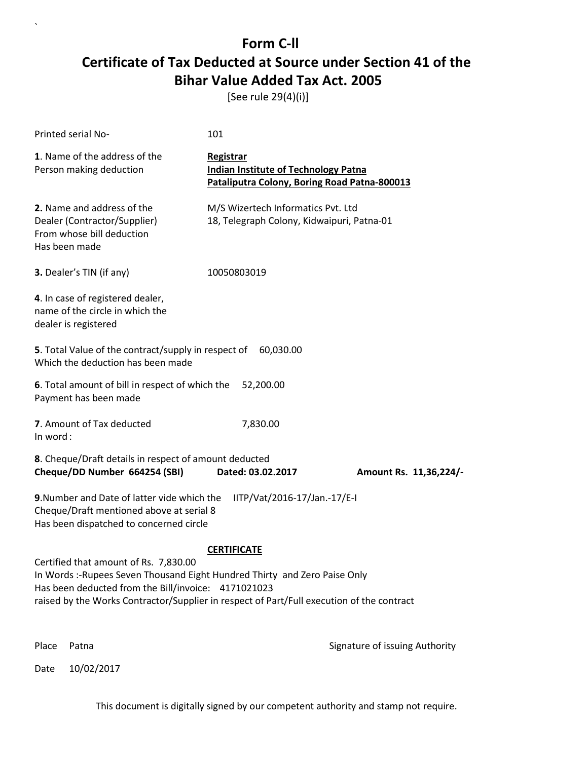[See rule 29(4)(i)]

| Printed serial No-                                                                                                                                                                                                                                                     | 101                                                                                                      |                                |
|------------------------------------------------------------------------------------------------------------------------------------------------------------------------------------------------------------------------------------------------------------------------|----------------------------------------------------------------------------------------------------------|--------------------------------|
| 1. Name of the address of the<br>Person making deduction                                                                                                                                                                                                               | Registrar<br><b>Indian Institute of Technology Patna</b><br>Pataliputra Colony, Boring Road Patna-800013 |                                |
| 2. Name and address of the<br>Dealer (Contractor/Supplier)<br>From whose bill deduction<br>Has been made                                                                                                                                                               | M/S Wizertech Informatics Pvt. Ltd<br>18, Telegraph Colony, Kidwaipuri, Patna-01                         |                                |
| 3. Dealer's TIN (if any)                                                                                                                                                                                                                                               | 10050803019                                                                                              |                                |
| 4. In case of registered dealer,<br>name of the circle in which the<br>dealer is registered                                                                                                                                                                            |                                                                                                          |                                |
| 5. Total Value of the contract/supply in respect of<br>Which the deduction has been made                                                                                                                                                                               | 60,030.00                                                                                                |                                |
| 6. Total amount of bill in respect of which the<br>Payment has been made                                                                                                                                                                                               | 52,200.00                                                                                                |                                |
| 7. Amount of Tax deducted<br>In word:                                                                                                                                                                                                                                  | 7,830.00                                                                                                 |                                |
| 8. Cheque/Draft details in respect of amount deducted<br>Cheque/DD Number 664254 (SBI)                                                                                                                                                                                 | Dated: 03.02.2017                                                                                        | Amount Rs. 11,36,224/-         |
| 9. Number and Date of latter vide which the<br>Cheque/Draft mentioned above at serial 8<br>Has been dispatched to concerned circle                                                                                                                                     | IITP/Vat/2016-17/Jan.-17/E-I                                                                             |                                |
|                                                                                                                                                                                                                                                                        | <b>CERTIFICATE</b>                                                                                       |                                |
| Certified that amount of Rs. 7,830.00<br>In Words :-Rupees Seven Thousand Eight Hundred Thirty and Zero Paise Only<br>Has been deducted from the Bill/invoice: 4171021023<br>raised by the Works Contractor/Supplier in respect of Part/Full execution of the contract |                                                                                                          |                                |
|                                                                                                                                                                                                                                                                        |                                                                                                          |                                |
| Place<br>Patna                                                                                                                                                                                                                                                         |                                                                                                          | Signature of issuing Authority |

Date 10/02/2017

`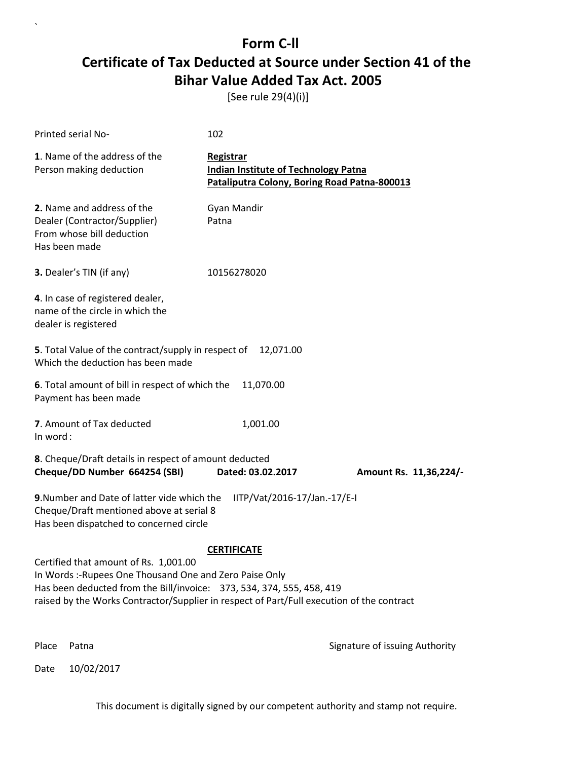[See rule 29(4)(i)]

| Printed serial No-                                                                                                                                                                                                                                                     | 102                                                                                                      |                                |
|------------------------------------------------------------------------------------------------------------------------------------------------------------------------------------------------------------------------------------------------------------------------|----------------------------------------------------------------------------------------------------------|--------------------------------|
| 1. Name of the address of the<br>Person making deduction                                                                                                                                                                                                               | Registrar<br><b>Indian Institute of Technology Patna</b><br>Pataliputra Colony, Boring Road Patna-800013 |                                |
| 2. Name and address of the<br>Dealer (Contractor/Supplier)<br>From whose bill deduction<br>Has been made                                                                                                                                                               | Gyan Mandir<br>Patna                                                                                     |                                |
| 3. Dealer's TIN (if any)                                                                                                                                                                                                                                               | 10156278020                                                                                              |                                |
| 4. In case of registered dealer,<br>name of the circle in which the<br>dealer is registered                                                                                                                                                                            |                                                                                                          |                                |
| <b>5</b> . Total Value of the contract/supply in respect of<br>Which the deduction has been made                                                                                                                                                                       | 12,071.00                                                                                                |                                |
| 6. Total amount of bill in respect of which the<br>Payment has been made                                                                                                                                                                                               | 11,070.00                                                                                                |                                |
| 7. Amount of Tax deducted<br>In word:                                                                                                                                                                                                                                  | 1,001.00                                                                                                 |                                |
| 8. Cheque/Draft details in respect of amount deducted<br>Cheque/DD Number 664254 (SBI)                                                                                                                                                                                 | Dated: 03.02.2017                                                                                        | Amount Rs. 11,36,224/-         |
| 9. Number and Date of latter vide which the<br>Cheque/Draft mentioned above at serial 8<br>Has been dispatched to concerned circle                                                                                                                                     | IITP/Vat/2016-17/Jan.-17/E-I                                                                             |                                |
|                                                                                                                                                                                                                                                                        | <b>CERTIFICATE</b>                                                                                       |                                |
| Certified that amount of Rs. 1,001.00<br>In Words :- Rupees One Thousand One and Zero Paise Only<br>Has been deducted from the Bill/invoice: 373, 534, 374, 555, 458, 419<br>raised by the Works Contractor/Supplier in respect of Part/Full execution of the contract |                                                                                                          |                                |
| Place<br>Patna                                                                                                                                                                                                                                                         |                                                                                                          | Signature of issuing Authority |

Date 10/02/2017

 $\overline{\phantom{a}}$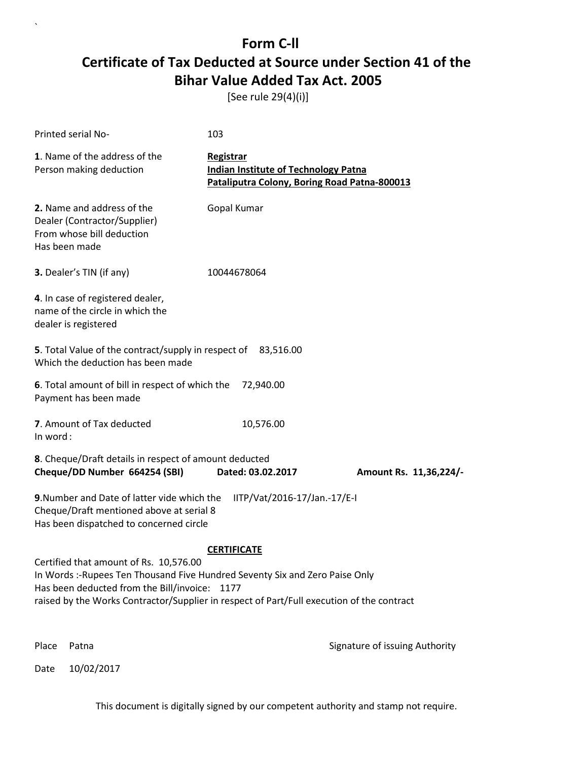[See rule 29(4)(i)]

| Printed serial No-                                                                                                                                                                                                                                                  | 103                                                                                                      |                                |
|---------------------------------------------------------------------------------------------------------------------------------------------------------------------------------------------------------------------------------------------------------------------|----------------------------------------------------------------------------------------------------------|--------------------------------|
| 1. Name of the address of the<br>Person making deduction                                                                                                                                                                                                            | Registrar<br><b>Indian Institute of Technology Patna</b><br>Pataliputra Colony, Boring Road Patna-800013 |                                |
| 2. Name and address of the<br>Dealer (Contractor/Supplier)<br>From whose bill deduction<br>Has been made                                                                                                                                                            | Gopal Kumar                                                                                              |                                |
| 3. Dealer's TIN (if any)                                                                                                                                                                                                                                            | 10044678064                                                                                              |                                |
| 4. In case of registered dealer,<br>name of the circle in which the<br>dealer is registered                                                                                                                                                                         |                                                                                                          |                                |
| 5. Total Value of the contract/supply in respect of 83,516.00<br>Which the deduction has been made                                                                                                                                                                  |                                                                                                          |                                |
| 6. Total amount of bill in respect of which the<br>Payment has been made                                                                                                                                                                                            | 72,940.00                                                                                                |                                |
| 7. Amount of Tax deducted<br>In word:                                                                                                                                                                                                                               | 10,576.00                                                                                                |                                |
| 8. Cheque/Draft details in respect of amount deducted<br>Cheque/DD Number 664254 (SBI)                                                                                                                                                                              | Dated: 03.02.2017                                                                                        | Amount Rs. 11,36,224/-         |
| 9. Number and Date of latter vide which the<br>Cheque/Draft mentioned above at serial 8<br>Has been dispatched to concerned circle                                                                                                                                  | IITP/Vat/2016-17/Jan.-17/E-I                                                                             |                                |
|                                                                                                                                                                                                                                                                     | <b>CERTIFICATE</b>                                                                                       |                                |
| Certified that amount of Rs. 10,576.00<br>In Words: -Rupees Ten Thousand Five Hundred Seventy Six and Zero Paise Only<br>Has been deducted from the Bill/invoice: 1177<br>raised by the Works Contractor/Supplier in respect of Part/Full execution of the contract |                                                                                                          |                                |
| Place<br>Patna                                                                                                                                                                                                                                                      |                                                                                                          | Signature of issuing Authority |

Date 10/02/2017

`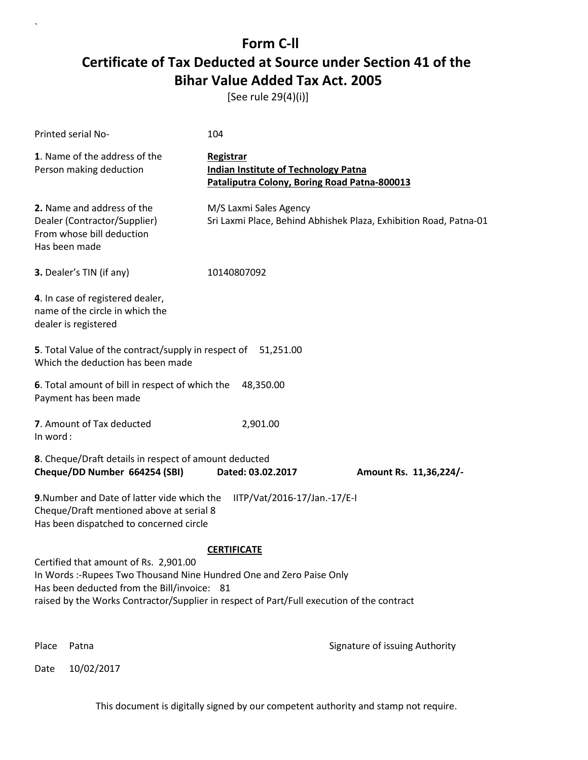[See rule 29(4)(i)]

| Printed serial No-                                                                                                                                                                                                                                                              | 104                                                                                                             |                                                                   |
|---------------------------------------------------------------------------------------------------------------------------------------------------------------------------------------------------------------------------------------------------------------------------------|-----------------------------------------------------------------------------------------------------------------|-------------------------------------------------------------------|
| 1. Name of the address of the<br>Person making deduction                                                                                                                                                                                                                        | <b>Registrar</b><br><b>Indian Institute of Technology Patna</b><br>Pataliputra Colony, Boring Road Patna-800013 |                                                                   |
| 2. Name and address of the<br>Dealer (Contractor/Supplier)<br>From whose bill deduction<br>Has been made                                                                                                                                                                        | M/S Laxmi Sales Agency                                                                                          | Sri Laxmi Place, Behind Abhishek Plaza, Exhibition Road, Patna-01 |
| 3. Dealer's TIN (if any)                                                                                                                                                                                                                                                        | 10140807092                                                                                                     |                                                                   |
| 4. In case of registered dealer,<br>name of the circle in which the<br>dealer is registered                                                                                                                                                                                     |                                                                                                                 |                                                                   |
| 5. Total Value of the contract/supply in respect of 51,251.00<br>Which the deduction has been made                                                                                                                                                                              |                                                                                                                 |                                                                   |
| 6. Total amount of bill in respect of which the<br>Payment has been made                                                                                                                                                                                                        | 48,350.00                                                                                                       |                                                                   |
| 7. Amount of Tax deducted<br>In word:                                                                                                                                                                                                                                           | 2,901.00                                                                                                        |                                                                   |
| 8. Cheque/Draft details in respect of amount deducted<br>Cheque/DD Number 664254 (SBI)                                                                                                                                                                                          | Dated: 03.02.2017                                                                                               | Amount Rs. 11,36,224/-                                            |
| 9. Number and Date of latter vide which the<br>Cheque/Draft mentioned above at serial 8<br>Has been dispatched to concerned circle                                                                                                                                              | IITP/Vat/2016-17/Jan.-17/E-I                                                                                    |                                                                   |
| <b>CERTIFICATE</b><br>Certified that amount of Rs. 2,901.00<br>In Words :- Rupees Two Thousand Nine Hundred One and Zero Paise Only<br>Has been deducted from the Bill/invoice: 81<br>raised by the Works Contractor/Supplier in respect of Part/Full execution of the contract |                                                                                                                 |                                                                   |
| Place<br>Patna                                                                                                                                                                                                                                                                  |                                                                                                                 | Signature of issuing Authority                                    |

Date 10/02/2017

`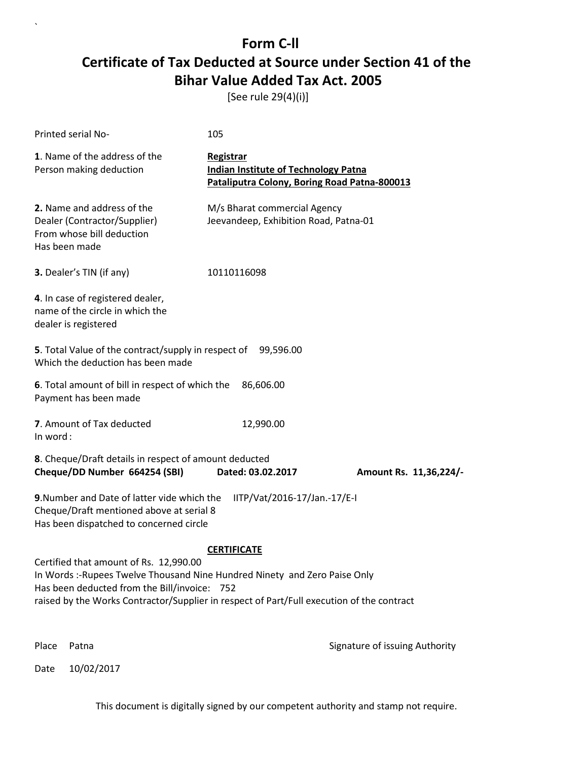[See rule 29(4)(i)]

| Printed serial No-                                                                                                                                                                                                                                                | 105                                                                                                             |                                |
|-------------------------------------------------------------------------------------------------------------------------------------------------------------------------------------------------------------------------------------------------------------------|-----------------------------------------------------------------------------------------------------------------|--------------------------------|
| 1. Name of the address of the<br>Person making deduction                                                                                                                                                                                                          | <b>Registrar</b><br><b>Indian Institute of Technology Patna</b><br>Pataliputra Colony, Boring Road Patna-800013 |                                |
| 2. Name and address of the<br>Dealer (Contractor/Supplier)<br>From whose bill deduction<br>Has been made                                                                                                                                                          | M/s Bharat commercial Agency<br>Jeevandeep, Exhibition Road, Patna-01                                           |                                |
| 3. Dealer's TIN (if any)                                                                                                                                                                                                                                          | 10110116098                                                                                                     |                                |
| 4. In case of registered dealer,<br>name of the circle in which the<br>dealer is registered                                                                                                                                                                       |                                                                                                                 |                                |
| 5. Total Value of the contract/supply in respect of<br>Which the deduction has been made                                                                                                                                                                          | 99,596.00                                                                                                       |                                |
| 6. Total amount of bill in respect of which the<br>Payment has been made                                                                                                                                                                                          | 86,606.00                                                                                                       |                                |
| 7. Amount of Tax deducted<br>In word:                                                                                                                                                                                                                             | 12,990.00                                                                                                       |                                |
| 8. Cheque/Draft details in respect of amount deducted<br>Cheque/DD Number 664254 (SBI)                                                                                                                                                                            | Dated: 03.02.2017                                                                                               | Amount Rs. 11,36,224/-         |
| 9. Number and Date of latter vide which the<br>Cheque/Draft mentioned above at serial 8<br>Has been dispatched to concerned circle                                                                                                                                | IITP/Vat/2016-17/Jan.-17/E-I                                                                                    |                                |
|                                                                                                                                                                                                                                                                   | <b>CERTIFICATE</b>                                                                                              |                                |
| Certified that amount of Rs. 12,990.00<br>In Words :- Rupees Twelve Thousand Nine Hundred Ninety and Zero Paise Only<br>Has been deducted from the Bill/invoice: 752<br>raised by the Works Contractor/Supplier in respect of Part/Full execution of the contract |                                                                                                                 |                                |
| Place<br>Patna                                                                                                                                                                                                                                                    |                                                                                                                 | Signature of issuing Authority |

Date 10/02/2017

 $\overline{\phantom{a}}$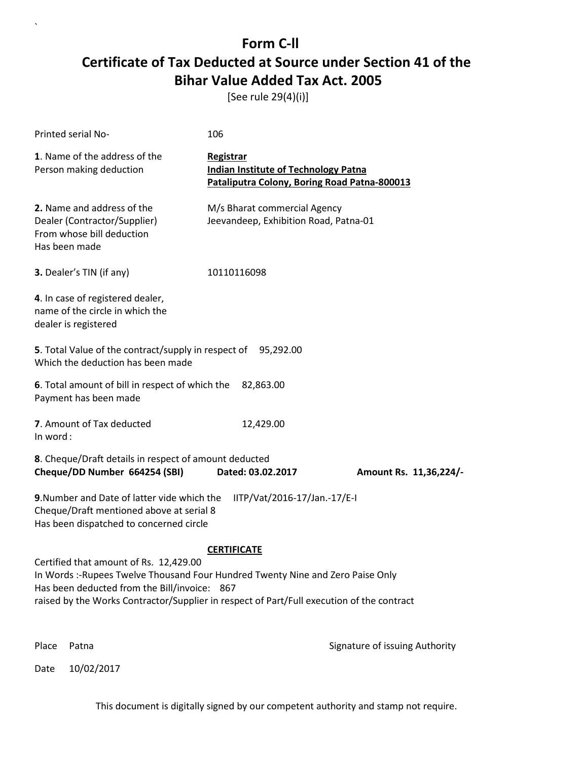[See rule 29(4)(i)]

| <b>Printed serial No-</b>                                                                                                                                                                                                                                             | 106                                                                                                             |                                |
|-----------------------------------------------------------------------------------------------------------------------------------------------------------------------------------------------------------------------------------------------------------------------|-----------------------------------------------------------------------------------------------------------------|--------------------------------|
| 1. Name of the address of the<br>Person making deduction                                                                                                                                                                                                              | <b>Registrar</b><br><b>Indian Institute of Technology Patna</b><br>Pataliputra Colony, Boring Road Patna-800013 |                                |
| 2. Name and address of the<br>Dealer (Contractor/Supplier)<br>From whose bill deduction<br>Has been made                                                                                                                                                              | M/s Bharat commercial Agency<br>Jeevandeep, Exhibition Road, Patna-01                                           |                                |
| 3. Dealer's TIN (if any)                                                                                                                                                                                                                                              | 10110116098                                                                                                     |                                |
| 4. In case of registered dealer,<br>name of the circle in which the<br>dealer is registered                                                                                                                                                                           |                                                                                                                 |                                |
| 5. Total Value of the contract/supply in respect of 95,292.00<br>Which the deduction has been made                                                                                                                                                                    |                                                                                                                 |                                |
| 6. Total amount of bill in respect of which the<br>Payment has been made                                                                                                                                                                                              | 82,863.00                                                                                                       |                                |
| 7. Amount of Tax deducted<br>In word:                                                                                                                                                                                                                                 | 12,429.00                                                                                                       |                                |
| 8. Cheque/Draft details in respect of amount deducted<br>Cheque/DD Number 664254 (SBI)                                                                                                                                                                                | Dated: 03.02.2017                                                                                               | Amount Rs. 11,36,224/-         |
| 9. Number and Date of latter vide which the<br>Cheque/Draft mentioned above at serial 8<br>Has been dispatched to concerned circle                                                                                                                                    | IITP/Vat/2016-17/Jan.-17/E-I                                                                                    |                                |
|                                                                                                                                                                                                                                                                       | <b>CERTIFICATE</b>                                                                                              |                                |
| Certified that amount of Rs. 12,429.00<br>In Words :-Rupees Twelve Thousand Four Hundred Twenty Nine and Zero Paise Only<br>Has been deducted from the Bill/invoice: 867<br>raised by the Works Contractor/Supplier in respect of Part/Full execution of the contract |                                                                                                                 |                                |
| Place<br>Patna                                                                                                                                                                                                                                                        |                                                                                                                 | Signature of issuing Authority |

Date 10/02/2017

`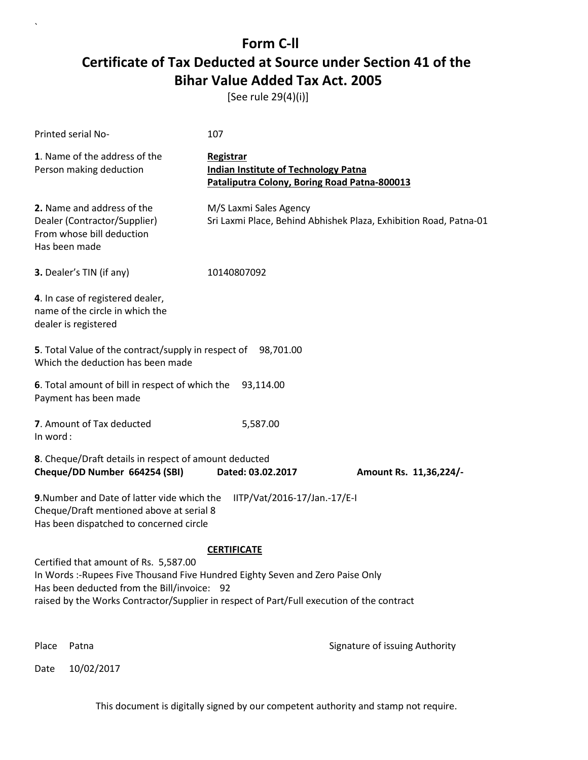[See rule 29(4)(i)]

| Printed serial No-                                                                                                                                                                                                                                                                        | 107                                                                                                      |                                                                   |
|-------------------------------------------------------------------------------------------------------------------------------------------------------------------------------------------------------------------------------------------------------------------------------------------|----------------------------------------------------------------------------------------------------------|-------------------------------------------------------------------|
| 1. Name of the address of the<br>Person making deduction                                                                                                                                                                                                                                  | Registrar<br><b>Indian Institute of Technology Patna</b><br>Pataliputra Colony, Boring Road Patna-800013 |                                                                   |
| 2. Name and address of the<br>Dealer (Contractor/Supplier)<br>From whose bill deduction<br>Has been made                                                                                                                                                                                  | M/S Laxmi Sales Agency                                                                                   | Sri Laxmi Place, Behind Abhishek Plaza, Exhibition Road, Patna-01 |
| 3. Dealer's TIN (if any)                                                                                                                                                                                                                                                                  | 10140807092                                                                                              |                                                                   |
| 4. In case of registered dealer,<br>name of the circle in which the<br>dealer is registered                                                                                                                                                                                               |                                                                                                          |                                                                   |
| 5. Total Value of the contract/supply in respect of 98,701.00<br>Which the deduction has been made                                                                                                                                                                                        |                                                                                                          |                                                                   |
| 6. Total amount of bill in respect of which the<br>Payment has been made                                                                                                                                                                                                                  | 93,114.00                                                                                                |                                                                   |
| 7. Amount of Tax deducted<br>In word:                                                                                                                                                                                                                                                     | 5,587.00                                                                                                 |                                                                   |
| 8. Cheque/Draft details in respect of amount deducted<br>Cheque/DD Number 664254 (SBI)                                                                                                                                                                                                    | Dated: 03.02.2017                                                                                        | Amount Rs. 11,36,224/-                                            |
| 9. Number and Date of latter vide which the<br>Cheque/Draft mentioned above at serial 8<br>Has been dispatched to concerned circle                                                                                                                                                        | IITP/Vat/2016-17/Jan.-17/E-I                                                                             |                                                                   |
| <b>CERTIFICATE</b><br>Certified that amount of Rs. 5,587.00<br>In Words :- Rupees Five Thousand Five Hundred Eighty Seven and Zero Paise Only<br>Has been deducted from the Bill/invoice: 92<br>raised by the Works Contractor/Supplier in respect of Part/Full execution of the contract |                                                                                                          |                                                                   |
| Place<br>Patna                                                                                                                                                                                                                                                                            |                                                                                                          | Signature of issuing Authority                                    |

Date 10/02/2017

`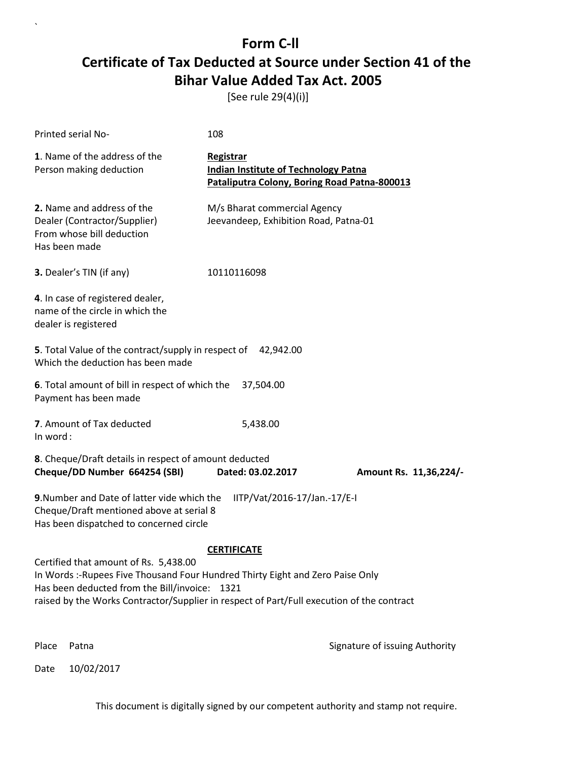[See rule 29(4)(i)]

| Printed serial No-                                                                                                                                                                                                                                                    | 108                                                                                                      |                                |
|-----------------------------------------------------------------------------------------------------------------------------------------------------------------------------------------------------------------------------------------------------------------------|----------------------------------------------------------------------------------------------------------|--------------------------------|
| 1. Name of the address of the<br>Person making deduction                                                                                                                                                                                                              | Registrar<br><b>Indian Institute of Technology Patna</b><br>Pataliputra Colony, Boring Road Patna-800013 |                                |
| 2. Name and address of the<br>Dealer (Contractor/Supplier)<br>From whose bill deduction<br>Has been made                                                                                                                                                              | M/s Bharat commercial Agency<br>Jeevandeep, Exhibition Road, Patna-01                                    |                                |
| 3. Dealer's TIN (if any)                                                                                                                                                                                                                                              | 10110116098                                                                                              |                                |
| 4. In case of registered dealer,<br>name of the circle in which the<br>dealer is registered                                                                                                                                                                           |                                                                                                          |                                |
| 5. Total Value of the contract/supply in respect of 42,942.00<br>Which the deduction has been made                                                                                                                                                                    |                                                                                                          |                                |
| 6. Total amount of bill in respect of which the<br>Payment has been made                                                                                                                                                                                              | 37,504.00                                                                                                |                                |
| 7. Amount of Tax deducted<br>In word:                                                                                                                                                                                                                                 | 5,438.00                                                                                                 |                                |
| 8. Cheque/Draft details in respect of amount deducted<br>Cheque/DD Number 664254 (SBI)                                                                                                                                                                                | Dated: 03.02.2017                                                                                        | Amount Rs. 11,36,224/-         |
| 9. Number and Date of latter vide which the<br>Cheque/Draft mentioned above at serial 8<br>Has been dispatched to concerned circle                                                                                                                                    | IITP/Vat/2016-17/Jan.-17/E-I                                                                             |                                |
|                                                                                                                                                                                                                                                                       | <b>CERTIFICATE</b>                                                                                       |                                |
| Certified that amount of Rs. 5,438.00<br>In Words :- Rupees Five Thousand Four Hundred Thirty Eight and Zero Paise Only<br>Has been deducted from the Bill/invoice: 1321<br>raised by the Works Contractor/Supplier in respect of Part/Full execution of the contract |                                                                                                          |                                |
| Place<br>Patna                                                                                                                                                                                                                                                        |                                                                                                          | Signature of issuing Authority |

Date 10/02/2017

`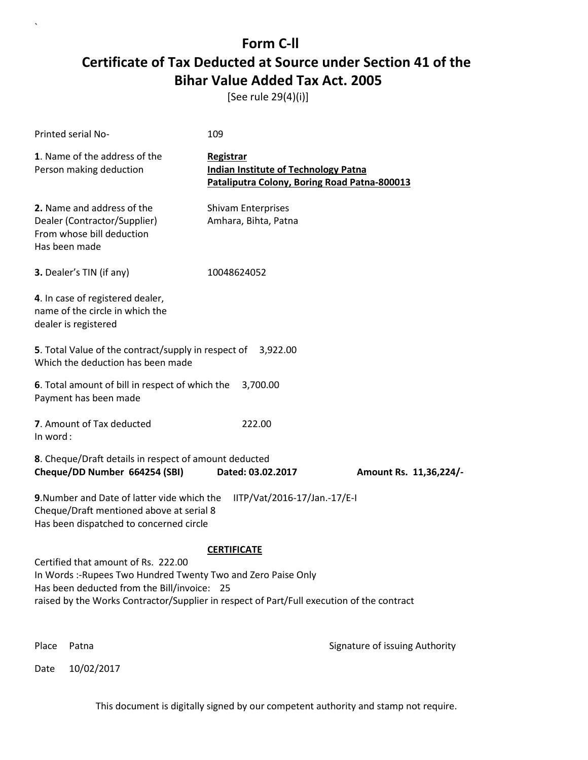[See rule 29(4)(i)]

| Printed serial No-                                                                                                                                                                                                                               | 109                                                                                                      |                                |
|--------------------------------------------------------------------------------------------------------------------------------------------------------------------------------------------------------------------------------------------------|----------------------------------------------------------------------------------------------------------|--------------------------------|
| 1. Name of the address of the<br>Person making deduction                                                                                                                                                                                         | Registrar<br><b>Indian Institute of Technology Patna</b><br>Pataliputra Colony, Boring Road Patna-800013 |                                |
| 2. Name and address of the<br>Dealer (Contractor/Supplier)<br>From whose bill deduction<br>Has been made                                                                                                                                         | <b>Shivam Enterprises</b><br>Amhara, Bihta, Patna                                                        |                                |
| 3. Dealer's TIN (if any)                                                                                                                                                                                                                         | 10048624052                                                                                              |                                |
| 4. In case of registered dealer,<br>name of the circle in which the<br>dealer is registered                                                                                                                                                      |                                                                                                          |                                |
| <b>5</b> . Total Value of the contract/supply in respect of<br>Which the deduction has been made                                                                                                                                                 | 3,922.00                                                                                                 |                                |
| 6. Total amount of bill in respect of which the<br>Payment has been made                                                                                                                                                                         | 3,700.00                                                                                                 |                                |
| 7. Amount of Tax deducted<br>In word:                                                                                                                                                                                                            | 222.00                                                                                                   |                                |
| 8. Cheque/Draft details in respect of amount deducted<br>Cheque/DD Number 664254 (SBI)                                                                                                                                                           | Dated: 03.02.2017                                                                                        | Amount Rs. 11,36,224/-         |
| 9. Number and Date of latter vide which the<br>Cheque/Draft mentioned above at serial 8<br>Has been dispatched to concerned circle                                                                                                               | IITP/Vat/2016-17/Jan.-17/E-I                                                                             |                                |
|                                                                                                                                                                                                                                                  | <b>CERTIFICATE</b>                                                                                       |                                |
| Certified that amount of Rs. 222.00<br>In Words :- Rupees Two Hundred Twenty Two and Zero Paise Only<br>Has been deducted from the Bill/invoice: 25<br>raised by the Works Contractor/Supplier in respect of Part/Full execution of the contract |                                                                                                          |                                |
| Place<br>Patna                                                                                                                                                                                                                                   |                                                                                                          | Signature of issuing Authority |

Date 10/02/2017

`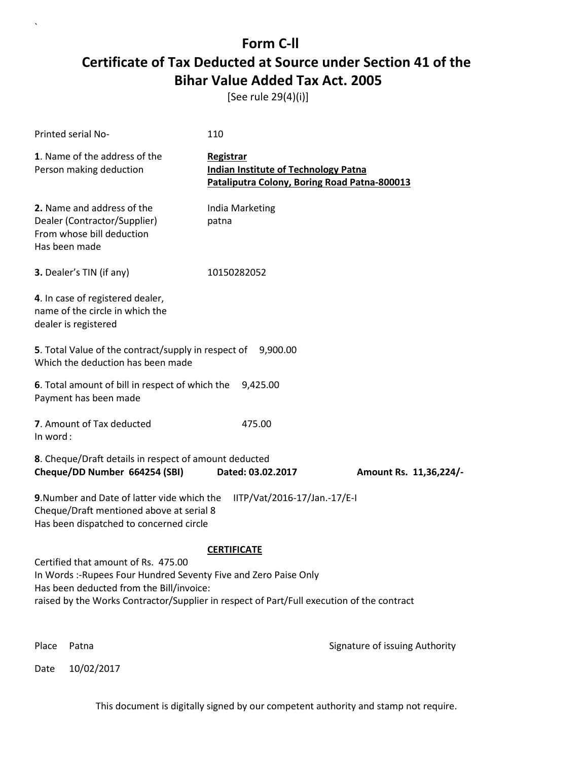[See rule 29(4)(i)]

| <b>Printed serial No-</b>                                                                                                                                                                                                                        | 110                                                                                                      |                        |  |
|--------------------------------------------------------------------------------------------------------------------------------------------------------------------------------------------------------------------------------------------------|----------------------------------------------------------------------------------------------------------|------------------------|--|
| 1. Name of the address of the<br>Person making deduction                                                                                                                                                                                         | Registrar<br><b>Indian Institute of Technology Patna</b><br>Pataliputra Colony, Boring Road Patna-800013 |                        |  |
| 2. Name and address of the<br>Dealer (Contractor/Supplier)<br>From whose bill deduction<br>Has been made                                                                                                                                         | India Marketing<br>patna                                                                                 |                        |  |
| 3. Dealer's TIN (if any)                                                                                                                                                                                                                         | 10150282052                                                                                              |                        |  |
| 4. In case of registered dealer,<br>name of the circle in which the<br>dealer is registered                                                                                                                                                      |                                                                                                          |                        |  |
| 5. Total Value of the contract/supply in respect of 9,900.00<br>Which the deduction has been made                                                                                                                                                |                                                                                                          |                        |  |
| 6. Total amount of bill in respect of which the<br>Payment has been made                                                                                                                                                                         | 9,425.00                                                                                                 |                        |  |
| 7. Amount of Tax deducted<br>In word:                                                                                                                                                                                                            | 475.00                                                                                                   |                        |  |
| 8. Cheque/Draft details in respect of amount deducted<br>Cheque/DD Number 664254 (SBI)                                                                                                                                                           | Dated: 03.02.2017                                                                                        | Amount Rs. 11,36,224/- |  |
| 9. Number and Date of latter vide which the<br>Cheque/Draft mentioned above at serial 8<br>Has been dispatched to concerned circle                                                                                                               | IITP/Vat/2016-17/Jan.-17/E-I                                                                             |                        |  |
|                                                                                                                                                                                                                                                  | <b>CERTIFICATE</b>                                                                                       |                        |  |
| Certified that amount of Rs. 475.00<br>In Words :- Rupees Four Hundred Seventy Five and Zero Paise Only<br>Has been deducted from the Bill/invoice:<br>raised by the Works Contractor/Supplier in respect of Part/Full execution of the contract |                                                                                                          |                        |  |
|                                                                                                                                                                                                                                                  |                                                                                                          |                        |  |

Date 10/02/2017

`

Place Patna **Property** Place Patna Signature of issuing Authority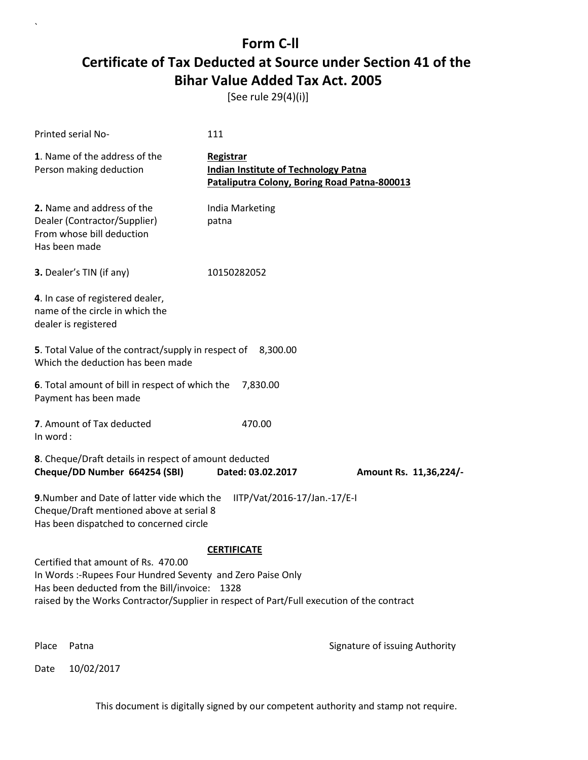[See rule 29(4)(i)]

| <b>Printed serial No-</b>                                                                                                                                                                                                                       | 111                                                                                                      |                                |
|-------------------------------------------------------------------------------------------------------------------------------------------------------------------------------------------------------------------------------------------------|----------------------------------------------------------------------------------------------------------|--------------------------------|
| 1. Name of the address of the<br>Person making deduction                                                                                                                                                                                        | Registrar<br><b>Indian Institute of Technology Patna</b><br>Pataliputra Colony, Boring Road Patna-800013 |                                |
| 2. Name and address of the<br>Dealer (Contractor/Supplier)<br>From whose bill deduction<br>Has been made                                                                                                                                        | India Marketing<br>patna                                                                                 |                                |
| 3. Dealer's TIN (if any)                                                                                                                                                                                                                        | 10150282052                                                                                              |                                |
| 4. In case of registered dealer,<br>name of the circle in which the<br>dealer is registered                                                                                                                                                     |                                                                                                          |                                |
| 5. Total Value of the contract/supply in respect of 8,300.00<br>Which the deduction has been made                                                                                                                                               |                                                                                                          |                                |
| 6. Total amount of bill in respect of which the<br>Payment has been made                                                                                                                                                                        | 7,830.00                                                                                                 |                                |
| 7. Amount of Tax deducted<br>In word:                                                                                                                                                                                                           | 470.00                                                                                                   |                                |
| 8. Cheque/Draft details in respect of amount deducted<br>Cheque/DD Number 664254 (SBI)                                                                                                                                                          | Dated: 03.02.2017                                                                                        | Amount Rs. 11,36,224/-         |
| 9. Number and Date of latter vide which the<br>Cheque/Draft mentioned above at serial 8<br>Has been dispatched to concerned circle                                                                                                              | IITP/Vat/2016-17/Jan.-17/E-I                                                                             |                                |
|                                                                                                                                                                                                                                                 | <b>CERTIFICATE</b>                                                                                       |                                |
| Certified that amount of Rs. 470.00<br>In Words: -Rupees Four Hundred Seventy and Zero Paise Only<br>Has been deducted from the Bill/invoice: 1328<br>raised by the Works Contractor/Supplier in respect of Part/Full execution of the contract |                                                                                                          |                                |
| Place<br>Patna                                                                                                                                                                                                                                  |                                                                                                          | Signature of issuing Authority |

Date 10/02/2017

`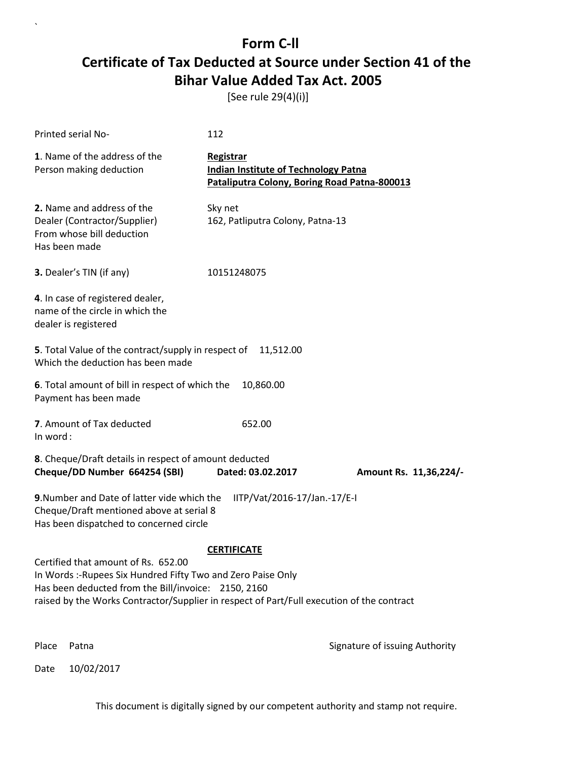[See rule 29(4)(i)]

| Printed serial No-                                                                                                                                                                                                                                                            | 112                                                                                                      |                                |  |
|-------------------------------------------------------------------------------------------------------------------------------------------------------------------------------------------------------------------------------------------------------------------------------|----------------------------------------------------------------------------------------------------------|--------------------------------|--|
| 1. Name of the address of the<br>Person making deduction                                                                                                                                                                                                                      | Registrar<br><b>Indian Institute of Technology Patna</b><br>Pataliputra Colony, Boring Road Patna-800013 |                                |  |
| 2. Name and address of the<br>Dealer (Contractor/Supplier)<br>From whose bill deduction<br>Has been made                                                                                                                                                                      | Sky net<br>162, Patliputra Colony, Patna-13                                                              |                                |  |
| 3. Dealer's TIN (if any)                                                                                                                                                                                                                                                      | 10151248075                                                                                              |                                |  |
| 4. In case of registered dealer,<br>name of the circle in which the<br>dealer is registered                                                                                                                                                                                   |                                                                                                          |                                |  |
| 5. Total Value of the contract/supply in respect of<br>Which the deduction has been made                                                                                                                                                                                      | 11,512.00                                                                                                |                                |  |
| 6. Total amount of bill in respect of which the<br>Payment has been made                                                                                                                                                                                                      | 10,860.00                                                                                                |                                |  |
| 7. Amount of Tax deducted<br>In word:                                                                                                                                                                                                                                         | 652.00                                                                                                   |                                |  |
| 8. Cheque/Draft details in respect of amount deducted<br>Cheque/DD Number 664254 (SBI)                                                                                                                                                                                        | Dated: 03.02.2017                                                                                        | Amount Rs. 11,36,224/-         |  |
| 9. Number and Date of latter vide which the<br>IITP/Vat/2016-17/Jan.-17/E-I<br>Cheque/Draft mentioned above at serial 8<br>Has been dispatched to concerned circle                                                                                                            |                                                                                                          |                                |  |
| <b>CERTIFICATE</b><br>Certified that amount of Rs. 652.00<br>In Words :- Rupees Six Hundred Fifty Two and Zero Paise Only<br>Has been deducted from the Bill/invoice: 2150, 2160<br>raised by the Works Contractor/Supplier in respect of Part/Full execution of the contract |                                                                                                          |                                |  |
| Place<br>Patna                                                                                                                                                                                                                                                                |                                                                                                          | Signature of issuing Authority |  |

Date 10/02/2017

`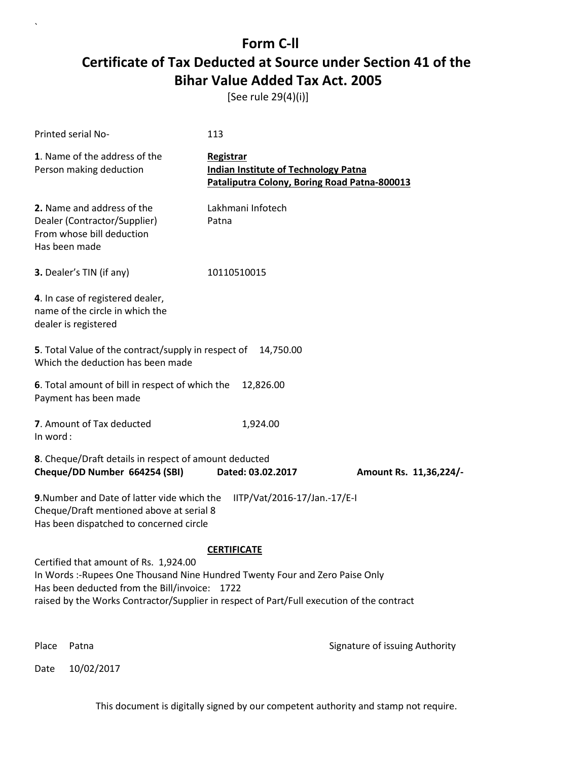[See rule 29(4)(i)]

| Printed serial No-                                                                                                                                                                                                                                                  | 113                                                                                                      |                                |
|---------------------------------------------------------------------------------------------------------------------------------------------------------------------------------------------------------------------------------------------------------------------|----------------------------------------------------------------------------------------------------------|--------------------------------|
| 1. Name of the address of the<br>Person making deduction                                                                                                                                                                                                            | Registrar<br><b>Indian Institute of Technology Patna</b><br>Pataliputra Colony, Boring Road Patna-800013 |                                |
| 2. Name and address of the<br>Dealer (Contractor/Supplier)<br>From whose bill deduction<br>Has been made                                                                                                                                                            | Lakhmani Infotech<br>Patna                                                                               |                                |
| 3. Dealer's TIN (if any)                                                                                                                                                                                                                                            | 10110510015                                                                                              |                                |
| 4. In case of registered dealer,<br>name of the circle in which the<br>dealer is registered                                                                                                                                                                         |                                                                                                          |                                |
| <b>5</b> . Total Value of the contract/supply in respect of<br>Which the deduction has been made                                                                                                                                                                    | 14,750.00                                                                                                |                                |
| 6. Total amount of bill in respect of which the<br>Payment has been made                                                                                                                                                                                            | 12,826.00                                                                                                |                                |
| 7. Amount of Tax deducted<br>In word:                                                                                                                                                                                                                               | 1,924.00                                                                                                 |                                |
| 8. Cheque/Draft details in respect of amount deducted<br>Cheque/DD Number 664254 (SBI)                                                                                                                                                                              | Dated: 03.02.2017                                                                                        | Amount Rs. 11,36,224/-         |
| 9. Number and Date of latter vide which the<br>Cheque/Draft mentioned above at serial 8<br>Has been dispatched to concerned circle                                                                                                                                  | IITP/Vat/2016-17/Jan.-17/E-I                                                                             |                                |
|                                                                                                                                                                                                                                                                     | <b>CERTIFICATE</b>                                                                                       |                                |
| Certified that amount of Rs. 1,924.00<br>In Words :- Rupees One Thousand Nine Hundred Twenty Four and Zero Paise Only<br>Has been deducted from the Bill/invoice: 1722<br>raised by the Works Contractor/Supplier in respect of Part/Full execution of the contract |                                                                                                          |                                |
| Place<br>Patna                                                                                                                                                                                                                                                      |                                                                                                          | Signature of issuing Authority |

Date 10/02/2017

`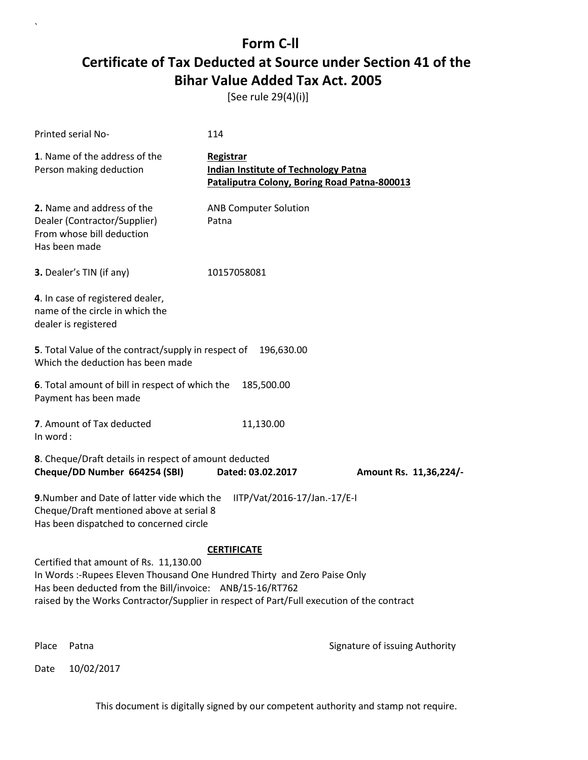[See rule 29(4)(i)]

| Printed serial No-                                                                                                                                                                                                                                                                                 | 114                                                                                                      |                        |  |
|----------------------------------------------------------------------------------------------------------------------------------------------------------------------------------------------------------------------------------------------------------------------------------------------------|----------------------------------------------------------------------------------------------------------|------------------------|--|
| 1. Name of the address of the<br>Person making deduction                                                                                                                                                                                                                                           | Registrar<br><b>Indian Institute of Technology Patna</b><br>Pataliputra Colony, Boring Road Patna-800013 |                        |  |
| 2. Name and address of the<br>Dealer (Contractor/Supplier)<br>From whose bill deduction<br>Has been made                                                                                                                                                                                           | <b>ANB Computer Solution</b><br>Patna                                                                    |                        |  |
| 3. Dealer's TIN (if any)                                                                                                                                                                                                                                                                           | 10157058081                                                                                              |                        |  |
| 4. In case of registered dealer,<br>name of the circle in which the<br>dealer is registered                                                                                                                                                                                                        |                                                                                                          |                        |  |
| 5. Total Value of the contract/supply in respect of<br>Which the deduction has been made                                                                                                                                                                                                           | 196,630.00                                                                                               |                        |  |
| 6. Total amount of bill in respect of which the<br>Payment has been made                                                                                                                                                                                                                           | 185,500.00                                                                                               |                        |  |
| 7. Amount of Tax deducted<br>In word:                                                                                                                                                                                                                                                              | 11,130.00                                                                                                |                        |  |
| 8. Cheque/Draft details in respect of amount deducted<br>Cheque/DD Number 664254 (SBI)                                                                                                                                                                                                             | Dated: 03.02.2017                                                                                        | Amount Rs. 11,36,224/- |  |
| 9. Number and Date of latter vide which the<br>IITP/Vat/2016-17/Jan.-17/E-I<br>Cheque/Draft mentioned above at serial 8<br>Has been dispatched to concerned circle                                                                                                                                 |                                                                                                          |                        |  |
| <b>CERTIFICATE</b><br>Certified that amount of Rs. 11,130.00<br>In Words :- Rupees Eleven Thousand One Hundred Thirty and Zero Paise Only<br>Has been deducted from the Bill/invoice: ANB/15-16/RT762<br>raised by the Works Contractor/Supplier in respect of Part/Full execution of the contract |                                                                                                          |                        |  |

Date 10/02/2017

`

Place Patna **Property** Place Patna Signature of issuing Authority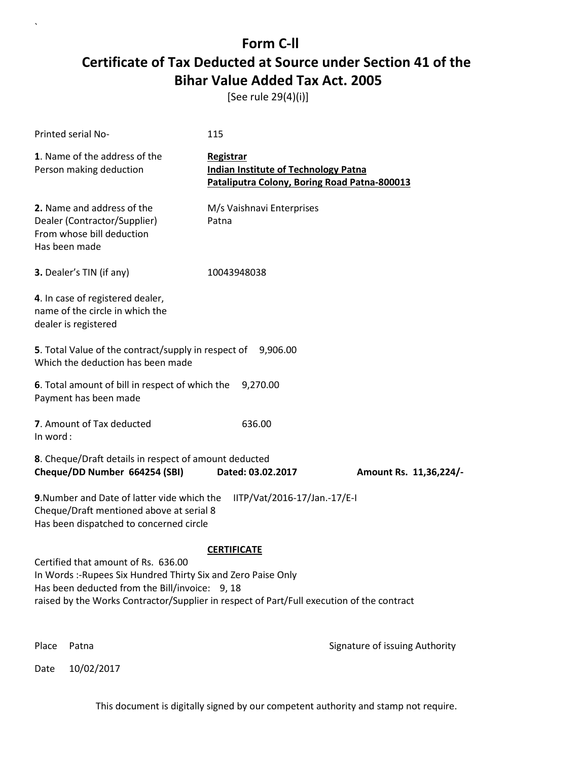[See rule 29(4)(i)]

| Printed serial No-                                                                                                                                                                                                                                 | 115                                                                                                      |                                |  |
|----------------------------------------------------------------------------------------------------------------------------------------------------------------------------------------------------------------------------------------------------|----------------------------------------------------------------------------------------------------------|--------------------------------|--|
| 1. Name of the address of the<br>Person making deduction                                                                                                                                                                                           | Registrar<br><b>Indian Institute of Technology Patna</b><br>Pataliputra Colony, Boring Road Patna-800013 |                                |  |
| 2. Name and address of the<br>Dealer (Contractor/Supplier)<br>From whose bill deduction<br>Has been made                                                                                                                                           | M/s Vaishnavi Enterprises<br>Patna                                                                       |                                |  |
| 3. Dealer's TIN (if any)                                                                                                                                                                                                                           | 10043948038                                                                                              |                                |  |
| 4. In case of registered dealer,<br>name of the circle in which the<br>dealer is registered                                                                                                                                                        |                                                                                                          |                                |  |
| 5. Total Value of the contract/supply in respect of 9,906.00<br>Which the deduction has been made                                                                                                                                                  |                                                                                                          |                                |  |
| 6. Total amount of bill in respect of which the<br>Payment has been made                                                                                                                                                                           | 9,270.00                                                                                                 |                                |  |
| 7. Amount of Tax deducted<br>In word:                                                                                                                                                                                                              | 636.00                                                                                                   |                                |  |
| 8. Cheque/Draft details in respect of amount deducted<br>Cheque/DD Number 664254 (SBI)                                                                                                                                                             | Dated: 03.02.2017                                                                                        | Amount Rs. 11,36,224/-         |  |
| 9. Number and Date of latter vide which the<br>IITP/Vat/2016-17/Jan.-17/E-I<br>Cheque/Draft mentioned above at serial 8<br>Has been dispatched to concerned circle                                                                                 |                                                                                                          |                                |  |
|                                                                                                                                                                                                                                                    | <b>CERTIFICATE</b>                                                                                       |                                |  |
| Certified that amount of Rs. 636.00<br>In Words: -Rupees Six Hundred Thirty Six and Zero Paise Only<br>Has been deducted from the Bill/invoice: 9, 18<br>raised by the Works Contractor/Supplier in respect of Part/Full execution of the contract |                                                                                                          |                                |  |
| Place<br>Patna                                                                                                                                                                                                                                     |                                                                                                          | Signature of issuing Authority |  |

Date 10/02/2017

`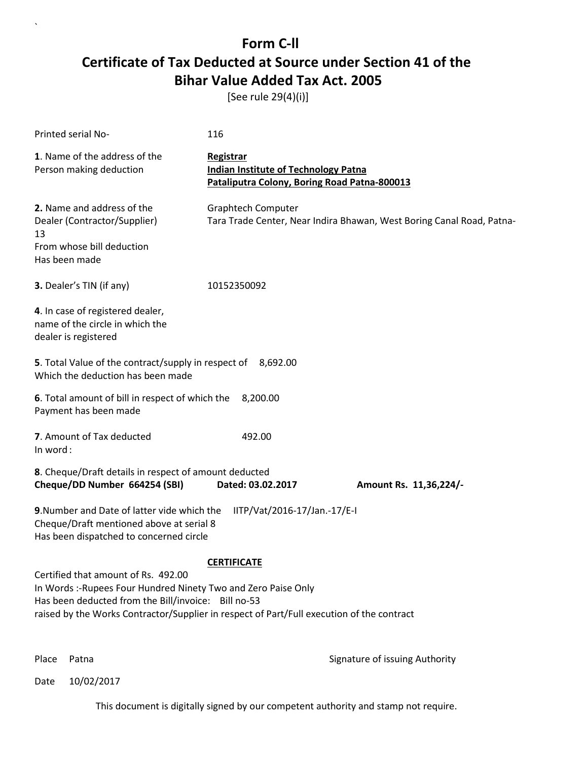[See rule 29(4)(i)]

| Printed serial No-                                                                                                                                                                                                                                        | 116                                                                                                      |                                                                       |
|-----------------------------------------------------------------------------------------------------------------------------------------------------------------------------------------------------------------------------------------------------------|----------------------------------------------------------------------------------------------------------|-----------------------------------------------------------------------|
| 1. Name of the address of the<br>Person making deduction                                                                                                                                                                                                  | Registrar<br><b>Indian Institute of Technology Patna</b><br>Pataliputra Colony, Boring Road Patna-800013 |                                                                       |
| 2. Name and address of the<br>Dealer (Contractor/Supplier)<br>13<br>From whose bill deduction<br>Has been made                                                                                                                                            | <b>Graphtech Computer</b>                                                                                | Tara Trade Center, Near Indira Bhawan, West Boring Canal Road, Patna- |
| 3. Dealer's TIN (if any)                                                                                                                                                                                                                                  | 10152350092                                                                                              |                                                                       |
| 4. In case of registered dealer,<br>name of the circle in which the<br>dealer is registered                                                                                                                                                               |                                                                                                          |                                                                       |
| 5. Total Value of the contract/supply in respect of 8,692.00<br>Which the deduction has been made                                                                                                                                                         |                                                                                                          |                                                                       |
| 6. Total amount of bill in respect of which the<br>Payment has been made                                                                                                                                                                                  | 8,200.00                                                                                                 |                                                                       |
| 7. Amount of Tax deducted<br>In word:                                                                                                                                                                                                                     | 492.00                                                                                                   |                                                                       |
| 8. Cheque/Draft details in respect of amount deducted<br>Cheque/DD Number 664254 (SBI)                                                                                                                                                                    | Dated: 03.02.2017                                                                                        | Amount Rs. 11,36,224/-                                                |
| 9. Number and Date of latter vide which the<br>Cheque/Draft mentioned above at serial 8<br>Has been dispatched to concerned circle                                                                                                                        | IITP/Vat/2016-17/Jan.-17/E-I                                                                             |                                                                       |
| Certified that amount of Rs. 492.00<br>In Words :- Rupees Four Hundred Ninety Two and Zero Paise Only<br>Has been deducted from the Bill/invoice: Bill no-53<br>raised by the Works Contractor/Supplier in respect of Part/Full execution of the contract | <b>CERTIFICATE</b>                                                                                       |                                                                       |

`

Place Patna **Property** Place Patna Signature of issuing Authority

Date 10/02/2017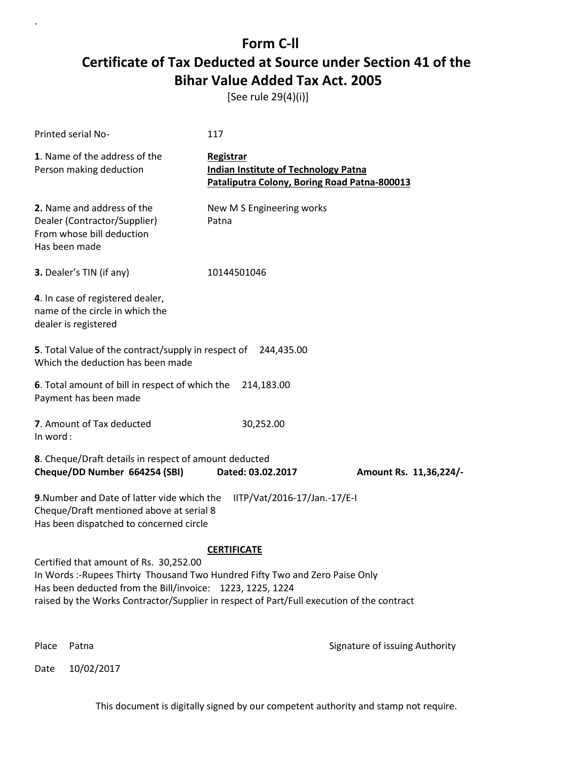[See rule 29(4)(i)]

| Printed serial No-                                                                                                                                                                                                                                                               | 117                                                                                                      |                        |  |
|----------------------------------------------------------------------------------------------------------------------------------------------------------------------------------------------------------------------------------------------------------------------------------|----------------------------------------------------------------------------------------------------------|------------------------|--|
| 1. Name of the address of the<br>Person making deduction                                                                                                                                                                                                                         | Registrar<br><b>Indian Institute of Technology Patna</b><br>Pataliputra Colony, Boring Road Patna-800013 |                        |  |
| 2. Name and address of the<br>Dealer (Contractor/Supplier)<br>From whose bill deduction<br>Has been made                                                                                                                                                                         | New M S Engineering works<br>Patna                                                                       |                        |  |
| 3. Dealer's TIN (if any)                                                                                                                                                                                                                                                         | 10144501046                                                                                              |                        |  |
| 4. In case of registered dealer,<br>name of the circle in which the<br>dealer is registered                                                                                                                                                                                      |                                                                                                          |                        |  |
| 5. Total Value of the contract/supply in respect of 244,435.00<br>Which the deduction has been made                                                                                                                                                                              |                                                                                                          |                        |  |
| 6. Total amount of bill in respect of which the<br>Payment has been made                                                                                                                                                                                                         | 214,183.00                                                                                               |                        |  |
| 7. Amount of Tax deducted<br>In word:                                                                                                                                                                                                                                            | 30,252.00                                                                                                |                        |  |
| 8. Cheque/Draft details in respect of amount deducted<br>Cheque/DD Number 664254 (SBI)                                                                                                                                                                                           | Dated: 03.02.2017                                                                                        | Amount Rs. 11,36,224/- |  |
| 9. Number and Date of latter vide which the<br>IITP/Vat/2016-17/Jan.-17/E-I<br>Cheque/Draft mentioned above at serial 8<br>Has been dispatched to concerned circle                                                                                                               |                                                                                                          |                        |  |
| <b>CERTIFICATE</b>                                                                                                                                                                                                                                                               |                                                                                                          |                        |  |
| Certified that amount of Rs. 30,252.00<br>In Words: - Rupees Thirty Thousand Two Hundred Fifty Two and Zero Paise Only<br>Has been deducted from the Bill/invoice: 1223, 1225, 1224<br>raised by the Works Contractor/Supplier in respect of Part/Full execution of the contract |                                                                                                          |                        |  |
|                                                                                                                                                                                                                                                                                  |                                                                                                          |                        |  |

Place Patna **Property** Place Patna Signature of issuing Authority

Date 10/02/2017

`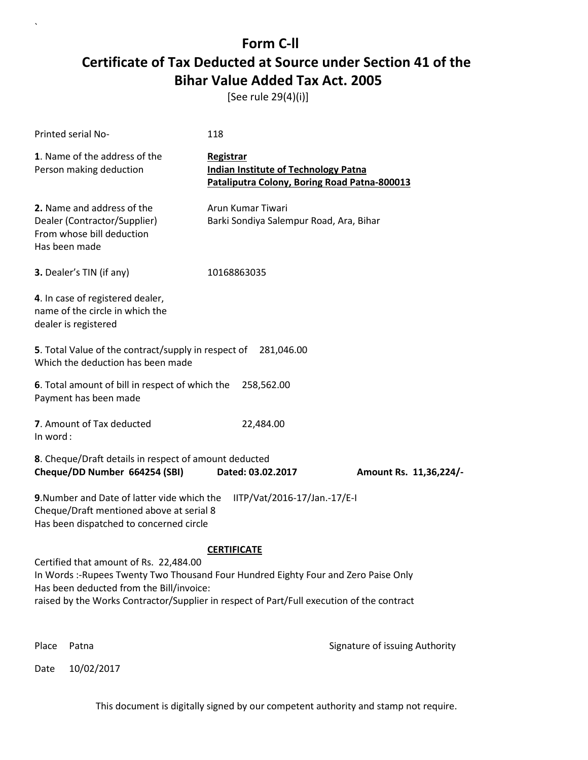[See rule 29(4)(i)]

| Printed serial No-                                                                                                                                                                                                                                                     | 118                                                                                                      |                        |  |
|------------------------------------------------------------------------------------------------------------------------------------------------------------------------------------------------------------------------------------------------------------------------|----------------------------------------------------------------------------------------------------------|------------------------|--|
| 1. Name of the address of the<br>Person making deduction                                                                                                                                                                                                               | Registrar<br><b>Indian Institute of Technology Patna</b><br>Pataliputra Colony, Boring Road Patna-800013 |                        |  |
| 2. Name and address of the<br>Dealer (Contractor/Supplier)<br>From whose bill deduction<br>Has been made                                                                                                                                                               | Arun Kumar Tiwari<br>Barki Sondiya Salempur Road, Ara, Bihar                                             |                        |  |
| 3. Dealer's TIN (if any)                                                                                                                                                                                                                                               | 10168863035                                                                                              |                        |  |
| 4. In case of registered dealer,<br>name of the circle in which the<br>dealer is registered                                                                                                                                                                            |                                                                                                          |                        |  |
| 5. Total Value of the contract/supply in respect of<br>281,046.00<br>Which the deduction has been made                                                                                                                                                                 |                                                                                                          |                        |  |
| 6. Total amount of bill in respect of which the<br>Payment has been made                                                                                                                                                                                               | 258,562.00                                                                                               |                        |  |
| 7. Amount of Tax deducted<br>In word:                                                                                                                                                                                                                                  | 22,484.00                                                                                                |                        |  |
| 8. Cheque/Draft details in respect of amount deducted<br>Cheque/DD Number 664254 (SBI)                                                                                                                                                                                 | Dated: 03.02.2017                                                                                        | Amount Rs. 11,36,224/- |  |
| 9. Number and Date of latter vide which the<br>IITP/Vat/2016-17/Jan.-17/E-I<br>Cheque/Draft mentioned above at serial 8<br>Has been dispatched to concerned circle                                                                                                     |                                                                                                          |                        |  |
| <b>CERTIFICATE</b>                                                                                                                                                                                                                                                     |                                                                                                          |                        |  |
| Certified that amount of Rs. 22,484.00<br>In Words :- Rupees Twenty Two Thousand Four Hundred Eighty Four and Zero Paise Only<br>Has been deducted from the Bill/invoice:<br>raised by the Works Contractor/Supplier in respect of Part/Full execution of the contract |                                                                                                          |                        |  |
|                                                                                                                                                                                                                                                                        |                                                                                                          |                        |  |

Date 10/02/2017

`

Place Patna **Property** Place Patna Signature of issuing Authority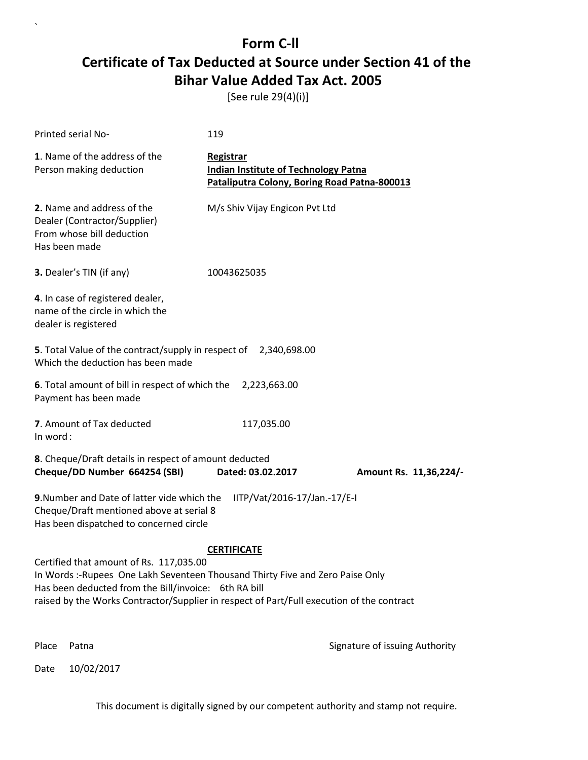[See rule 29(4)(i)]

| Printed serial No-                                                                                                                                                                                                                                                                                 | 119                                                                                                      |                        |  |
|----------------------------------------------------------------------------------------------------------------------------------------------------------------------------------------------------------------------------------------------------------------------------------------------------|----------------------------------------------------------------------------------------------------------|------------------------|--|
| 1. Name of the address of the<br>Person making deduction                                                                                                                                                                                                                                           | Registrar<br><b>Indian Institute of Technology Patna</b><br>Pataliputra Colony, Boring Road Patna-800013 |                        |  |
| 2. Name and address of the<br>Dealer (Contractor/Supplier)<br>From whose bill deduction<br>Has been made                                                                                                                                                                                           | M/s Shiv Vijay Engicon Pvt Ltd                                                                           |                        |  |
| 3. Dealer's TIN (if any)                                                                                                                                                                                                                                                                           | 10043625035                                                                                              |                        |  |
| 4. In case of registered dealer,<br>name of the circle in which the<br>dealer is registered                                                                                                                                                                                                        |                                                                                                          |                        |  |
| 5. Total Value of the contract/supply in respect of 2,340,698.00<br>Which the deduction has been made                                                                                                                                                                                              |                                                                                                          |                        |  |
| 6. Total amount of bill in respect of which the<br>Payment has been made                                                                                                                                                                                                                           | 2,223,663.00                                                                                             |                        |  |
| 7. Amount of Tax deducted<br>In word:                                                                                                                                                                                                                                                              | 117,035.00                                                                                               |                        |  |
| 8. Cheque/Draft details in respect of amount deducted<br>Cheque/DD Number 664254 (SBI)                                                                                                                                                                                                             | Dated: 03.02.2017                                                                                        | Amount Rs. 11,36,224/- |  |
| 9. Number and Date of latter vide which the<br>IITP/Vat/2016-17/Jan.-17/E-I<br>Cheque/Draft mentioned above at serial 8<br>Has been dispatched to concerned circle                                                                                                                                 |                                                                                                          |                        |  |
| <b>CERTIFICATE</b><br>Certified that amount of Rs. 117,035.00<br>In Words:-Rupees One Lakh Seventeen Thousand Thirty Five and Zero Paise Only<br>Has been deducted from the Bill/invoice: 6th RA bill<br>raised by the Works Contractor/Supplier in respect of Part/Full execution of the contract |                                                                                                          |                        |  |

Date 10/02/2017

`

Place Patna **Property** Place Patna Signature of issuing Authority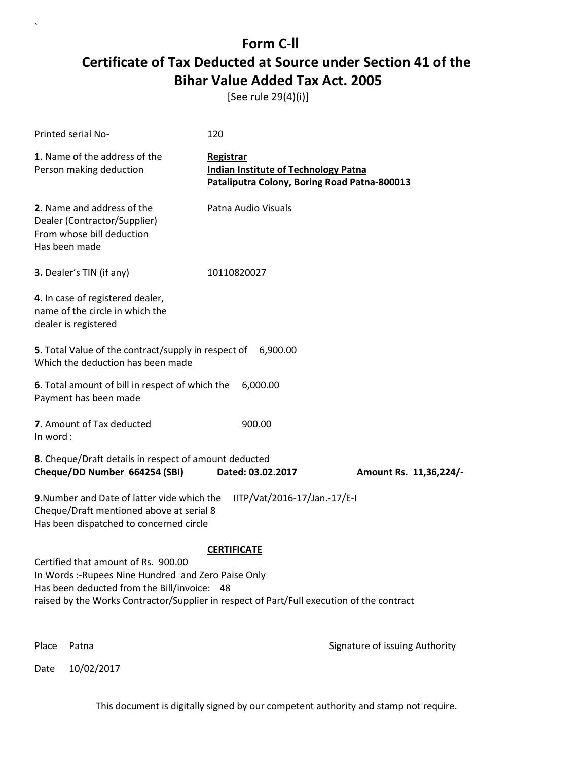[See rule 29(4)(i)]

| Printed serial No-                                                                                                                                                                                                                    | 120                                                                                                      |                                |
|---------------------------------------------------------------------------------------------------------------------------------------------------------------------------------------------------------------------------------------|----------------------------------------------------------------------------------------------------------|--------------------------------|
| 1. Name of the address of the<br>Person making deduction                                                                                                                                                                              | Registrar<br><b>Indian Institute of Technology Patna</b><br>Pataliputra Colony, Boring Road Patna-800013 |                                |
| 2. Name and address of the<br>Dealer (Contractor/Supplier)<br>From whose bill deduction<br>Has been made                                                                                                                              | Patna Audio Visuals                                                                                      |                                |
| 3. Dealer's TIN (if any)                                                                                                                                                                                                              | 10110820027                                                                                              |                                |
| 4. In case of registered dealer,<br>name of the circle in which the<br>dealer is registered                                                                                                                                           |                                                                                                          |                                |
| 5. Total Value of the contract/supply in respect of 6,900.00<br>Which the deduction has been made                                                                                                                                     |                                                                                                          |                                |
| 6. Total amount of bill in respect of which the<br>Payment has been made                                                                                                                                                              | 6,000.00                                                                                                 |                                |
| 7. Amount of Tax deducted<br>In word:                                                                                                                                                                                                 | 900.00                                                                                                   |                                |
| 8. Cheque/Draft details in respect of amount deducted<br>Cheque/DD Number 664254 (SBI)                                                                                                                                                | Dated: 03.02.2017                                                                                        | Amount Rs. 11,36,224/-         |
| 9. Number and Date of latter vide which the<br>Cheque/Draft mentioned above at serial 8<br>Has been dispatched to concerned circle                                                                                                    | IITP/Vat/2016-17/Jan.-17/E-I                                                                             |                                |
|                                                                                                                                                                                                                                       | <b>CERTIFICATE</b>                                                                                       |                                |
| Certified that amount of Rs. 900.00<br>In Words: -Rupees Nine Hundred and Zero Paise Only<br>Has been deducted from the Bill/invoice: 48<br>raised by the Works Contractor/Supplier in respect of Part/Full execution of the contract |                                                                                                          |                                |
| Place<br>Patna                                                                                                                                                                                                                        |                                                                                                          | Signature of issuing Authority |

Date 10/02/2017

`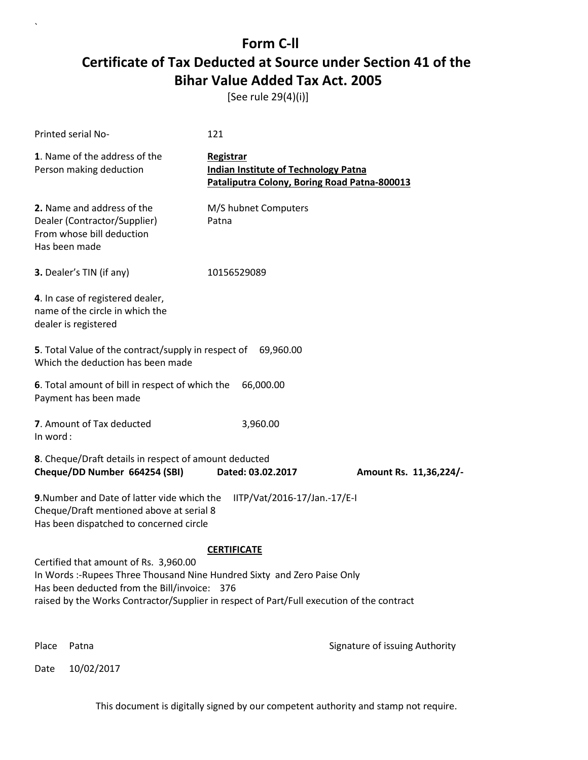[See rule 29(4)(i)]

| Printed serial No-                                                                                                                                                                                                                                             | 121                                                                                                      |                                |
|----------------------------------------------------------------------------------------------------------------------------------------------------------------------------------------------------------------------------------------------------------------|----------------------------------------------------------------------------------------------------------|--------------------------------|
| 1. Name of the address of the<br>Person making deduction                                                                                                                                                                                                       | Registrar<br><b>Indian Institute of Technology Patna</b><br>Pataliputra Colony, Boring Road Patna-800013 |                                |
| 2. Name and address of the<br>Dealer (Contractor/Supplier)<br>From whose bill deduction<br>Has been made                                                                                                                                                       | M/S hubnet Computers<br>Patna                                                                            |                                |
| 3. Dealer's TIN (if any)                                                                                                                                                                                                                                       | 10156529089                                                                                              |                                |
| 4. In case of registered dealer,<br>name of the circle in which the<br>dealer is registered                                                                                                                                                                    |                                                                                                          |                                |
| 5. Total Value of the contract/supply in respect of 69,960.00<br>Which the deduction has been made                                                                                                                                                             |                                                                                                          |                                |
| 6. Total amount of bill in respect of which the<br>Payment has been made                                                                                                                                                                                       | 66,000.00                                                                                                |                                |
| 7. Amount of Tax deducted<br>In word:                                                                                                                                                                                                                          | 3,960.00                                                                                                 |                                |
| 8. Cheque/Draft details in respect of amount deducted<br>Cheque/DD Number 664254 (SBI)                                                                                                                                                                         | Dated: 03.02.2017                                                                                        | Amount Rs. 11,36,224/-         |
| 9. Number and Date of latter vide which the<br>Cheque/Draft mentioned above at serial 8<br>Has been dispatched to concerned circle                                                                                                                             | IITP/Vat/2016-17/Jan.-17/E-I                                                                             |                                |
|                                                                                                                                                                                                                                                                | <b>CERTIFICATE</b>                                                                                       |                                |
| Certified that amount of Rs. 3,960.00<br>In Words :- Rupees Three Thousand Nine Hundred Sixty and Zero Paise Only<br>Has been deducted from the Bill/invoice: 376<br>raised by the Works Contractor/Supplier in respect of Part/Full execution of the contract |                                                                                                          |                                |
| Place<br>Patna                                                                                                                                                                                                                                                 |                                                                                                          | Signature of issuing Authority |

Date 10/02/2017

`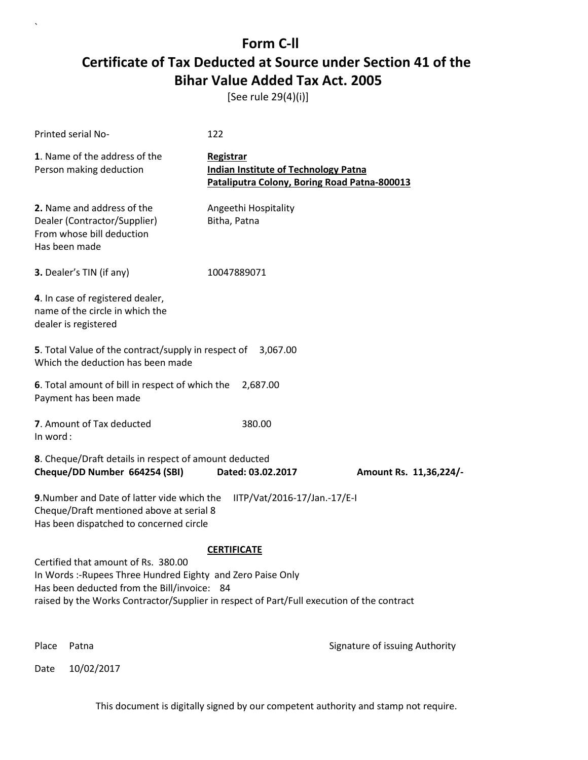[See rule 29(4)(i)]

| Printed serial No-                                                                                                                                                                                                                           | 122                                                                                                      |                                |
|----------------------------------------------------------------------------------------------------------------------------------------------------------------------------------------------------------------------------------------------|----------------------------------------------------------------------------------------------------------|--------------------------------|
| 1. Name of the address of the<br>Person making deduction                                                                                                                                                                                     | Registrar<br><b>Indian Institute of Technology Patna</b><br>Pataliputra Colony, Boring Road Patna-800013 |                                |
| 2. Name and address of the<br>Dealer (Contractor/Supplier)<br>From whose bill deduction<br>Has been made                                                                                                                                     | Angeethi Hospitality<br>Bitha, Patna                                                                     |                                |
| 3. Dealer's TIN (if any)                                                                                                                                                                                                                     | 10047889071                                                                                              |                                |
| 4. In case of registered dealer,<br>name of the circle in which the<br>dealer is registered                                                                                                                                                  |                                                                                                          |                                |
| 5. Total Value of the contract/supply in respect of<br>Which the deduction has been made                                                                                                                                                     | 3,067.00                                                                                                 |                                |
| 6. Total amount of bill in respect of which the<br>Payment has been made                                                                                                                                                                     | 2,687.00                                                                                                 |                                |
| 7. Amount of Tax deducted<br>In word:                                                                                                                                                                                                        | 380.00                                                                                                   |                                |
| 8. Cheque/Draft details in respect of amount deducted<br>Cheque/DD Number 664254 (SBI)                                                                                                                                                       | Dated: 03.02.2017                                                                                        | Amount Rs. 11,36,224/-         |
| 9. Number and Date of latter vide which the<br>Cheque/Draft mentioned above at serial 8<br>Has been dispatched to concerned circle                                                                                                           | IITP/Vat/2016-17/Jan.-17/E-I                                                                             |                                |
|                                                                                                                                                                                                                                              | <b>CERTIFICATE</b>                                                                                       |                                |
| Certified that amount of Rs. 380.00<br>In Words:-Rupees Three Hundred Eighty and Zero Paise Only<br>Has been deducted from the Bill/invoice: 84<br>raised by the Works Contractor/Supplier in respect of Part/Full execution of the contract |                                                                                                          |                                |
| Place<br>Patna                                                                                                                                                                                                                               |                                                                                                          | Signature of issuing Authority |

Date 10/02/2017

`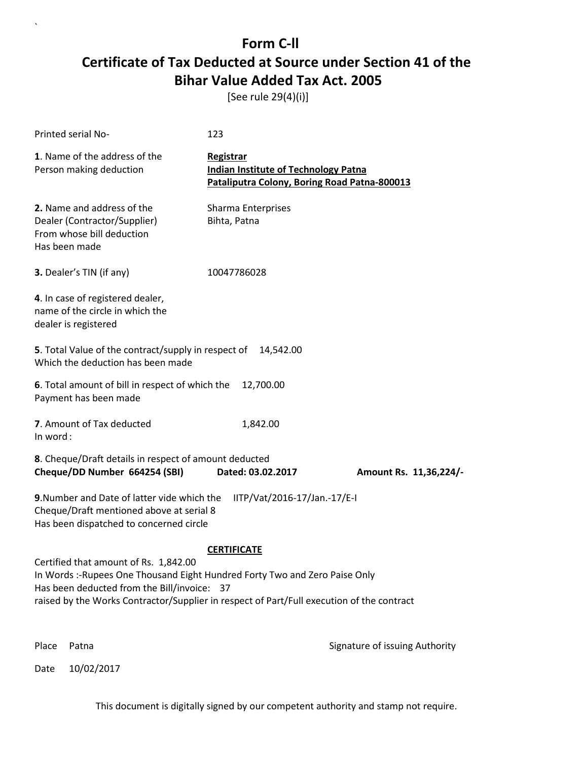[See rule 29(4)(i)]

| Printed serial No-                                                                                                                                                                                                                                               | 123                                                                                                      |                                |
|------------------------------------------------------------------------------------------------------------------------------------------------------------------------------------------------------------------------------------------------------------------|----------------------------------------------------------------------------------------------------------|--------------------------------|
| 1. Name of the address of the<br>Person making deduction                                                                                                                                                                                                         | Registrar<br><b>Indian Institute of Technology Patna</b><br>Pataliputra Colony, Boring Road Patna-800013 |                                |
| 2. Name and address of the<br>Dealer (Contractor/Supplier)<br>From whose bill deduction<br>Has been made                                                                                                                                                         | Sharma Enterprises<br>Bihta, Patna                                                                       |                                |
| 3. Dealer's TIN (if any)                                                                                                                                                                                                                                         | 10047786028                                                                                              |                                |
| 4. In case of registered dealer,<br>name of the circle in which the<br>dealer is registered                                                                                                                                                                      |                                                                                                          |                                |
| <b>5</b> . Total Value of the contract/supply in respect of<br>Which the deduction has been made                                                                                                                                                                 | 14,542.00                                                                                                |                                |
| 6. Total amount of bill in respect of which the<br>Payment has been made                                                                                                                                                                                         | 12,700.00                                                                                                |                                |
| 7. Amount of Tax deducted<br>In word:                                                                                                                                                                                                                            | 1,842.00                                                                                                 |                                |
| 8. Cheque/Draft details in respect of amount deducted<br>Cheque/DD Number 664254 (SBI)                                                                                                                                                                           | Dated: 03.02.2017                                                                                        | Amount Rs. 11,36,224/-         |
| 9. Number and Date of latter vide which the<br>Cheque/Draft mentioned above at serial 8<br>Has been dispatched to concerned circle                                                                                                                               | IITP/Vat/2016-17/Jan.-17/E-I                                                                             |                                |
|                                                                                                                                                                                                                                                                  | <b>CERTIFICATE</b>                                                                                       |                                |
| Certified that amount of Rs. 1,842.00<br>In Words :- Rupees One Thousand Eight Hundred Forty Two and Zero Paise Only<br>Has been deducted from the Bill/invoice: 37<br>raised by the Works Contractor/Supplier in respect of Part/Full execution of the contract |                                                                                                          |                                |
| Place<br>Patna                                                                                                                                                                                                                                                   |                                                                                                          | Signature of issuing Authority |

Date 10/02/2017

`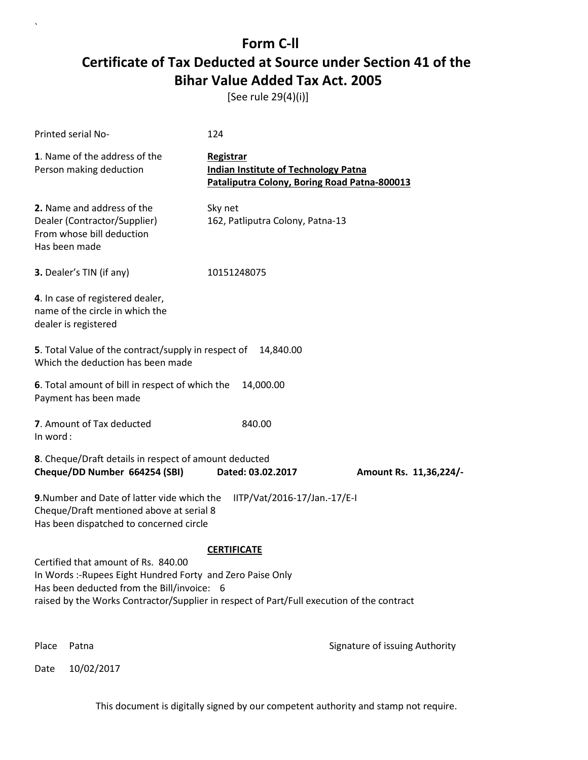[See rule 29(4)(i)]

| Printed serial No-                                                                                                                                                                                                                           | 124                                                                                                      |                                |  |
|----------------------------------------------------------------------------------------------------------------------------------------------------------------------------------------------------------------------------------------------|----------------------------------------------------------------------------------------------------------|--------------------------------|--|
| 1. Name of the address of the<br>Person making deduction                                                                                                                                                                                     | Registrar<br><b>Indian Institute of Technology Patna</b><br>Pataliputra Colony, Boring Road Patna-800013 |                                |  |
| 2. Name and address of the<br>Dealer (Contractor/Supplier)<br>From whose bill deduction<br>Has been made                                                                                                                                     | Sky net<br>162, Patliputra Colony, Patna-13                                                              |                                |  |
| 3. Dealer's TIN (if any)                                                                                                                                                                                                                     | 10151248075                                                                                              |                                |  |
| 4. In case of registered dealer,<br>name of the circle in which the<br>dealer is registered                                                                                                                                                  |                                                                                                          |                                |  |
| 5. Total Value of the contract/supply in respect of<br>Which the deduction has been made                                                                                                                                                     | 14,840.00                                                                                                |                                |  |
| 6. Total amount of bill in respect of which the<br>Payment has been made                                                                                                                                                                     | 14,000.00                                                                                                |                                |  |
| 7. Amount of Tax deducted<br>In word:                                                                                                                                                                                                        | 840.00                                                                                                   |                                |  |
| 8. Cheque/Draft details in respect of amount deducted<br>Cheque/DD Number 664254 (SBI)                                                                                                                                                       | Dated: 03.02.2017                                                                                        | Amount Rs. 11,36,224/-         |  |
| 9. Number and Date of latter vide which the<br>IITP/Vat/2016-17/Jan.-17/E-I<br>Cheque/Draft mentioned above at serial 8<br>Has been dispatched to concerned circle                                                                           |                                                                                                          |                                |  |
|                                                                                                                                                                                                                                              | <b>CERTIFICATE</b>                                                                                       |                                |  |
| Certified that amount of Rs. 840.00<br>In Words :- Rupees Eight Hundred Forty and Zero Paise Only<br>Has been deducted from the Bill/invoice: 6<br>raised by the Works Contractor/Supplier in respect of Part/Full execution of the contract |                                                                                                          |                                |  |
| Place<br>Patna                                                                                                                                                                                                                               |                                                                                                          | Signature of issuing Authority |  |

Date 10/02/2017

`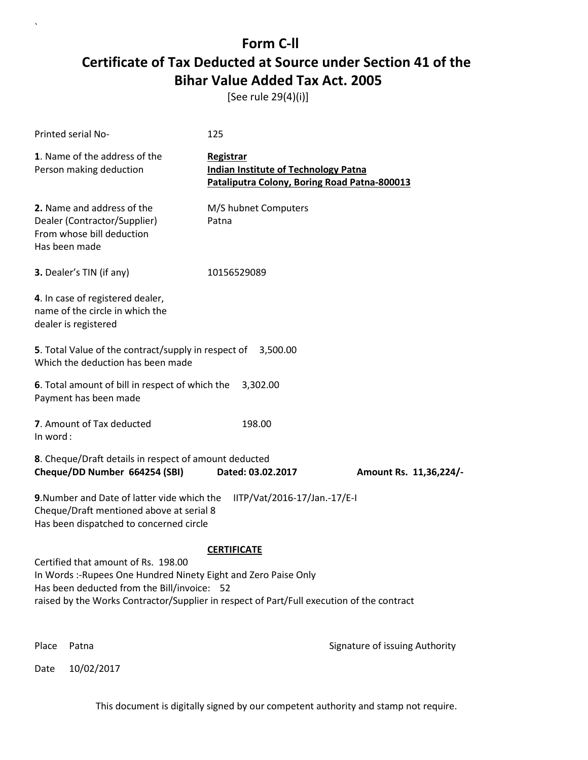[See rule 29(4)(i)]

| Printed serial No-                                                                                                                                                                                                                                 | 125                                                                                                      |                                |
|----------------------------------------------------------------------------------------------------------------------------------------------------------------------------------------------------------------------------------------------------|----------------------------------------------------------------------------------------------------------|--------------------------------|
| 1. Name of the address of the<br>Person making deduction                                                                                                                                                                                           | Registrar<br><b>Indian Institute of Technology Patna</b><br>Pataliputra Colony, Boring Road Patna-800013 |                                |
| 2. Name and address of the<br>Dealer (Contractor/Supplier)<br>From whose bill deduction<br>Has been made                                                                                                                                           | M/S hubnet Computers<br>Patna                                                                            |                                |
| 3. Dealer's TIN (if any)                                                                                                                                                                                                                           | 10156529089                                                                                              |                                |
| 4. In case of registered dealer,<br>name of the circle in which the<br>dealer is registered                                                                                                                                                        |                                                                                                          |                                |
| 5. Total Value of the contract/supply in respect of<br>Which the deduction has been made                                                                                                                                                           | 3,500.00                                                                                                 |                                |
| 6. Total amount of bill in respect of which the<br>Payment has been made                                                                                                                                                                           | 3,302.00                                                                                                 |                                |
| 7. Amount of Tax deducted<br>In word:                                                                                                                                                                                                              | 198.00                                                                                                   |                                |
| 8. Cheque/Draft details in respect of amount deducted<br>Cheque/DD Number 664254 (SBI)                                                                                                                                                             | Dated: 03.02.2017                                                                                        | Amount Rs. 11,36,224/-         |
| 9. Number and Date of latter vide which the<br>Cheque/Draft mentioned above at serial 8<br>Has been dispatched to concerned circle                                                                                                                 | IITP/Vat/2016-17/Jan.-17/E-I                                                                             |                                |
|                                                                                                                                                                                                                                                    | <b>CERTIFICATE</b>                                                                                       |                                |
| Certified that amount of Rs. 198.00<br>In Words: - Rupees One Hundred Ninety Eight and Zero Paise Only<br>Has been deducted from the Bill/invoice: 52<br>raised by the Works Contractor/Supplier in respect of Part/Full execution of the contract |                                                                                                          |                                |
| Place<br>Patna                                                                                                                                                                                                                                     |                                                                                                          | Signature of issuing Authority |

Date 10/02/2017

`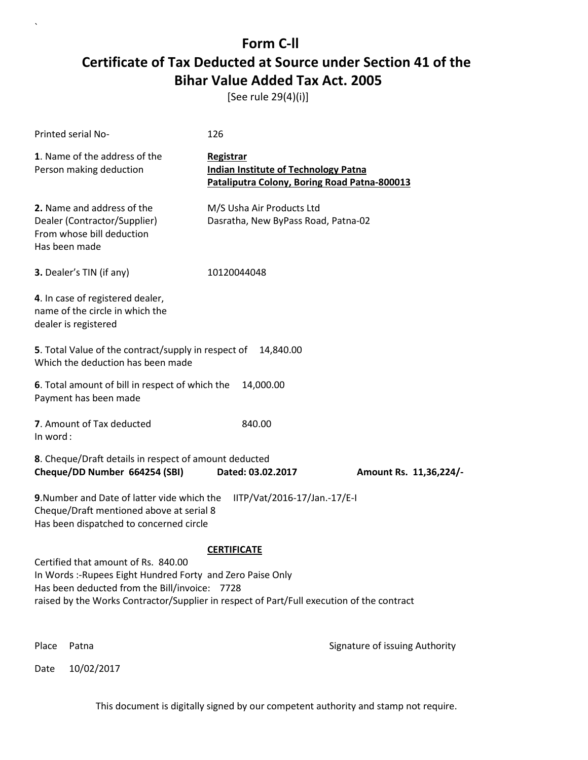[See rule 29(4)(i)]

| Printed serial No-                                                                                                                                                                                                                                                    | 126                                                                                                      |                                |  |
|-----------------------------------------------------------------------------------------------------------------------------------------------------------------------------------------------------------------------------------------------------------------------|----------------------------------------------------------------------------------------------------------|--------------------------------|--|
| 1. Name of the address of the<br>Person making deduction                                                                                                                                                                                                              | Registrar<br><b>Indian Institute of Technology Patna</b><br>Pataliputra Colony, Boring Road Patna-800013 |                                |  |
| 2. Name and address of the<br>Dealer (Contractor/Supplier)<br>From whose bill deduction<br>Has been made                                                                                                                                                              | M/S Usha Air Products Ltd<br>Dasratha, New ByPass Road, Patna-02                                         |                                |  |
| 3. Dealer's TIN (if any)                                                                                                                                                                                                                                              | 10120044048                                                                                              |                                |  |
| 4. In case of registered dealer,<br>name of the circle in which the<br>dealer is registered                                                                                                                                                                           |                                                                                                          |                                |  |
| 5. Total Value of the contract/supply in respect of<br>Which the deduction has been made                                                                                                                                                                              | 14,840.00                                                                                                |                                |  |
| 6. Total amount of bill in respect of which the<br>Payment has been made                                                                                                                                                                                              | 14,000.00                                                                                                |                                |  |
| 7. Amount of Tax deducted<br>In word:                                                                                                                                                                                                                                 | 840.00                                                                                                   |                                |  |
| 8. Cheque/Draft details in respect of amount deducted<br>Cheque/DD Number 664254 (SBI)                                                                                                                                                                                | Dated: 03.02.2017                                                                                        | Amount Rs. 11,36,224/-         |  |
| 9. Number and Date of latter vide which the<br>IITP/Vat/2016-17/Jan.-17/E-I<br>Cheque/Draft mentioned above at serial 8<br>Has been dispatched to concerned circle                                                                                                    |                                                                                                          |                                |  |
| <b>CERTIFICATE</b><br>Certified that amount of Rs. 840.00<br>In Words :- Rupees Eight Hundred Forty and Zero Paise Only<br>Has been deducted from the Bill/invoice: 7728<br>raised by the Works Contractor/Supplier in respect of Part/Full execution of the contract |                                                                                                          |                                |  |
| Place<br>Patna                                                                                                                                                                                                                                                        |                                                                                                          | Signature of issuing Authority |  |

Date 10/02/2017

`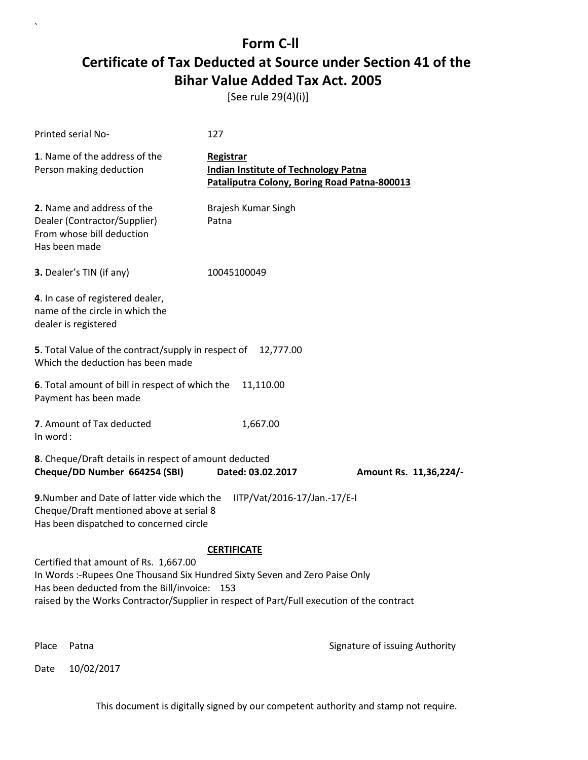[See rule 29(4)(i)]

| Printed serial No-                                                                                                                                                                                                                                                | 127                                                                                                      |                                |
|-------------------------------------------------------------------------------------------------------------------------------------------------------------------------------------------------------------------------------------------------------------------|----------------------------------------------------------------------------------------------------------|--------------------------------|
| 1. Name of the address of the<br>Person making deduction                                                                                                                                                                                                          | Registrar<br><b>Indian Institute of Technology Patna</b><br>Pataliputra Colony, Boring Road Patna-800013 |                                |
| 2. Name and address of the<br>Dealer (Contractor/Supplier)<br>From whose bill deduction<br>Has been made                                                                                                                                                          | Brajesh Kumar Singh<br>Patna                                                                             |                                |
| 3. Dealer's TIN (if any)                                                                                                                                                                                                                                          | 10045100049                                                                                              |                                |
| 4. In case of registered dealer,<br>name of the circle in which the<br>dealer is registered                                                                                                                                                                       |                                                                                                          |                                |
| 5. Total Value of the contract/supply in respect of<br>Which the deduction has been made                                                                                                                                                                          | 12,777.00                                                                                                |                                |
| 6. Total amount of bill in respect of which the<br>Payment has been made                                                                                                                                                                                          | 11,110.00                                                                                                |                                |
| 7. Amount of Tax deducted<br>In word:                                                                                                                                                                                                                             | 1,667.00                                                                                                 |                                |
| 8. Cheque/Draft details in respect of amount deducted<br>Cheque/DD Number 664254 (SBI)                                                                                                                                                                            | Dated: 03.02.2017                                                                                        | Amount Rs. 11,36,224/-         |
| 9. Number and Date of latter vide which the<br>Cheque/Draft mentioned above at serial 8<br>Has been dispatched to concerned circle                                                                                                                                | IITP/Vat/2016-17/Jan.-17/E-I                                                                             |                                |
|                                                                                                                                                                                                                                                                   | <b>CERTIFICATE</b>                                                                                       |                                |
| Certified that amount of Rs. 1,667.00<br>In Words :- Rupees One Thousand Six Hundred Sixty Seven and Zero Paise Only<br>Has been deducted from the Bill/invoice: 153<br>raised by the Works Contractor/Supplier in respect of Part/Full execution of the contract |                                                                                                          |                                |
| Place<br>Patna                                                                                                                                                                                                                                                    |                                                                                                          | Signature of issuing Authority |

Date 10/02/2017

`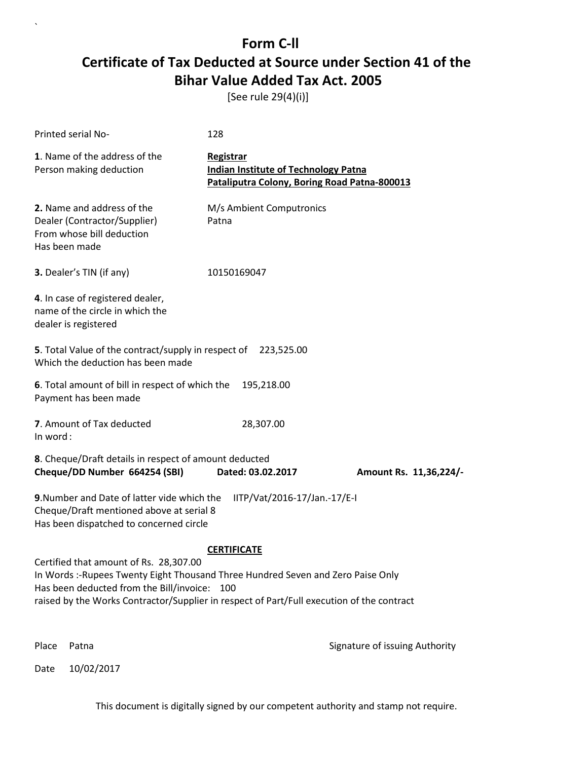[See rule 29(4)(i)]

| <b>Printed serial No-</b>                                                                                                                                                                                                                                               | 128                                                                                                      |                        |  |
|-------------------------------------------------------------------------------------------------------------------------------------------------------------------------------------------------------------------------------------------------------------------------|----------------------------------------------------------------------------------------------------------|------------------------|--|
| 1. Name of the address of the<br>Person making deduction                                                                                                                                                                                                                | Registrar<br><b>Indian Institute of Technology Patna</b><br>Pataliputra Colony, Boring Road Patna-800013 |                        |  |
| 2. Name and address of the<br>Dealer (Contractor/Supplier)<br>From whose bill deduction<br>Has been made                                                                                                                                                                | M/s Ambient Computronics<br>Patna                                                                        |                        |  |
| 3. Dealer's TIN (if any)                                                                                                                                                                                                                                                | 10150169047                                                                                              |                        |  |
| 4. In case of registered dealer,<br>name of the circle in which the<br>dealer is registered                                                                                                                                                                             |                                                                                                          |                        |  |
| 5. Total Value of the contract/supply in respect of 223,525.00<br>Which the deduction has been made                                                                                                                                                                     |                                                                                                          |                        |  |
| 6. Total amount of bill in respect of which the<br>Payment has been made                                                                                                                                                                                                | 195,218.00                                                                                               |                        |  |
| 7. Amount of Tax deducted<br>In word:                                                                                                                                                                                                                                   | 28,307.00                                                                                                |                        |  |
| 8. Cheque/Draft details in respect of amount deducted<br>Cheque/DD Number 664254 (SBI)                                                                                                                                                                                  | Dated: 03.02.2017                                                                                        | Amount Rs. 11,36,224/- |  |
| 9. Number and Date of latter vide which the<br>IITP/Vat/2016-17/Jan.-17/E-I<br>Cheque/Draft mentioned above at serial 8<br>Has been dispatched to concerned circle                                                                                                      |                                                                                                          |                        |  |
|                                                                                                                                                                                                                                                                         | <b>CERTIFICATE</b>                                                                                       |                        |  |
| Certified that amount of Rs. 28,307.00<br>In Words :- Rupees Twenty Eight Thousand Three Hundred Seven and Zero Paise Only<br>Has been deducted from the Bill/invoice: 100<br>raised by the Works Contractor/Supplier in respect of Part/Full execution of the contract |                                                                                                          |                        |  |
|                                                                                                                                                                                                                                                                         |                                                                                                          |                        |  |

Place Patna **Property** Place Patna Signature of issuing Authority

Date 10/02/2017

`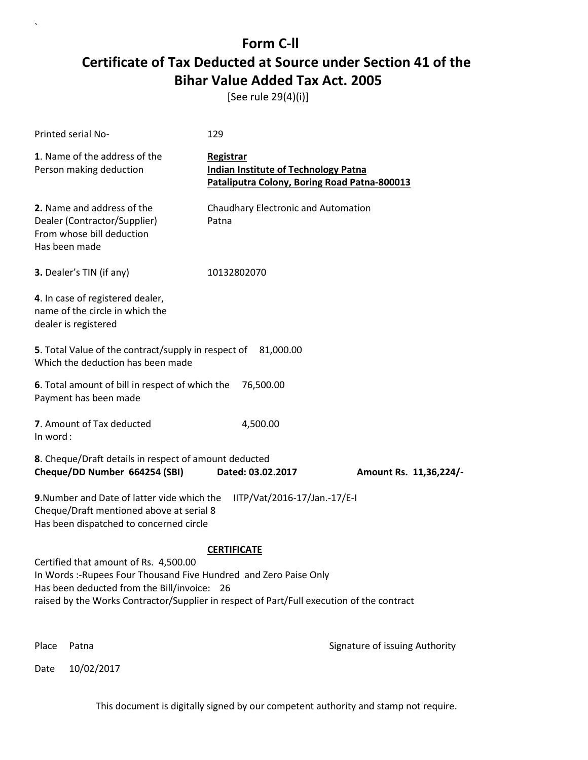[See rule 29(4)(i)]

| Printed serial No-                                                                                                                                                                                                                                     | 129                                                                                                      |                                |  |
|--------------------------------------------------------------------------------------------------------------------------------------------------------------------------------------------------------------------------------------------------------|----------------------------------------------------------------------------------------------------------|--------------------------------|--|
| 1. Name of the address of the<br>Person making deduction                                                                                                                                                                                               | Registrar<br><b>Indian Institute of Technology Patna</b><br>Pataliputra Colony, Boring Road Patna-800013 |                                |  |
| 2. Name and address of the<br>Dealer (Contractor/Supplier)<br>From whose bill deduction<br>Has been made                                                                                                                                               | Chaudhary Electronic and Automation<br>Patna                                                             |                                |  |
| 3. Dealer's TIN (if any)                                                                                                                                                                                                                               | 10132802070                                                                                              |                                |  |
| 4. In case of registered dealer,<br>name of the circle in which the<br>dealer is registered                                                                                                                                                            |                                                                                                          |                                |  |
| 5. Total Value of the contract/supply in respect of<br>Which the deduction has been made                                                                                                                                                               | 81,000.00                                                                                                |                                |  |
| 6. Total amount of bill in respect of which the<br>76,500.00<br>Payment has been made                                                                                                                                                                  |                                                                                                          |                                |  |
| 7. Amount of Tax deducted<br>In word:                                                                                                                                                                                                                  | 4,500.00                                                                                                 |                                |  |
| 8. Cheque/Draft details in respect of amount deducted<br>Cheque/DD Number 664254 (SBI)                                                                                                                                                                 | Dated: 03.02.2017                                                                                        | Amount Rs. 11,36,224/-         |  |
| 9. Number and Date of latter vide which the<br>IITP/Vat/2016-17/Jan.-17/E-I<br>Cheque/Draft mentioned above at serial 8<br>Has been dispatched to concerned circle                                                                                     |                                                                                                          |                                |  |
|                                                                                                                                                                                                                                                        | <b>CERTIFICATE</b>                                                                                       |                                |  |
| Certified that amount of Rs. 4,500.00<br>In Words :- Rupees Four Thousand Five Hundred and Zero Paise Only<br>Has been deducted from the Bill/invoice: 26<br>raised by the Works Contractor/Supplier in respect of Part/Full execution of the contract |                                                                                                          |                                |  |
| Place<br>Patna                                                                                                                                                                                                                                         |                                                                                                          | Signature of issuing Authority |  |

Date 10/02/2017

`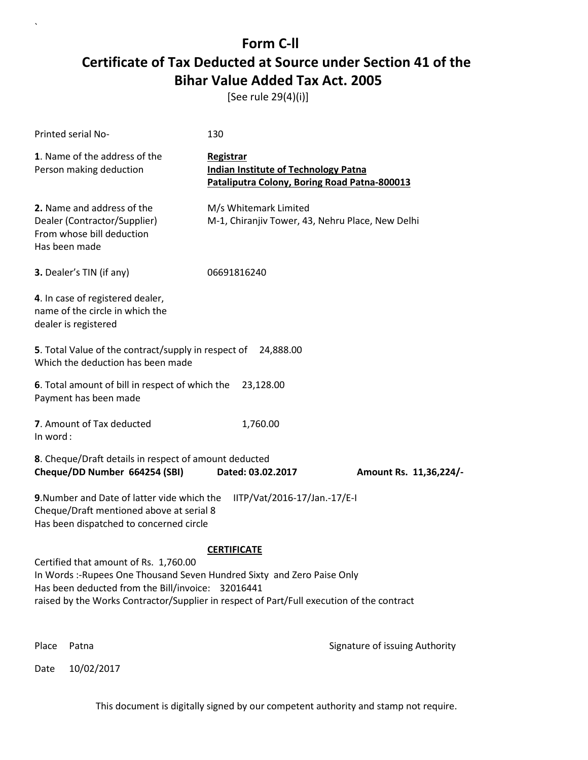[See rule 29(4)(i)]

| Printed serial No-                                                                                                                                                                                                                                                                       | 130                                                                                                      |                                |  |
|------------------------------------------------------------------------------------------------------------------------------------------------------------------------------------------------------------------------------------------------------------------------------------------|----------------------------------------------------------------------------------------------------------|--------------------------------|--|
| 1. Name of the address of the<br>Person making deduction                                                                                                                                                                                                                                 | Registrar<br><b>Indian Institute of Technology Patna</b><br>Pataliputra Colony, Boring Road Patna-800013 |                                |  |
| 2. Name and address of the<br>Dealer (Contractor/Supplier)<br>From whose bill deduction<br>Has been made                                                                                                                                                                                 | M/s Whitemark Limited<br>M-1, Chiranjiv Tower, 43, Nehru Place, New Delhi                                |                                |  |
| 3. Dealer's TIN (if any)                                                                                                                                                                                                                                                                 | 06691816240                                                                                              |                                |  |
| 4. In case of registered dealer,<br>name of the circle in which the<br>dealer is registered                                                                                                                                                                                              |                                                                                                          |                                |  |
| 5. Total Value of the contract/supply in respect of<br>24,888.00<br>Which the deduction has been made                                                                                                                                                                                    |                                                                                                          |                                |  |
| 6. Total amount of bill in respect of which the<br>Payment has been made                                                                                                                                                                                                                 | 23,128.00                                                                                                |                                |  |
| 7. Amount of Tax deducted<br>In word:                                                                                                                                                                                                                                                    | 1,760.00                                                                                                 |                                |  |
| 8. Cheque/Draft details in respect of amount deducted<br>Cheque/DD Number 664254 (SBI)                                                                                                                                                                                                   | Dated: 03.02.2017                                                                                        | Amount Rs. 11,36,224/-         |  |
| 9. Number and Date of latter vide which the<br>IITP/Vat/2016-17/Jan.-17/E-I<br>Cheque/Draft mentioned above at serial 8<br>Has been dispatched to concerned circle                                                                                                                       |                                                                                                          |                                |  |
| <b>CERTIFICATE</b><br>Certified that amount of Rs. 1,760.00<br>In Words :- Rupees One Thousand Seven Hundred Sixty and Zero Paise Only<br>Has been deducted from the Bill/invoice: 32016441<br>raised by the Works Contractor/Supplier in respect of Part/Full execution of the contract |                                                                                                          |                                |  |
| Place<br>Patna                                                                                                                                                                                                                                                                           |                                                                                                          | Signature of issuing Authority |  |

Date 10/02/2017

`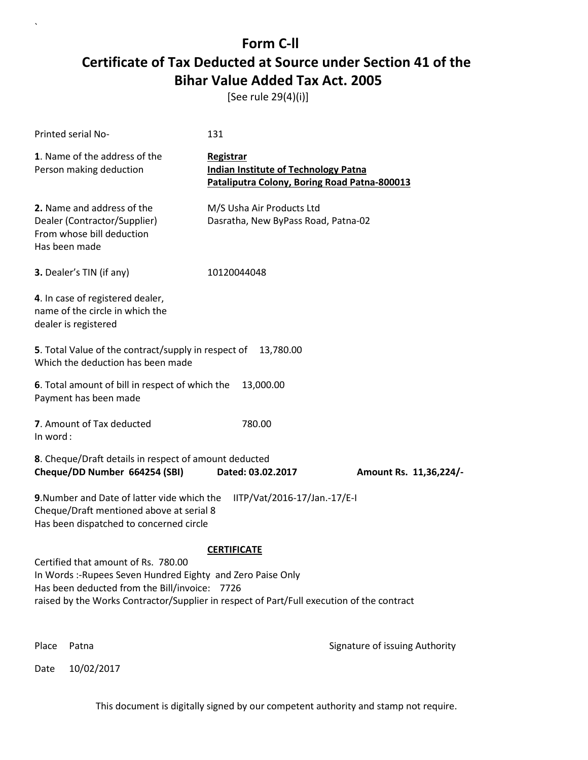[See rule 29(4)(i)]

| Printed serial No-                                                                                                                                                                                                                                                    | 131                                                                                                             |                                |  |
|-----------------------------------------------------------------------------------------------------------------------------------------------------------------------------------------------------------------------------------------------------------------------|-----------------------------------------------------------------------------------------------------------------|--------------------------------|--|
| 1. Name of the address of the<br>Person making deduction                                                                                                                                                                                                              | <b>Registrar</b><br><b>Indian Institute of Technology Patna</b><br>Pataliputra Colony, Boring Road Patna-800013 |                                |  |
| 2. Name and address of the<br>Dealer (Contractor/Supplier)<br>From whose bill deduction<br>Has been made                                                                                                                                                              | M/S Usha Air Products Ltd<br>Dasratha, New ByPass Road, Patna-02                                                |                                |  |
| 3. Dealer's TIN (if any)                                                                                                                                                                                                                                              | 10120044048                                                                                                     |                                |  |
| 4. In case of registered dealer,<br>name of the circle in which the<br>dealer is registered                                                                                                                                                                           |                                                                                                                 |                                |  |
| 5. Total Value of the contract/supply in respect of<br>Which the deduction has been made                                                                                                                                                                              | 13,780.00                                                                                                       |                                |  |
| 6. Total amount of bill in respect of which the<br>Payment has been made                                                                                                                                                                                              | 13,000.00                                                                                                       |                                |  |
| 7. Amount of Tax deducted<br>In word:                                                                                                                                                                                                                                 | 780.00                                                                                                          |                                |  |
| 8. Cheque/Draft details in respect of amount deducted<br>Cheque/DD Number 664254 (SBI)                                                                                                                                                                                | Dated: 03.02.2017                                                                                               | Amount Rs. 11,36,224/-         |  |
| 9. Number and Date of latter vide which the<br>IITP/Vat/2016-17/Jan.-17/E-I<br>Cheque/Draft mentioned above at serial 8<br>Has been dispatched to concerned circle                                                                                                    |                                                                                                                 |                                |  |
| <b>CERTIFICATE</b><br>Certified that amount of Rs. 780.00<br>In Words: -Rupees Seven Hundred Eighty and Zero Paise Only<br>Has been deducted from the Bill/invoice: 7726<br>raised by the Works Contractor/Supplier in respect of Part/Full execution of the contract |                                                                                                                 |                                |  |
| Place<br>Patna                                                                                                                                                                                                                                                        |                                                                                                                 | Signature of issuing Authority |  |

Date 10/02/2017

`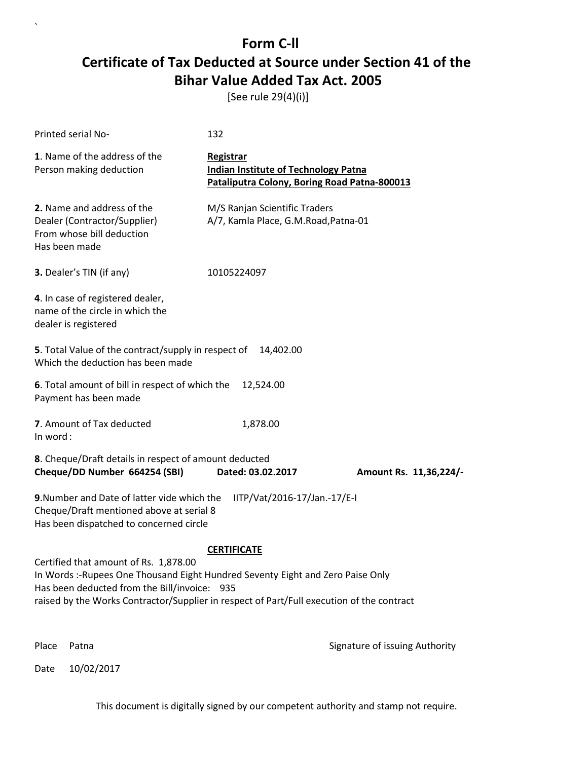[See rule 29(4)(i)]

| Printed serial No-                                                                                                                                                                                                                                                    | 132                                                                                                      |                                |  |
|-----------------------------------------------------------------------------------------------------------------------------------------------------------------------------------------------------------------------------------------------------------------------|----------------------------------------------------------------------------------------------------------|--------------------------------|--|
| 1. Name of the address of the<br>Person making deduction                                                                                                                                                                                                              | Registrar<br><b>Indian Institute of Technology Patna</b><br>Pataliputra Colony, Boring Road Patna-800013 |                                |  |
| 2. Name and address of the<br>Dealer (Contractor/Supplier)<br>From whose bill deduction<br>Has been made                                                                                                                                                              | M/S Ranjan Scientific Traders<br>A/7, Kamla Place, G.M.Road, Patna-01                                    |                                |  |
| 3. Dealer's TIN (if any)                                                                                                                                                                                                                                              | 10105224097                                                                                              |                                |  |
| 4. In case of registered dealer,<br>name of the circle in which the<br>dealer is registered                                                                                                                                                                           |                                                                                                          |                                |  |
| 5. Total Value of the contract/supply in respect of<br>Which the deduction has been made                                                                                                                                                                              | 14,402.00                                                                                                |                                |  |
| 6. Total amount of bill in respect of which the<br>Payment has been made                                                                                                                                                                                              | 12,524.00                                                                                                |                                |  |
| 7. Amount of Tax deducted<br>In word:                                                                                                                                                                                                                                 | 1,878.00                                                                                                 |                                |  |
| 8. Cheque/Draft details in respect of amount deducted<br>Cheque/DD Number 664254 (SBI)                                                                                                                                                                                | Dated: 03.02.2017                                                                                        | Amount Rs. 11,36,224/-         |  |
| 9. Number and Date of latter vide which the<br>IITP/Vat/2016-17/Jan.-17/E-I<br>Cheque/Draft mentioned above at serial 8<br>Has been dispatched to concerned circle                                                                                                    |                                                                                                          |                                |  |
|                                                                                                                                                                                                                                                                       | <b>CERTIFICATE</b>                                                                                       |                                |  |
| Certified that amount of Rs. 1,878.00<br>In Words :- Rupees One Thousand Eight Hundred Seventy Eight and Zero Paise Only<br>Has been deducted from the Bill/invoice: 935<br>raised by the Works Contractor/Supplier in respect of Part/Full execution of the contract |                                                                                                          |                                |  |
| Place<br>Patna                                                                                                                                                                                                                                                        |                                                                                                          | Signature of issuing Authority |  |

Date 10/02/2017

`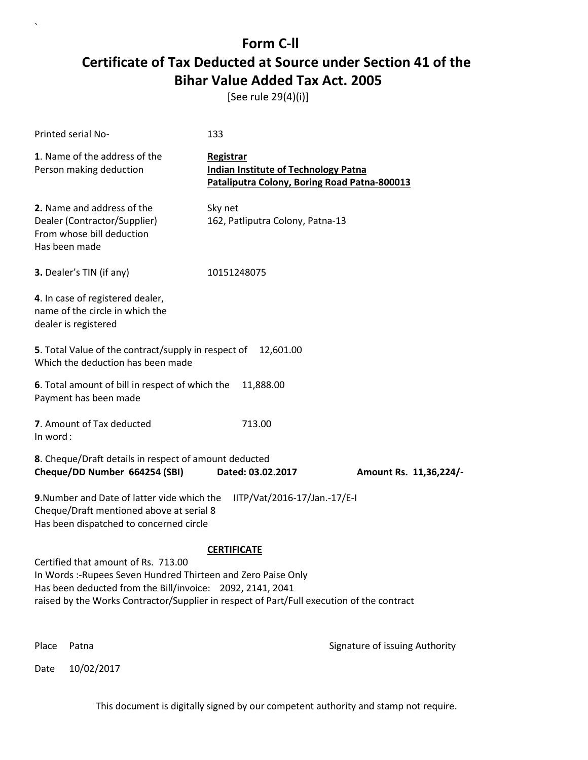[See rule 29(4)(i)]

| Printed serial No-                                                                                                                                                                                                                                             | 133                                                                                                      |                                |
|----------------------------------------------------------------------------------------------------------------------------------------------------------------------------------------------------------------------------------------------------------------|----------------------------------------------------------------------------------------------------------|--------------------------------|
| 1. Name of the address of the<br>Person making deduction                                                                                                                                                                                                       | Registrar<br><b>Indian Institute of Technology Patna</b><br>Pataliputra Colony, Boring Road Patna-800013 |                                |
| 2. Name and address of the<br>Dealer (Contractor/Supplier)<br>From whose bill deduction<br>Has been made                                                                                                                                                       | Sky net<br>162, Patliputra Colony, Patna-13                                                              |                                |
| 3. Dealer's TIN (if any)                                                                                                                                                                                                                                       | 10151248075                                                                                              |                                |
| 4. In case of registered dealer,<br>name of the circle in which the<br>dealer is registered                                                                                                                                                                    |                                                                                                          |                                |
| 5. Total Value of the contract/supply in respect of<br>Which the deduction has been made                                                                                                                                                                       | 12,601.00                                                                                                |                                |
| 6. Total amount of bill in respect of which the<br>Payment has been made                                                                                                                                                                                       | 11,888.00                                                                                                |                                |
| 7. Amount of Tax deducted<br>In word:                                                                                                                                                                                                                          | 713.00                                                                                                   |                                |
| 8. Cheque/Draft details in respect of amount deducted<br>Cheque/DD Number 664254 (SBI)                                                                                                                                                                         | Dated: 03.02.2017                                                                                        | Amount Rs. 11,36,224/-         |
| 9. Number and Date of latter vide which the<br>Cheque/Draft mentioned above at serial 8<br>Has been dispatched to concerned circle                                                                                                                             | IITP/Vat/2016-17/Jan.-17/E-I                                                                             |                                |
|                                                                                                                                                                                                                                                                | <b>CERTIFICATE</b>                                                                                       |                                |
| Certified that amount of Rs. 713.00<br>In Words :- Rupees Seven Hundred Thirteen and Zero Paise Only<br>Has been deducted from the Bill/invoice: 2092, 2141, 2041<br>raised by the Works Contractor/Supplier in respect of Part/Full execution of the contract |                                                                                                          |                                |
| Place<br>Patna                                                                                                                                                                                                                                                 |                                                                                                          | Signature of issuing Authority |

Date 10/02/2017

`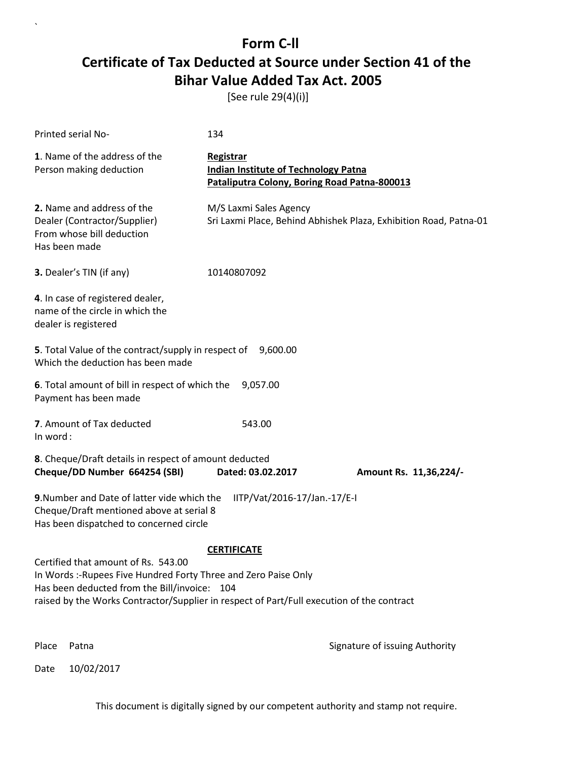[See rule 29(4)(i)]

| Printed serial No-                                                                                                                                                                                                                                                        | 134                                                                                                             |                                                                   |
|---------------------------------------------------------------------------------------------------------------------------------------------------------------------------------------------------------------------------------------------------------------------------|-----------------------------------------------------------------------------------------------------------------|-------------------------------------------------------------------|
| 1. Name of the address of the<br>Person making deduction                                                                                                                                                                                                                  | <b>Registrar</b><br><b>Indian Institute of Technology Patna</b><br>Pataliputra Colony, Boring Road Patna-800013 |                                                                   |
| 2. Name and address of the<br>Dealer (Contractor/Supplier)<br>From whose bill deduction<br>Has been made                                                                                                                                                                  | M/S Laxmi Sales Agency                                                                                          | Sri Laxmi Place, Behind Abhishek Plaza, Exhibition Road, Patna-01 |
| 3. Dealer's TIN (if any)                                                                                                                                                                                                                                                  | 10140807092                                                                                                     |                                                                   |
| 4. In case of registered dealer,<br>name of the circle in which the<br>dealer is registered                                                                                                                                                                               |                                                                                                                 |                                                                   |
| 5. Total Value of the contract/supply in respect of<br>Which the deduction has been made                                                                                                                                                                                  | 9,600.00                                                                                                        |                                                                   |
| 6. Total amount of bill in respect of which the<br>Payment has been made                                                                                                                                                                                                  | 9,057.00                                                                                                        |                                                                   |
| 7. Amount of Tax deducted<br>In word:                                                                                                                                                                                                                                     | 543.00                                                                                                          |                                                                   |
| 8. Cheque/Draft details in respect of amount deducted<br>Cheque/DD Number 664254 (SBI)                                                                                                                                                                                    | Dated: 03.02.2017                                                                                               | Amount Rs. 11,36,224/-                                            |
| 9. Number and Date of latter vide which the<br>IITP/Vat/2016-17/Jan.-17/E-I<br>Cheque/Draft mentioned above at serial 8<br>Has been dispatched to concerned circle                                                                                                        |                                                                                                                 |                                                                   |
| <b>CERTIFICATE</b><br>Certified that amount of Rs. 543.00<br>In Words :- Rupees Five Hundred Forty Three and Zero Paise Only<br>Has been deducted from the Bill/invoice: 104<br>raised by the Works Contractor/Supplier in respect of Part/Full execution of the contract |                                                                                                                 |                                                                   |
| Place<br>Patna                                                                                                                                                                                                                                                            |                                                                                                                 | Signature of issuing Authority                                    |

Date 10/02/2017

`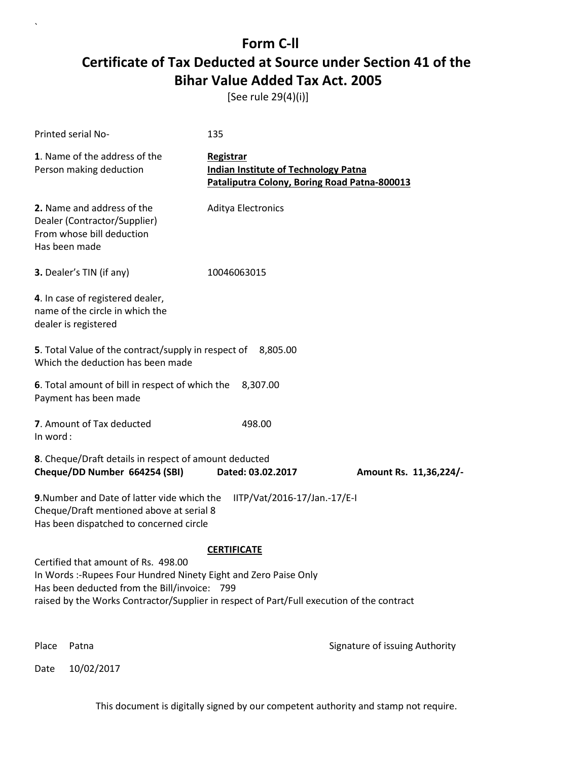[See rule 29(4)(i)]

| Printed serial No-                                                                                                                                                                                                                                   | 135                                                                                                      |                                |
|------------------------------------------------------------------------------------------------------------------------------------------------------------------------------------------------------------------------------------------------------|----------------------------------------------------------------------------------------------------------|--------------------------------|
| 1. Name of the address of the<br>Person making deduction                                                                                                                                                                                             | Registrar<br><b>Indian Institute of Technology Patna</b><br>Pataliputra Colony, Boring Road Patna-800013 |                                |
| 2. Name and address of the<br>Dealer (Contractor/Supplier)<br>From whose bill deduction<br>Has been made                                                                                                                                             | <b>Aditya Electronics</b>                                                                                |                                |
| 3. Dealer's TIN (if any)                                                                                                                                                                                                                             | 10046063015                                                                                              |                                |
| 4. In case of registered dealer,<br>name of the circle in which the<br>dealer is registered                                                                                                                                                          |                                                                                                          |                                |
| 5. Total Value of the contract/supply in respect of<br>Which the deduction has been made                                                                                                                                                             | 8,805.00                                                                                                 |                                |
| 6. Total amount of bill in respect of which the<br>Payment has been made                                                                                                                                                                             | 8,307.00                                                                                                 |                                |
| 7. Amount of Tax deducted<br>In word:                                                                                                                                                                                                                | 498.00                                                                                                   |                                |
| 8. Cheque/Draft details in respect of amount deducted<br>Cheque/DD Number 664254 (SBI)                                                                                                                                                               | Dated: 03.02.2017                                                                                        | Amount Rs. 11,36,224/-         |
| 9. Number and Date of latter vide which the<br>Cheque/Draft mentioned above at serial 8<br>Has been dispatched to concerned circle                                                                                                                   | IITP/Vat/2016-17/Jan.-17/E-I                                                                             |                                |
|                                                                                                                                                                                                                                                      | <b>CERTIFICATE</b>                                                                                       |                                |
| Certified that amount of Rs. 498.00<br>In Words :- Rupees Four Hundred Ninety Eight and Zero Paise Only<br>Has been deducted from the Bill/invoice: 799<br>raised by the Works Contractor/Supplier in respect of Part/Full execution of the contract |                                                                                                          |                                |
| Place<br>Patna                                                                                                                                                                                                                                       |                                                                                                          | Signature of issuing Authority |

Date 10/02/2017

`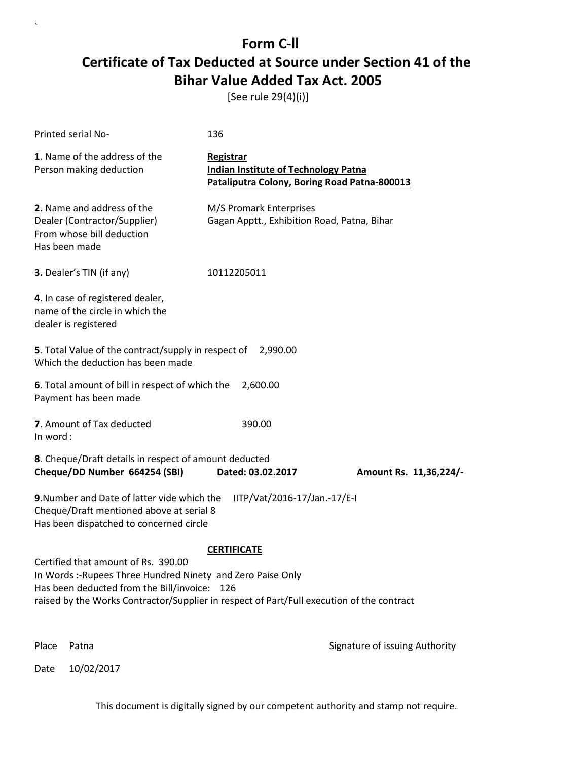[See rule 29(4)(i)]

| Printed serial No-                                                                                                                                                                                                                                                   | 136                                                                                                      |                                |  |
|----------------------------------------------------------------------------------------------------------------------------------------------------------------------------------------------------------------------------------------------------------------------|----------------------------------------------------------------------------------------------------------|--------------------------------|--|
| 1. Name of the address of the<br>Person making deduction                                                                                                                                                                                                             | Registrar<br><b>Indian Institute of Technology Patna</b><br>Pataliputra Colony, Boring Road Patna-800013 |                                |  |
| 2. Name and address of the<br>Dealer (Contractor/Supplier)<br>From whose bill deduction<br>Has been made                                                                                                                                                             | M/S Promark Enterprises<br>Gagan Apptt., Exhibition Road, Patna, Bihar                                   |                                |  |
| 3. Dealer's TIN (if any)                                                                                                                                                                                                                                             | 10112205011                                                                                              |                                |  |
| 4. In case of registered dealer,<br>name of the circle in which the<br>dealer is registered                                                                                                                                                                          |                                                                                                          |                                |  |
| 5. Total Value of the contract/supply in respect of 2,990.00<br>Which the deduction has been made                                                                                                                                                                    |                                                                                                          |                                |  |
| 6. Total amount of bill in respect of which the<br>Payment has been made                                                                                                                                                                                             | 2,600.00                                                                                                 |                                |  |
| 7. Amount of Tax deducted<br>In word:                                                                                                                                                                                                                                | 390.00                                                                                                   |                                |  |
| 8. Cheque/Draft details in respect of amount deducted<br>Cheque/DD Number 664254 (SBI)                                                                                                                                                                               | Dated: 03.02.2017                                                                                        | Amount Rs. 11,36,224/-         |  |
| 9. Number and Date of latter vide which the<br>IITP/Vat/2016-17/Jan.-17/E-I<br>Cheque/Draft mentioned above at serial 8<br>Has been dispatched to concerned circle                                                                                                   |                                                                                                          |                                |  |
| <b>CERTIFICATE</b><br>Certified that amount of Rs. 390.00<br>In Words :-Rupees Three Hundred Ninety and Zero Paise Only<br>Has been deducted from the Bill/invoice: 126<br>raised by the Works Contractor/Supplier in respect of Part/Full execution of the contract |                                                                                                          |                                |  |
| Place<br>Patna                                                                                                                                                                                                                                                       |                                                                                                          | Signature of issuing Authority |  |

Date 10/02/2017

`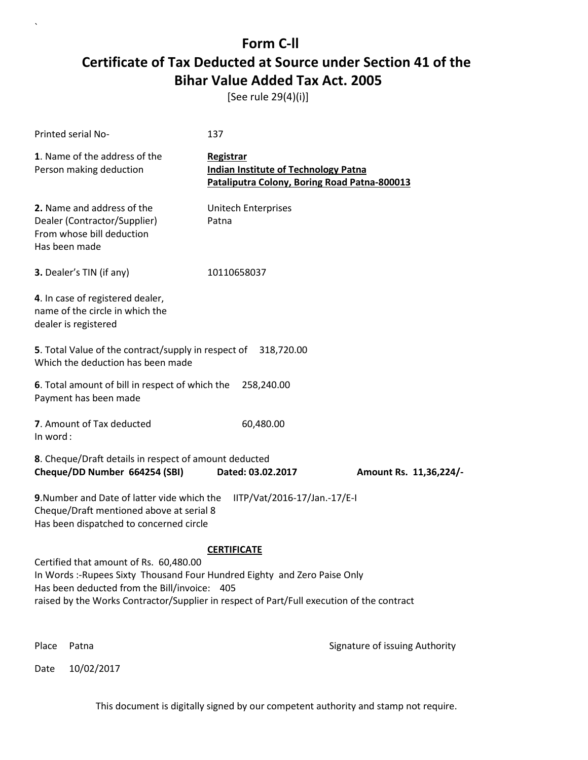[See rule 29(4)(i)]

| Printed serial No-                                                                                                                                                                                                                                               | 137                                                                                                      |                                |
|------------------------------------------------------------------------------------------------------------------------------------------------------------------------------------------------------------------------------------------------------------------|----------------------------------------------------------------------------------------------------------|--------------------------------|
| 1. Name of the address of the<br>Person making deduction                                                                                                                                                                                                         | Registrar<br><b>Indian Institute of Technology Patna</b><br>Pataliputra Colony, Boring Road Patna-800013 |                                |
| 2. Name and address of the<br>Dealer (Contractor/Supplier)<br>From whose bill deduction<br>Has been made                                                                                                                                                         | <b>Unitech Enterprises</b><br>Patna                                                                      |                                |
| 3. Dealer's TIN (if any)                                                                                                                                                                                                                                         | 10110658037                                                                                              |                                |
| 4. In case of registered dealer,<br>name of the circle in which the<br>dealer is registered                                                                                                                                                                      |                                                                                                          |                                |
| <b>5</b> . Total Value of the contract/supply in respect of<br>Which the deduction has been made                                                                                                                                                                 | 318,720.00                                                                                               |                                |
| 6. Total amount of bill in respect of which the<br>Payment has been made                                                                                                                                                                                         | 258,240.00                                                                                               |                                |
| 7. Amount of Tax deducted<br>In word:                                                                                                                                                                                                                            | 60,480.00                                                                                                |                                |
| 8. Cheque/Draft details in respect of amount deducted<br>Cheque/DD Number 664254 (SBI)                                                                                                                                                                           | Dated: 03.02.2017                                                                                        | Amount Rs. 11,36,224/-         |
| 9. Number and Date of latter vide which the<br>Cheque/Draft mentioned above at serial 8<br>Has been dispatched to concerned circle                                                                                                                               | IITP/Vat/2016-17/Jan.-17/E-I                                                                             |                                |
|                                                                                                                                                                                                                                                                  | <b>CERTIFICATE</b>                                                                                       |                                |
| Certified that amount of Rs. 60,480.00<br>In Words :- Rupees Sixty Thousand Four Hundred Eighty and Zero Paise Only<br>Has been deducted from the Bill/invoice: 405<br>raised by the Works Contractor/Supplier in respect of Part/Full execution of the contract |                                                                                                          |                                |
| Place<br>Patna                                                                                                                                                                                                                                                   |                                                                                                          | Signature of issuing Authority |

Date 10/02/2017

`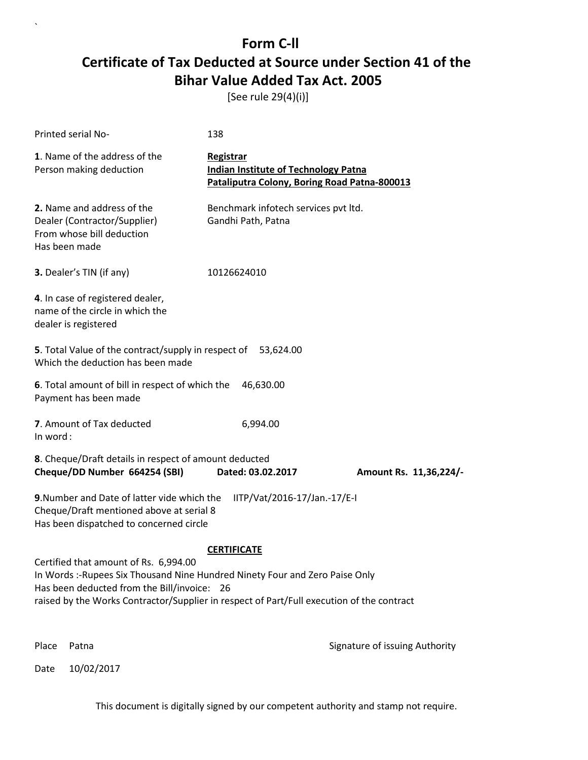[See rule 29(4)(i)]

| Printed serial No-                                                                                                                                                                                                                                                | 138                                                                                                      |                                |  |
|-------------------------------------------------------------------------------------------------------------------------------------------------------------------------------------------------------------------------------------------------------------------|----------------------------------------------------------------------------------------------------------|--------------------------------|--|
| 1. Name of the address of the<br>Person making deduction                                                                                                                                                                                                          | Registrar<br><b>Indian Institute of Technology Patna</b><br>Pataliputra Colony, Boring Road Patna-800013 |                                |  |
| 2. Name and address of the<br>Dealer (Contractor/Supplier)<br>From whose bill deduction<br>Has been made                                                                                                                                                          | Benchmark infotech services pvt ltd.<br>Gandhi Path, Patna                                               |                                |  |
| 3. Dealer's TIN (if any)                                                                                                                                                                                                                                          | 10126624010                                                                                              |                                |  |
| 4. In case of registered dealer,<br>name of the circle in which the<br>dealer is registered                                                                                                                                                                       |                                                                                                          |                                |  |
| 5. Total Value of the contract/supply in respect of<br>Which the deduction has been made                                                                                                                                                                          | 53,624.00                                                                                                |                                |  |
| 6. Total amount of bill in respect of which the<br>46,630.00<br>Payment has been made                                                                                                                                                                             |                                                                                                          |                                |  |
| 7. Amount of Tax deducted<br>In word:                                                                                                                                                                                                                             | 6,994.00                                                                                                 |                                |  |
| 8. Cheque/Draft details in respect of amount deducted<br>Cheque/DD Number 664254 (SBI)                                                                                                                                                                            | Dated: 03.02.2017                                                                                        | Amount Rs. 11,36,224/-         |  |
| 9. Number and Date of latter vide which the<br>IITP/Vat/2016-17/Jan.-17/E-I<br>Cheque/Draft mentioned above at serial 8<br>Has been dispatched to concerned circle                                                                                                |                                                                                                          |                                |  |
|                                                                                                                                                                                                                                                                   | <b>CERTIFICATE</b>                                                                                       |                                |  |
| Certified that amount of Rs. 6,994.00<br>In Words :- Rupees Six Thousand Nine Hundred Ninety Four and Zero Paise Only<br>Has been deducted from the Bill/invoice: 26<br>raised by the Works Contractor/Supplier in respect of Part/Full execution of the contract |                                                                                                          |                                |  |
| Place<br>Patna                                                                                                                                                                                                                                                    |                                                                                                          | Signature of issuing Authority |  |

Date 10/02/2017

`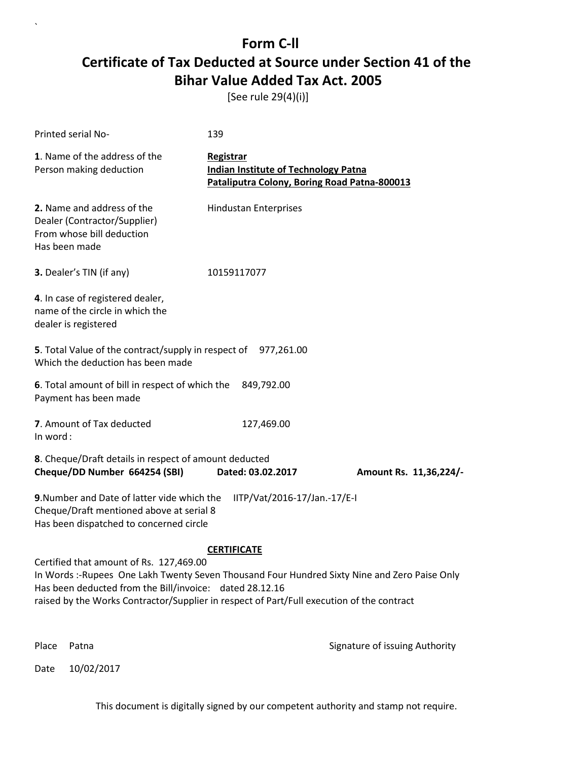[See rule 29(4)(i)]

| Printed serial No-                                                                                                                                                                                                                                                                                                   | 139                                                                                                      |                        |
|----------------------------------------------------------------------------------------------------------------------------------------------------------------------------------------------------------------------------------------------------------------------------------------------------------------------|----------------------------------------------------------------------------------------------------------|------------------------|
| 1. Name of the address of the<br>Person making deduction                                                                                                                                                                                                                                                             | Registrar<br><b>Indian Institute of Technology Patna</b><br>Pataliputra Colony, Boring Road Patna-800013 |                        |
| 2. Name and address of the<br>Dealer (Contractor/Supplier)<br>From whose bill deduction<br>Has been made                                                                                                                                                                                                             | <b>Hindustan Enterprises</b>                                                                             |                        |
| <b>3.</b> Dealer's TIN (if any)                                                                                                                                                                                                                                                                                      | 10159117077                                                                                              |                        |
| 4. In case of registered dealer,<br>name of the circle in which the<br>dealer is registered                                                                                                                                                                                                                          |                                                                                                          |                        |
| 5. Total Value of the contract/supply in respect of<br>Which the deduction has been made                                                                                                                                                                                                                             | 977,261.00                                                                                               |                        |
| 6. Total amount of bill in respect of which the<br>Payment has been made                                                                                                                                                                                                                                             | 849,792.00                                                                                               |                        |
| 7. Amount of Tax deducted<br>In word:                                                                                                                                                                                                                                                                                | 127,469.00                                                                                               |                        |
| 8. Cheque/Draft details in respect of amount deducted<br>Cheque/DD Number 664254 (SBI)                                                                                                                                                                                                                               | Dated: 03.02.2017                                                                                        | Amount Rs. 11,36,224/- |
| 9. Number and Date of latter vide which the<br>IITP/Vat/2016-17/Jan.-17/E-I<br>Cheque/Draft mentioned above at serial 8<br>Has been dispatched to concerned circle                                                                                                                                                   |                                                                                                          |                        |
| <b>CERTIFICATE</b><br>Certified that amount of Rs. 127,469.00<br>In Words:-Rupees One Lakh Twenty Seven Thousand Four Hundred Sixty Nine and Zero Paise Only<br>Has been deducted from the Bill/invoice: dated 28.12.16<br>raised by the Works Contractor/Supplier in respect of Part/Full execution of the contract |                                                                                                          |                        |

Date 10/02/2017

`

Place Patna **Property** Place Patna Signature of issuing Authority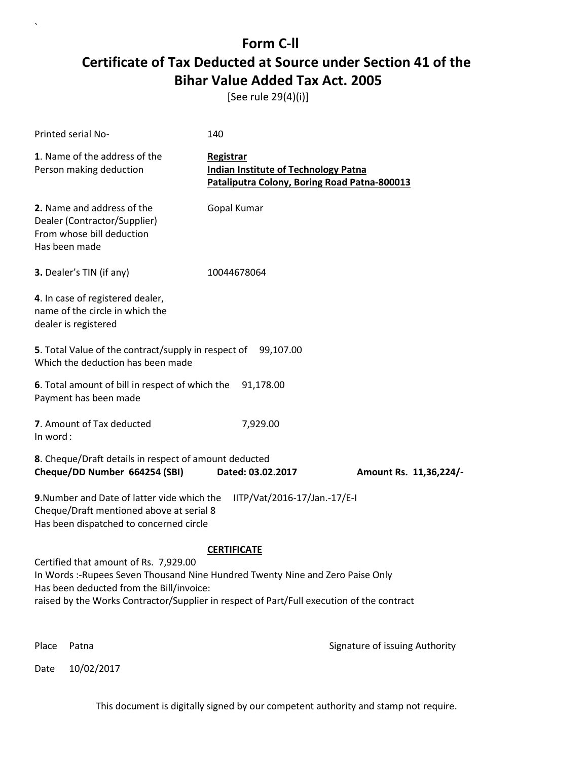[See rule 29(4)(i)]

| Printed serial No-                                                                                                                                                                                                                                               | 140                                                                                                      |                        |
|------------------------------------------------------------------------------------------------------------------------------------------------------------------------------------------------------------------------------------------------------------------|----------------------------------------------------------------------------------------------------------|------------------------|
| 1. Name of the address of the<br>Person making deduction                                                                                                                                                                                                         | Registrar<br><b>Indian Institute of Technology Patna</b><br>Pataliputra Colony, Boring Road Patna-800013 |                        |
| 2. Name and address of the<br>Dealer (Contractor/Supplier)<br>From whose bill deduction<br>Has been made                                                                                                                                                         | Gopal Kumar                                                                                              |                        |
| 3. Dealer's TIN (if any)                                                                                                                                                                                                                                         | 10044678064                                                                                              |                        |
| 4. In case of registered dealer,<br>name of the circle in which the<br>dealer is registered                                                                                                                                                                      |                                                                                                          |                        |
| 5. Total Value of the contract/supply in respect of 99,107.00<br>Which the deduction has been made                                                                                                                                                               |                                                                                                          |                        |
| 6. Total amount of bill in respect of which the<br>Payment has been made                                                                                                                                                                                         | 91,178.00                                                                                                |                        |
| 7. Amount of Tax deducted<br>In word:                                                                                                                                                                                                                            | 7,929.00                                                                                                 |                        |
| 8. Cheque/Draft details in respect of amount deducted<br>Cheque/DD Number 664254 (SBI)                                                                                                                                                                           | Dated: 03.02.2017                                                                                        | Amount Rs. 11,36,224/- |
| 9. Number and Date of latter vide which the<br>Cheque/Draft mentioned above at serial 8<br>Has been dispatched to concerned circle                                                                                                                               | IITP/Vat/2016-17/Jan.-17/E-I                                                                             |                        |
|                                                                                                                                                                                                                                                                  | <b>CERTIFICATE</b>                                                                                       |                        |
| Certified that amount of Rs. 7,929.00<br>In Words :- Rupees Seven Thousand Nine Hundred Twenty Nine and Zero Paise Only<br>Has been deducted from the Bill/invoice:<br>raised by the Works Contractor/Supplier in respect of Part/Full execution of the contract |                                                                                                          |                        |
|                                                                                                                                                                                                                                                                  |                                                                                                          |                        |

Date 10/02/2017

`

Place Patna **Property** Place Patna Signature of issuing Authority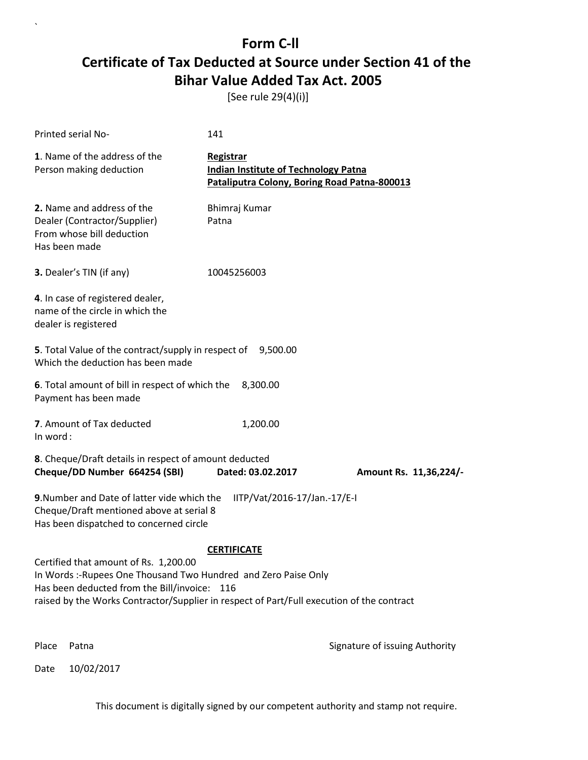[See rule 29(4)(i)]

| <b>Printed serial No-</b>                                                                                                                                                                                                                            | 141                                                                                                      |                                |
|------------------------------------------------------------------------------------------------------------------------------------------------------------------------------------------------------------------------------------------------------|----------------------------------------------------------------------------------------------------------|--------------------------------|
| 1. Name of the address of the<br>Person making deduction                                                                                                                                                                                             | Registrar<br><b>Indian Institute of Technology Patna</b><br>Pataliputra Colony, Boring Road Patna-800013 |                                |
| 2. Name and address of the<br>Dealer (Contractor/Supplier)<br>From whose bill deduction<br>Has been made                                                                                                                                             | Bhimraj Kumar<br>Patna                                                                                   |                                |
| 3. Dealer's TIN (if any)                                                                                                                                                                                                                             | 10045256003                                                                                              |                                |
| 4. In case of registered dealer,<br>name of the circle in which the<br>dealer is registered                                                                                                                                                          |                                                                                                          |                                |
| 5. Total Value of the contract/supply in respect of 9,500.00<br>Which the deduction has been made                                                                                                                                                    |                                                                                                          |                                |
| 6. Total amount of bill in respect of which the<br>Payment has been made                                                                                                                                                                             | 8,300.00                                                                                                 |                                |
| 7. Amount of Tax deducted<br>In word:                                                                                                                                                                                                                | 1,200.00                                                                                                 |                                |
| 8. Cheque/Draft details in respect of amount deducted<br>Cheque/DD Number 664254 (SBI)                                                                                                                                                               | Dated: 03.02.2017                                                                                        | Amount Rs. 11,36,224/-         |
| 9. Number and Date of latter vide which the<br>Cheque/Draft mentioned above at serial 8<br>Has been dispatched to concerned circle                                                                                                                   | IITP/Vat/2016-17/Jan.-17/E-I                                                                             |                                |
|                                                                                                                                                                                                                                                      | <b>CERTIFICATE</b>                                                                                       |                                |
| Certified that amount of Rs. 1,200.00<br>In Words: -Rupees One Thousand Two Hundred and Zero Paise Only<br>Has been deducted from the Bill/invoice: 116<br>raised by the Works Contractor/Supplier in respect of Part/Full execution of the contract |                                                                                                          |                                |
| Place<br>Patna                                                                                                                                                                                                                                       |                                                                                                          | Signature of issuing Authority |

Date 10/02/2017

`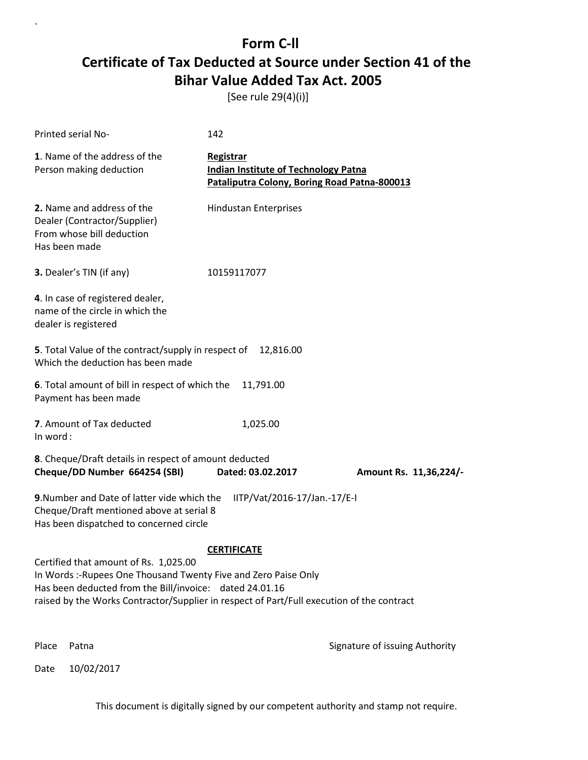[See rule 29(4)(i)]

| Printed serial No-                                                                                                                                                                                                                                               | 142                                                                                                      |                                |  |
|------------------------------------------------------------------------------------------------------------------------------------------------------------------------------------------------------------------------------------------------------------------|----------------------------------------------------------------------------------------------------------|--------------------------------|--|
| 1. Name of the address of the<br>Person making deduction                                                                                                                                                                                                         | Registrar<br><b>Indian Institute of Technology Patna</b><br>Pataliputra Colony, Boring Road Patna-800013 |                                |  |
| 2. Name and address of the<br>Dealer (Contractor/Supplier)<br>From whose bill deduction<br>Has been made                                                                                                                                                         | <b>Hindustan Enterprises</b>                                                                             |                                |  |
| 3. Dealer's TIN (if any)                                                                                                                                                                                                                                         | 10159117077                                                                                              |                                |  |
| 4. In case of registered dealer,<br>name of the circle in which the<br>dealer is registered                                                                                                                                                                      |                                                                                                          |                                |  |
| 5. Total Value of the contract/supply in respect of<br>Which the deduction has been made                                                                                                                                                                         | 12,816.00                                                                                                |                                |  |
| 6. Total amount of bill in respect of which the<br>Payment has been made                                                                                                                                                                                         | 11,791.00                                                                                                |                                |  |
| 7. Amount of Tax deducted<br>In word:                                                                                                                                                                                                                            | 1,025.00                                                                                                 |                                |  |
| 8. Cheque/Draft details in respect of amount deducted<br>Cheque/DD Number 664254 (SBI)                                                                                                                                                                           | Dated: 03.02.2017                                                                                        | Amount Rs. 11,36,224/-         |  |
| 9. Number and Date of latter vide which the<br>IITP/Vat/2016-17/Jan.-17/E-I<br>Cheque/Draft mentioned above at serial 8<br>Has been dispatched to concerned circle                                                                                               |                                                                                                          |                                |  |
|                                                                                                                                                                                                                                                                  | <b>CERTIFICATE</b>                                                                                       |                                |  |
| Certified that amount of Rs. 1,025.00<br>In Words :- Rupees One Thousand Twenty Five and Zero Paise Only<br>Has been deducted from the Bill/invoice: dated 24.01.16<br>raised by the Works Contractor/Supplier in respect of Part/Full execution of the contract |                                                                                                          |                                |  |
| Place<br>Patna                                                                                                                                                                                                                                                   |                                                                                                          | Signature of issuing Authority |  |

Date 10/02/2017

`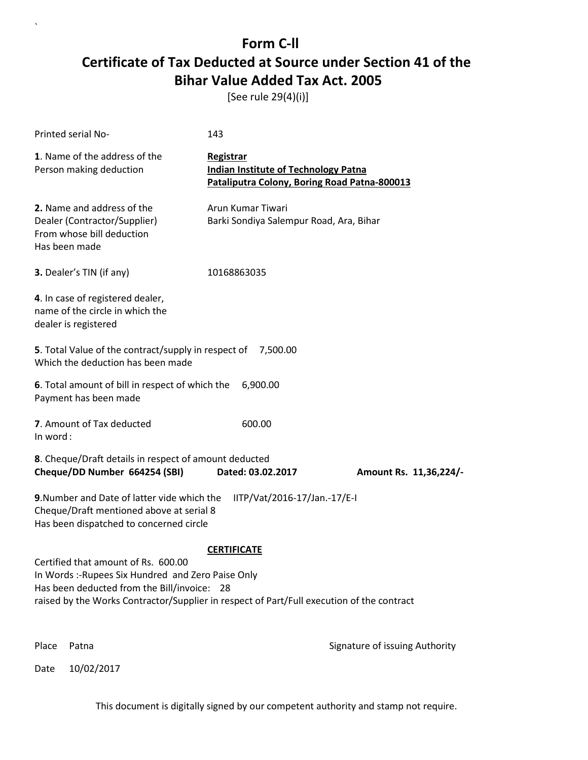[See rule 29(4)(i)]

| Printed serial No-                                                                                                                                                                                                                    | 143                                                                                                      |                                |  |
|---------------------------------------------------------------------------------------------------------------------------------------------------------------------------------------------------------------------------------------|----------------------------------------------------------------------------------------------------------|--------------------------------|--|
| 1. Name of the address of the<br>Person making deduction                                                                                                                                                                              | Registrar<br><b>Indian Institute of Technology Patna</b><br>Pataliputra Colony, Boring Road Patna-800013 |                                |  |
| 2. Name and address of the<br>Dealer (Contractor/Supplier)<br>From whose bill deduction<br>Has been made                                                                                                                              | Arun Kumar Tiwari<br>Barki Sondiya Salempur Road, Ara, Bihar                                             |                                |  |
| <b>3.</b> Dealer's TIN (if any)                                                                                                                                                                                                       | 10168863035                                                                                              |                                |  |
| 4. In case of registered dealer,<br>name of the circle in which the<br>dealer is registered                                                                                                                                           |                                                                                                          |                                |  |
| 5. Total Value of the contract/supply in respect of<br>Which the deduction has been made                                                                                                                                              | 7,500.00                                                                                                 |                                |  |
| 6. Total amount of bill in respect of which the<br>Payment has been made                                                                                                                                                              | 6,900.00                                                                                                 |                                |  |
| 7. Amount of Tax deducted<br>In word:                                                                                                                                                                                                 | 600.00                                                                                                   |                                |  |
| 8. Cheque/Draft details in respect of amount deducted<br>Cheque/DD Number 664254 (SBI)                                                                                                                                                | Dated: 03.02.2017                                                                                        | Amount Rs. 11,36,224/-         |  |
| 9. Number and Date of latter vide which the<br>IITP/Vat/2016-17/Jan.-17/E-I<br>Cheque/Draft mentioned above at serial 8<br>Has been dispatched to concerned circle                                                                    |                                                                                                          |                                |  |
|                                                                                                                                                                                                                                       | <b>CERTIFICATE</b>                                                                                       |                                |  |
| Certified that amount of Rs. 600.00<br>In Words :- Rupees Six Hundred and Zero Paise Only<br>Has been deducted from the Bill/invoice: 28<br>raised by the Works Contractor/Supplier in respect of Part/Full execution of the contract |                                                                                                          |                                |  |
| Place<br>Patna                                                                                                                                                                                                                        |                                                                                                          | Signature of issuing Authority |  |

Date 10/02/2017

`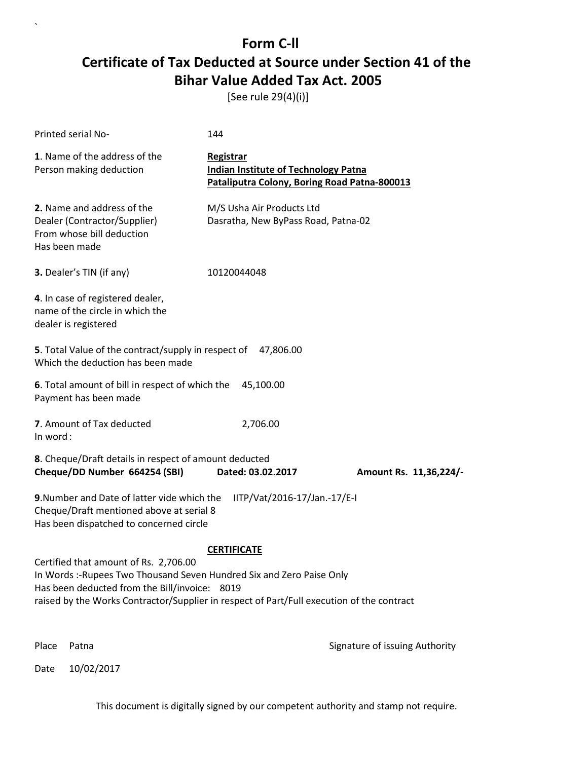[See rule 29(4)(i)]

| Printed serial No-                                                                                                                                                                                                                                           | 144                                                                                                      |                                |  |
|--------------------------------------------------------------------------------------------------------------------------------------------------------------------------------------------------------------------------------------------------------------|----------------------------------------------------------------------------------------------------------|--------------------------------|--|
| 1. Name of the address of the<br>Person making deduction                                                                                                                                                                                                     | Registrar<br><b>Indian Institute of Technology Patna</b><br>Pataliputra Colony, Boring Road Patna-800013 |                                |  |
| 2. Name and address of the<br>Dealer (Contractor/Supplier)<br>From whose bill deduction<br>Has been made                                                                                                                                                     | M/S Usha Air Products Ltd<br>Dasratha, New ByPass Road, Patna-02                                         |                                |  |
| 3. Dealer's TIN (if any)                                                                                                                                                                                                                                     | 10120044048                                                                                              |                                |  |
| 4. In case of registered dealer,<br>name of the circle in which the<br>dealer is registered                                                                                                                                                                  |                                                                                                          |                                |  |
| 5. Total Value of the contract/supply in respect of 47,806.00<br>Which the deduction has been made                                                                                                                                                           |                                                                                                          |                                |  |
| 6. Total amount of bill in respect of which the<br>45,100.00<br>Payment has been made                                                                                                                                                                        |                                                                                                          |                                |  |
| 7. Amount of Tax deducted<br>In word:                                                                                                                                                                                                                        | 2,706.00                                                                                                 |                                |  |
| 8. Cheque/Draft details in respect of amount deducted<br>Cheque/DD Number 664254 (SBI)                                                                                                                                                                       | Dated: 03.02.2017                                                                                        | Amount Rs. 11,36,224/-         |  |
| 9. Number and Date of latter vide which the<br>IITP/Vat/2016-17/Jan.-17/E-I<br>Cheque/Draft mentioned above at serial 8<br>Has been dispatched to concerned circle                                                                                           |                                                                                                          |                                |  |
|                                                                                                                                                                                                                                                              | <b>CERTIFICATE</b>                                                                                       |                                |  |
| Certified that amount of Rs. 2,706.00<br>In Words :- Rupees Two Thousand Seven Hundred Six and Zero Paise Only<br>Has been deducted from the Bill/invoice: 8019<br>raised by the Works Contractor/Supplier in respect of Part/Full execution of the contract |                                                                                                          |                                |  |
| Place<br>Patna                                                                                                                                                                                                                                               |                                                                                                          | Signature of issuing Authority |  |

Date 10/02/2017

`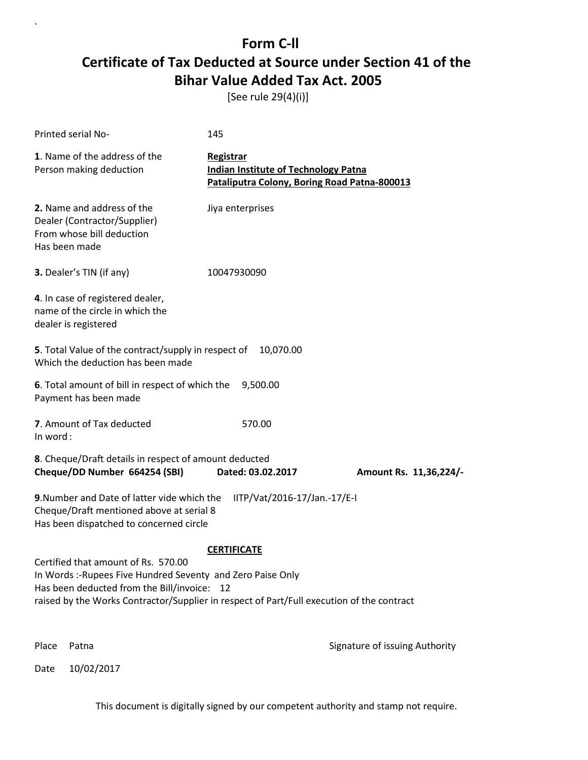[See rule 29(4)(i)]

| Printed serial No-                                                                                                                                                                                                                            | 145                                                                                                      |                                |
|-----------------------------------------------------------------------------------------------------------------------------------------------------------------------------------------------------------------------------------------------|----------------------------------------------------------------------------------------------------------|--------------------------------|
| 1. Name of the address of the<br>Person making deduction                                                                                                                                                                                      | Registrar<br><b>Indian Institute of Technology Patna</b><br>Pataliputra Colony, Boring Road Patna-800013 |                                |
| 2. Name and address of the<br>Dealer (Contractor/Supplier)<br>From whose bill deduction<br>Has been made                                                                                                                                      | Jiya enterprises                                                                                         |                                |
| 3. Dealer's TIN (if any)                                                                                                                                                                                                                      | 10047930090                                                                                              |                                |
| 4. In case of registered dealer,<br>name of the circle in which the<br>dealer is registered                                                                                                                                                   |                                                                                                          |                                |
| 5. Total Value of the contract/supply in respect of<br>Which the deduction has been made                                                                                                                                                      | 10,070.00                                                                                                |                                |
| 6. Total amount of bill in respect of which the<br>Payment has been made                                                                                                                                                                      | 9,500.00                                                                                                 |                                |
| 7. Amount of Tax deducted<br>In word:                                                                                                                                                                                                         | 570.00                                                                                                   |                                |
| 8. Cheque/Draft details in respect of amount deducted<br>Cheque/DD Number 664254 (SBI)                                                                                                                                                        | Dated: 03.02.2017                                                                                        | Amount Rs. 11,36,224/-         |
| 9. Number and Date of latter vide which the<br>Cheque/Draft mentioned above at serial 8<br>Has been dispatched to concerned circle                                                                                                            | IITP/Vat/2016-17/Jan.-17/E-I                                                                             |                                |
|                                                                                                                                                                                                                                               | <b>CERTIFICATE</b>                                                                                       |                                |
| Certified that amount of Rs. 570.00<br>In Words: -Rupees Five Hundred Seventy and Zero Paise Only<br>Has been deducted from the Bill/invoice: 12<br>raised by the Works Contractor/Supplier in respect of Part/Full execution of the contract |                                                                                                          |                                |
| Place<br>Patna                                                                                                                                                                                                                                |                                                                                                          | Signature of issuing Authority |

Date 10/02/2017

`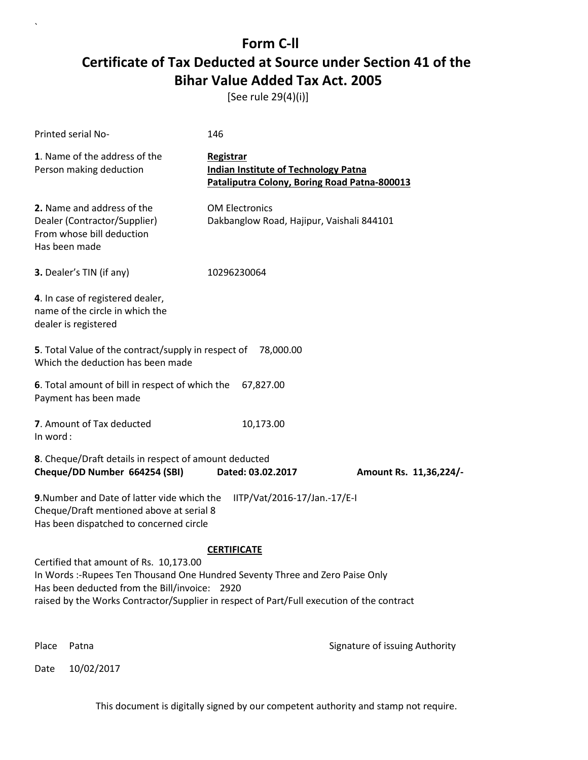[See rule 29(4)(i)]

| Printed serial No-                                                                                                                                                 | 146                                                                                                      |                        |  |
|--------------------------------------------------------------------------------------------------------------------------------------------------------------------|----------------------------------------------------------------------------------------------------------|------------------------|--|
| 1. Name of the address of the<br>Person making deduction                                                                                                           | Registrar<br><b>Indian Institute of Technology Patna</b><br>Pataliputra Colony, Boring Road Patna-800013 |                        |  |
| 2. Name and address of the<br>Dealer (Contractor/Supplier)<br>From whose bill deduction<br>Has been made                                                           | <b>OM Electronics</b><br>Dakbanglow Road, Hajipur, Vaishali 844101                                       |                        |  |
| 3. Dealer's TIN (if any)                                                                                                                                           | 10296230064                                                                                              |                        |  |
| 4. In case of registered dealer,<br>name of the circle in which the<br>dealer is registered                                                                        |                                                                                                          |                        |  |
| 5. Total Value of the contract/supply in respect of<br>Which the deduction has been made                                                                           | 78,000.00                                                                                                |                        |  |
| 6. Total amount of bill in respect of which the<br>Payment has been made                                                                                           | 67,827.00                                                                                                |                        |  |
| 7. Amount of Tax deducted<br>In word:                                                                                                                              | 10,173.00                                                                                                |                        |  |
| 8. Cheque/Draft details in respect of amount deducted<br>Cheque/DD Number 664254 (SBI)                                                                             | Dated: 03.02.2017                                                                                        | Amount Rs. 11,36,224/- |  |
| 9. Number and Date of latter vide which the<br>IITP/Vat/2016-17/Jan.-17/E-I<br>Cheque/Draft mentioned above at serial 8<br>Has been dispatched to concerned circle |                                                                                                          |                        |  |
|                                                                                                                                                                    | <b>CERTIFICATE</b>                                                                                       |                        |  |
| Certified that amount of Rs. 10,173.00<br>In Words :-Rupees Ten Thousand One Hundred Seventy Three and Zero Paise Only                                             |                                                                                                          |                        |  |
| Has been deducted from the Bill/invoice: 2920<br>raised by the Works Contractor/Supplier in respect of Part/Full execution of the contract                         |                                                                                                          |                        |  |
|                                                                                                                                                                    |                                                                                                          |                        |  |

Date 10/02/2017

`

Place Patna **Property** Place Patna Signature of issuing Authority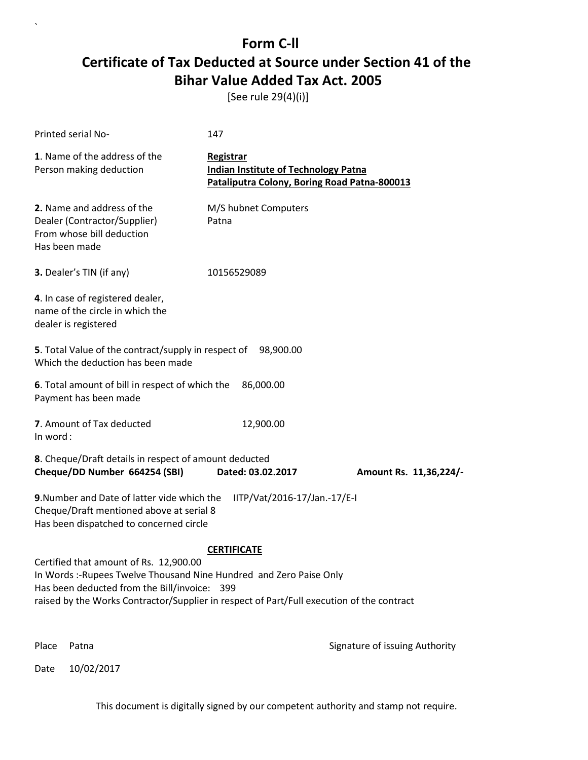[See rule 29(4)(i)]

| Printed serial No-                                                                                                                                                                                                                                         | 147                                                                                                      |                        |
|------------------------------------------------------------------------------------------------------------------------------------------------------------------------------------------------------------------------------------------------------------|----------------------------------------------------------------------------------------------------------|------------------------|
| 1. Name of the address of the<br>Person making deduction                                                                                                                                                                                                   | Registrar<br><b>Indian Institute of Technology Patna</b><br>Pataliputra Colony, Boring Road Patna-800013 |                        |
| 2. Name and address of the<br>Dealer (Contractor/Supplier)<br>From whose bill deduction<br>Has been made                                                                                                                                                   | M/S hubnet Computers<br>Patna                                                                            |                        |
| 3. Dealer's TIN (if any)                                                                                                                                                                                                                                   | 10156529089                                                                                              |                        |
| 4. In case of registered dealer,<br>name of the circle in which the<br>dealer is registered                                                                                                                                                                |                                                                                                          |                        |
| 5. Total Value of the contract/supply in respect of 98,900.00<br>Which the deduction has been made                                                                                                                                                         |                                                                                                          |                        |
| 6. Total amount of bill in respect of which the<br>Payment has been made                                                                                                                                                                                   | 86,000.00                                                                                                |                        |
| 7. Amount of Tax deducted<br>In word:                                                                                                                                                                                                                      | 12,900.00                                                                                                |                        |
| 8. Cheque/Draft details in respect of amount deducted<br>Cheque/DD Number 664254 (SBI)                                                                                                                                                                     | Dated: 03.02.2017                                                                                        | Amount Rs. 11,36,224/- |
| 9. Number and Date of latter vide which the<br>Cheque/Draft mentioned above at serial 8<br>Has been dispatched to concerned circle                                                                                                                         | IITP/Vat/2016-17/Jan.-17/E-I                                                                             |                        |
|                                                                                                                                                                                                                                                            | <b>CERTIFICATE</b>                                                                                       |                        |
| Certified that amount of Rs. 12,900.00<br>In Words :- Rupees Twelve Thousand Nine Hundred and Zero Paise Only<br>Has been deducted from the Bill/invoice: 399<br>raised by the Works Contractor/Supplier in respect of Part/Full execution of the contract |                                                                                                          |                        |
|                                                                                                                                                                                                                                                            |                                                                                                          |                        |

Date 10/02/2017

`

Place Patna **Property** Place Patna Signature of issuing Authority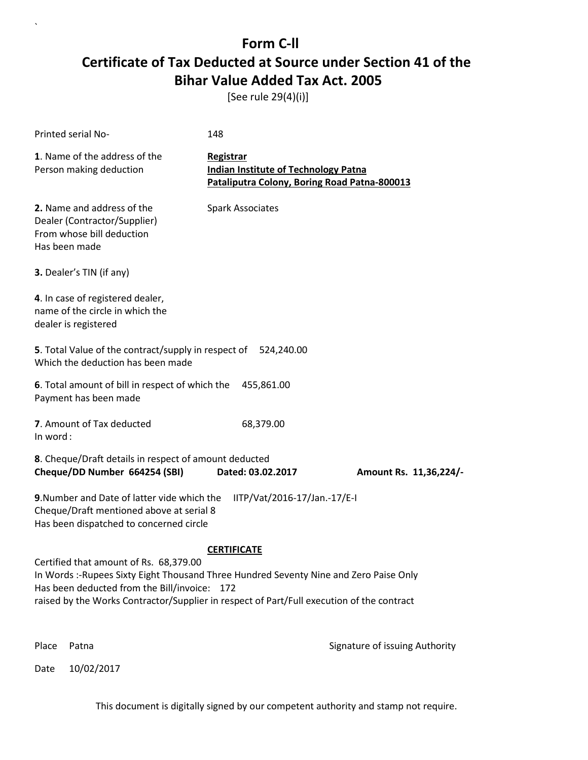[See rule 29(4)(i)]

| Printed serial No-                                                                                                                                                                                                                                                            | 148                                                                                                      |                        |  |
|-------------------------------------------------------------------------------------------------------------------------------------------------------------------------------------------------------------------------------------------------------------------------------|----------------------------------------------------------------------------------------------------------|------------------------|--|
| 1. Name of the address of the<br>Person making deduction                                                                                                                                                                                                                      | Registrar<br><b>Indian Institute of Technology Patna</b><br>Pataliputra Colony, Boring Road Patna-800013 |                        |  |
| 2. Name and address of the<br>Dealer (Contractor/Supplier)<br>From whose bill deduction<br>Has been made                                                                                                                                                                      | <b>Spark Associates</b>                                                                                  |                        |  |
| 3. Dealer's TIN (if any)                                                                                                                                                                                                                                                      |                                                                                                          |                        |  |
| 4. In case of registered dealer,<br>name of the circle in which the<br>dealer is registered                                                                                                                                                                                   |                                                                                                          |                        |  |
| 5. Total Value of the contract/supply in respect of<br>Which the deduction has been made                                                                                                                                                                                      | 524,240.00                                                                                               |                        |  |
| 6. Total amount of bill in respect of which the<br>Payment has been made                                                                                                                                                                                                      | 455,861.00                                                                                               |                        |  |
| 7. Amount of Tax deducted<br>In word:                                                                                                                                                                                                                                         | 68,379.00                                                                                                |                        |  |
| 8. Cheque/Draft details in respect of amount deducted<br>Cheque/DD Number 664254 (SBI)                                                                                                                                                                                        | Dated: 03.02.2017                                                                                        | Amount Rs. 11,36,224/- |  |
| 9. Number and Date of latter vide which the<br>IITP/Vat/2016-17/Jan.-17/E-I<br>Cheque/Draft mentioned above at serial 8<br>Has been dispatched to concerned circle                                                                                                            |                                                                                                          |                        |  |
|                                                                                                                                                                                                                                                                               | <b>CERTIFICATE</b>                                                                                       |                        |  |
| Certified that amount of Rs. 68,379.00<br>In Words :- Rupees Sixty Eight Thousand Three Hundred Seventy Nine and Zero Paise Only<br>Has been deducted from the Bill/invoice: 172<br>raised by the Works Contractor/Supplier in respect of Part/Full execution of the contract |                                                                                                          |                        |  |
|                                                                                                                                                                                                                                                                               |                                                                                                          |                        |  |

Date 10/02/2017

`

Place Patna **Property** Place Patna Signature of issuing Authority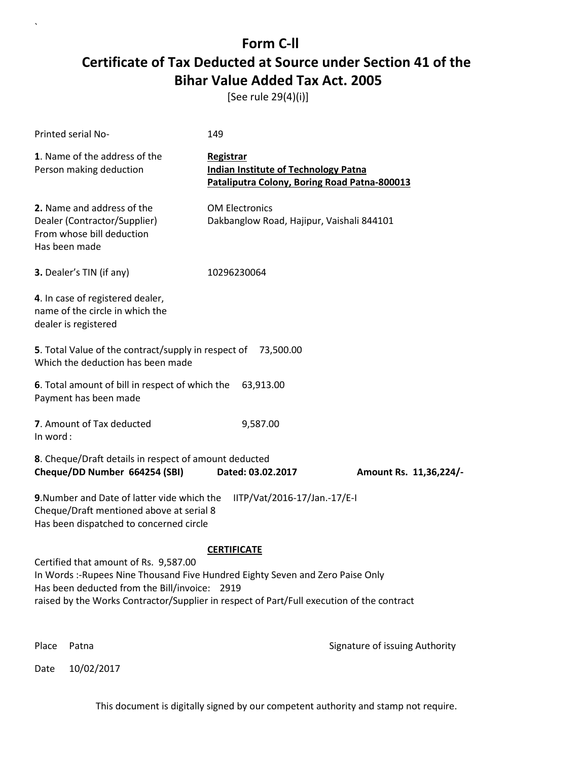[See rule 29(4)(i)]

| Printed serial No-                                                                                                                                                                                                                                                   | 149                                                                                                      |                                |
|----------------------------------------------------------------------------------------------------------------------------------------------------------------------------------------------------------------------------------------------------------------------|----------------------------------------------------------------------------------------------------------|--------------------------------|
| 1. Name of the address of the<br>Person making deduction                                                                                                                                                                                                             | Registrar<br><b>Indian Institute of Technology Patna</b><br>Pataliputra Colony, Boring Road Patna-800013 |                                |
| 2. Name and address of the<br>Dealer (Contractor/Supplier)<br>From whose bill deduction<br>Has been made                                                                                                                                                             | <b>OM Electronics</b><br>Dakbanglow Road, Hajipur, Vaishali 844101                                       |                                |
| 3. Dealer's TIN (if any)                                                                                                                                                                                                                                             | 10296230064                                                                                              |                                |
| 4. In case of registered dealer,<br>name of the circle in which the<br>dealer is registered                                                                                                                                                                          |                                                                                                          |                                |
| 5. Total Value of the contract/supply in respect of 73,500.00<br>Which the deduction has been made                                                                                                                                                                   |                                                                                                          |                                |
| 6. Total amount of bill in respect of which the<br>Payment has been made                                                                                                                                                                                             | 63,913.00                                                                                                |                                |
| 7. Amount of Tax deducted<br>In word:                                                                                                                                                                                                                                | 9,587.00                                                                                                 |                                |
| 8. Cheque/Draft details in respect of amount deducted<br>Cheque/DD Number 664254 (SBI)                                                                                                                                                                               | Dated: 03.02.2017                                                                                        | Amount Rs. 11,36,224/-         |
| 9. Number and Date of latter vide which the<br>Cheque/Draft mentioned above at serial 8<br>Has been dispatched to concerned circle                                                                                                                                   | IITP/Vat/2016-17/Jan.-17/E-I                                                                             |                                |
|                                                                                                                                                                                                                                                                      | <b>CERTIFICATE</b>                                                                                       |                                |
| Certified that amount of Rs. 9,587.00<br>In Words :-Rupees Nine Thousand Five Hundred Eighty Seven and Zero Paise Only<br>Has been deducted from the Bill/invoice: 2919<br>raised by the Works Contractor/Supplier in respect of Part/Full execution of the contract |                                                                                                          |                                |
| Place<br>Patna                                                                                                                                                                                                                                                       |                                                                                                          | Signature of issuing Authority |

Date 10/02/2017

`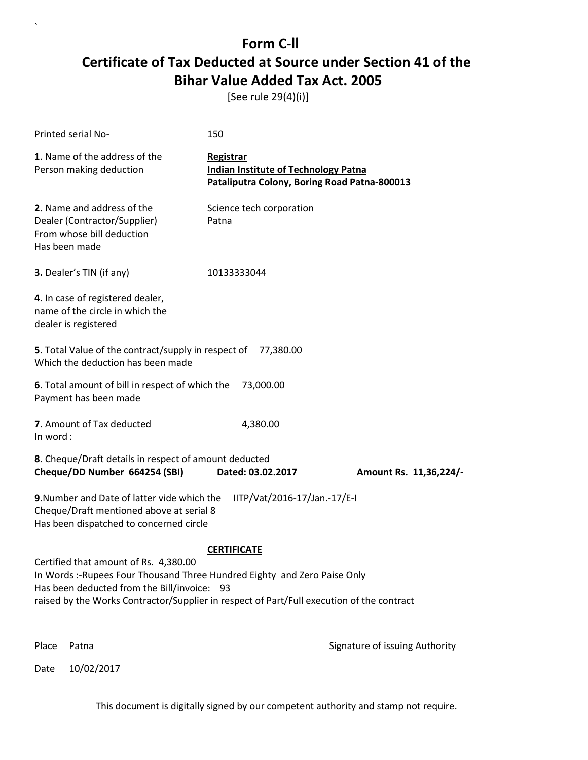[See rule 29(4)(i)]

| Printed serial No-                                                                                                                                                                                                                                             | 150                                                                                                      |                                |
|----------------------------------------------------------------------------------------------------------------------------------------------------------------------------------------------------------------------------------------------------------------|----------------------------------------------------------------------------------------------------------|--------------------------------|
| 1. Name of the address of the<br>Person making deduction                                                                                                                                                                                                       | Registrar<br><b>Indian Institute of Technology Patna</b><br>Pataliputra Colony, Boring Road Patna-800013 |                                |
| 2. Name and address of the<br>Dealer (Contractor/Supplier)<br>From whose bill deduction<br>Has been made                                                                                                                                                       | Science tech corporation<br>Patna                                                                        |                                |
| 3. Dealer's TIN (if any)                                                                                                                                                                                                                                       | 10133333044                                                                                              |                                |
| 4. In case of registered dealer,<br>name of the circle in which the<br>dealer is registered                                                                                                                                                                    |                                                                                                          |                                |
| 5. Total Value of the contract/supply in respect of<br>Which the deduction has been made                                                                                                                                                                       | 77,380.00                                                                                                |                                |
| 6. Total amount of bill in respect of which the<br>Payment has been made                                                                                                                                                                                       | 73,000.00                                                                                                |                                |
| 7. Amount of Tax deducted<br>In word:                                                                                                                                                                                                                          | 4,380.00                                                                                                 |                                |
| 8. Cheque/Draft details in respect of amount deducted<br>Cheque/DD Number 664254 (SBI)                                                                                                                                                                         | Dated: 03.02.2017                                                                                        | Amount Rs. 11,36,224/-         |
| 9. Number and Date of latter vide which the<br>Cheque/Draft mentioned above at serial 8<br>Has been dispatched to concerned circle                                                                                                                             | IITP/Vat/2016-17/Jan.-17/E-I                                                                             |                                |
|                                                                                                                                                                                                                                                                | <b>CERTIFICATE</b>                                                                                       |                                |
| Certified that amount of Rs. 4,380.00<br>In Words :- Rupees Four Thousand Three Hundred Eighty and Zero Paise Only<br>Has been deducted from the Bill/invoice: 93<br>raised by the Works Contractor/Supplier in respect of Part/Full execution of the contract |                                                                                                          |                                |
| Place<br>Patna                                                                                                                                                                                                                                                 |                                                                                                          | Signature of issuing Authority |

Date 10/02/2017

`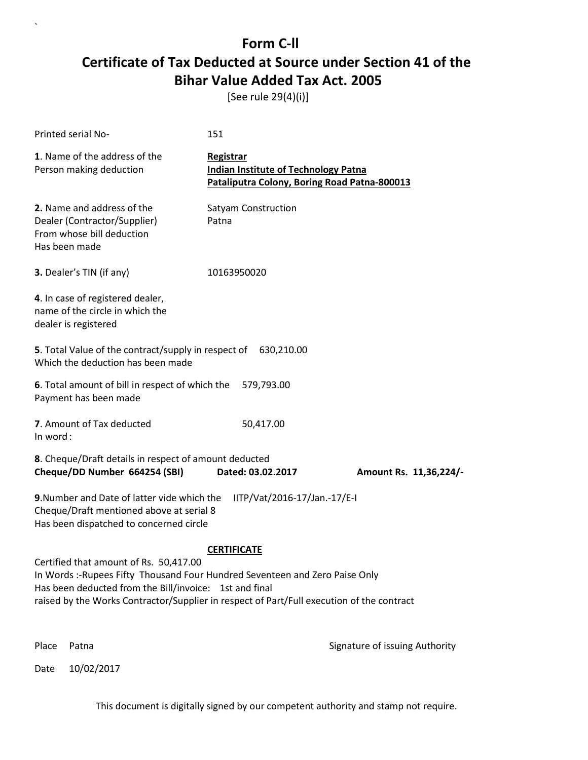[See rule 29(4)(i)]

`

Date 10/02/2017

| Printed serial No-                                                                                                                                                                                                                                                            | 151                                                                                                      |                                |
|-------------------------------------------------------------------------------------------------------------------------------------------------------------------------------------------------------------------------------------------------------------------------------|----------------------------------------------------------------------------------------------------------|--------------------------------|
| 1. Name of the address of the<br>Person making deduction                                                                                                                                                                                                                      | Registrar<br><b>Indian Institute of Technology Patna</b><br>Pataliputra Colony, Boring Road Patna-800013 |                                |
| 2. Name and address of the<br>Dealer (Contractor/Supplier)<br>From whose bill deduction<br>Has been made                                                                                                                                                                      | Satyam Construction<br>Patna                                                                             |                                |
| 3. Dealer's TIN (if any)                                                                                                                                                                                                                                                      | 10163950020                                                                                              |                                |
| 4. In case of registered dealer,<br>name of the circle in which the<br>dealer is registered                                                                                                                                                                                   |                                                                                                          |                                |
| 5. Total Value of the contract/supply in respect of 630,210.00<br>Which the deduction has been made                                                                                                                                                                           |                                                                                                          |                                |
| 6. Total amount of bill in respect of which the<br>Payment has been made                                                                                                                                                                                                      | 579,793.00                                                                                               |                                |
| 7. Amount of Tax deducted<br>In word:                                                                                                                                                                                                                                         | 50,417.00                                                                                                |                                |
| 8. Cheque/Draft details in respect of amount deducted<br>Cheque/DD Number 664254 (SBI)                                                                                                                                                                                        | Dated: 03.02.2017                                                                                        | Amount Rs. 11,36,224/-         |
| 9. Number and Date of latter vide which the<br>Cheque/Draft mentioned above at serial 8<br>Has been dispatched to concerned circle                                                                                                                                            | IITP/Vat/2016-17/Jan.-17/E-I                                                                             |                                |
|                                                                                                                                                                                                                                                                               | <b>CERTIFICATE</b>                                                                                       |                                |
| Certified that amount of Rs. 50,417.00<br>In Words :- Rupees Fifty Thousand Four Hundred Seventeen and Zero Paise Only<br>Has been deducted from the Bill/invoice: 1st and final<br>raised by the Works Contractor/Supplier in respect of Part/Full execution of the contract |                                                                                                          |                                |
| Place<br>Patna                                                                                                                                                                                                                                                                |                                                                                                          | Signature of issuing Authority |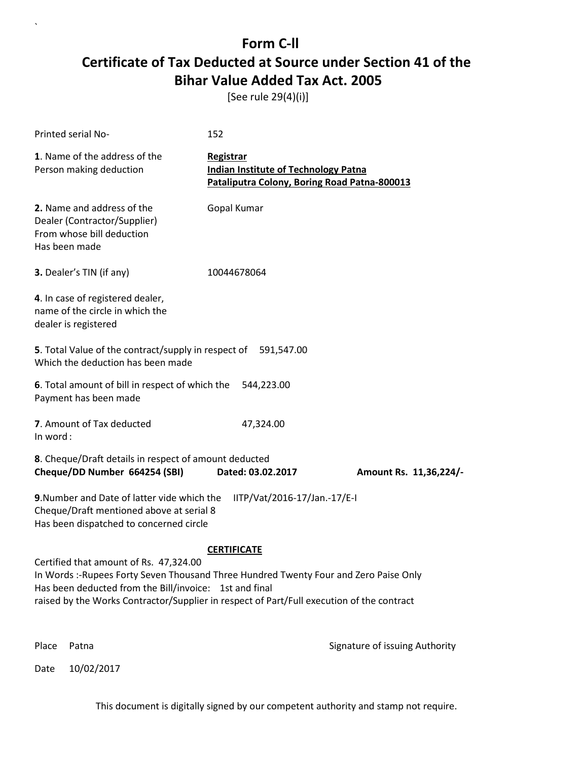[See rule 29(4)(i)]

| Printed serial No-                                                                                                                                                                                                                                                                     | 152                                                                                                      |                        |  |
|----------------------------------------------------------------------------------------------------------------------------------------------------------------------------------------------------------------------------------------------------------------------------------------|----------------------------------------------------------------------------------------------------------|------------------------|--|
| 1. Name of the address of the<br>Person making deduction                                                                                                                                                                                                                               | Registrar<br><b>Indian Institute of Technology Patna</b><br>Pataliputra Colony, Boring Road Patna-800013 |                        |  |
| 2. Name and address of the<br>Dealer (Contractor/Supplier)<br>From whose bill deduction<br>Has been made                                                                                                                                                                               | Gopal Kumar                                                                                              |                        |  |
| <b>3.</b> Dealer's TIN (if any)                                                                                                                                                                                                                                                        | 10044678064                                                                                              |                        |  |
| 4. In case of registered dealer,<br>name of the circle in which the<br>dealer is registered                                                                                                                                                                                            |                                                                                                          |                        |  |
| 5. Total Value of the contract/supply in respect of 591,547.00<br>Which the deduction has been made                                                                                                                                                                                    |                                                                                                          |                        |  |
| 6. Total amount of bill in respect of which the<br>Payment has been made                                                                                                                                                                                                               | 544,223.00                                                                                               |                        |  |
| 7. Amount of Tax deducted<br>In word:                                                                                                                                                                                                                                                  | 47,324.00                                                                                                |                        |  |
| 8. Cheque/Draft details in respect of amount deducted<br>Cheque/DD Number 664254 (SBI)                                                                                                                                                                                                 | Dated: 03.02.2017                                                                                        | Amount Rs. 11,36,224/- |  |
| 9. Number and Date of latter vide which the<br>IITP/Vat/2016-17/Jan.-17/E-I<br>Cheque/Draft mentioned above at serial 8<br>Has been dispatched to concerned circle                                                                                                                     |                                                                                                          |                        |  |
|                                                                                                                                                                                                                                                                                        | <b>CERTIFICATE</b>                                                                                       |                        |  |
| Certified that amount of Rs. 47,324.00<br>In Words :- Rupees Forty Seven Thousand Three Hundred Twenty Four and Zero Paise Only<br>Has been deducted from the Bill/invoice: 1st and final<br>raised by the Works Contractor/Supplier in respect of Part/Full execution of the contract |                                                                                                          |                        |  |
|                                                                                                                                                                                                                                                                                        |                                                                                                          |                        |  |

Place Patna **Property** Place Patna Signature of issuing Authority

Date 10/02/2017

`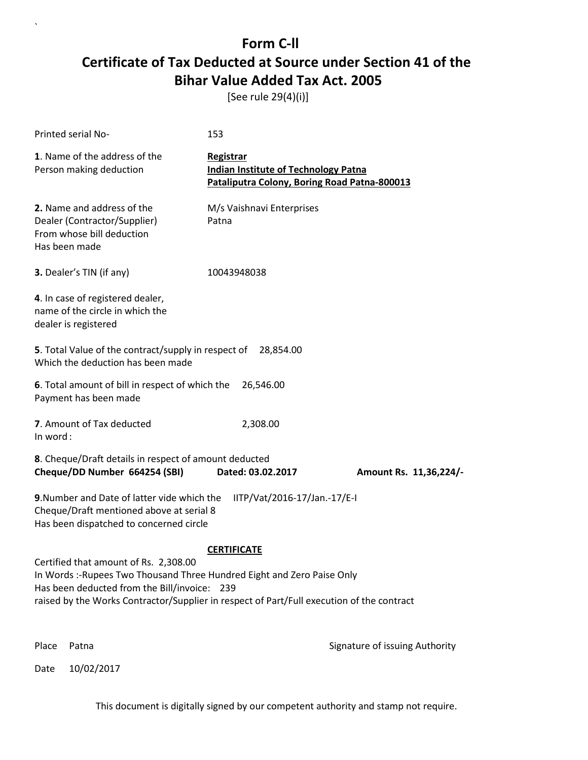[See rule 29(4)(i)]

| Printed serial No-                                                                                                                                                                                                                                            | 153                                                                                                      |                                |
|---------------------------------------------------------------------------------------------------------------------------------------------------------------------------------------------------------------------------------------------------------------|----------------------------------------------------------------------------------------------------------|--------------------------------|
| 1. Name of the address of the<br>Person making deduction                                                                                                                                                                                                      | Registrar<br><b>Indian Institute of Technology Patna</b><br>Pataliputra Colony, Boring Road Patna-800013 |                                |
| 2. Name and address of the<br>Dealer (Contractor/Supplier)<br>From whose bill deduction<br>Has been made                                                                                                                                                      | M/s Vaishnavi Enterprises<br>Patna                                                                       |                                |
| 3. Dealer's TIN (if any)                                                                                                                                                                                                                                      | 10043948038                                                                                              |                                |
| 4. In case of registered dealer,<br>name of the circle in which the<br>dealer is registered                                                                                                                                                                   |                                                                                                          |                                |
| <b>5</b> . Total Value of the contract/supply in respect of<br>Which the deduction has been made                                                                                                                                                              | 28,854.00                                                                                                |                                |
| 6. Total amount of bill in respect of which the<br>Payment has been made                                                                                                                                                                                      | 26,546.00                                                                                                |                                |
| 7. Amount of Tax deducted<br>In word:                                                                                                                                                                                                                         | 2,308.00                                                                                                 |                                |
| 8. Cheque/Draft details in respect of amount deducted<br>Cheque/DD Number 664254 (SBI)                                                                                                                                                                        | Dated: 03.02.2017                                                                                        | Amount Rs. 11,36,224/-         |
| 9. Number and Date of latter vide which the<br>Cheque/Draft mentioned above at serial 8<br>Has been dispatched to concerned circle                                                                                                                            | IITP/Vat/2016-17/Jan.-17/E-I                                                                             |                                |
|                                                                                                                                                                                                                                                               | <b>CERTIFICATE</b>                                                                                       |                                |
| Certified that amount of Rs. 2,308.00<br>In Words :- Rupees Two Thousand Three Hundred Eight and Zero Paise Only<br>Has been deducted from the Bill/invoice: 239<br>raised by the Works Contractor/Supplier in respect of Part/Full execution of the contract |                                                                                                          |                                |
| Place<br>Patna                                                                                                                                                                                                                                                |                                                                                                          | Signature of issuing Authority |

Date 10/02/2017

`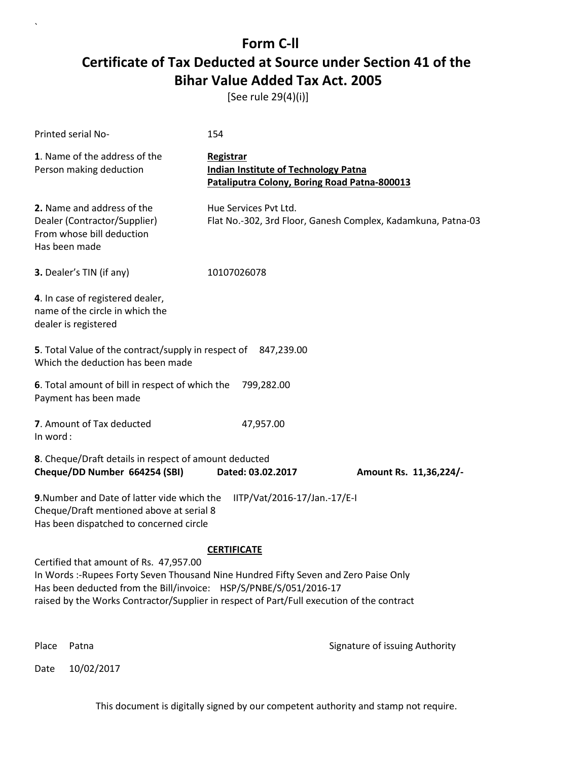[See rule 29(4)(i)]

| Printed serial No-                                                                                                                                                                                                                                                                               | 154                                                                                                      |                        |  |
|--------------------------------------------------------------------------------------------------------------------------------------------------------------------------------------------------------------------------------------------------------------------------------------------------|----------------------------------------------------------------------------------------------------------|------------------------|--|
| 1. Name of the address of the<br>Person making deduction                                                                                                                                                                                                                                         | Registrar<br><b>Indian Institute of Technology Patna</b><br>Pataliputra Colony, Boring Road Patna-800013 |                        |  |
| 2. Name and address of the<br>Dealer (Contractor/Supplier)<br>From whose bill deduction<br>Has been made                                                                                                                                                                                         | Hue Services Pvt Ltd.<br>Flat No.-302, 3rd Floor, Ganesh Complex, Kadamkuna, Patna-03                    |                        |  |
| 3. Dealer's TIN (if any)                                                                                                                                                                                                                                                                         | 10107026078                                                                                              |                        |  |
| 4. In case of registered dealer,<br>name of the circle in which the<br>dealer is registered                                                                                                                                                                                                      |                                                                                                          |                        |  |
| 5. Total Value of the contract/supply in respect of 847,239.00<br>Which the deduction has been made                                                                                                                                                                                              |                                                                                                          |                        |  |
| 6. Total amount of bill in respect of which the<br>Payment has been made                                                                                                                                                                                                                         | 799,282.00                                                                                               |                        |  |
| 7. Amount of Tax deducted<br>In word:                                                                                                                                                                                                                                                            | 47,957.00                                                                                                |                        |  |
| 8. Cheque/Draft details in respect of amount deducted<br>Cheque/DD Number 664254 (SBI)                                                                                                                                                                                                           | Dated: 03.02.2017                                                                                        | Amount Rs. 11,36,224/- |  |
| 9. Number and Date of latter vide which the<br>IITP/Vat/2016-17/Jan.-17/E-I<br>Cheque/Draft mentioned above at serial 8<br>Has been dispatched to concerned circle                                                                                                                               |                                                                                                          |                        |  |
|                                                                                                                                                                                                                                                                                                  | <b>CERTIFICATE</b>                                                                                       |                        |  |
| Certified that amount of Rs. 47,957.00<br>In Words :- Rupees Forty Seven Thousand Nine Hundred Fifty Seven and Zero Paise Only<br>Has been deducted from the Bill/invoice: HSP/S/PNBE/S/051/2016-17<br>raised by the Works Contractor/Supplier in respect of Part/Full execution of the contract |                                                                                                          |                        |  |
|                                                                                                                                                                                                                                                                                                  |                                                                                                          |                        |  |

Date 10/02/2017

`

Place Patna **Property** Place Patna Signature of issuing Authority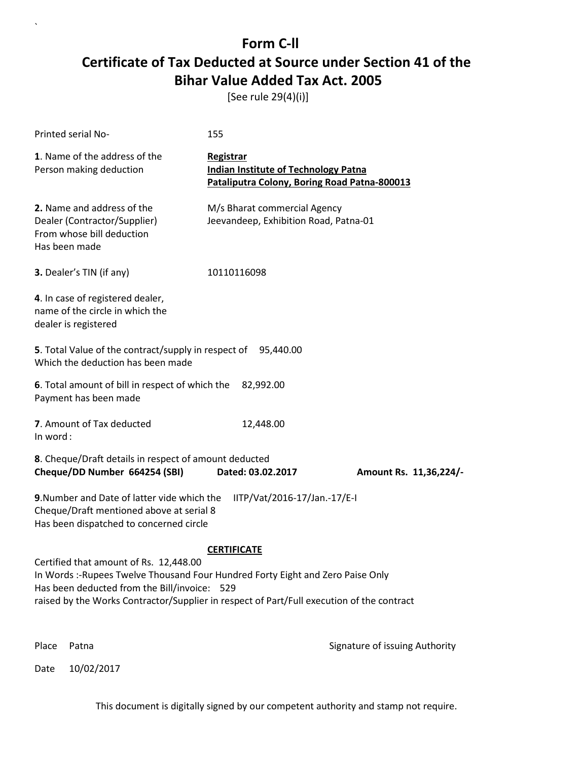[See rule 29(4)(i)]

| Printed serial No-                                                                                                                                                                                                                                                    | 155                                                                                                      |                                |  |
|-----------------------------------------------------------------------------------------------------------------------------------------------------------------------------------------------------------------------------------------------------------------------|----------------------------------------------------------------------------------------------------------|--------------------------------|--|
| 1. Name of the address of the<br>Person making deduction                                                                                                                                                                                                              | Registrar<br><b>Indian Institute of Technology Patna</b><br>Pataliputra Colony, Boring Road Patna-800013 |                                |  |
| 2. Name and address of the<br>Dealer (Contractor/Supplier)<br>From whose bill deduction<br>Has been made                                                                                                                                                              | M/s Bharat commercial Agency<br>Jeevandeep, Exhibition Road, Patna-01                                    |                                |  |
| 3. Dealer's TIN (if any)                                                                                                                                                                                                                                              | 10110116098                                                                                              |                                |  |
| 4. In case of registered dealer,<br>name of the circle in which the<br>dealer is registered                                                                                                                                                                           |                                                                                                          |                                |  |
| 5. Total Value of the contract/supply in respect of<br>Which the deduction has been made                                                                                                                                                                              | 95,440.00                                                                                                |                                |  |
| 6. Total amount of bill in respect of which the<br>Payment has been made                                                                                                                                                                                              | 82,992.00                                                                                                |                                |  |
| 7. Amount of Tax deducted<br>In word:                                                                                                                                                                                                                                 | 12,448.00                                                                                                |                                |  |
| 8. Cheque/Draft details in respect of amount deducted<br>Cheque/DD Number 664254 (SBI)                                                                                                                                                                                | Dated: 03.02.2017                                                                                        | Amount Rs. 11,36,224/-         |  |
| 9. Number and Date of latter vide which the<br>IITP/Vat/2016-17/Jan.-17/E-I<br>Cheque/Draft mentioned above at serial 8<br>Has been dispatched to concerned circle                                                                                                    |                                                                                                          |                                |  |
|                                                                                                                                                                                                                                                                       | <b>CERTIFICATE</b>                                                                                       |                                |  |
| Certified that amount of Rs. 12,448.00<br>In Words :-Rupees Twelve Thousand Four Hundred Forty Eight and Zero Paise Only<br>Has been deducted from the Bill/invoice: 529<br>raised by the Works Contractor/Supplier in respect of Part/Full execution of the contract |                                                                                                          |                                |  |
| Place<br>Patna                                                                                                                                                                                                                                                        |                                                                                                          | Signature of issuing Authority |  |

Date 10/02/2017

`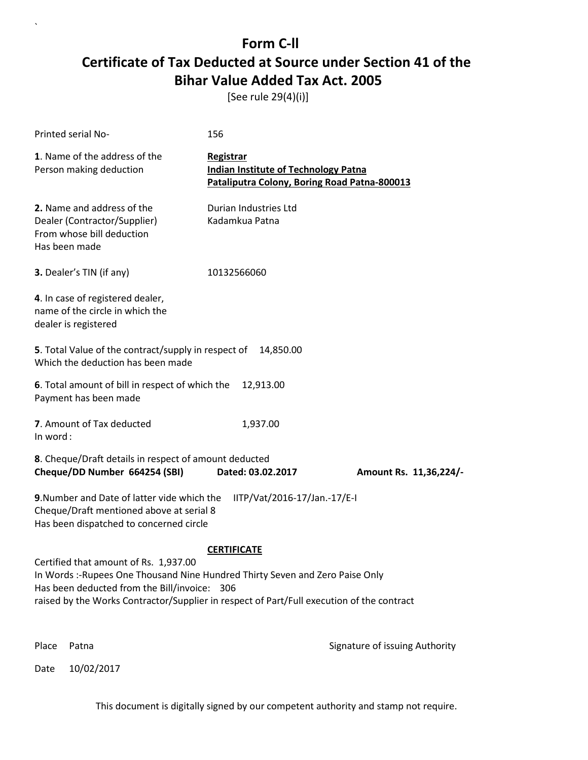[See rule 29(4)(i)]

| Printed serial No-                                                                                                                                                                                                                                                  | 156                                                                                                      |                                |
|---------------------------------------------------------------------------------------------------------------------------------------------------------------------------------------------------------------------------------------------------------------------|----------------------------------------------------------------------------------------------------------|--------------------------------|
| 1. Name of the address of the<br>Person making deduction                                                                                                                                                                                                            | Registrar<br><b>Indian Institute of Technology Patna</b><br>Pataliputra Colony, Boring Road Patna-800013 |                                |
| 2. Name and address of the<br>Dealer (Contractor/Supplier)<br>From whose bill deduction<br>Has been made                                                                                                                                                            | Durian Industries Ltd<br>Kadamkua Patna                                                                  |                                |
| 3. Dealer's TIN (if any)                                                                                                                                                                                                                                            | 10132566060                                                                                              |                                |
| 4. In case of registered dealer,<br>name of the circle in which the<br>dealer is registered                                                                                                                                                                         |                                                                                                          |                                |
| <b>5</b> . Total Value of the contract/supply in respect of<br>Which the deduction has been made                                                                                                                                                                    | 14,850.00                                                                                                |                                |
| 6. Total amount of bill in respect of which the<br>Payment has been made                                                                                                                                                                                            | 12,913.00                                                                                                |                                |
| 7. Amount of Tax deducted<br>In word:                                                                                                                                                                                                                               | 1,937.00                                                                                                 |                                |
| 8. Cheque/Draft details in respect of amount deducted<br>Cheque/DD Number 664254 (SBI)                                                                                                                                                                              | Dated: 03.02.2017                                                                                        | Amount Rs. 11,36,224/-         |
| 9. Number and Date of latter vide which the<br>Cheque/Draft mentioned above at serial 8<br>Has been dispatched to concerned circle                                                                                                                                  | IITP/Vat/2016-17/Jan.-17/E-I                                                                             |                                |
|                                                                                                                                                                                                                                                                     | <b>CERTIFICATE</b>                                                                                       |                                |
| Certified that amount of Rs. 1,937.00<br>In Words :- Rupees One Thousand Nine Hundred Thirty Seven and Zero Paise Only<br>Has been deducted from the Bill/invoice: 306<br>raised by the Works Contractor/Supplier in respect of Part/Full execution of the contract |                                                                                                          |                                |
| Place<br>Patna                                                                                                                                                                                                                                                      |                                                                                                          | Signature of issuing Authority |

Date 10/02/2017

`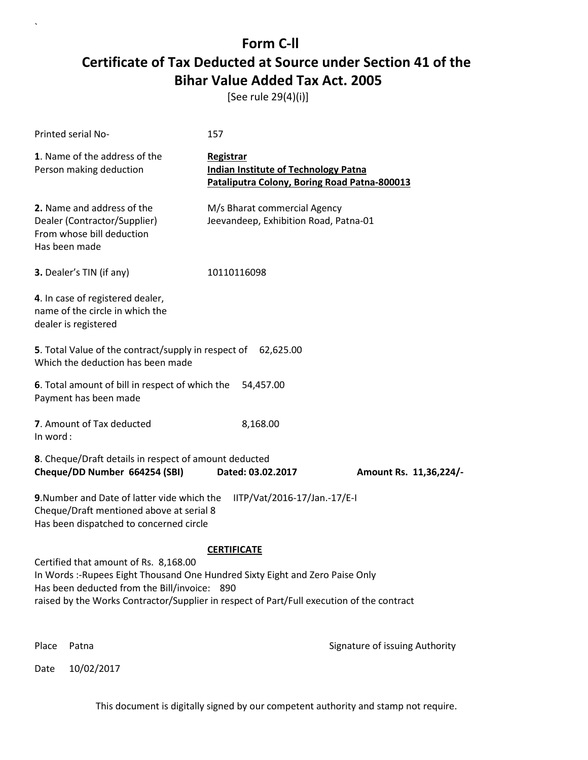[See rule 29(4)(i)]

| Printed serial No-                                                                                                                                                                                                                                                                        | 157                                                                                                             |                                |  |  |
|-------------------------------------------------------------------------------------------------------------------------------------------------------------------------------------------------------------------------------------------------------------------------------------------|-----------------------------------------------------------------------------------------------------------------|--------------------------------|--|--|
| 1. Name of the address of the<br>Person making deduction                                                                                                                                                                                                                                  | <b>Registrar</b><br><b>Indian Institute of Technology Patna</b><br>Pataliputra Colony, Boring Road Patna-800013 |                                |  |  |
| 2. Name and address of the<br>Dealer (Contractor/Supplier)<br>From whose bill deduction<br>Has been made                                                                                                                                                                                  | M/s Bharat commercial Agency<br>Jeevandeep, Exhibition Road, Patna-01                                           |                                |  |  |
| 3. Dealer's TIN (if any)                                                                                                                                                                                                                                                                  | 10110116098                                                                                                     |                                |  |  |
| 4. In case of registered dealer,<br>name of the circle in which the<br>dealer is registered                                                                                                                                                                                               |                                                                                                                 |                                |  |  |
| 5. Total Value of the contract/supply in respect of<br>62,625.00<br>Which the deduction has been made                                                                                                                                                                                     |                                                                                                                 |                                |  |  |
| 6. Total amount of bill in respect of which the<br>54,457.00<br>Payment has been made                                                                                                                                                                                                     |                                                                                                                 |                                |  |  |
| 7. Amount of Tax deducted<br>In word:                                                                                                                                                                                                                                                     | 8,168.00                                                                                                        |                                |  |  |
| 8. Cheque/Draft details in respect of amount deducted<br>Cheque/DD Number 664254 (SBI)                                                                                                                                                                                                    | Dated: 03.02.2017                                                                                               | Amount Rs. 11,36,224/-         |  |  |
| <b>9.</b> Number and Date of latter vide which the<br>IITP/Vat/2016-17/Jan.-17/E-I<br>Cheque/Draft mentioned above at serial 8<br>Has been dispatched to concerned circle                                                                                                                 |                                                                                                                 |                                |  |  |
| <b>CERTIFICATE</b><br>Certified that amount of Rs. 8,168.00<br>In Words :- Rupees Eight Thousand One Hundred Sixty Eight and Zero Paise Only<br>Has been deducted from the Bill/invoice: 890<br>raised by the Works Contractor/Supplier in respect of Part/Full execution of the contract |                                                                                                                 |                                |  |  |
| Place<br>Patna                                                                                                                                                                                                                                                                            |                                                                                                                 | Signature of issuing Authority |  |  |

Date 10/02/2017

`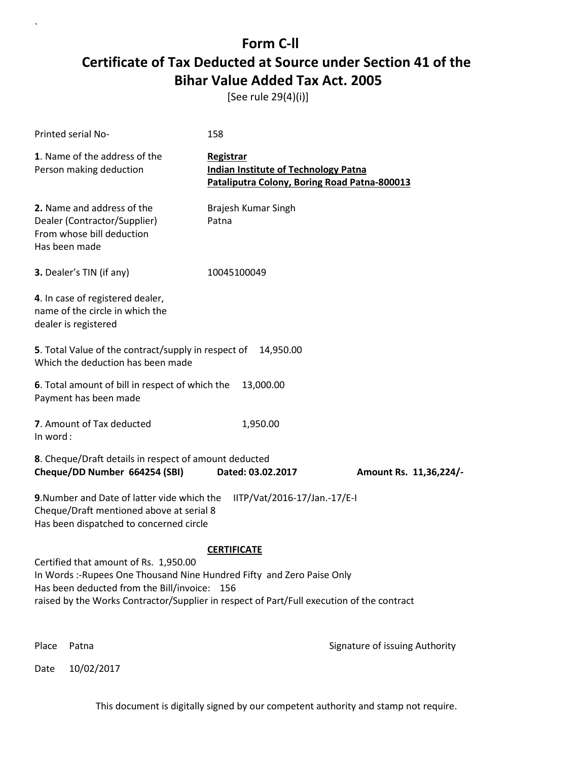[See rule 29(4)(i)]

| Printed serial No-                                                                                                                                                                                                                                          | 158                                                                                                      |                                |  |  |
|-------------------------------------------------------------------------------------------------------------------------------------------------------------------------------------------------------------------------------------------------------------|----------------------------------------------------------------------------------------------------------|--------------------------------|--|--|
| 1. Name of the address of the<br>Person making deduction                                                                                                                                                                                                    | Registrar<br><b>Indian Institute of Technology Patna</b><br>Pataliputra Colony, Boring Road Patna-800013 |                                |  |  |
| 2. Name and address of the<br>Dealer (Contractor/Supplier)<br>From whose bill deduction<br>Has been made                                                                                                                                                    | Brajesh Kumar Singh<br>Patna                                                                             |                                |  |  |
| 3. Dealer's TIN (if any)                                                                                                                                                                                                                                    | 10045100049                                                                                              |                                |  |  |
| 4. In case of registered dealer,<br>name of the circle in which the<br>dealer is registered                                                                                                                                                                 |                                                                                                          |                                |  |  |
| 5. Total Value of the contract/supply in respect of<br>14,950.00<br>Which the deduction has been made                                                                                                                                                       |                                                                                                          |                                |  |  |
| 6. Total amount of bill in respect of which the<br>Payment has been made                                                                                                                                                                                    | 13,000.00                                                                                                |                                |  |  |
| 7. Amount of Tax deducted<br>In word:                                                                                                                                                                                                                       | 1,950.00                                                                                                 |                                |  |  |
| 8. Cheque/Draft details in respect of amount deducted<br>Cheque/DD Number 664254 (SBI)                                                                                                                                                                      | Dated: 03.02.2017                                                                                        | Amount Rs. 11,36,224/-         |  |  |
| 9. Number and Date of latter vide which the<br>Cheque/Draft mentioned above at serial 8<br>Has been dispatched to concerned circle                                                                                                                          | IITP/Vat/2016-17/Jan.-17/E-I                                                                             |                                |  |  |
|                                                                                                                                                                                                                                                             | <b>CERTIFICATE</b>                                                                                       |                                |  |  |
| Certified that amount of Rs. 1,950.00<br>In Words: -Rupees One Thousand Nine Hundred Fifty and Zero Paise Only<br>Has been deducted from the Bill/invoice: 156<br>raised by the Works Contractor/Supplier in respect of Part/Full execution of the contract |                                                                                                          |                                |  |  |
| Place<br>Patna                                                                                                                                                                                                                                              |                                                                                                          | Signature of issuing Authority |  |  |

Date 10/02/2017

 $\overline{\phantom{a}}$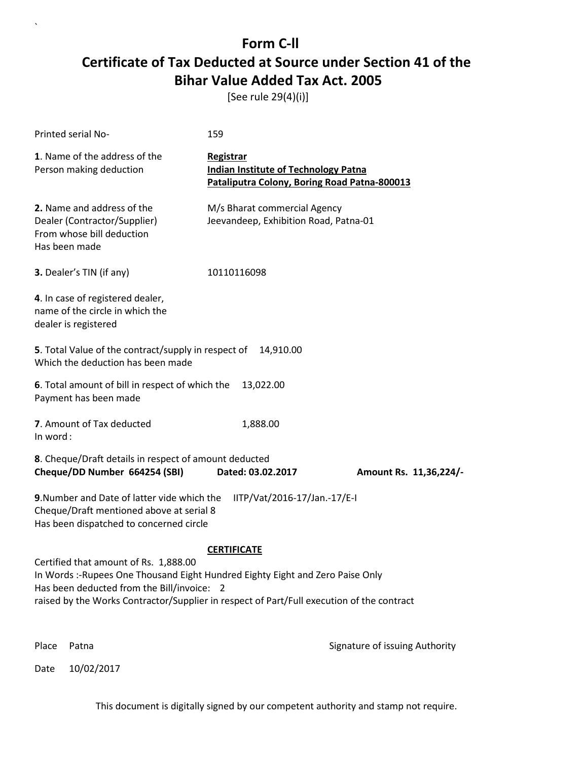[See rule 29(4)(i)]

| Printed serial No-                                                                                                                                                                                                                                                 | 159                                                                                                      |                                |  |  |
|--------------------------------------------------------------------------------------------------------------------------------------------------------------------------------------------------------------------------------------------------------------------|----------------------------------------------------------------------------------------------------------|--------------------------------|--|--|
| 1. Name of the address of the<br>Person making deduction                                                                                                                                                                                                           | Registrar<br><b>Indian Institute of Technology Patna</b><br>Pataliputra Colony, Boring Road Patna-800013 |                                |  |  |
| 2. Name and address of the<br>Dealer (Contractor/Supplier)<br>From whose bill deduction<br>Has been made                                                                                                                                                           | M/s Bharat commercial Agency<br>Jeevandeep, Exhibition Road, Patna-01                                    |                                |  |  |
| 3. Dealer's TIN (if any)                                                                                                                                                                                                                                           | 10110116098                                                                                              |                                |  |  |
| 4. In case of registered dealer,<br>name of the circle in which the<br>dealer is registered                                                                                                                                                                        |                                                                                                          |                                |  |  |
| 5. Total Value of the contract/supply in respect of<br>14,910.00<br>Which the deduction has been made                                                                                                                                                              |                                                                                                          |                                |  |  |
| 6. Total amount of bill in respect of which the<br>13,022.00<br>Payment has been made                                                                                                                                                                              |                                                                                                          |                                |  |  |
| 7. Amount of Tax deducted<br>In word:                                                                                                                                                                                                                              | 1,888.00                                                                                                 |                                |  |  |
| 8. Cheque/Draft details in respect of amount deducted<br>Cheque/DD Number 664254 (SBI)                                                                                                                                                                             | Dated: 03.02.2017                                                                                        | Amount Rs. 11,36,224/-         |  |  |
| 9. Number and Date of latter vide which the<br>IITP/Vat/2016-17/Jan.-17/E-I<br>Cheque/Draft mentioned above at serial 8<br>Has been dispatched to concerned circle                                                                                                 |                                                                                                          |                                |  |  |
| <b>CERTIFICATE</b>                                                                                                                                                                                                                                                 |                                                                                                          |                                |  |  |
| Certified that amount of Rs. 1,888.00<br>In Words :- Rupees One Thousand Eight Hundred Eighty Eight and Zero Paise Only<br>Has been deducted from the Bill/invoice: 2<br>raised by the Works Contractor/Supplier in respect of Part/Full execution of the contract |                                                                                                          |                                |  |  |
|                                                                                                                                                                                                                                                                    |                                                                                                          |                                |  |  |
| Place<br>Patna                                                                                                                                                                                                                                                     |                                                                                                          | Signature of issuing Authority |  |  |

Date 10/02/2017

`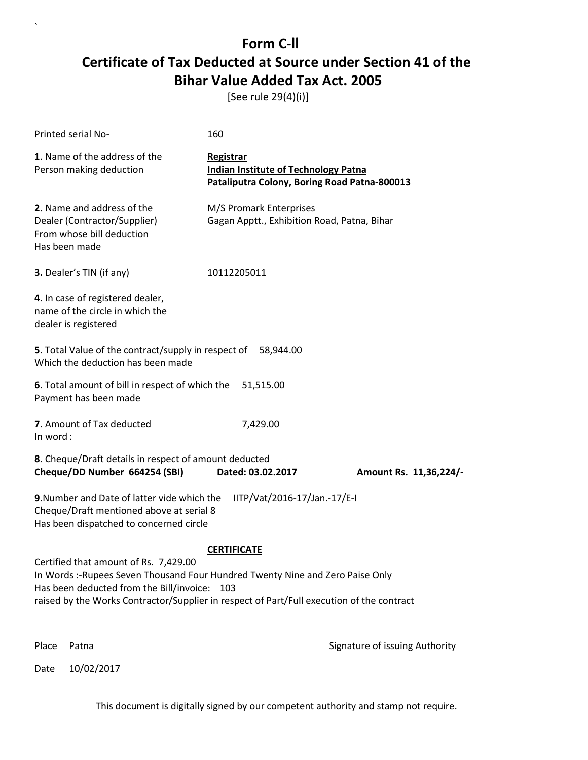[See rule 29(4)(i)]

| Printed serial No-                                                                                                                                                                                                                                                  | 160                                                                                                      |  |  |  |
|---------------------------------------------------------------------------------------------------------------------------------------------------------------------------------------------------------------------------------------------------------------------|----------------------------------------------------------------------------------------------------------|--|--|--|
| 1. Name of the address of the<br>Person making deduction                                                                                                                                                                                                            | Registrar<br><b>Indian Institute of Technology Patna</b><br>Pataliputra Colony, Boring Road Patna-800013 |  |  |  |
| 2. Name and address of the<br>Dealer (Contractor/Supplier)<br>From whose bill deduction<br>Has been made                                                                                                                                                            | M/S Promark Enterprises<br>Gagan Apptt., Exhibition Road, Patna, Bihar                                   |  |  |  |
| 3. Dealer's TIN (if any)                                                                                                                                                                                                                                            | 10112205011                                                                                              |  |  |  |
| 4. In case of registered dealer,<br>name of the circle in which the<br>dealer is registered                                                                                                                                                                         |                                                                                                          |  |  |  |
| 5. Total Value of the contract/supply in respect of 58,944.00<br>Which the deduction has been made                                                                                                                                                                  |                                                                                                          |  |  |  |
| 6. Total amount of bill in respect of which the<br>51,515.00<br>Payment has been made                                                                                                                                                                               |                                                                                                          |  |  |  |
| 7. Amount of Tax deducted<br>In word:                                                                                                                                                                                                                               | 7,429.00                                                                                                 |  |  |  |
| 8. Cheque/Draft details in respect of amount deducted<br>Cheque/DD Number 664254 (SBI)                                                                                                                                                                              | Dated: 03.02.2017<br>Amount Rs. 11,36,224/-                                                              |  |  |  |
| 9. Number and Date of latter vide which the<br>IITP/Vat/2016-17/Jan.-17/E-I<br>Cheque/Draft mentioned above at serial 8<br>Has been dispatched to concerned circle                                                                                                  |                                                                                                          |  |  |  |
| <b>CERTIFICATE</b>                                                                                                                                                                                                                                                  |                                                                                                          |  |  |  |
| Certified that amount of Rs. 7,429.00<br>In Words :-Rupees Seven Thousand Four Hundred Twenty Nine and Zero Paise Only<br>Has been deducted from the Bill/invoice: 103<br>raised by the Works Contractor/Supplier in respect of Part/Full execution of the contract |                                                                                                          |  |  |  |
| Place<br>Patna                                                                                                                                                                                                                                                      | Signature of issuing Authority                                                                           |  |  |  |

Date 10/02/2017

`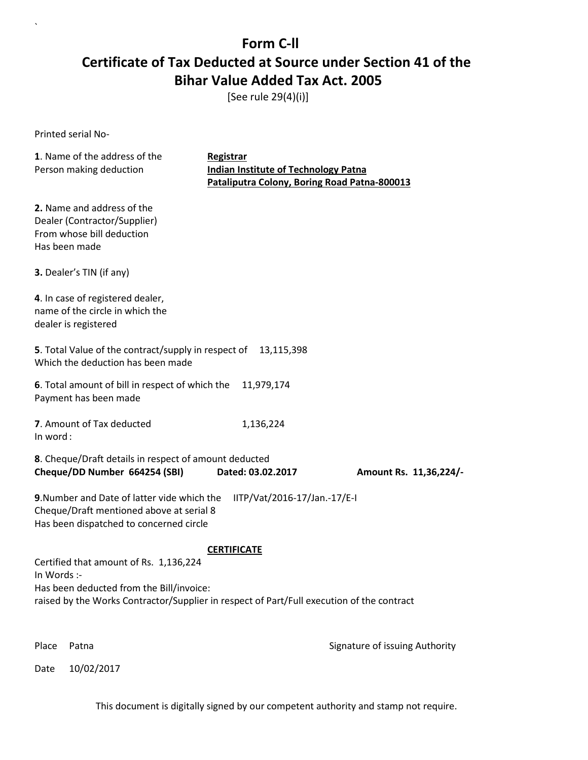[See rule 29(4)(i)]

Printed serial No-

`

| 1. Name of the address of the<br>Person making deduction                                                                                                                                                             | Registrar<br><b>Indian Institute of Technology Patna</b><br>Pataliputra Colony, Boring Road Patna-800013 |                        |  |  |
|----------------------------------------------------------------------------------------------------------------------------------------------------------------------------------------------------------------------|----------------------------------------------------------------------------------------------------------|------------------------|--|--|
| 2. Name and address of the<br>Dealer (Contractor/Supplier)<br>From whose bill deduction<br>Has been made                                                                                                             |                                                                                                          |                        |  |  |
| 3. Dealer's TIN (if any)                                                                                                                                                                                             |                                                                                                          |                        |  |  |
| 4. In case of registered dealer,<br>name of the circle in which the<br>dealer is registered                                                                                                                          |                                                                                                          |                        |  |  |
| 5. Total Value of the contract/supply in respect of<br>13,115,398<br>Which the deduction has been made                                                                                                               |                                                                                                          |                        |  |  |
| 6. Total amount of bill in respect of which the<br>Payment has been made                                                                                                                                             | 11,979,174                                                                                               |                        |  |  |
| 7. Amount of Tax deducted<br>In word:                                                                                                                                                                                | 1,136,224                                                                                                |                        |  |  |
| 8. Cheque/Draft details in respect of amount deducted<br>Cheque/DD Number 664254 (SBI)                                                                                                                               | Dated: 03.02.2017                                                                                        | Amount Rs. 11,36,224/- |  |  |
| 9. Number and Date of latter vide which the<br>Cheque/Draft mentioned above at serial 8<br>Has been dispatched to concerned circle                                                                                   | IITP/Vat/2016-17/Jan.-17/E-I                                                                             |                        |  |  |
| <b>CERTIFICATE</b><br>Certified that amount of Rs. 1,136,224<br>In Words :-<br>Has been deducted from the Bill/invoice:<br>raised by the Works Contractor/Supplier in respect of Part/Full execution of the contract |                                                                                                          |                        |  |  |

Place Patna **Property** Place Patna Signature of issuing Authority

Date 10/02/2017